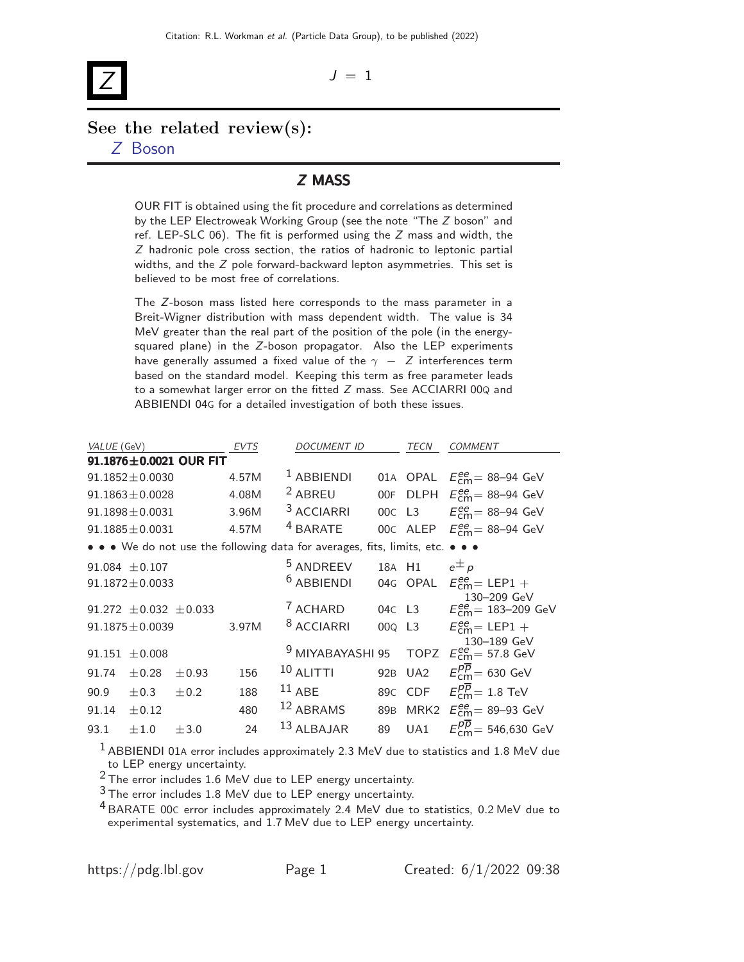# Z

 $J = 1$ 

## See the related review(s): Z [Boson](http://pdg.lbl.gov/2022/reviews/rpp2021-rev-z-boson.pdf)

### Z MASS

OUR FIT is obtained using the fit procedure and correlations as determined by the LEP Electroweak Working Group (see the note "The Z boson" and ref. LEP-SLC 06). The fit is performed using the  $Z$  mass and width, the Z hadronic pole cross section, the ratios of hadronic to leptonic partial widths, and the Z pole forward-backward lepton asymmetries. This set is believed to be most free of correlations.

The Z-boson mass listed here corresponds to the mass parameter in a Breit-Wigner distribution with mass dependent width. The value is 34 MeV greater than the real part of the position of the pole (in the energysquared plane) in the Z-boson propagator. Also the LEP experiments have generally assumed a fixed value of the  $\gamma - Z$  interferences term based on the standard model. Keeping this term as free parameter leads to a somewhat larger error on the fitted Z mass. See ACCIARRI 00Q and ABBIENDI 04G for a detailed investigation of both these issues.

| VALUE (GeV) |                                |                        | <b>EVTS</b> | <b>DOCUMENT ID</b>                                                      |                 | TECN             | <b>COMMENT</b>                                    |
|-------------|--------------------------------|------------------------|-------------|-------------------------------------------------------------------------|-----------------|------------------|---------------------------------------------------|
|             |                                | 91.1876±0.0021 OUR FIT |             |                                                                         |                 |                  |                                                   |
|             | $91.1852 \pm 0.0030$           |                        | 4.57M       | $1$ ABBIENDI                                                            |                 | 01A OPAL         | $E_{\text{cm}}^{\text{ee}} = 88 - 94 \text{ GeV}$ |
|             | $91.1863 \pm 0.0028$           |                        | 4.08M       | <sup>2</sup> ABREU                                                      | 00F             | <b>DLPH</b>      | $E_{\text{cm}}^{\text{ee}}$ = 88-94 GeV           |
|             | $91.1898 \pm 0.0031$           |                        | 3.96M       | <sup>3</sup> ACCIARRI                                                   | 00C L3          |                  | $E_{cm}^{ee}$ = 88-94 GeV                         |
|             | $91.1885 \pm 0.0031$           |                        | 4.57M       | <sup>4</sup> BARATE                                                     |                 | 00C ALEP         | $E_{cm}^{ee}$ = 88–94 GeV                         |
|             |                                |                        |             | • • • We do not use the following data for averages, fits, limits, etc. |                 |                  |                                                   |
|             | $91.084 \pm 0.107$             |                        |             | <sup>5</sup> ANDREEV                                                    | 18A H1          |                  | $e^{\pm}p$                                        |
|             | $91.1872 \pm 0.0033$           |                        |             | $6$ ABBIENDI                                                            |                 | 04G OPAL         | $E_{cm}^{ee}$ = LEP1 +                            |
|             | 91.272 $\pm$ 0.032 $\pm$ 0.033 |                        |             | <sup>7</sup> ACHARD                                                     |                 | 04C L3           | 130-209 GeV<br>$E_{cm}^{ee}$ = 183–209 GeV        |
|             | $91.1875 \pm 0.0039$           |                        | 3.97M       | <sup>8</sup> ACCIARRI                                                   | 000 L3          |                  | $E_{cm}^{ee}$ = LEP1 +                            |
| 91.151      | ± 0.008                        |                        |             | <sup>9</sup> MIYABAYASHI 95                                             |                 | <b>TOPZ</b>      | 130-189 GeV<br>$E_{\text{cm}}^{ee}$ = 57.8 GeV    |
| 91.74       | $\pm$ 0.28                     | $\pm 0.93$             | 156         | $10$ ALITTI                                                             |                 | 92B UA2          | $E_{cm}^{p\overline{p}}=630$ GeV                  |
| 90.9        | $\pm 0.3$                      | $\pm 0.2$              | 188         | $11$ ABE                                                                | 89 <sub>C</sub> | <b>CDF</b>       | $E_{cm}^{p\overline{p}}=1.8$ TeV                  |
| 91.14       | $\pm 0.12$                     |                        | 480         | 12 ABRAMS                                                               | 89 <sub>B</sub> | MRK <sub>2</sub> | $E_{\text{cm}}^{\text{ee}}$ = 89-93 GeV           |
| 93.1        | $\pm 1.0$                      | ±3.0                   | 24          | 13 ALBAJAR                                                              | 89              | UA1              | $E_{cm}^{p\overline{p}}=546,630~\text{GeV}$       |

 $1$  ABBIENDI 01A error includes approximately 2.3 MeV due to statistics and 1.8 MeV due to LEP energy uncertainty.

2 The error includes 1.6 MeV due to LEP energy uncertainty.

 $3$  The error includes 1.8 MeV due to LEP energy uncertainty.

4 BARATE 00<sup>C</sup> error includes approximately 2.4 MeV due to statistics, 0.2 MeV due to experimental systematics, and 1.7 MeV due to LEP energy uncertainty.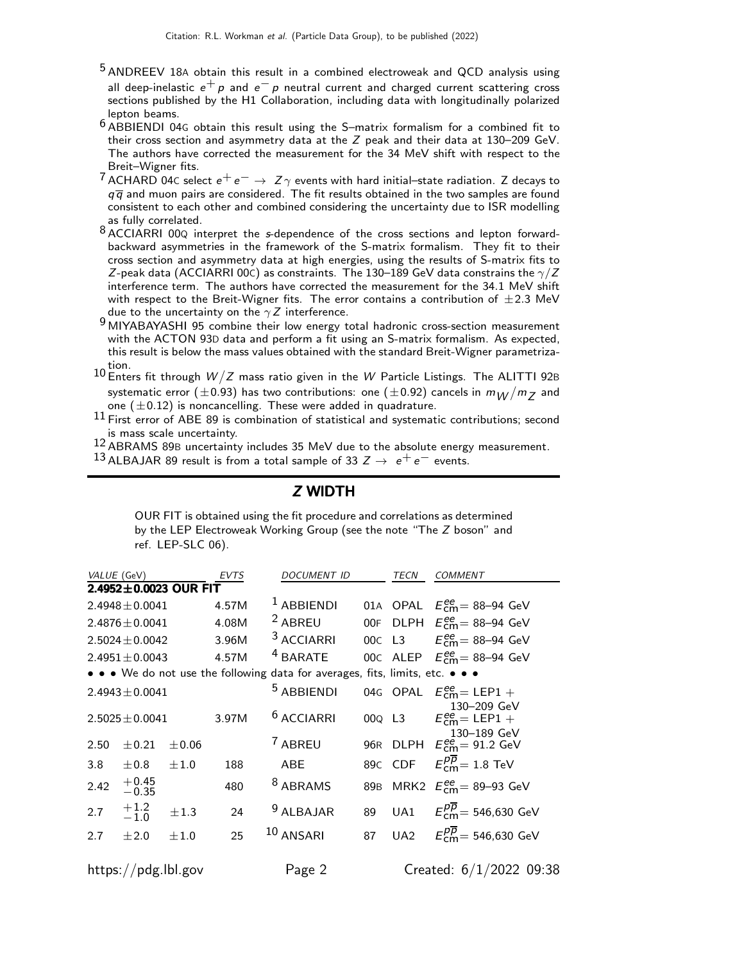- 5 ANDREEV 18<sup>A</sup> obtain this result in a combined electroweak and QCD analysis using all deep-inelastic  $e^+ p$  and  $e^- p$  neutral current and charged current scattering cross sections published by the H1 Collaboration, including data with longitudinally polarized lepton beams.
- $6$  ABBIENDI 04G obtain this result using the S-matrix formalism for a combined fit to their cross section and asymmetry data at the Z peak and their data at 130–209 GeV. The authors have corrected the measurement for the 34 MeV shift with respect to the Breit–Wigner fits.
- <sup>7</sup> ACHARD 04C select  $e^+e^-\rightarrow Z\gamma$  events with hard initial—state radiation. Z decays to  $q\overline{q}$  and muon pairs are considered. The fit results obtained in the two samples are found consistent to each other and combined considering the uncertainty due to ISR modelling as fully correlated.
- 8 ACCIARRI 00Q interpret the s-dependence of the cross sections and lepton forwardbackward asymmetries in the framework of the S-matrix formalism. They fit to their cross section and asymmetry data at high energies, using the results of S-matrix fits to Z-peak data (ACCIARRI 00C) as constraints. The 130–189 GeV data constrains the  $\gamma/Z$ interference term. The authors have corrected the measurement for the 34.1 MeV shift with respect to the Breit-Wigner fits. The error contains a contribution of  $\pm 2.3$  MeV due to the uncertainty on the  $\gamma Z$  interference.
- 9 MIYABAYASHI 95 combine their low energy total hadronic cross-section measurement with the ACTON 93D data and perform a fit using an S-matrix formalism. As expected, this result is below the mass values obtained with the standard Breit-Wigner parametriza- $^{10}$  Enters fit through  $W/Z$  mass ratio given in the  $W$  Particle Listings. The ALITTI 92B
- systematic error ( $\pm$ 0.93) has two contributions: one ( $\pm$ 0.92) cancels in  $m_W/m_Z$  and one  $(\pm 0.12)$  is noncancelling. These were added in quadrature.
- $11$  First error of ABE 89 is combination of statistical and systematic contributions; second is mass scale uncertainty.

12 ABRAMS 89B uncertainty includes 35 MeV due to the absolute energy measurement.

13 ALBAJAR 89 result is from a total sample of 33  $Z \rightarrow e^+e^-$  events.

| OUR FIT is obtained using the fit procedure and correlations as determined<br>by the LEP Electroweak Working Group (see the note "The Z boson" and<br>ref. LEP-SLC $06$ ). |  |  |  |  |  |  |  | Z WIDTH |  |  |  |  |  |  |  |  |
|----------------------------------------------------------------------------------------------------------------------------------------------------------------------------|--|--|--|--|--|--|--|---------|--|--|--|--|--|--|--|--|
|                                                                                                                                                                            |  |  |  |  |  |  |  |         |  |  |  |  |  |  |  |  |

 $-$  with  $-$ 

| VALUE (GeV)                                                                   |                     | EVTS                  | <i>DOCUMENT ID</i> |                       | TECN            | <b>COMMENT</b>                 |                                                      |  |  |  |  |
|-------------------------------------------------------------------------------|---------------------|-----------------------|--------------------|-----------------------|-----------------|--------------------------------|------------------------------------------------------|--|--|--|--|
|                                                                               |                     | 2.4952±0.0023 OUR FIT |                    |                       |                 |                                |                                                      |  |  |  |  |
|                                                                               | $2.4948 \pm 0.0041$ |                       | 4.57M              | <sup>1</sup> ABBIENDI | 01A             |                                | OPAL $E_{\text{cm}}^{\text{ee}} = 88-94 \text{ GeV}$ |  |  |  |  |
|                                                                               | $2.4876 \pm 0.0041$ |                       | 4.08M              | <sup>2</sup> ABREU    | 00F             | <b>DLPH</b>                    | $E_{\text{cm}}^{\text{ee}}$ = 88-94 GeV              |  |  |  |  |
|                                                                               | $2.5024 \pm 0.0042$ |                       | 3.96M              | <sup>3</sup> ACCIARRI | 00C             | L3                             | $E_{\text{cm}}^{\text{ee}}$ = 88-94 GeV              |  |  |  |  |
|                                                                               | $2.4951 \pm 0.0043$ |                       | 4.57M              | <sup>4</sup> BARATE   |                 |                                | 00C ALEP $E_{\text{cm}}^{ee}$ = 88-94 GeV            |  |  |  |  |
| • • • We do not use the following data for averages, fits, limits, etc. • • • |                     |                       |                    |                       |                 |                                |                                                      |  |  |  |  |
|                                                                               | $2.4943 \pm 0.0041$ |                       |                    | <sup>5</sup> ABBIENDI |                 | 04G OPAL                       | $E_{\text{cm}}^{\text{ee}}$ = LEP1 +<br>130-209 GeV  |  |  |  |  |
|                                                                               | $2.5025 \pm 0.0041$ |                       | 3.97M              | <sup>6</sup> ACCIARRI |                 | 00 <sub>Q</sub> L <sub>3</sub> | $E_{cm}^{ee}$ = LEP1 +<br>130-189 GeV                |  |  |  |  |
| 2.50                                                                          | ± 0.21              | $\pm 0.06$            |                    | 7 ABREU               |                 |                                | 96R DLPH $E_{\text{cm}}^{ee} = 91.2 \text{ GeV}$     |  |  |  |  |
| 3.8                                                                           | ±0.8                | ±1.0                  | 188                | <b>ABE</b>            | 89 <sub>C</sub> | <b>CDF</b>                     | $E_{cm}^{p\overline{p}}=1.8$ TeV                     |  |  |  |  |
| 2.42                                                                          | $^{+0.45}_{-0.35}$  |                       | 480                | <sup>8</sup> ABRAMS   | 89 <sub>B</sub> |                                | MRK2 $E_{\text{cm}}^{ee}$ = 89–93 GeV                |  |  |  |  |
| 2.7                                                                           | $+1.2$<br>-1.0      | ±1.3                  | 24                 | $9$ ALBAJAR           | 89              | UA1                            | $E_{cm}^{p\overline{p}}$ = 546,630 GeV               |  |  |  |  |
| 2.7                                                                           | ±2.0                | ±1.0                  | 25                 | $10$ ANSARI           | 87              |                                | UA2 $E_{cm}^{\overline{p}} = 546,630 \text{ GeV}$    |  |  |  |  |
|                                                                               | https://pdg.lbl.gov |                       |                    | Page 2                |                 |                                | Created: 6/1/2022 09:38                              |  |  |  |  |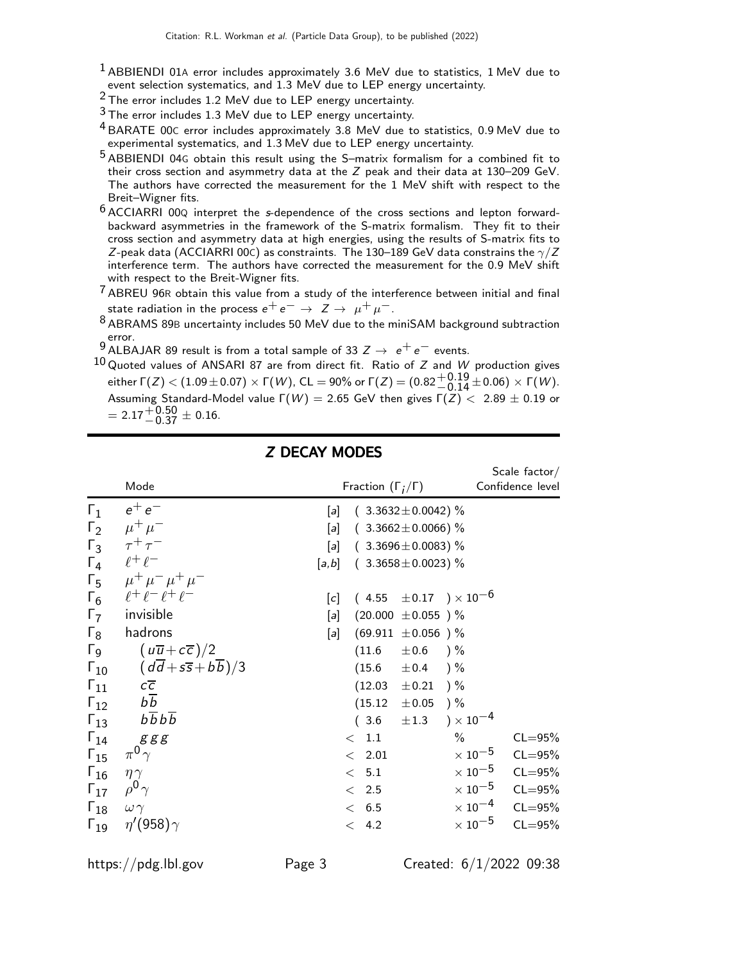- $1$  ABBIENDI 01A error includes approximately 3.6 MeV due to statistics, 1 MeV due to event selection systematics, and 1.3 MeV due to LEP energy uncertainty.
- 2 The error includes 1.2 MeV due to LEP energy uncertainty.
- $3$  The error includes 1.3 MeV due to LEP energy uncertainty.
- 4 BARATE 00<sup>C</sup> error includes approximately 3.8 MeV due to statistics, 0.9 MeV due to experimental systematics, and 1.3 MeV due to LEP energy uncertainty.
- 5 ABBIENDI 04<sup>G</sup> obtain this result using the S–matrix formalism for a combined fit to their cross section and asymmetry data at the Z peak and their data at 130–209 GeV. The authors have corrected the measurement for the 1 MeV shift with respect to the Breit–Wigner fits.
- 6 ACCIARRI 00<sup>Q</sup> interpret the s-dependence of the cross sections and lepton forwardbackward asymmetries in the framework of the S-matrix formalism. They fit to their cross section and asymmetry data at high energies, using the results of S-matrix fits to Z-peak data (ACCIARRI 00C) as constraints. The 130–189 GeV data constrains the  $\gamma/Z$ interference term. The authors have corrected the measurement for the 0.9 MeV shift with respect to the Breit-Wigner fits.
- $7$  ABREU 96R obtain this value from a study of the interference between initial and final state radiation in the process  $e^+e^- \rightarrow Z \rightarrow \mu^+\mu^-$ .
- 8 ABRAMS 89<sup>B</sup> uncertainty includes 50 MeV due to the miniSAM background subtraction error.
- 9 ALBAJAR 89 result is from a total sample of 33  $Z \rightarrow e^+e^-$  events.
- $10$  Quoted values of ANSARI 87 are from direct fit. Ratio of Z and W production gives either  $\Gamma(Z) < (1.09 \pm 0.07) \times \Gamma(W)$ , CL = 90% or  $\Gamma(Z) = (0.82 \frac{+0.19}{-0.14} \pm 0.06) \times \Gamma(W)$ . Assuming Standard-Model value  $\Gamma(W) = 2.65$  GeV then gives  $\Gamma(Z) < 2.89 \pm 0.19$  or  $= 2.17^{+0.50}_{-0.37} \pm 0.16.$

|                                                                                  | Mode                                                                                                                                                                                                                                                 | Fraction $(\Gamma_i/\Gamma)$                                                                                                                                                                                       | Scale $factor/$<br>Confidence level                                                                                                                                                       |
|----------------------------------------------------------------------------------|------------------------------------------------------------------------------------------------------------------------------------------------------------------------------------------------------------------------------------------------------|--------------------------------------------------------------------------------------------------------------------------------------------------------------------------------------------------------------------|-------------------------------------------------------------------------------------------------------------------------------------------------------------------------------------------|
| $\Gamma_1$                                                                       | $e^+e^-$<br>$\Gamma_2$ $\mu^+ \mu^-$<br>$\Gamma_3$ $\tau^+\tau^-$                                                                                                                                                                                    | $(3.3632 \pm 0.0042)\%$<br>$[a]$<br>$(3.3662 \pm 0.0066)$ %<br>$[a]$<br>$(3.3696 \pm 0.0083)$ %<br>[a]                                                                                                             |                                                                                                                                                                                           |
|                                                                                  | $\Gamma_4$ $\ell^+ \ell^-$<br>$\Gamma_5$ $\mu^+ \mu^- \mu^+ \mu^-$                                                                                                                                                                                   | $[a,b]$ ( 3.3658 ± 0.0023) %                                                                                                                                                                                       |                                                                                                                                                                                           |
| $\Gamma_8$<br>$\Gamma_{11}$                                                      | $\Gamma_6$ $\ell^+ \ell^- \ell^+ \ell^-$<br>$\Gamma_7$ invisible<br>hadrons<br>$\Gamma_9$ $(u\overline{u}+c\overline{c})/2$<br>$\Gamma_{10}$ $(d\overline{d} + s\overline{s} + b\overline{b})/3$<br>$C\overline{C}$<br>$\Gamma_{12}$ $b\overline{b}$ | $(4.55 \pm 0.17) \times 10^{-6}$<br>[c]<br>$(20.000 \pm 0.055)$ %<br>[a]<br>$(69.911 \pm 0.056)$ %<br>[a]<br>(11.6)<br>$\pm 0.6$ ) %<br>$(15.6 \pm 0.4)$ %<br>$(12.03 \pm 0.21)$<br>$) \%$<br>$(15.12 \pm 0.05)$ % |                                                                                                                                                                                           |
| $\Gamma_{14}$<br>$\Gamma_{15}$<br>$\Gamma_{16}$<br>$\Gamma_{18}$ $\omega \gamma$ | $\Gamma_{13}$ $b\overline{b}b\overline{b}$<br>g g g<br>$\pi^0\gamma$<br>$\eta\gamma$<br>$\Gamma_{17}$ $\rho^0 \gamma$<br>$\Gamma_{19}$ $\eta'(958)\gamma$                                                                                            | $\pm 1.3$ $\times 10^{-4}$<br>(3.6)<br>$\%$<br>< 1.1<br>< 2.01<br>< 5.1<br>< 2.5<br>< 6.5<br>< 4.2                                                                                                                 | $CL = 95%$<br>$\times$ 10 $^{-5}$<br>$CL = 95%$<br>$\times$ 10 $^{-5}$<br>$CL = 95%$<br>$\times$ 10 $^{-5}$<br>$CL = 95%$<br>$\times 10^{-4}$ CL=95%<br>$\times$ 10 $^{-5}$<br>$CL = 95%$ |

### Z DECAY MODES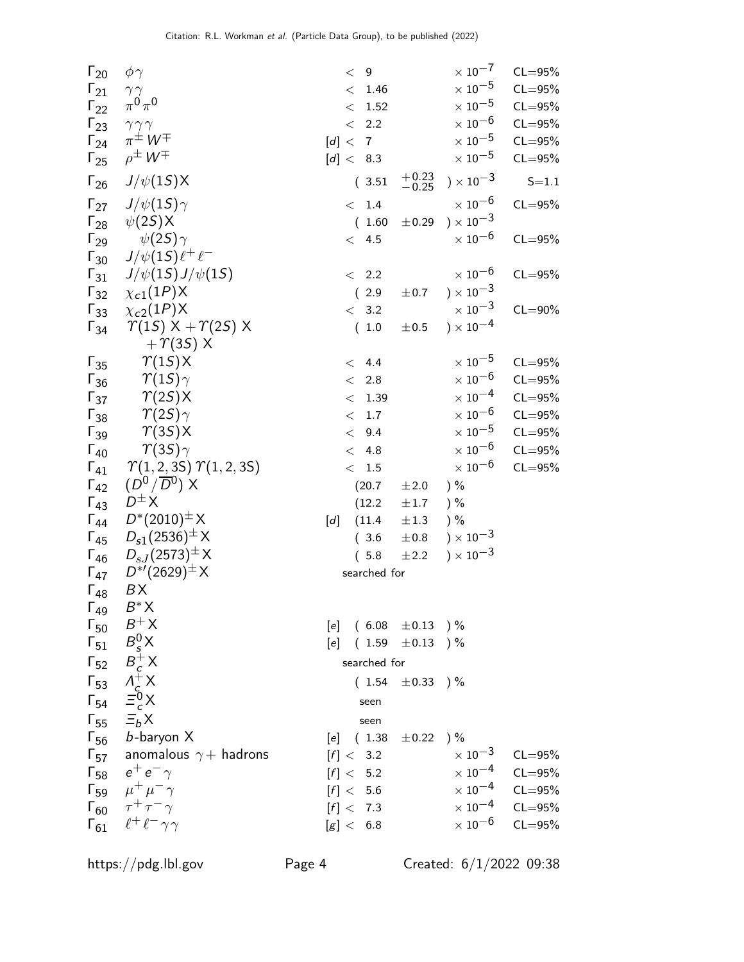| $\Gamma_{20}$ | $\phi\gamma$                                |     | < 9     |               |                               |        | $\times$ 10 $^{-7}$         | $CL = 95\%$             |
|---------------|---------------------------------------------|-----|---------|---------------|-------------------------------|--------|-----------------------------|-------------------------|
| $\Gamma_{21}$ | $\gamma\, \gamma$                           |     |         | < 1.46        |                               |        | $\times$ $10^{-5}$          | $CL = 95\%$             |
| $\Gamma_{22}$ | $\pi^0\pi^0$                                |     |         | $\rm <$ 1.52  |                               |        | $\times$ 10 $^{-5}$         | $CL = 95%$              |
| $\Gamma_{23}$ | $\gamma \gamma \gamma$                      |     |         | $< 2.2$       |                               |        | $\times$ 10 $^{-6}$         | $CL = 95%$              |
| $\Gamma_{24}$ | $\pi^{\pm} W^{\mp}$                         |     | [d] < 7 |               |                               |        | $\times$ $10^{-5}$          | $CL = 95%$              |
| $\Gamma_{25}$ | $\rho^{\pm} W^{\mp}$                        |     |         | [d] < 8.3     |                               |        | $\times$ 10 $^{-5}$         | $CL = 95%$              |
| $\Gamma_{26}$ | $J/\psi(1S)X$                               |     |         | (3.51)        | $+0.23$<br>$-0.25$            |        | $) \times 10^{-3}$          | $S = 1.1$               |
| $\Gamma_{27}$ | $J/\psi(1S)\gamma$                          |     |         | < 1.4         |                               |        | $\times$ 10 $^{-6}$         | $CL = 95%$              |
|               | $\Gamma_{28}$ $\psi(2S)X$                   |     |         | (1.60)        | $\pm 0.29$ ) $\times 10^{-3}$ |        |                             |                         |
| $\Gamma_{29}$ | $\psi(2S)\gamma$                            |     |         | < 4.5         |                               |        | $\times$ 10 $^{-6}$         | $CL = 95%$              |
| $\Gamma_{30}$ | $J/\psi(1S)\ell^+\ell^-$                    |     |         |               |                               |        |                             |                         |
| $\Gamma_{31}$ | $J/\psi(1S)J/\psi(1S)$                      |     |         | $\langle$ 2.2 |                               |        | $\times$ 10 $^{-6}$         | $CL = 95%$              |
| $\Gamma_{32}$ | $\chi_{c1}(1P)X$                            |     |         | (2.9)         | $\pm 0.7$                     |        | ) $\times\,10^{-3}$         |                         |
| $\Gamma_{33}$ | $\chi_{c2}(1P)X$                            |     |         | < 3.2         |                               |        | $\times$ 10 $^{-3}$         | $CL = 90\%$             |
| $\Gamma_{34}$ | $\gamma(1S) \times + \gamma(2S) \times$     |     |         | (1.0)         | $\pm 0.5$                     |        | ) $\times$ 10 <sup>-4</sup> |                         |
|               | $+ \gamma(35)$ X                            |     |         |               |                               |        |                             |                         |
| $\Gamma_{35}$ | $\Upsilon(1S)X$                             |     |         | < 4.4         |                               |        | $\times$ 10 $^{-5}$         | $CL = 95%$              |
| $\Gamma_{36}$ | $\gamma_{(1S)\gamma}$                       |     |         | < 2.8         |                               |        | $\times$ $10^{-6}$          | $CL = 95%$              |
| $\Gamma_{37}$ | $\Upsilon(2S)X$                             |     |         | < 1.39        |                               |        | $\times$ 10 $^{-4}$         | $CL = 95%$              |
| $\Gamma_{38}$ | $\varUpsilon(2S)\gamma$                     |     |         | < 1.7         |                               |        | $\times$ 10 $^{-6}$         | $CL = 95%$              |
| $\Gamma_{39}$ | $\Upsilon(35)X$                             |     |         | < 9.4         |                               |        | $\times$ 10 $^{-5}$         | $CL = 95%$              |
| $\Gamma_{40}$ | $\gamma(35)\gamma$                          |     |         | < 4.8         |                               |        | $\times$ 10 $^{-6}$         | $CL = 95%$              |
| $\Gamma_{41}$ | $\Upsilon(1, 2, 3S) \Upsilon(1, 2, 3S)$     |     |         | < 1.5         |                               |        | $\times$ 10 $^{-6}$         | $CL = 95%$              |
| $\Gamma_{42}$ | $(D^0/\overline{D}{}^0)$ X                  |     |         | (20.7)        | ±2.0                          | $) \%$ |                             |                         |
| $\Gamma_{43}$ | $D^{\pm}X$                                  |     |         | (12.2)        | $\pm 1.7$                     | $) \%$ |                             |                         |
| $\Gamma_{44}$ | $D^*(2010)^{\pm} X$                         | [d] |         | (11.4)        | $\pm 1.3$                     | $) \%$ |                             |                         |
| $\Gamma_{45}$ | $D_{s1}(2536)^{\pm} X$                      |     |         | (3.6)         | $\pm 0.8$                     |        | $) \times 10^{-3}$          |                         |
|               | $\Gamma_{46}$ $D_{sJ}(2573)^{\pm}$ X        |     |         | (5.8)         | ±2.2                          |        | $) \times 10^{-3}$          |                         |
|               | $\Gamma_{47}$ $D^{*'}(2629)^{\pm}$ X        |     |         | searched for  |                               |        |                             |                         |
| $\Gamma_{48}$ | BX                                          |     |         |               |                               |        |                             |                         |
| $\Gamma_{49}$ | $B^*$ X                                     |     |         |               |                               |        |                             |                         |
| $\Gamma_{50}$ | $B^+X$                                      |     |         |               | [e] $(6.08 \pm 0.13)$ %       |        |                             |                         |
| $\Gamma_{51}$ | $B_s^0$ X                                   | [e] |         |               | $(1.59 \pm 0.13)$ %           |        |                             |                         |
| $\Gamma_{52}$ | $B_c^+ X$                                   |     |         | searched for  |                               |        |                             |                         |
|               | $\Gamma_{53}$ $\Lambda_c^{\ddagger}$ X      |     |         | (1.54)        | $\pm 0.33$ ) %                |        |                             |                         |
| $\Gamma_{54}$ | $\equiv c^{\circ} X$                        |     |         | seen          |                               |        |                             |                         |
|               | $\Gamma_{55}$ $\equiv_b X$                  |     |         | seen          |                               |        |                             |                         |
|               | $\Gamma_{56}$ b-baryon X                    |     |         | [e] (1.38)    | $\pm 0.22$ ) %                |        |                             |                         |
|               | $\Gamma_{57}$ anomalous $\gamma+$ hadrons   |     |         | [f] < 3.2     |                               |        | $\times$ 10 $^{-3}$         | $CL = 95%$              |
|               | $\Gamma_{58}$ $e^+e^- \gamma$               |     |         | [f] < 5.2     |                               |        |                             | $\times 10^{-4}$ CL=95% |
|               | $\Gamma_{59}$ $\mu^{+}\mu^{-}\gamma$        |     |         | [f] < 5.6     |                               |        |                             | $\times 10^{-4}$ CL=95% |
|               | $\Gamma_{60}$ $\tau^+\tau^-\gamma$          |     |         | [f] < 7.3     |                               |        |                             | $\times 10^{-4}$ CL=95% |
|               | $\Gamma_{61}$ $\ell^+ \ell^- \gamma \gamma$ |     |         | [g] < 6.8     |                               |        |                             | $\times 10^{-6}$ CL=95% |
|               |                                             |     |         |               |                               |        |                             |                         |

https://pdg.lbl.gov Page 4 Created: 6/1/2022 09:38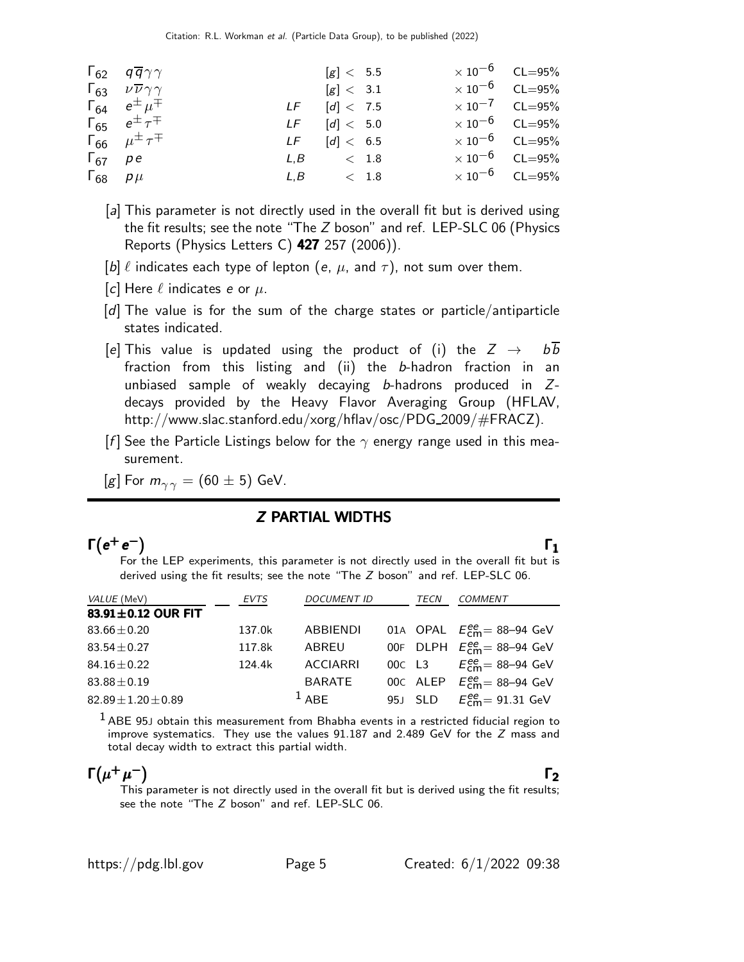|                         | $\Gamma_{62}$ $q\overline{q}\gamma\gamma$        | [g] < 5.5        | $\times 10^{-6}$ CL=95% |  |
|-------------------------|--------------------------------------------------|------------------|-------------------------|--|
|                         | $\Gamma_{63}$ $\nu \overline{\nu} \gamma \gamma$ | [g] < 3.1        | $\times 10^{-6}$ CL=95% |  |
|                         | $\Gamma_{64}$ $e^{\pm}$ $\mu^{\mp}$              | $LF$ $[d] < 7.5$ | $\times 10^{-7}$ CL=95% |  |
|                         | $\Gamma_{65}$ $e^{\pm} \tau^{\mp}$               | $LF$ $[d] < 5.0$ | $\times 10^{-6}$ CL=95% |  |
|                         | $\Gamma_{66}$ $\mu^{\pm} \tau^{\mp}$             | $LF$ $[d] < 6.5$ | $\times 10^{-6}$ CL=95% |  |
| $\Gamma_{67}$ pe        |                                                  | $L, B \sim 1.8$  | $\times 10^{-6}$ CL=95% |  |
| $\Gamma_{68}$ $\rho\mu$ |                                                  | $L, B \sim 1.8$  | $\times 10^{-6}$ CL=95% |  |

- [a] This parameter is not directly used in the overall fit but is derived using the fit results; see the note "The Z boson" and ref. LEP-SLC 06 (Physics Reports (Physics Letters C) 427 257 (2006)).
- [b]  $\ell$  indicates each type of lepton (e,  $\mu$ , and  $\tau$ ), not sum over them.
- [c] Here  $\ell$  indicates e or  $\mu$ .
- [d] The value is for the sum of the charge states or particle/antiparticle states indicated.
- [e] This value is updated using the product of (i) the  $Z \rightarrow b\overline{b}$ fraction from this listing and (ii) the b-hadron fraction in an unbiased sample of weakly decaying  $b$ -hadrons produced in  $Z$ decays provided by the Heavy Flavor Averaging Group (HFLAV, http://www.slac.stanford.edu/xorg/hflav/osc/PDG\_2009/#FRACZ).
- [f] See the Particle Listings below for the  $\gamma$  energy range used in this measurement.
- [g] For  $m_{\gamma\gamma}$  = (60  $\pm$  5) GeV.

### Z PARTIAL WIDTHS

### $\Gamma(e^+e^-)$  $\Gamma(e^+e^-)$   $\Gamma_1$

Γ

For the LEP experiments, this parameter is not directly used in the overall fit but is derived using the fit results; see the note "The Z boson" and ref. LEP-SLC 06.

| VALUE (MeV)               | EVTS   | <b>DOCUMENT ID</b> | TECN    | <b>COMMENT</b>                            |
|---------------------------|--------|--------------------|---------|-------------------------------------------|
| 83.91±0.12 OUR FIT        |        |                    |         |                                           |
| $83.66 \pm 0.20$          | 137.0k | <b>ABBIENDI</b>    |         | 01A OPAL $E_{\text{cm}}^{ee}$ = 88-94 GeV |
| $83.54 + 0.27$            | 117.8k | ABREU              |         | 00F DLPH $E_{cm}^{ee}$ = 88-94 GeV        |
| $84.16 \pm 0.22$          | 124.4k | <b>ACCIARRI</b>    |         | 00c L3 $E_{cm}^{ee} = 88 - 94$ GeV        |
| $83.88 \pm 0.19$          |        | <b>BARATE</b>      |         | 00C ALEP $E_{\text{cm}}^{ee}$ = 88-94 GeV |
| $82.89 \pm 1.20 \pm 0.89$ |        | $1$ ABF            | 95J SLD | $E_{cm}^{ee}$ = 91.31 GeV                 |

 $<sup>1</sup>$  ABE 95J obtain this measurement from Bhabha events in a restricted fiducial region to</sup> improve systematics. They use the values  $91.187$  and  $2.489$  GeV for the  $Z$  mass and total decay width to extract this partial width.

### $\Gamma(\mu^+\mu^-)$  $\Gamma(\mu^+\mu^-)$  Γ<sub>2</sub>  $(\mu^+\mu^-)$

 $(\mu^+ \mu^-)$  Γ<sub>2</sub> This parameter is not directly used in the overall fit but is derived using the fit results; see the note "The Z boson" and ref. LEP-SLC 06.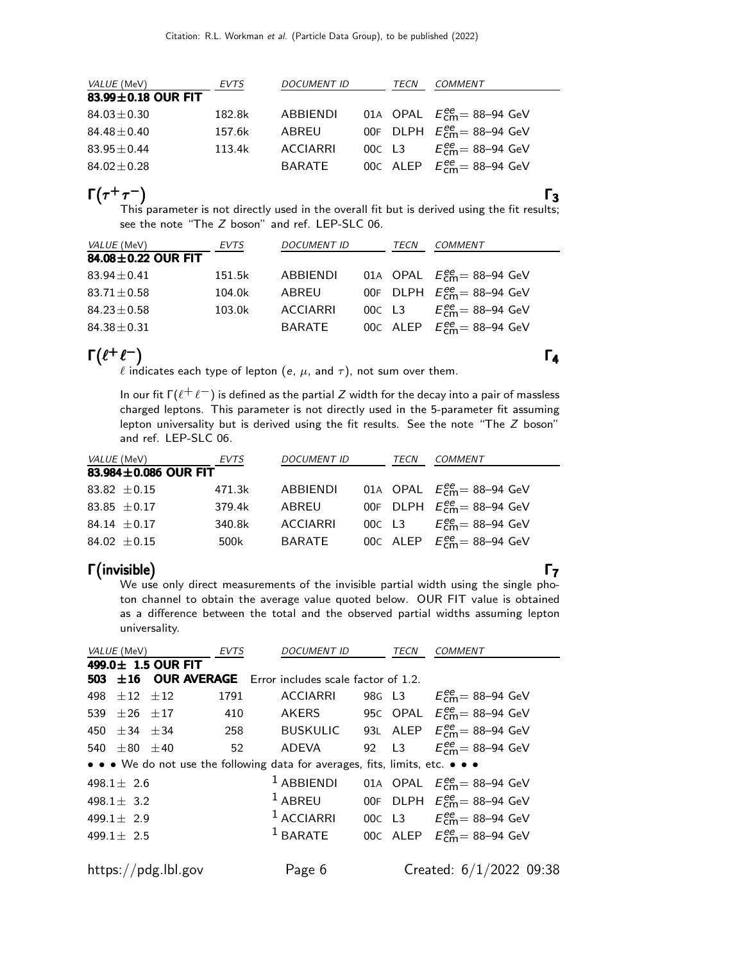| VALUE (MeV)        | EVTS   | <b>DOCUMENT ID</b> | TECN | COMMENT                                   |
|--------------------|--------|--------------------|------|-------------------------------------------|
| 83.99±0.18 OUR FIT |        |                    |      |                                           |
| $84.03 \pm 0.30$   | 182.8k | ABBIENDI           |      | 01A OPAL $E_{cm}^{ee}$ = 88-94 GeV        |
| $84.48 \pm 0.40$   | 157.6k | ABREU              |      | 00F DLPH $E_{\text{cm}}^{ee}$ = 88-94 GeV |
| $83.95 \pm 0.44$   | 113.4k | ACCIARRI           |      | 00C L3 $E_{cm}^{ee} = 88 - 94$ GeV        |
| $84.02 \pm 0.28$   |        | BARATE             |      | 00C ALEP $E_{\text{cm}}^{ee}$ = 88-94 GeV |

 $\Gamma(\tau^+\tau^-)$  Γ<sub>3</sub> This parameter is not directly used in the overall fit but is derived using the fit results; see the note "The Z boson" and ref. LEP-SLC 06.

| <i>VALUE</i> (MeV) | EVTS   | <b>DOCUMENT ID</b> | TECN | COMMENT                                   |
|--------------------|--------|--------------------|------|-------------------------------------------|
| 84.08±0.22 OUR FIT |        |                    |      |                                           |
| $83.94 \pm 0.41$   | 151.5k | ABBIENDI           |      | 01A OPAL $E_{\text{cm}}^{ee}$ = 88-94 GeV |
| $83.71 \pm 0.58$   | 104.0k | ABREU              |      | 00F DLPH $E_{cm}^{ee}$ = 88-94 GeV        |
| $84.23 \pm 0.58$   | 103.0k | <b>ACCIARRI</b>    |      | 00C L3 $E_{cm}^{ee} = 88 - 94$ GeV        |
| $84.38 \pm 0.31$   |        | BARATE             |      | 00C ALEP $E_{cm}^{ee}$ = 88-94 GeV        |

# $\Gamma(\ell^+\ell^-)$   $\Gamma_4$

 $\ell$  indicates each type of lepton (e,  $\mu$ , and  $\tau$ ), not sum over them.

In our fit  $\Gamma(\ell^+ \ell^-)$  is defined as the partial Z width for the decay into a pair of massless charged leptons. This parameter is not directly used in the 5-parameter fit assuming lepton universality but is derived using the fit results. See the note "The Z boson" and ref. LEP-SLC 06.

| <i>VALUE</i> (MeV) |                      | EVTS   | <b>DOCUMENT ID</b> | TECN | COMMENT                                   |
|--------------------|----------------------|--------|--------------------|------|-------------------------------------------|
|                    | 83.984±0.086 OUR FIT |        |                    |      |                                           |
|                    | 83.82 $\pm$ 0.15     | 471.3k | ABBIENDI           |      | 01A OPAL $E_{\text{cm}}^{ee}$ = 88-94 GeV |
|                    | 83.85 $\pm$ 0.17     | 379.4k | ABREU              |      | 00F DLPH $E_{cm}^{ee}$ = 88-94 GeV        |
|                    | 84.14 $\pm$ 0.17     | 340.8k | <b>ACCIARRI</b>    |      | 00C L3 $E_{cm}^{ee} = 88-94$ GeV          |
|                    | 84.02 $\pm$ 0.15     | 500k   | BARATE             |      | 00C ALEP $E_{cm}^{ee}$ = 88-94 GeV        |

Γ (invisible) Γ<sub>7</sub> (invisible) Γ<sub>7</sub> invisible) Γ We use only direct measurements of the invisible partial width using the single photon channel to obtain the average value quoted below. OUR FIT value is obtained as a difference between the total and the observed partial widths assuming lepton universality.

| <i>VALUE</i> (MeV)    |                     | EVTS | <b>DOCUMENT ID</b>                                                            |  | TECN | COMMENT                                                        |  |  |  |
|-----------------------|---------------------|------|-------------------------------------------------------------------------------|--|------|----------------------------------------------------------------|--|--|--|
|                       | 499.0± 1.5 OUR FIT  |      |                                                                               |  |      |                                                                |  |  |  |
|                       |                     |      | <b>503</b> $\pm$ 16 OUR AVERAGE Error includes scale factor of 1.2.           |  |      |                                                                |  |  |  |
| 498 $\pm 12$ $\pm 12$ |                     | 1791 | <b>ACCIARRI</b>                                                               |  |      | 98G L3 $E_{cm}^{ee} = 88-94$ GeV                               |  |  |  |
| 539 $\pm 26$ $\pm 17$ |                     | 410  | AKERS                                                                         |  |      | 95C OPAL $E_{cm}^{ee}$ = 88–94 GeV                             |  |  |  |
| 450 $\pm$ 34 $\pm$ 34 |                     |      |                                                                               |  |      | 258 BUSKULIC 93L ALEP $E_{\text{cm}}^{ee} = 88-94 \text{ GeV}$ |  |  |  |
| 540 $\pm 80$ $\pm 40$ |                     | 52   | ADEVA                                                                         |  |      | 92 L3 $E_{cm}^{ee} = 88 - 94$ GeV                              |  |  |  |
|                       |                     |      | • • • We do not use the following data for averages, fits, limits, etc. • • • |  |      |                                                                |  |  |  |
| 498.1 $\pm$ 2.6       |                     |      | $1$ ABBIENDI                                                                  |  |      | 01A OPAL $E_{\text{cm}}^{ee}$ = 88-94 GeV                      |  |  |  |
| 498.1 $\pm$ 3.2       |                     |      | $1$ ABREU                                                                     |  |      | 00F DLPH $E_{\text{cm}}^{\text{ee}} = 88-94 \text{ GeV}$       |  |  |  |
| 499.1 $\pm$ 2.9       |                     |      | $1$ ACCIARRI                                                                  |  |      | 00C L3 $E_{cm}^{ee} = 88 - 94$ GeV                             |  |  |  |
| 499.1 $\pm$ 2.5       |                     |      | $^1$ BARATE                                                                   |  |      | 00C ALEP $E_{\text{cm}}^{ee}$ = 88-94 GeV                      |  |  |  |
|                       |                     |      |                                                                               |  |      |                                                                |  |  |  |
|                       | https://pdg.lbl.gov |      | Page 6                                                                        |  |      | Created: $6/1/2022$ 09:38                                      |  |  |  |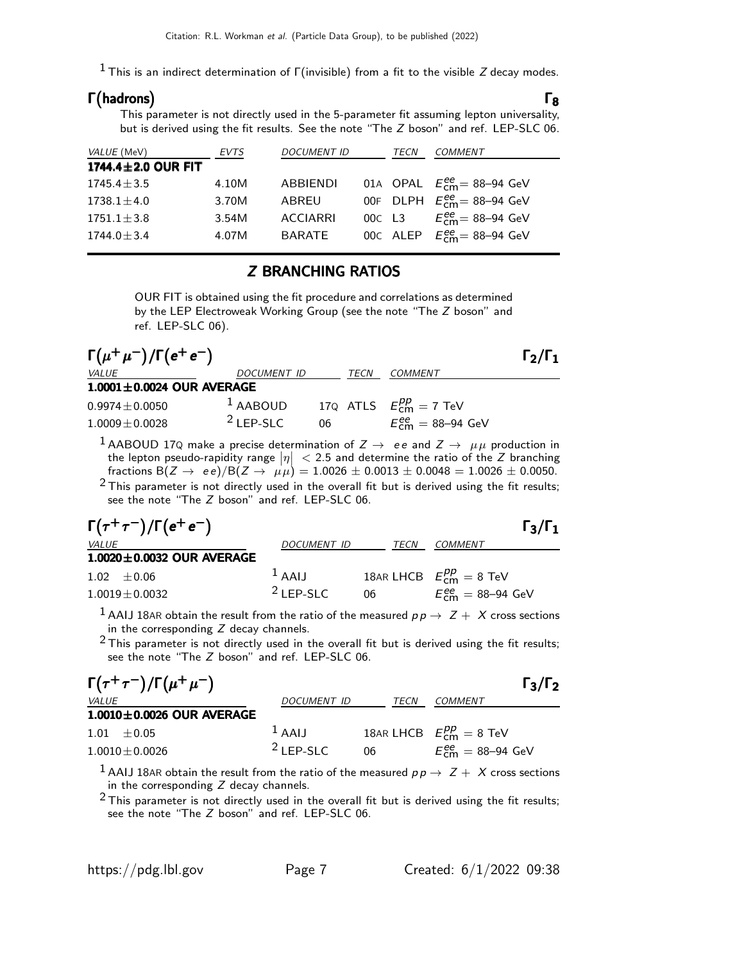<sup>1</sup> This is an indirect determination of Γ(invisible) from a fit to the visible Z decay modes.

### Γ hadrons  $\Gamma$ (hadrons)  $\Gamma_8$ **(hadrons)**

This parameter is not directly used in the 5-parameter fit assuming lepton universality, but is derived using the fit results. See the note "The Z boson" and ref. LEP-SLC 06.

| <i>VALUE</i> (MeV) | EVTS  | <b>DOCUMENT ID</b> | TECN   | COMMENT                                                  |
|--------------------|-------|--------------------|--------|----------------------------------------------------------|
| 1744.4±2.0 OUR FIT |       |                    |        |                                                          |
| $1745.4 + 3.5$     | 4.10M | ABBIENDI           |        | 01A OPAL $E_{\text{cm}}^{ee}$ = 88-94 GeV                |
| $1738.1 \pm 4.0$   | 3.70M | ABREU              |        | 00F DLPH $E_{\text{cm}}^{\text{ee}} = 88-94 \text{ GeV}$ |
| $1751.1 \pm 3.8$   | 3.54M | <b>ACCIARRI</b>    | 00C L3 | $E_{cm}^{ee}$ = 88–94 GeV                                |
| $1744.0 \pm 3.4$   | 4.07M | <b>BARATE</b>      |        | 00C ALEP $E_{\text{cm}}^{ee}$ = 88-94 GeV                |

### Z BRANCHING RATIOS

OUR FIT is obtained using the fit procedure and correlations as determined by the LEP Electroweak Working Group (see the note "The Z boson" and ref. LEP-SLC 06).

| $\Gamma(\mu^+\mu^-)/\Gamma(e^+e^-)$ |                    |    |      |                                | $\Gamma_2/\Gamma_1$ |
|-------------------------------------|--------------------|----|------|--------------------------------|---------------------|
| <i>VALUE</i>                        | <i>DOCUMENT ID</i> |    | TECN | <i>COMMENT</i>                 |                     |
| $1.0001 \pm 0.0024$ OUR AVERAGE     |                    |    |      |                                |                     |
| $0.9974 \pm 0.0050$                 | $1$ AABOUD         |    |      | 170 ATLS $E_{cm}^{pp} = 7$ TeV |                     |
| $1.0009 + 0.0028$                   | $2$ LEP-SLC        | 06 |      | $E_{cm}^{ee} = 88 - 94$ GeV    |                     |

<sup>1</sup> AABOUD 17Q make a precise determination of  $Z \rightarrow$  ee and  $Z \rightarrow \mu \mu$  production in the lepton pseudo-rapidity range  $|\eta| < 2.5$  and determine the ratio of the Z branching fractions B(Z  $\rightarrow$  ee)/B(Z  $\rightarrow$   $\mu\mu$ ) = 1.0026 ± 0.0013 ± 0.0048 = 1.0026 ± 0.0050.

 $2$  This parameter is not directly used in the overall fit but is derived using the fit results; see the note "The Z boson" and ref. LEP-SLC 06.

| $\Gamma(\tau^+\tau^-)/\Gamma(e^+e^-)$ |             |      | $\Gamma_3/\Gamma_1$                            |
|---------------------------------------|-------------|------|------------------------------------------------|
| <i>VALUE</i>                          | DOCUMENT ID | TECN | <i>COMMENT</i>                                 |
| $1.0020 \pm 0.0032$ OUR AVERAGE       |             |      |                                                |
| $1.02 + 0.06$                         | $L$ AAIJ    |      | 18AR LHCB $E_{\text{cm}}^{pp} = 8 \text{ TeV}$ |
| $1.0019 + 0.0032$                     | $2$ LEP-SLC | 06.  | $E_{cm}^{ee} = 88 - 94$ GeV                    |

<sup>1</sup> AAIJ 18AR obtain the result from the ratio of the measured  $pp \rightarrow Z + X$  cross sections in the corresponding  $Z$  decay channels.

 $2$  This parameter is not directly used in the overall fit but is derived using the fit results; see the note "The Z boson" and ref. LEP-SLC 06.

| $\Gamma(\tau^+\tau^-)/\Gamma(\mu^+\mu^-)$ |                    |             | $\Gamma_3/\Gamma_2$             |
|-------------------------------------------|--------------------|-------------|---------------------------------|
| <i>VALUE</i>                              | <i>DOCUMENT ID</i> | <i>TECN</i> | <i>COMMENT</i>                  |
| $1.0010\pm0.0026$ OUR AVERAGE             |                    |             |                                 |
| $1.01 \pm 0.05$                           | $1$ AAIJ           |             | 18AR LHCB $E_{cm}^{pp} = 8$ TeV |
| $1.0010 + 0.0026$                         | $2$ LEP-SLC        | 06          | $E_{cm}^{ee} = 88 - 94$ GeV     |

<sup>1</sup> AAIJ 18AR obtain the result from the ratio of the measured  $pp \rightarrow Z + X$  cross sections in the corresponding  $Z$  decay channels.

 $2$  This parameter is not directly used in the overall fit but is derived using the fit results; see the note "The Z boson" and ref. LEP-SLC 06.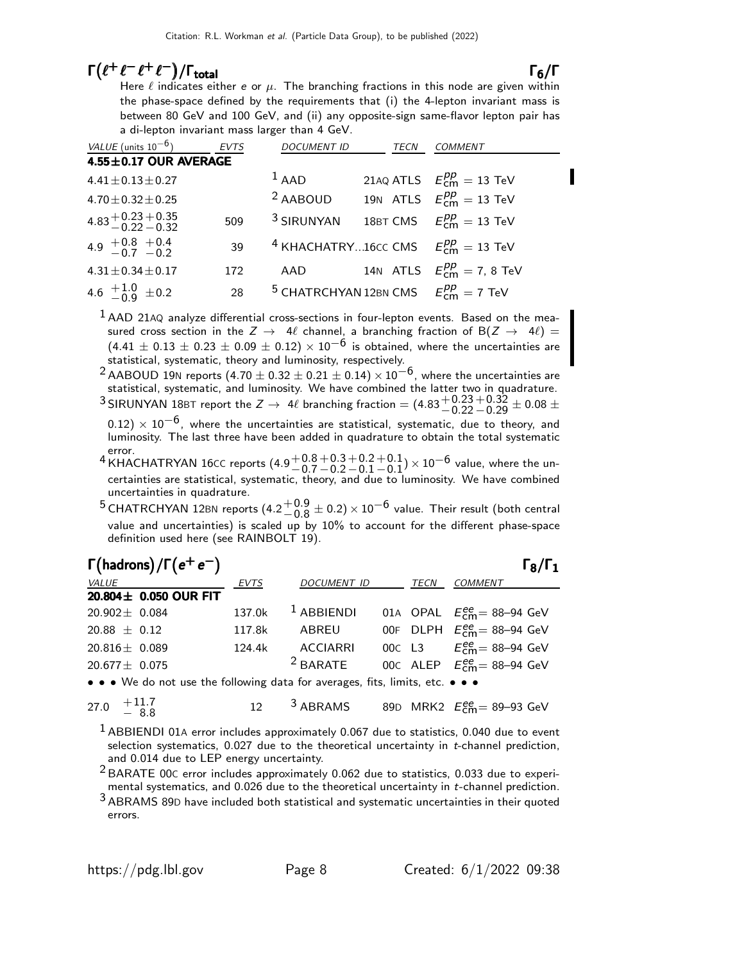# $\Gamma(\ell^+ \ell^- \ell^+ \ell^-)/\Gamma_{\text{total}}$

total and  $\overline{6}/\overline{1}$ Here  $\ell$  indicates either  ${\bm e}$  or  $\mu.$  The branching fractions in this node are given within the phase-space defined by the requirements that (i) the 4-lepton invariant mass is between 80 GeV and 100 GeV, and (ii) any opposite-sign same-flavor lepton pair has a di-lepton invariant mass larger than 4 GeV.

| VALUE (units $10^{-6}$ )             | <b>EVTS</b> | <b>DOCUMENT ID</b>                                     | TECN | <b>COMMENT</b>                                 |
|--------------------------------------|-------------|--------------------------------------------------------|------|------------------------------------------------|
| 4.55±0.17 OUR AVERAGE                |             |                                                        |      |                                                |
| $4.41 \pm 0.13 \pm 0.27$             |             | $1$ AAD                                                |      | 21AQ ATLS $E_{cm}^{pp} = 13$ TeV               |
| $4.70 \pm 0.32 \pm 0.25$             |             | <sup>2</sup> AABOUD                                    |      | 19N ATLS $E_{\text{cm}}^{pp} = 13 \text{ TeV}$ |
| $4.83 + 0.23 + 0.35$<br>-0.22 - 0.32 | 509         | <sup>3</sup> SIRUNYAN                                  |      | 18BT CMS $E_{cm}^{pp} = 13$ TeV                |
| 4.9 $+0.8$ +0.4<br>-0.7 -0.2         | 39          | <sup>4</sup> KHACHATRY16cc CMS $E_{cm}^{pp} = 13$ TeV  |      |                                                |
| $4.31 \pm 0.34 \pm 0.17$             | 172         | AAD                                                    |      | 14N ATLS $E_{cm}^{pp} = 7.8$ TeV               |
| 4.6 $\pm 1.0$ $\pm 0.2$              | 28          | <sup>5</sup> CHATRCHYAN 12BN CMS $E_{cm}^{pp} = 7$ TeV |      |                                                |

 $<sup>1</sup>$ AAD 21AQ analyze differential cross-sections in four-lepton events. Based on the mea-</sup> sured cross section in the  $Z \to 4\ell$  channel, a branching fraction of B( $Z \to 4\ell$ ) =  $(4.41 \pm 0.13 \pm 0.23 \pm 0.09 \pm 0.12) \times 10^{-6}$  is obtained, where the uncertainties are statistical, systematic, theory and luminosity, respectively.

<sup>2</sup> AABOUD 19N reports (4.70  $\pm$  0.32  $\pm$  0.21  $\pm$  0.14)  $\times$  10<sup>-6</sup>, where the uncertainties are statistical, systematic, and luminosity. We have combined the latter two in quadrature.

<sup>3</sup> SIRUNYAN 18BT report the  $Z \rightarrow 4\ell$  branching fraction =  $(4.83 \frac{+0.23}{-0.22})$  $^{+0.32}_{-0.29}$   $\pm$  0.08  $\pm$ 

 $(0.12) \times 10^{-6}$ , where the uncertainties are statistical, systematic, due to theory, and luminosity. The last three have been added in quadrature to obtain the total systematic error.

- <sup>4</sup> KHACHATRYAN 16CC reports  $(4.9\frac{+0.8}{0.7})$  $-0.7$  $+0.3$  $-0.2$  $+0.2$  $-0.1$  $+0.1$  $^{+0.1}_{-0.1}$ ) × 10 $^{-6}$  value, where the uncertainties are statistical, systematic, theory, and due to luminosity. We have combined uncertainties in quadrature.
- <sup>5</sup> CHATRCHYAN 12BN reports  $(4.2\frac{+0.9}{0.8})$  $^{+0.9}_{-0.8}$   $\pm$  0.2)  $\times$  10<sup>-6</sup> value. Their result (both central)<br> $^{+0.9}_{-0.8}$  by 10% to account families different also account value and uncertainties) is scaled up by 10% to account for the different phase-space definition used here (see RAINBOLT 19).

| $\Gamma$ (hadrons)/ $\Gamma$ ( $e^+e^-$ ) |             |                    |      | $\Gamma_8/\Gamma_1$                       |
|-------------------------------------------|-------------|--------------------|------|-------------------------------------------|
| <i>VALUE</i>                              | <b>EVTS</b> | <b>DOCUMENT ID</b> | TECN | <b>COMMENT</b>                            |
| 20.804± 0.050 OUR FIT                     |             |                    |      |                                           |
| $20.902 \pm 0.084$                        | 137.0k      | $1$ ABBIENDI       |      | 01A OPAL $E_{cm}^{ee}$ = 88-94 GeV        |
| $20.88 \pm 0.12$                          | 117.8k      | ABREU              |      | 00F DLPH $E_{cm}^{ee}$ = 88-94 GeV        |
| $20.816 \pm 0.089$                        | 124.4k      | ACCIARRI           |      | 00C L3 $E_{cm}^{ee} = 88 - 94$ GeV        |
| $20.677 \pm 0.075$                        |             | $2$ BARATE         |      | 00C ALEP $E_{\text{cm}}^{ee}$ = 88-94 GeV |
|                                           |             |                    |      |                                           |

• • We do not use the following data for averages, fits, limits, etc. • • •

27.0 
$$
+11.7
$$
  
- 8.8 12 3 ABRAMS 89D MRK2  $E_{cm}^{ee} = 89-93 \text{ GeV}$ 

<sup>1</sup> ABBIENDI 01A error includes approximately 0.067 due to statistics, 0.040 due to event selection systematics, 0.027 due to the theoretical uncertainty in t-channel prediction, and 0.014 due to LEP energy uncertainty.

<sup>2</sup> BARATE 00C error includes approximately 0.062 due to statistics, 0.033 due to experimental systematics, and 0.026 due to the theoretical uncertainty in t-channel prediction.

3 ABRAMS 89<sup>D</sup> have included both statistical and systematic uncertainties in their quoted errors.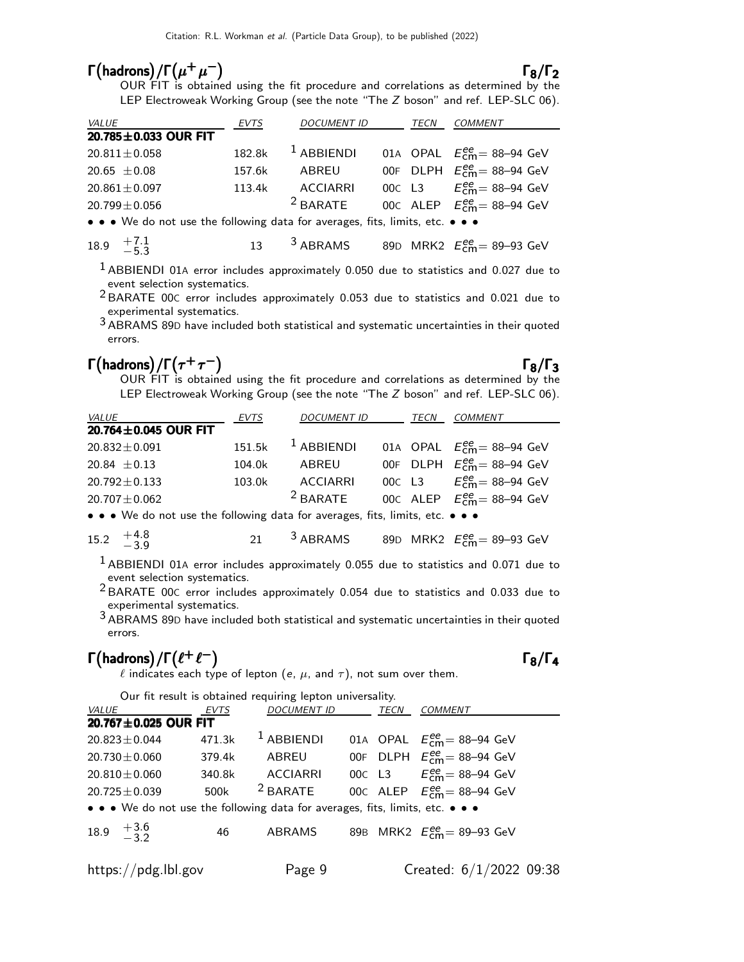# $\Gamma(\text{hadrons})/\Gamma(\mu^+\mu^-)$

**drons)/** $\Gamma(\mu^+\mu^-)$ <br>OUR FIT is obtained using the fit procedure and correlations as determined by the LEP Electroweak Working Group (see the note "The Z boson" and ref. LEP-SLC 06).

| <i>VALUE</i>                                                                  | <b>EVTS</b> | <b>DOCUMENT ID</b> |  | TECN | <b>COMMENT</b>                                           |
|-------------------------------------------------------------------------------|-------------|--------------------|--|------|----------------------------------------------------------|
| 20.785±0.033 OUR FIT                                                          |             |                    |  |      |                                                          |
| $20.811 \pm 0.058$                                                            | 182.8k      | $1$ ABBIENDI       |  |      | 01A OPAL $E_{\text{cm}}^{ee}$ = 88-94 GeV                |
| 20.65 $\pm$ 0.08                                                              | 157.6k      | ABREU              |  |      | 00F DLPH $E_{\text{cm}}^{\text{ee}} = 88-94 \text{ GeV}$ |
| $20.861 \pm 0.097$                                                            | 113.4k      | <b>ACCIARRI</b>    |  |      | 00C L3 $E_{cm}^{ee} = 88 - 94$ GeV                       |
| $20.799 \pm 0.056$                                                            |             | $2$ BARATE         |  |      | 00C ALEP $E_{cm}^{ee}$ = 88-94 GeV                       |
| • • • We do not use the following data for averages, fits, limits, etc. • • • |             |                    |  |      |                                                          |
|                                                                               |             |                    |  |      |                                                          |

18.9 
$$
+7.1
$$
  $-5.3$  13 3 ABRAMS 89D MRK2  $E_{\text{cm}}^{ee} = 89-93 \text{ GeV}$ 

 $<sup>1</sup>$  ABBIENDI 01A error includes approximately 0.050 due to statistics and 0.027 due to</sup> event selection systematics.

2 BARATE 00<sup>C</sup> error includes approximately 0.053 due to statistics and 0.021 due to experimental systematics.

3 ABRAMS 89<sup>D</sup> have included both statistical and systematic uncertainties in their quoted errors.

# Γ(hadrons)/Γ $(τ<sup>+</sup>τ<sup>-</sup>)$  Γ<sub>8</sub>/Γ<sub>3</sub>

**drons)/** $\Gamma(\tau^+\tau^-)$ <br>OUR FIT is obtained using the fit procedure and correlations as determined by the LEP Electroweak Working Group (see the note "The Z boson" and ref. LEP-SLC 06).

| <i>VALUE</i>         | EVTS   | <b>DOCUMENT ID</b>    | TECN | <i>COMMENT</i>                            |
|----------------------|--------|-----------------------|------|-------------------------------------------|
| 20.764±0.045 OUR FIT |        |                       |      |                                           |
| $20.832 \pm 0.091$   |        | $151.5k$ $1$ ABBIENDI |      | 01A OPAL $E_{\text{cm}}^{ee}$ = 88-94 GeV |
| 20.84 $\pm$ 0.13     | 104.0k | ABREU                 |      | 00F DLPH $E_{cm}^{ee}$ = 88-94 GeV        |
| $20.792 \pm 0.133$   | 103.0k | ACCIARRI              |      | 00c L3 $E_{cm}^{ee} = 88 - 94$ GeV        |
| $20.707 \pm 0.062$   |        | $2$ BARATE            |      | 00C ALEP $E_{cm}^{ee}$ = 88-94 GeV        |
|                      |        |                       |      |                                           |

• • We do not use the following data for averages, fits, limits, etc. • • •

15.2 
$$
+4.8
$$
   
  $-3.9$  21 3 ABRAMS 89D MRK2  $E_{\text{cm}}^{ee} = 89-93 \text{ GeV}$ 

1 ABBIENDI 01<sup>A</sup> error includes approximately 0.055 due to statistics and 0.071 due to event selection systematics.

2 BARATE 00<sup>C</sup> error includes approximately 0.054 due to statistics and 0.033 due to experimental systematics.

3 ABRAMS 89<sup>D</sup> have included both statistical and systematic uncertainties in their quoted errors.

# $\Gamma$ (hadrons)/ $\Gamma$ ( $\ell^+$  $\ell^-$ )  $\Gamma_8/\Gamma_4$

 $\ell$  indicates each type of lepton (e,  $\mu$ , and  $\tau$ ), not sum over them.

|                                                                               |        | Our fit result is obtained requiring lepton universality. |      |                                           |  |
|-------------------------------------------------------------------------------|--------|-----------------------------------------------------------|------|-------------------------------------------|--|
| <i>VALUE</i>                                                                  | EVTS   | <b>DOCUMENT ID</b>                                        | TECN | <b>COMMENT</b>                            |  |
| 20.767±0.025 OUR FIT                                                          |        |                                                           |      |                                           |  |
| $20.823 \pm 0.044$                                                            | 471.3k | $1$ ABBIENDI                                              |      | 01A OPAL $E_{\text{cm}}^{ee}$ = 88-94 GeV |  |
| 20.730 $\pm$ 0.060                                                            | 379.4k | ABREU                                                     |      | 00F DLPH $E_{cm}^{ee}$ = 88-94 GeV        |  |
| $20.810 \pm 0.060$                                                            | 340.8k | <b>ACCIARRI</b>                                           |      | 00C L3 $E_{cm}^{ee} = 88 - 94$ GeV        |  |
| $20.725 \pm 0.039$                                                            | 500k   | $2$ BARATE                                                |      | 00C ALEP $E_{\text{cm}}^{ee}$ = 88-94 GeV |  |
| • • • We do not use the following data for averages, fits, limits, etc. • • • |        |                                                           |      |                                           |  |
| 18.9 $\frac{+3.6}{-3.2}$                                                      | 46     | ABRAMS                                                    |      | 89B MRK2 $E_{cm}^{ee} = 89 - 93$ GeV      |  |
| https://pdg.lbl.gov                                                           |        | Page 9                                                    |      | Created: 6/1/2022 09:38                   |  |

### $\Gamma_8/\Gamma_4$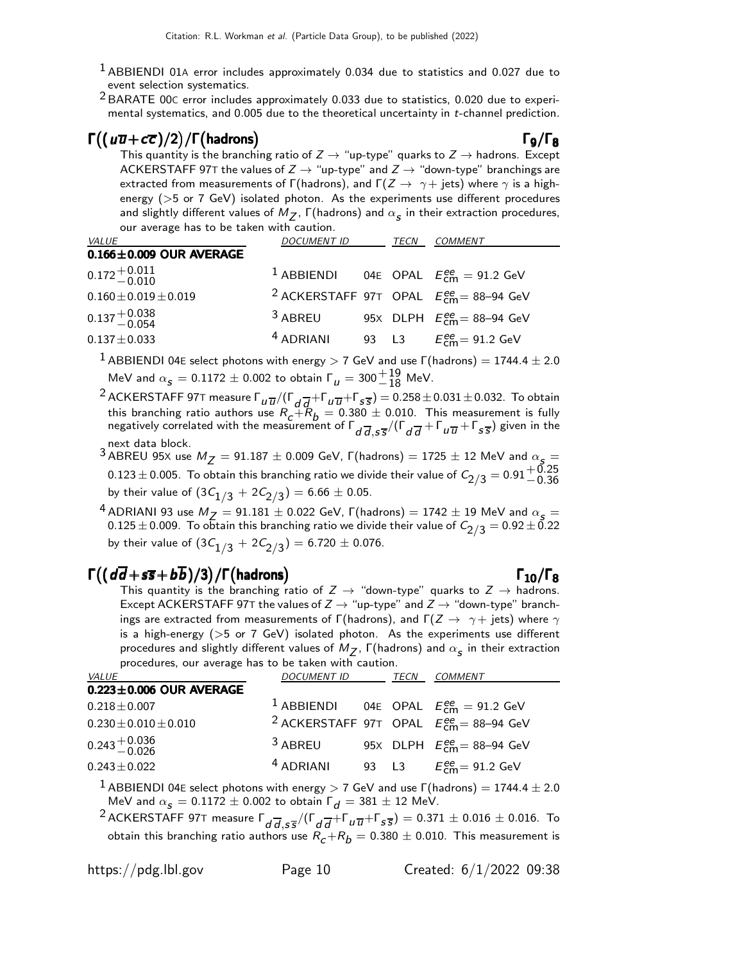- <sup>1</sup> ABBIENDI 01A error includes approximately 0.034 due to statistics and 0.027 due to event selection systematics.
- 2 BARATE 00<sup>C</sup> error includes approximately 0.033 due to statistics, 0.020 due to experimental systematics, and 0.005 due to the theoretical uncertainty in t-channel prediction.

## $\Gamma((\omega \overline{\omega} + c \overline{c} )/2)/\Gamma(\hbox{hadrons})$  Γ<sub>9</sub>/Γ<sub>8</sub>

This quantity is the branching ratio of  $Z \rightarrow$  "up-type" quarks to  $Z \rightarrow$  hadrons. Except ACKERSTAFF 97T the values of  $Z \rightarrow$  "up-type" and  $Z \rightarrow$  "down-type" branchings are extracted from measurements of Γ(hadrons), and Γ( $Z \rightarrow \gamma +$  jets) where  $\gamma$  is a highenergy (>5 or 7 GeV) isolated photon. As the experiments use different procedures and slightly different values of  $M_{\text{\sf Z}}$ ,  $\mathsf{\Gamma} ($ hadrons) and  $\alpha_{\text{\sf S}}$  in their extraction procedures, our average has to be taken with caution.

| <i>VALUE</i>                  | <i>DOCUMENT ID</i>   | TECN | <b>COMMENT</b>                                             |
|-------------------------------|----------------------|------|------------------------------------------------------------|
| $0.166 \pm 0.009$ OUR AVERAGE |                      |      |                                                            |
| $0.172^{+0.011}_{-0.010}$     |                      |      | <sup>1</sup> ABBIENDI 04E OPAL $E_{cm}^{ee} = 91.2$ GeV    |
| $0.160 \pm 0.019 \pm 0.019$   |                      |      | <sup>2</sup> ACKERSTAFF 97T OPAL $E_{cm}^{ee}$ = 88-94 GeV |
| $0.137 + 0.038$<br>-0.054     | <sup>3</sup> ABREU   |      | 95X DLPH $E_{\text{cm}}^{ee}$ = 88-94 GeV                  |
| $0.137 \pm 0.033$             | <sup>4</sup> ADRIANI |      | 93 L3 $E_{cm}^{ee} = 91.2 \text{ GeV}$                     |

 $1$  ABBIENDI 04E select photons with energy  $>$  7 GeV and use  $\Gamma$ (hadrons) = 1744.4  $\pm$  2.0 MeV and  $\alpha_{s} = 0.1172 \pm 0.002$  to obtain  $\Gamma_{u} = 300 \frac{+19}{-18}$  MeV.

<sup>2</sup> ACKERSTAFF 97T measure  $\Gamma_{U\overline{U}}/(\Gamma_{d}\overline{d}+\Gamma_{U\overline{U}}+\Gamma_{S\overline{S}})=0.258\pm0.031\pm0.032$ . To obtain this branching ratio authors use  $R_c + R_b = 0.380 \pm 0.010$ . This measurement is fully negatively correlated with the measurement of  $\Gamma_{d\, \overline{d},s\overline{s}}/(\Gamma_{d\, \overline{d}}+\Gamma_{u\, \overline{u}}+\Gamma_{s\, \overline{s}})$  given in the next data block.

3 ABREU 95X use  $M_Z = 91.187 \pm 0.009$  GeV,  $\Gamma$ (hadrons) = 1725  $\pm$  12 MeV and  $\alpha_s =$  $0.123 \pm 0.005$ . To obtain this branching ratio we divide their value of  $C_{2/3} = 0.91^{+0.25}_{-0.36}$ by their value of  $(3\mathcal{C}_{1/3}^{\phantom 1} + 2\mathcal{C}_{2/3}^{\phantom 1}) = 6.66 \pm 0.05.$ 

<sup>4</sup> ADRIANI 93 use  $M_Z = 91.181 \pm 0.022$  GeV,  $\Gamma$ (hadrons) = 1742  $\pm$  19 MeV and  $\alpha_s =$  $0.125\pm0.009$ . To obtain this branching ratio we divide their value of  $\mathcal{C}_{2/3}=0.92\pm0.22$ by their value of  $(3\mathcal{C}_{1/3}^{\phantom i} + 2\mathcal{C}_{2/3}^{\phantom i}) = 6.720 \pm 0.076.$ 

# $\Gamma((d\overline{d} + s\overline{s} + b\overline{b})/3)/\Gamma(hadrons)$  Γ<sub>10</sub>/Γ<sub>8</sub>

 $d+ s\overline{s}+bb)/3)/\Gamma(\hbox{hadrons})$   $\qquad$   $\qquad$   $\qquad$   $\qquad$   $\qquad$   $\qquad$   $\qquad$   $\qquad$   $\qquad$   $\qquad$   $\qquad$   $\qquad$   $\qquad$   $\qquad$   $\qquad$   $\qquad$   $\qquad$   $\qquad$   $\qquad$   $\qquad$   $\qquad$   $\qquad$   $\qquad$   $\qquad$   $\qquad$   $\qquad$   $\qquad$   $\qquad$   $\qquad$   $\qquad$   $\qquad$   $\qquad$   $\qquad$ Except ACKERSTAFF 97T the values of  $Z \rightarrow$  "up-type" and  $Z \rightarrow$  "down-type" branchings are extracted from measurements of Γ(hadrons), and Γ( $Z \rightarrow \gamma +$  jets) where  $\gamma$ is a high-energy ( $>5$  or 7 GeV) isolated photon. As the experiments use different procedures and slightly different values of  $M_{\boldsymbol{Z}}$ ,  $\boldsymbol{\mathsf{\Gamma}}$ (hadrons) and  $\alpha_{\boldsymbol{\mathsf{S}}}$  in their extraction procedures, our average has to be taken with caution.

| <i>VALUE</i>                  | <b>DOCUMENT ID</b> | TECN | <i>COMMENT</i>                                             |
|-------------------------------|--------------------|------|------------------------------------------------------------|
| $0.223 \pm 0.006$ OUR AVERAGE |                    |      |                                                            |
| $0.218 \pm 0.007$             |                    |      | <sup>1</sup> ABBIENDI 04E OPAL $E_{cm}^{ee} = 91.2$ GeV    |
| $0.230 \pm 0.010 \pm 0.010$   |                    |      | <sup>2</sup> ACKERSTAFF 97T OPAL $E_{cm}^{ee}$ = 88-94 GeV |
| $0.243 + 0.036$<br>-0.026     | <sup>3</sup> ABREU |      | 95X DLPH $E_{cm}^{ee}$ = 88-94 GeV                         |
| $0.243 \pm 0.022$             | $4$ ADRIANI        |      | 93 L3 $E_{cm}^{ee} = 91.2 \text{ GeV}$                     |

 $1$  ABBIENDI 04E select photons with energy  $>$  7 GeV and use  $\Gamma$ (hadrons) = 1744.4  $\pm$  2.0 MeV and  $\alpha_s = 0.1172 \pm 0.002$  to obtain  $\Gamma_d = 381 \pm 12$  MeV.

 $^2$ ACKERSTAFF 97T measure  $\Gamma_{d\overline{d},S\overline{S}}/(\Gamma_{d\overline{d}}+\Gamma_{u\overline{u}}+\Gamma_{s\overline{S}})=0.371\pm0.016\pm0.016$ . To obtain this branching ratio authors use  $R_c + R_b = 0.380 \pm 0.010$ . This measurement is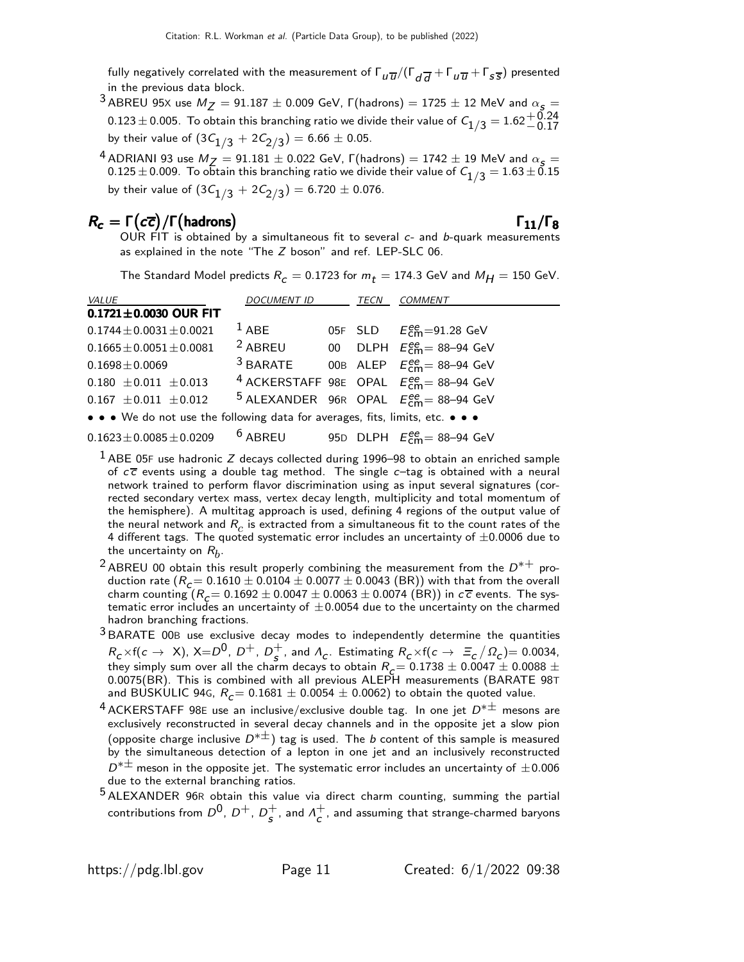fully negatively correlated with the measurement of  $\Gamma_{t\lq \overline{u}}/\allowbreak (\Gamma_{d\overline{d}}+\Gamma_{u\overline{u}}+\Gamma_{s\overline{s}})$  presented in the previous data block.

- $3$  ABREU 95X use  $M_Z = 91.187 \pm 0.009$  GeV,  $\Gamma$ (hadrons) = 1725  $\pm$  12 MeV and  $\alpha_s =$ 0.123 ± 0.005. To obtain this branching ratio we divide their value of  $C_{1/3} = 1.62_{-0.17}^{+0.24}$ by their value of  $(3\mathcal{C}_{1/3}^{\phantom 1} + 2\mathcal{C}_{2/3}^{\phantom 1}) = 6.66 \pm 0.05.$
- <sup>4</sup> ADRIANI 93 use  $M_Z = 91.181 \pm 0.022$  GeV,  $\Gamma$ (hadrons) = 1742  $\pm$  19 MeV and  $\alpha_S =$  $0.125 \pm 0.009$ . To obtain this branching ratio we divide their value of  $C_{1/3} = 1.63 \pm 0.15$ by their value of  $(3\mathcal{C}_{1/3}^{\phantom i} + 2\mathcal{C}_{2/3}^{\phantom i}) = 6.720 \pm 0.076.$

# $R_c = \Gamma(c\overline{c})/\Gamma(\text{hadrons})$  Γ<sub>11</sub>/Γ<sub>8</sub>

### $\Gamma_{11}/\Gamma_8$

OUR  $\overrightarrow{FIT}$  is obtained by a simultaneous fit to several  $c$ - and b-quark measurements as explained in the note "The Z boson" and ref. LEP-SLC 06.

The Standard Model predicts  $R_c = 0.1723$  for  $m_t = 174.3$  GeV and  $M_H = 150$  GeV.

| <i>VALUE</i>                                                                  | DOCUMENT ID | TECN | <b>COMMENT</b>                                             |
|-------------------------------------------------------------------------------|-------------|------|------------------------------------------------------------|
| $0.1721 \pm 0.0030$ OUR FIT                                                   |             |      |                                                            |
| $0.1744 \pm 0.0031 \pm 0.0021$                                                | $1$ ABE     |      | 05F SLD $E_{cm}^{ee}$ =91.28 GeV                           |
| $0.1665 \pm 0.0051 \pm 0.0081$                                                | $2$ ABREU   |      | 00 DLPH $E_{cm}^{ee} = 88 - 94$ GeV                        |
| $0.1698 \pm 0.0069$                                                           |             |      | <sup>3</sup> BARATE 00B ALEP $E_{cm}^{ee} = 88-94$ GeV     |
| $0.180 \pm 0.011 \pm 0.013$                                                   |             |      | <sup>4</sup> ACKERSTAFF 98E OPAL $E_{cm}^{ee}$ = 88-94 GeV |
| $0.167 \pm 0.011 \pm 0.012$                                                   |             |      | <sup>5</sup> ALEXANDER 96R OPAL $E_{cm}^{ee}$ = 88-94 GeV  |
| • • • We do not use the following data for averages, fits, limits, etc. • • • |             |      |                                                            |
| $0.1623 \pm 0.0085 \pm 0.0209$                                                |             |      | <sup>6</sup> ABREU 95D DLPH $E_{cm}^{ee}$ = 88–94 GeV      |

 $<sup>1</sup>$  ABE 05F use hadronic Z decays collected during 1996–98 to obtain an enriched sample</sup> of  $c\overline{c}$  events using a double tag method. The single  $c$ -tag is obtained with a neural network trained to perform flavor discrimination using as input several signatures (corrected secondary vertex mass, vertex decay length, multiplicity and total momentum of the hemisphere). A multitag approach is used, defining 4 regions of the output value of the neural network and  $R_c$  is extracted from a simultaneous fit to the count rates of the 4 different tags. The quoted systematic error includes an uncertainty of  $\pm 0.0006$  due to the uncertainty on  $R_b^{\vphantom{\dagger}}$ .

- <sup>2</sup> ABREU 00 obtain this result properly combining the measurement from the  $D^{*+}$  production rate  $(R_c = 0.1610 \pm 0.0104 \pm 0.0077 \pm 0.0043$  (BR)) with that from the overall charm counting  $(R_c = 0.1692 \pm 0.0047 \pm 0.0063 \pm 0.0074 \text{ (BR)})$  in  $c\bar{c}$  events. The systematic error includes an uncertainty of  $\pm 0.0054$  due to the uncertainty on the charmed hadron branching fractions.
- 3 BARATE 00<sup>B</sup> use exclusive decay modes to independently determine the quantities  $R_c \times f(c \to X)$ , X= $D^0$ , D<sup>+</sup>, D<sup>+</sup>  $\frac{1}{s}$ , and  $\Lambda_c$ . Estimating  $R_c \times f(c \to \Xi_c/\Omega_c) = 0.0034$ , they simply sum over all the charm decays to obtain  $R_c = 0.1738 \pm 0.0047 \pm 0.0088 \pm 0.0027$ 0.0075(BR). This is combined with all previous ALEPH measurements (BARATE 98T and BUSKULIC 94G,  $R_c = 0.1681 \pm 0.0054 \pm 0.0062)$  to obtain the quoted value.
- $^4$  ACKERSTAFF 98E use an inclusive/exclusive double tag. In one jet  $D^{*\pm}$  mesons are exclusively reconstructed in several decay channels and in the opposite jet a slow pion (opposite charge inclusive  $D^{*\pm}$ ) tag is used. The b content of this sample is measured by the simultaneous detection of a lepton in one jet and an inclusively reconstructed  $D^{*\pm}$  meson in the opposite jet. The systematic error includes an uncertainty of  $\pm 0.006$ due to the external branching ratios.
- <sup>5</sup> ALEXANDER 96R obtain this value via direct charm counting, summing the partial contributions from  $D^0$ ,  $D^+$ ,  $D^+_{\epsilon}$  $\frac{+}{s}$ , and  $\Lambda_c^+$  $\mathop{\mathsf{c}}\limits^{\mathsf{T}}$ , and assuming that strange-charmed baryons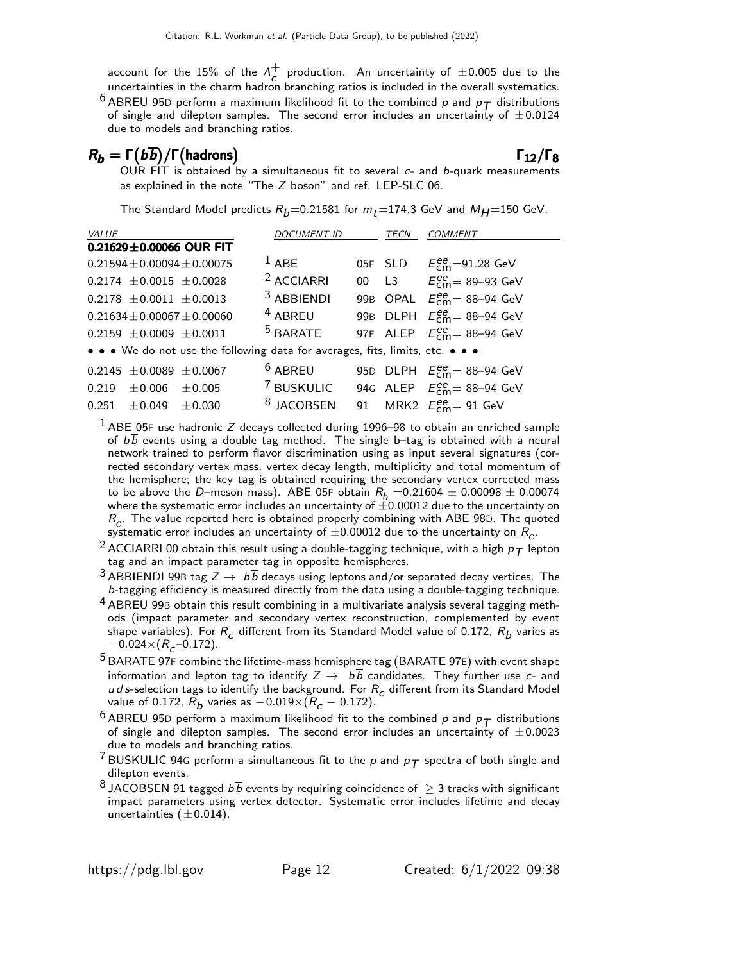account for the 15% of the  $\Lambda_c^+$  $\sigma_c^+$  production. An uncertainty of  $\pm 0.005$  due to the uncertainties in the charm hadron branching ratios is included in the overall systematics.

<sup>6</sup> ABREU 95D perform a maximum likelihood fit to the combined p and  $p_T$  distributions of single and dilepton samples. The second error includes an uncertainty of  $\pm 0.0124$ due to models and branching ratios.

# $R_b = \Gamma(b\overline{b})/\Gamma(h$ adrons) Γ<sub>12</sub>/Γ<sub>8</sub>

OUR FIT is obtained by a simultaneous fit to several  $c$ - and  $b$ -quark measurements as explained in the note "The Z boson" and ref. LEP-SLC 06.

The Standard Model predicts  $R_b$ =0.21581 for  $m_t$ =174.3 GeV and  $M_H$ =150 GeV.

| VALUE                                                                         | <b>DOCUMENT ID</b>    | TECN | <b>COMMENT</b>                                       |
|-------------------------------------------------------------------------------|-----------------------|------|------------------------------------------------------|
| $0.21629 \pm 0.00066$ OUR FIT                                                 |                       |      |                                                      |
| $0.21594 + 0.00094 + 0.00075$                                                 | $1$ ABE               |      | 05F SLD $E_{cm}^{ee}$ =91.28 GeV                     |
| $0.2174 \pm 0.0015 \pm 0.0028$                                                | <sup>2</sup> ACCIARRI |      | 00 L3 $E_{cm}^{ee} = 89 - 93$ GeV                    |
| $0.2178 \pm 0.0011 \pm 0.0013$                                                | $3$ ABBIENDI          |      | 99B OPAL $E_{cm}^{ee}$ = 88-94 GeV                   |
| $0.21634 \pm 0.00067 \pm 0.00060$                                             | $4$ ABREU             |      | 99B DLPH $E_{cm}^{ee}$ = 88-94 GeV                   |
| $0.2159 \pm 0.0009 \pm 0.0011$                                                | $5$ BARATE            |      | 97F ALEP $E_{\text{cm}}^{ee}$ = 88-94 GeV            |
| • • • We do not use the following data for averages, fits, limits, etc. • • • |                       |      |                                                      |
| $0.2145 \pm 0.0089 \pm 0.0067$                                                | $6$ ABREU             |      | 95D DLPH $E_{cm}^{ee}$ = 88-94 GeV                   |
| $0.219 \pm 0.006 \pm 0.005$                                                   | <sup>7</sup> BUSKULIC |      | 94G ALEP $E_{cm}^{ee} = 88-94$ GeV                   |
| $0.251 \pm 0.049 \pm 0.030$                                                   | <sup>8</sup> JACOBSEN |      | 91 MRK2 $E_{\text{cm}}^{\text{ee}} = 91 \text{ GeV}$ |

 $<sup>1</sup>$  ABE 05F use hadronic Z decays collected during 1996–98 to obtain an enriched sample</sup> of  $b\overline{b}$  events using a double tag method. The single b-tag is obtained with a neural network trained to perform flavor discrimination using as input several signatures (corrected secondary vertex mass, vertex decay length, multiplicity and total momentum of the hemisphere; the key tag is obtained requiring the secondary vertex corrected mass to be above the D–meson mass). ABE 05F obtain  $R_b = 0.21604 \pm 0.00098 \pm 0.00074$ where the systematic error includes an uncertainty of  $\pm 0.00012$  due to the uncertainty on  $R_c$ . The value reported here is obtained properly combining with ABE 98D. The quoted systematic error includes an uncertainty of  $\pm 0.00012$  due to the uncertainty on  $R_c$ .

- <sup>2</sup> ACCIARRI 00 obtain this result using a double-tagging technique, with a high  $p_T$  lepton tag and an impact parameter tag in opposite hemispheres.
- <sup>3</sup> ABBIENDI 99B tag  $Z \rightarrow b \overline{b}$  decays using leptons and/or separated decay vertices. The b-tagging efficiency is measured directly from the data using a double-tagging technique.
- <sup>4</sup> ABREU 99B obtain this result combining in a multivariate analysis several tagging methods (impact parameter and secondary vertex reconstruction, complemented by event shape variables). For  $R_c$  different from its Standard Model value of 0.172,  $R_b$  varies as  $-0.024 \times (R<sub>c</sub> - 0.172).$
- <sup>5</sup> BARATE 97F combine the lifetime-mass hemisphere tag (BARATE 97E) with event shape information and lepton tag to identify  $Z \to b\overline{b}$  candidates. They further use c- and u d s-selection tags to identify the background. For  $R_c$  different from its Standard Model value of 0.172,  $R_b$  varies as  $-$  0.019 $\times$ ( $R_c$   $-$  0.172).
- <sup>6</sup> ABREU 95D perform a maximum likelihood fit to the combined p and  $p_T$  distributions of single and dilepton samples. The second error includes an uncertainty of  $\pm 0.0023$ due to models and branching ratios.
- <sup>7</sup> BUSKULIC 94G perform a simultaneous fit to the  $p$  and  $p_T$  spectra of both single and dilepton events.
- 8 JACOBSEN 91 tagged  $b\overline{b}$  events by requiring coincidence of  $\geq$  3 tracks with significant impact parameters using vertex detector. Systematic error includes lifetime and decay uncertainties  $(\pm 0.014)$ .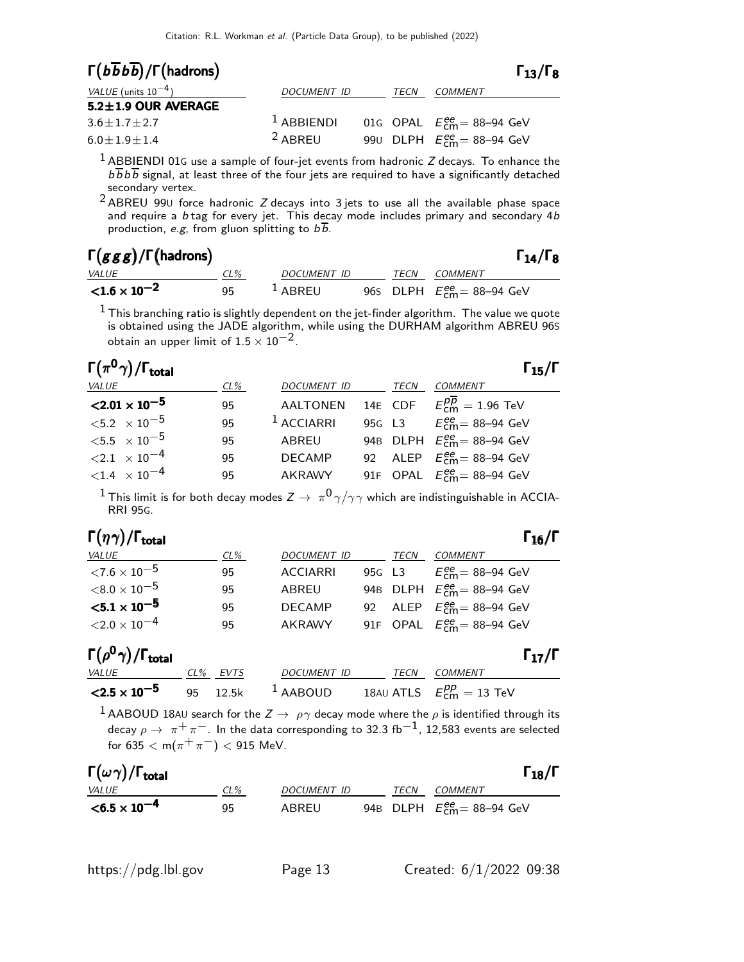| $\Gamma(b\overline{b}b\overline{b})/\Gamma(hadrons)$ |                    |      | $\Gamma_{13}/\Gamma_8$                    |  |
|------------------------------------------------------|--------------------|------|-------------------------------------------|--|
| VALUE (units $10^{-4}$ )                             | <b>DOCUMENT ID</b> | TECN | COMMENT                                   |  |
| $5.2 \pm 1.9$ OUR AVERAGE                            |                    |      |                                           |  |
| $3.6 \pm 1.7 \pm 2.7$                                | $1$ ABBIENDI       |      | 01G OPAL $E_{\text{cm}}^{ee}$ = 88-94 GeV |  |
| $6.0 + 1.9 + 1.4$                                    | <sup>2</sup> ABREU |      | 990 DLPH $E_{cm}^{ee}$ = 88-94 GeV        |  |

 $^{\rm 1}$  ABBIENDI 01G use a sample of four-jet events from hadronic Z decays. To enhance the  $b\overline{b}b\overline{b}$  signal, at least three of the four jets are required to have a significantly detached secondary vertex.

 $2$  ABREU 990 force hadronic Z decays into 3 jets to use all the available phase space and require a b tag for every jet. This decay mode includes primary and secondary 4b production, e.g, from gluon splitting to  $b\overline{b}$ .

| $\Gamma(ggg)/\Gamma$ (hadrons) |     |             |      | $\Gamma_{14}/\Gamma_8$                           |
|--------------------------------|-----|-------------|------|--------------------------------------------------|
| <i>VALUE</i>                   | CL% | DOCUMENT ID | TECN | COMMENT                                          |
| ${<}1.6 \times 10^{-2}$        | 95  | $L$ ABREU   |      | 96s DLPH $E_{\text{cm}}^{\text{ee}}$ = 88-94 GeV |

 $^{\rm 1}$  This branching ratio is slightly dependent on the jet-finder algorithm. The value we quote is obtained using the JADE algorithm, while using the DURHAM algorithm ABREU 96S obtain an upper limit of  $1.5 \times 10^{-2}$ .

| $\Gamma(\pi^0\gamma)/\Gamma_{\rm total}$ |        |                 |      | $\Gamma_{15}/\Gamma$                        |
|------------------------------------------|--------|-----------------|------|---------------------------------------------|
| VALUE                                    | $CL\%$ | DOCUMENT ID     | TECN | <i>COMMENT</i>                              |
| $\langle 2.01 \times 10^{-5} \rangle$    | 95     | <b>AALTONEN</b> |      | 14E CDF $E_{cm}^{\overline{pp}} = 1.96$ TeV |
| ${<}5.2 \times 10^{-5}$                  | 95     | $1$ ACCIARRI    |      | 95G L3 $E_{cm}^{ee} = 88 - 94$ GeV          |
| $<$ 5.5 $\times$ 10 $^{-5}$              | 95     | ABREU           |      | 94B DLPH $E_{\text{cm}}^{ee}$ = 88-94 GeV   |
| $\langle 2.1 \times 10^{-4} \rangle$     | 95     | <b>DECAMP</b>   |      | 92 ALEP $E_{\text{cm}}^{ee}$ = 88-94 GeV    |
| $<$ 1.4 $\times$ 10 <sup>-4</sup>        | 95     | AKRAWY          |      | 91F OPAL $E_{cm}^{ee}$ = 88-94 GeV          |

 $1$  This limit is for both decay modes  $Z \to \pi^0 \gamma / \gamma \gamma$  which are indistinguishable in ACCIA-RRI 95G.

| $\Gamma(\eta\gamma)/\Gamma_{\rm total}$ |        |                    |        | $\Gamma_{16}/\Gamma$                                     |
|-----------------------------------------|--------|--------------------|--------|----------------------------------------------------------|
| <b>VALUE</b>                            | $CL\%$ | <b>DOCUMENT ID</b> | TECN   | COMMENT                                                  |
| ${<}7.6\times10^{-5}$                   | 95     | <b>ACCIARRI</b>    | 95G L3 | $E_{\text{cm}}^{\text{ee}}$ = 88–94 GeV                  |
| $<$ 8.0 $\times$ 10 $^{-5}$             | 95     | ABREU              |        | 94B DLPH $E_{\text{cm}}^{\text{ee}} = 88-94 \text{ GeV}$ |
| ${<}5.1 \times 10^{-5}$                 | 95     | <b>DECAMP</b>      |        | 92 ALEP $E_{cm}^{ee}$ = 88-94 GeV                        |
| $<$ 2.0 $\times$ 10 $^{-4}$             | 95     | <b>AKRAWY</b>      |        | 91F OPAL $E_{cm}^{ee} = 88-94$ GeV                       |

| $\Gamma(\rho^0\gamma)/\Gamma_{\rm total}$ |  |
|-------------------------------------------|--|
|-------------------------------------------|--|

| $\Gamma(\rho^0\gamma)/\Gamma_{\rm total}$ |          |                         |      |                                                 | $\Gamma_{17}/\Gamma$ |
|-------------------------------------------|----------|-------------------------|------|-------------------------------------------------|----------------------|
| <i>VALUE</i>                              | CL% EVTS | <i>DOCUMENT ID</i>      | TECN | <i>COMMENT</i>                                  |                      |
| $\leq 2.5 \times 10^{-5}$                 |          | 95 $12.5$ k $^1$ AABOUD |      | 18AU ATLS $E_{\text{cm}}^{pp} = 13 \text{ TeV}$ |                      |

 $^1$  AABOUD 18AU search for the  $Z\rightarrow\ \rho\gamma$  decay mode where the  $\rho$  is identified through its decay  $\rho \to \pi^+ \pi^-$ . In the data corresponding to 32.3 fb<sup>-1</sup>, 12,583 events are selected for 635  $<$  m( $\pi^{+}\pi^{-}$ )  $<$  915 MeV.

| $\Gamma(\omega\gamma)/\Gamma_{\rm total}$ |        |             |      | $\Gamma_{18}/\Gamma$                                     |
|-------------------------------------------|--------|-------------|------|----------------------------------------------------------|
| <i>VALUE</i>                              | $CL\%$ | DOCUMENT ID | TECN | COMMENT                                                  |
| $< 6.5 \times 10^{-4}$                    | 95     | ABREU       |      | 94B DLPH $E_{\text{cm}}^{\text{ee}} = 88-94 \text{ GeV}$ |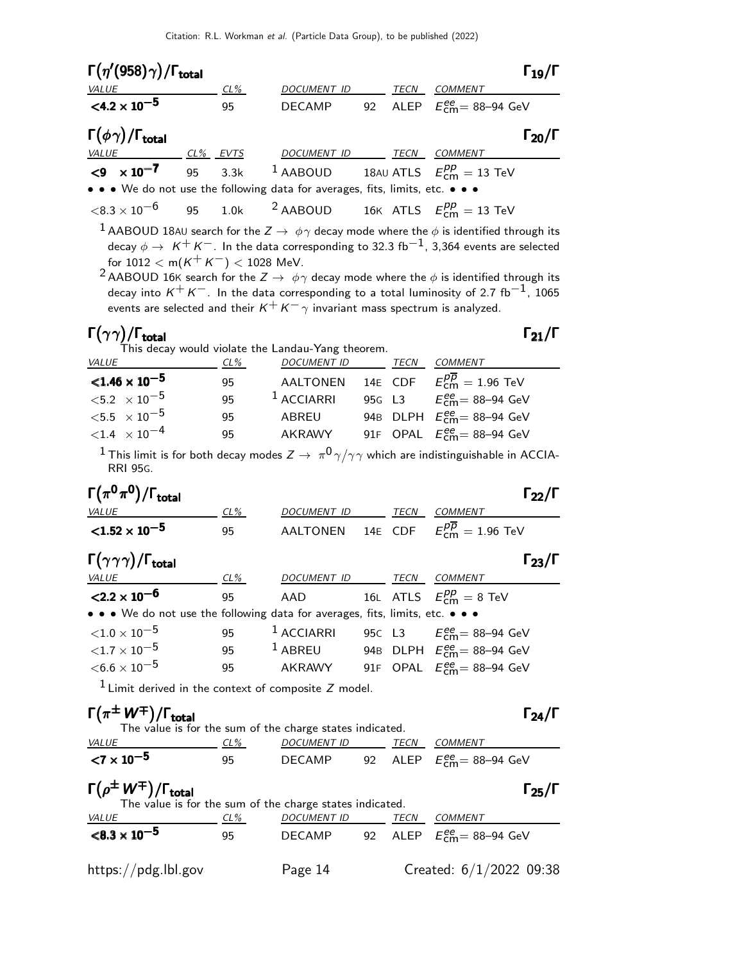| TECN<br>DOCUMENT ID<br>COMMENT<br><u>VALUE</u><br><u>CL%</u><br>$<$ 4.2 $\times$ 10 <sup>-5</sup><br>ALEP $E_{\text{cm}}^{ee}$ = 88-94 GeV<br>92<br>95<br><b>DECAMP</b><br>$CL%$ EVTS<br>DOCUMENT ID TECN COMMENT<br>$\leq 9 \times 10^{-7}$ 95<br><sup>1</sup> AABOUD 18AU ATLS $E_{cm}^{pp} = 13$ TeV<br>3.3k<br>1.0k <sup>2</sup> AABOUD 16K ATLS $E_{\text{cm}}^{pp} = 13 \text{ TeV}$<br>95<br>$^1$ AABOUD 18AU search for the $Z\rightarrow\ \phi\gamma$ decay mode where the $\phi$ is identified through its<br>decay $\phi\to~K^+K^-$ . In the data corresponding to 32.3 fb $^{-1}$ , 3,364 events are selected<br>for $1012 < m(K^+K^-) < 1028$ MeV.<br>$^2$ AABOUD 16K search for the $Z\to~\phi\gamma$ decay mode where the $\phi$ is identified through its<br>decay into $K^+K^-$ . In the data corresponding to a total luminosity of 2.7 fb <sup>-1</sup> , 1065<br>events are selected and their $K^+ K^- \gamma$ invariant mass spectrum is analyzed.<br>This decay would violate the Landau-Yang theorem.<br><u>TECN COMMENT</u><br>$CL\%$<br><u>DOCUMENT ID______</u><br>AALTONEN 14E CDF $E_{\text{cm}}^{p\overline{p}} = 1.96 \text{ TeV}$<br>95<br>$1$ ACCIARRI<br>${<}5.2 \times 10^{-5}$<br>95G L3 $E_{\text{cm}}^{ee} = 88 - 94 \text{ GeV}$<br>95<br>94B DLPH $E_{\text{cm}}^{\text{ee}}$ = 88–94 GeV<br>ABREU<br>95<br>$<$ 1.4 $\times$ 10 <sup>-4</sup><br>AKRAWY 91F OPAL $E_{\text{cm}}^{ee}$ = 88-94 GeV<br>95<br>$^1$ This limit is for both decay modes $Z\to~\pi^{0}\gamma/\gamma\gamma$ which are indistinguishable in ACCIA-<br><b>RRI 95G.</b><br><b>TECN</b><br>CL%<br>DOCUMENT ID<br><b>COMMENT</b><br>$E^{p\overline{p}}_{\text{cm}}=1.96$ TeV<br>14E CDF<br><b>AALTONEN</b><br>95<br>$CL\%$<br><u>DOCUMENT ID _______ TECN __ COMMENT</u><br>16L ATLS $E_{\text{cm}}^{pp} = 8 \text{ TeV}$<br>AAD<br>95<br>$1$ ACCIARRI<br>95C L3 $E_{\text{cm}}^{ee} = 88 - 94 \text{ GeV}$<br>95<br>$1$ ABREU<br>95<br>94B DLPH $E_{cm}^{ee}$ = 88-94 GeV<br>91F OPAL $E_{\text{cm}}^{ee}$ = 88-94 GeV<br>AKRAWY<br>95<br>$1$ Limit derived in the context of composite $Z$ model.<br>The value is for the sum of the charge states indicated.<br>$CL\%$<br>DOCUMENT ID TECN COMMENT<br>95<br>DECAMP 92 ALEP $E_{\text{cm}}^{ee} = 88-94 \text{ GeV}$<br>The value is for the sum of the charge states indicated.<br>DOCUMENT ID<br>TECN COMMENT<br>$CL\%$<br>ALEP $E_{\text{cm}}^{ee}$ = 88-94 GeV<br>DECAMP<br>95<br>92 | $\Gamma(\eta^{\prime}(958)\gamma)/\Gamma_{\rm total}$ |  |  | $\Gamma_{19}/\Gamma$ |
|--------------------------------------------------------------------------------------------------------------------------------------------------------------------------------------------------------------------------------------------------------------------------------------------------------------------------------------------------------------------------------------------------------------------------------------------------------------------------------------------------------------------------------------------------------------------------------------------------------------------------------------------------------------------------------------------------------------------------------------------------------------------------------------------------------------------------------------------------------------------------------------------------------------------------------------------------------------------------------------------------------------------------------------------------------------------------------------------------------------------------------------------------------------------------------------------------------------------------------------------------------------------------------------------------------------------------------------------------------------------------------------------------------------------------------------------------------------------------------------------------------------------------------------------------------------------------------------------------------------------------------------------------------------------------------------------------------------------------------------------------------------------------------------------------------------------------------------------------------------------------------------------------------------------------------------------------------------------------------------------------------------------------------------------------------------------------------------------------------------------------------------------------------------------------------------------------------------------------------------------------------------------------------------------------------------------------------------------------------------------------------------------------------------------------------------------------------|-------------------------------------------------------|--|--|----------------------|
| $\mathsf{\Gamma}\big(\phi\gamma\big)/\mathsf{\Gamma}_{\mathsf{total}}$<br>VALUE<br>• • • We do not use the following data for averages, fits, limits, etc. • • •<br>$<$ 8.3 $\times$ 10 $^{-6}$<br>$\mathsf{\Gamma}(\gamma\gamma)/\mathsf{\Gamma}_{\mathsf{total}}$<br><b>VALUE</b><br>$< 1.46 \times 10^{-5}$<br>$<$ 5.5 $\times$ 10 <sup>-5</sup><br>$\Gamma\bigl(\pi^0\pi^0\bigr)/\Gamma_{\rm total}$<br>$< 1.52 \times 10^{-5}$<br>$\Gamma(\gamma\gamma\gamma)/\Gamma_{\rm total}$<br><u>VALUE</u><br>$<$ 2.2 $\times$ 10 <sup>-6</sup><br>• • • We do not use the following data for averages, fits, limits, etc. • • •<br>${<}1.0\times10^{-5}$<br>${<}1.7\times10^{-5}$<br>$<\!6.6\times10^{-5}$<br>$\Gamma(\pi^{\pm}\, \mathsf{W}^{\mp})/\Gamma_{\mathsf{total}}$<br><b>VALUE</b><br>${<}7 \times 10^{-5}$<br>$\Gamma(\rho^{\pm}\, W^{\mp})/\Gamma_{\rm total}$<br><b>VALUE</b>                                                                                                                                                                                                                                                                                                                                                                                                                                                                                                                                                                                                                                                                                                                                                                                                                                                                                                                                                                                                                                                                                                                                                                                                                                                                                                                                                                                                                                                                                                                                                                |                                                       |  |  |                      |
|                                                                                                                                                                                                                                                                                                                                                                                                                                                                                                                                                                                                                                                                                                                                                                                                                                                                                                                                                                                                                                                                                                                                                                                                                                                                                                                                                                                                                                                                                                                                                                                                                                                                                                                                                                                                                                                                                                                                                                                                                                                                                                                                                                                                                                                                                                                                                                                                                                                        |                                                       |  |  |                      |
|                                                                                                                                                                                                                                                                                                                                                                                                                                                                                                                                                                                                                                                                                                                                                                                                                                                                                                                                                                                                                                                                                                                                                                                                                                                                                                                                                                                                                                                                                                                                                                                                                                                                                                                                                                                                                                                                                                                                                                                                                                                                                                                                                                                                                                                                                                                                                                                                                                                        |                                                       |  |  | $\Gamma_{20}/\Gamma$ |
|                                                                                                                                                                                                                                                                                                                                                                                                                                                                                                                                                                                                                                                                                                                                                                                                                                                                                                                                                                                                                                                                                                                                                                                                                                                                                                                                                                                                                                                                                                                                                                                                                                                                                                                                                                                                                                                                                                                                                                                                                                                                                                                                                                                                                                                                                                                                                                                                                                                        |                                                       |  |  |                      |
|                                                                                                                                                                                                                                                                                                                                                                                                                                                                                                                                                                                                                                                                                                                                                                                                                                                                                                                                                                                                                                                                                                                                                                                                                                                                                                                                                                                                                                                                                                                                                                                                                                                                                                                                                                                                                                                                                                                                                                                                                                                                                                                                                                                                                                                                                                                                                                                                                                                        |                                                       |  |  |                      |
|                                                                                                                                                                                                                                                                                                                                                                                                                                                                                                                                                                                                                                                                                                                                                                                                                                                                                                                                                                                                                                                                                                                                                                                                                                                                                                                                                                                                                                                                                                                                                                                                                                                                                                                                                                                                                                                                                                                                                                                                                                                                                                                                                                                                                                                                                                                                                                                                                                                        |                                                       |  |  |                      |
|                                                                                                                                                                                                                                                                                                                                                                                                                                                                                                                                                                                                                                                                                                                                                                                                                                                                                                                                                                                                                                                                                                                                                                                                                                                                                                                                                                                                                                                                                                                                                                                                                                                                                                                                                                                                                                                                                                                                                                                                                                                                                                                                                                                                                                                                                                                                                                                                                                                        |                                                       |  |  |                      |
|                                                                                                                                                                                                                                                                                                                                                                                                                                                                                                                                                                                                                                                                                                                                                                                                                                                                                                                                                                                                                                                                                                                                                                                                                                                                                                                                                                                                                                                                                                                                                                                                                                                                                                                                                                                                                                                                                                                                                                                                                                                                                                                                                                                                                                                                                                                                                                                                                                                        |                                                       |  |  |                      |
|                                                                                                                                                                                                                                                                                                                                                                                                                                                                                                                                                                                                                                                                                                                                                                                                                                                                                                                                                                                                                                                                                                                                                                                                                                                                                                                                                                                                                                                                                                                                                                                                                                                                                                                                                                                                                                                                                                                                                                                                                                                                                                                                                                                                                                                                                                                                                                                                                                                        |                                                       |  |  |                      |
|                                                                                                                                                                                                                                                                                                                                                                                                                                                                                                                                                                                                                                                                                                                                                                                                                                                                                                                                                                                                                                                                                                                                                                                                                                                                                                                                                                                                                                                                                                                                                                                                                                                                                                                                                                                                                                                                                                                                                                                                                                                                                                                                                                                                                                                                                                                                                                                                                                                        |                                                       |  |  |                      |
|                                                                                                                                                                                                                                                                                                                                                                                                                                                                                                                                                                                                                                                                                                                                                                                                                                                                                                                                                                                                                                                                                                                                                                                                                                                                                                                                                                                                                                                                                                                                                                                                                                                                                                                                                                                                                                                                                                                                                                                                                                                                                                                                                                                                                                                                                                                                                                                                                                                        |                                                       |  |  |                      |
|                                                                                                                                                                                                                                                                                                                                                                                                                                                                                                                                                                                                                                                                                                                                                                                                                                                                                                                                                                                                                                                                                                                                                                                                                                                                                                                                                                                                                                                                                                                                                                                                                                                                                                                                                                                                                                                                                                                                                                                                                                                                                                                                                                                                                                                                                                                                                                                                                                                        |                                                       |  |  |                      |
|                                                                                                                                                                                                                                                                                                                                                                                                                                                                                                                                                                                                                                                                                                                                                                                                                                                                                                                                                                                                                                                                                                                                                                                                                                                                                                                                                                                                                                                                                                                                                                                                                                                                                                                                                                                                                                                                                                                                                                                                                                                                                                                                                                                                                                                                                                                                                                                                                                                        |                                                       |  |  |                      |
|                                                                                                                                                                                                                                                                                                                                                                                                                                                                                                                                                                                                                                                                                                                                                                                                                                                                                                                                                                                                                                                                                                                                                                                                                                                                                                                                                                                                                                                                                                                                                                                                                                                                                                                                                                                                                                                                                                                                                                                                                                                                                                                                                                                                                                                                                                                                                                                                                                                        |                                                       |  |  | $\Gamma_{21}/\Gamma$ |
|                                                                                                                                                                                                                                                                                                                                                                                                                                                                                                                                                                                                                                                                                                                                                                                                                                                                                                                                                                                                                                                                                                                                                                                                                                                                                                                                                                                                                                                                                                                                                                                                                                                                                                                                                                                                                                                                                                                                                                                                                                                                                                                                                                                                                                                                                                                                                                                                                                                        |                                                       |  |  |                      |
|                                                                                                                                                                                                                                                                                                                                                                                                                                                                                                                                                                                                                                                                                                                                                                                                                                                                                                                                                                                                                                                                                                                                                                                                                                                                                                                                                                                                                                                                                                                                                                                                                                                                                                                                                                                                                                                                                                                                                                                                                                                                                                                                                                                                                                                                                                                                                                                                                                                        |                                                       |  |  |                      |
|                                                                                                                                                                                                                                                                                                                                                                                                                                                                                                                                                                                                                                                                                                                                                                                                                                                                                                                                                                                                                                                                                                                                                                                                                                                                                                                                                                                                                                                                                                                                                                                                                                                                                                                                                                                                                                                                                                                                                                                                                                                                                                                                                                                                                                                                                                                                                                                                                                                        |                                                       |  |  |                      |
|                                                                                                                                                                                                                                                                                                                                                                                                                                                                                                                                                                                                                                                                                                                                                                                                                                                                                                                                                                                                                                                                                                                                                                                                                                                                                                                                                                                                                                                                                                                                                                                                                                                                                                                                                                                                                                                                                                                                                                                                                                                                                                                                                                                                                                                                                                                                                                                                                                                        |                                                       |  |  |                      |
|                                                                                                                                                                                                                                                                                                                                                                                                                                                                                                                                                                                                                                                                                                                                                                                                                                                                                                                                                                                                                                                                                                                                                                                                                                                                                                                                                                                                                                                                                                                                                                                                                                                                                                                                                                                                                                                                                                                                                                                                                                                                                                                                                                                                                                                                                                                                                                                                                                                        |                                                       |  |  |                      |
|                                                                                                                                                                                                                                                                                                                                                                                                                                                                                                                                                                                                                                                                                                                                                                                                                                                                                                                                                                                                                                                                                                                                                                                                                                                                                                                                                                                                                                                                                                                                                                                                                                                                                                                                                                                                                                                                                                                                                                                                                                                                                                                                                                                                                                                                                                                                                                                                                                                        |                                                       |  |  |                      |
|                                                                                                                                                                                                                                                                                                                                                                                                                                                                                                                                                                                                                                                                                                                                                                                                                                                                                                                                                                                                                                                                                                                                                                                                                                                                                                                                                                                                                                                                                                                                                                                                                                                                                                                                                                                                                                                                                                                                                                                                                                                                                                                                                                                                                                                                                                                                                                                                                                                        |                                                       |  |  |                      |
|                                                                                                                                                                                                                                                                                                                                                                                                                                                                                                                                                                                                                                                                                                                                                                                                                                                                                                                                                                                                                                                                                                                                                                                                                                                                                                                                                                                                                                                                                                                                                                                                                                                                                                                                                                                                                                                                                                                                                                                                                                                                                                                                                                                                                                                                                                                                                                                                                                                        |                                                       |  |  | $\Gamma_{22}/\Gamma$ |
|                                                                                                                                                                                                                                                                                                                                                                                                                                                                                                                                                                                                                                                                                                                                                                                                                                                                                                                                                                                                                                                                                                                                                                                                                                                                                                                                                                                                                                                                                                                                                                                                                                                                                                                                                                                                                                                                                                                                                                                                                                                                                                                                                                                                                                                                                                                                                                                                                                                        |                                                       |  |  |                      |
|                                                                                                                                                                                                                                                                                                                                                                                                                                                                                                                                                                                                                                                                                                                                                                                                                                                                                                                                                                                                                                                                                                                                                                                                                                                                                                                                                                                                                                                                                                                                                                                                                                                                                                                                                                                                                                                                                                                                                                                                                                                                                                                                                                                                                                                                                                                                                                                                                                                        |                                                       |  |  |                      |
|                                                                                                                                                                                                                                                                                                                                                                                                                                                                                                                                                                                                                                                                                                                                                                                                                                                                                                                                                                                                                                                                                                                                                                                                                                                                                                                                                                                                                                                                                                                                                                                                                                                                                                                                                                                                                                                                                                                                                                                                                                                                                                                                                                                                                                                                                                                                                                                                                                                        |                                                       |  |  | $\Gamma_{23}/\Gamma$ |
|                                                                                                                                                                                                                                                                                                                                                                                                                                                                                                                                                                                                                                                                                                                                                                                                                                                                                                                                                                                                                                                                                                                                                                                                                                                                                                                                                                                                                                                                                                                                                                                                                                                                                                                                                                                                                                                                                                                                                                                                                                                                                                                                                                                                                                                                                                                                                                                                                                                        |                                                       |  |  |                      |
|                                                                                                                                                                                                                                                                                                                                                                                                                                                                                                                                                                                                                                                                                                                                                                                                                                                                                                                                                                                                                                                                                                                                                                                                                                                                                                                                                                                                                                                                                                                                                                                                                                                                                                                                                                                                                                                                                                                                                                                                                                                                                                                                                                                                                                                                                                                                                                                                                                                        |                                                       |  |  |                      |
|                                                                                                                                                                                                                                                                                                                                                                                                                                                                                                                                                                                                                                                                                                                                                                                                                                                                                                                                                                                                                                                                                                                                                                                                                                                                                                                                                                                                                                                                                                                                                                                                                                                                                                                                                                                                                                                                                                                                                                                                                                                                                                                                                                                                                                                                                                                                                                                                                                                        |                                                       |  |  |                      |
|                                                                                                                                                                                                                                                                                                                                                                                                                                                                                                                                                                                                                                                                                                                                                                                                                                                                                                                                                                                                                                                                                                                                                                                                                                                                                                                                                                                                                                                                                                                                                                                                                                                                                                                                                                                                                                                                                                                                                                                                                                                                                                                                                                                                                                                                                                                                                                                                                                                        |                                                       |  |  |                      |
|                                                                                                                                                                                                                                                                                                                                                                                                                                                                                                                                                                                                                                                                                                                                                                                                                                                                                                                                                                                                                                                                                                                                                                                                                                                                                                                                                                                                                                                                                                                                                                                                                                                                                                                                                                                                                                                                                                                                                                                                                                                                                                                                                                                                                                                                                                                                                                                                                                                        |                                                       |  |  |                      |
|                                                                                                                                                                                                                                                                                                                                                                                                                                                                                                                                                                                                                                                                                                                                                                                                                                                                                                                                                                                                                                                                                                                                                                                                                                                                                                                                                                                                                                                                                                                                                                                                                                                                                                                                                                                                                                                                                                                                                                                                                                                                                                                                                                                                                                                                                                                                                                                                                                                        |                                                       |  |  |                      |
|                                                                                                                                                                                                                                                                                                                                                                                                                                                                                                                                                                                                                                                                                                                                                                                                                                                                                                                                                                                                                                                                                                                                                                                                                                                                                                                                                                                                                                                                                                                                                                                                                                                                                                                                                                                                                                                                                                                                                                                                                                                                                                                                                                                                                                                                                                                                                                                                                                                        |                                                       |  |  |                      |
|                                                                                                                                                                                                                                                                                                                                                                                                                                                                                                                                                                                                                                                                                                                                                                                                                                                                                                                                                                                                                                                                                                                                                                                                                                                                                                                                                                                                                                                                                                                                                                                                                                                                                                                                                                                                                                                                                                                                                                                                                                                                                                                                                                                                                                                                                                                                                                                                                                                        |                                                       |  |  |                      |
|                                                                                                                                                                                                                                                                                                                                                                                                                                                                                                                                                                                                                                                                                                                                                                                                                                                                                                                                                                                                                                                                                                                                                                                                                                                                                                                                                                                                                                                                                                                                                                                                                                                                                                                                                                                                                                                                                                                                                                                                                                                                                                                                                                                                                                                                                                                                                                                                                                                        |                                                       |  |  | $\Gamma_{24}/\Gamma$ |
|                                                                                                                                                                                                                                                                                                                                                                                                                                                                                                                                                                                                                                                                                                                                                                                                                                                                                                                                                                                                                                                                                                                                                                                                                                                                                                                                                                                                                                                                                                                                                                                                                                                                                                                                                                                                                                                                                                                                                                                                                                                                                                                                                                                                                                                                                                                                                                                                                                                        |                                                       |  |  |                      |
|                                                                                                                                                                                                                                                                                                                                                                                                                                                                                                                                                                                                                                                                                                                                                                                                                                                                                                                                                                                                                                                                                                                                                                                                                                                                                                                                                                                                                                                                                                                                                                                                                                                                                                                                                                                                                                                                                                                                                                                                                                                                                                                                                                                                                                                                                                                                                                                                                                                        |                                                       |  |  |                      |
|                                                                                                                                                                                                                                                                                                                                                                                                                                                                                                                                                                                                                                                                                                                                                                                                                                                                                                                                                                                                                                                                                                                                                                                                                                                                                                                                                                                                                                                                                                                                                                                                                                                                                                                                                                                                                                                                                                                                                                                                                                                                                                                                                                                                                                                                                                                                                                                                                                                        |                                                       |  |  |                      |
|                                                                                                                                                                                                                                                                                                                                                                                                                                                                                                                                                                                                                                                                                                                                                                                                                                                                                                                                                                                                                                                                                                                                                                                                                                                                                                                                                                                                                                                                                                                                                                                                                                                                                                                                                                                                                                                                                                                                                                                                                                                                                                                                                                                                                                                                                                                                                                                                                                                        |                                                       |  |  | $\Gamma_{25}/\Gamma$ |
|                                                                                                                                                                                                                                                                                                                                                                                                                                                                                                                                                                                                                                                                                                                                                                                                                                                                                                                                                                                                                                                                                                                                                                                                                                                                                                                                                                                                                                                                                                                                                                                                                                                                                                                                                                                                                                                                                                                                                                                                                                                                                                                                                                                                                                                                                                                                                                                                                                                        |                                                       |  |  |                      |
|                                                                                                                                                                                                                                                                                                                                                                                                                                                                                                                                                                                                                                                                                                                                                                                                                                                                                                                                                                                                                                                                                                                                                                                                                                                                                                                                                                                                                                                                                                                                                                                                                                                                                                                                                                                                                                                                                                                                                                                                                                                                                                                                                                                                                                                                                                                                                                                                                                                        | $< 8.3 \times 10^{-5}$                                |  |  |                      |

https://pdg.lbl.gov Page 14 Created: 6/1/2022 09:38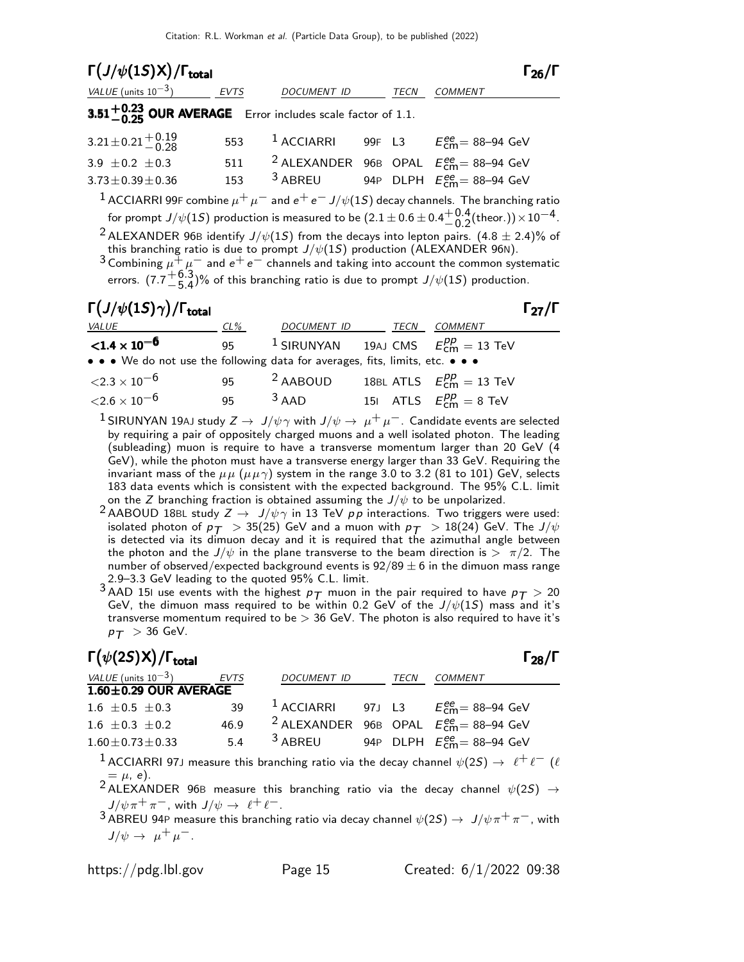| $\Gamma(J/\psi(1S)X)/\Gamma_{\text{total}}$                                                                                                                                                                                                                                                                                                                                                                                                                                                                                  |     |                                                  |  |      | ا/ڄو ا                                                                                                               |  |  |
|------------------------------------------------------------------------------------------------------------------------------------------------------------------------------------------------------------------------------------------------------------------------------------------------------------------------------------------------------------------------------------------------------------------------------------------------------------------------------------------------------------------------------|-----|--------------------------------------------------|--|------|----------------------------------------------------------------------------------------------------------------------|--|--|
| VALUE (units $10^{-3}$ ) EVTS DOCUMENT ID                                                                                                                                                                                                                                                                                                                                                                                                                                                                                    |     |                                                  |  | TECN | <b>COMMENT</b>                                                                                                       |  |  |
| 3.51 $+0.23$ OUR AVERAGE Error includes scale factor of 1.1.                                                                                                                                                                                                                                                                                                                                                                                                                                                                 |     |                                                  |  |      |                                                                                                                      |  |  |
| $3.21 \pm 0.21 \pm 0.19$                                                                                                                                                                                                                                                                                                                                                                                                                                                                                                     |     |                                                  |  |      | 553 $\frac{1}{2}$ ACCIARRI 99F L3 $E_{cm}^{ee}$ = 88-94 GeV                                                          |  |  |
| 3.9 $\pm$ 0.2 $\pm$ 0.3                                                                                                                                                                                                                                                                                                                                                                                                                                                                                                      |     |                                                  |  |      | 511 <sup>2</sup> ALEXANDER 96B OPAL $E_{\rm CMB}^{\rm ee}$ = 88–94 GeV                                               |  |  |
| $3.73 \pm 0.39 \pm 0.36$                                                                                                                                                                                                                                                                                                                                                                                                                                                                                                     | 153 |                                                  |  |      | <sup>3</sup> ABREU 94P DLPH $E_{cm}^{ee}$ = 88–94 GeV                                                                |  |  |
| for prompt $J/\psi(1S)$ production is measured to be $(2.1\pm0.6\pm0.4{+0.4\atop -0.2}($ theor.)) $\times\,10^{-4}.$<br><sup>2</sup> ALEXANDER 96B identify J/ $\psi(1S)$ from the decays into lepton pairs. $(4.8 \pm 2.4)\%$ of<br>this branching ratio is due to prompt $J/\psi(1S)$ production (ALEXANDER 96N).<br>3 Combining $\mu + \mu^-$ and $e^+e^-$ channels and taking into account the common systematic<br>errors. $(7.7\frac{+6.3}{-5.4})$ % of this branching ratio is due to prompt $J/\psi(1S)$ production. |     |                                                  |  |      |                                                                                                                      |  |  |
| $\Gamma\left(J/\psi(1S)\gamma\right)/\Gamma_{\rm total}$                                                                                                                                                                                                                                                                                                                                                                                                                                                                     |     |                                                  |  |      | $\Gamma_{27}/\Gamma$                                                                                                 |  |  |
| <b>VALUE</b><br>$CL\%$                                                                                                                                                                                                                                                                                                                                                                                                                                                                                                       |     | DOCUMENT ID ______ TECN COMMENT                  |  |      |                                                                                                                      |  |  |
| <b>&lt;1.4 x 10<sup>-6</sup></b> 95 <sup>1</sup> SIRUNYAN 19AJ CMS $E_{cm}^{pp} = 13$ TeV                                                                                                                                                                                                                                                                                                                                                                                                                                    |     |                                                  |  |      |                                                                                                                      |  |  |
| • • • We do not use the following data for averages, fits, limits, etc. • • •                                                                                                                                                                                                                                                                                                                                                                                                                                                |     |                                                  |  |      |                                                                                                                      |  |  |
| ${<}2.3\times10^{-6}$                                                                                                                                                                                                                                                                                                                                                                                                                                                                                                        |     | 95 $^2$ AABOUD 18BL ATLS $E_{cm}^{pp} = 13$ TeV  |  |      |                                                                                                                      |  |  |
| ${<}2.6\times10^{-6}$                                                                                                                                                                                                                                                                                                                                                                                                                                                                                                        |     | 95 $3$ AAD 151 ATLS $E_{\text{cm}}^{pp} = 8$ TeV |  |      |                                                                                                                      |  |  |
|                                                                                                                                                                                                                                                                                                                                                                                                                                                                                                                              |     |                                                  |  |      | <sup>1</sup> SIRUNYAN 19AJ study $Z \to J/\psi \gamma$ with $J/\psi \to \mu^+ \mu^-$ . Candidate events are selected |  |  |

<sup>1</sup> SIRUNYAN 19AJ study *Z* → *J*/ $\psi \gamma$  with *J*/ $\psi \rightarrow \mu^+ \mu^-$ . Candidate events are selected by requiring a pair of oppositely charged muons and a well isolated photon. The leading (subleading) muon is require to have a transverse momentum larger than 20 GeV (4 GeV), while the photon must have a transverse energy larger than 33 GeV. Requiring the invariant mass of the  $\mu\mu$  ( $\mu\mu\gamma$ ) system in the range 3.0 to 3.2 (81 to 101) GeV, selects 183 data events which is consistent with the expected background. The 95% C.L. limit on the Z branching fraction is obtained assuming the  $J/\psi$  to be unpolarized.

2 AABOUD 18BL study  $Z \rightarrow J/\psi \gamma$  in 13 TeV  $p \overline{p}$  interactions. Two triggers were used: isolated photon of  $p_T > 35(25)$  GeV and a muon with  $p_T > 18(24)$  GeV. The  $J/\psi$ is detected via its dimuon decay and it is required that the azimuthal angle between the photon and the  $J/\psi$  in the plane transverse to the beam direction is  $> \pi/2$ . The number of observed/expected background events is  $92/89 \pm 6$  in the dimuon mass range 2.9–3.3 GeV leading to the quoted 95% C.L. limit.

3 AAD 15I use events with the highest  $p_T$  muon in the pair required to have  $p_T > 20$ GeV, the dimuon mass required to be within 0.2 GeV of the  $J/\psi(1S)$  mass and it's transverse momentum required to be > 36 GeV. The photon is also required to have it's  $p_T > 36$  GeV.

# $\Gamma(\psi(2S)X)/\Gamma_{\text{total}}$  Γ<sub>28</sub>/Γ

| VALUE (units $10^{-3}$ ) EVTS |      | <b>DOCUMENT ID</b> | <b>TECN</b> | <b>COMMENT</b>                                                                                                             |
|-------------------------------|------|--------------------|-------------|----------------------------------------------------------------------------------------------------------------------------|
| 1.60±0.29 OUR AVERAGE         |      |                    |             |                                                                                                                            |
| $1.6 \pm 0.5 \pm 0.3$         | 39   |                    |             | <sup>1</sup> ACCIARRI 97J L3 $E_{\text{cm}}^{ee}$ = 88–94 GeV                                                              |
| $1.6 \pm 0.3 \pm 0.2$         | 46.9 |                    |             | <sup>2</sup> ALEXANDER 96B OPAL $E_{\text{cm}}^{ee}$ = 88-94 GeV                                                           |
| $1.60 \pm 0.73 \pm 0.33$      | 5.4  | $3$ ABREU          |             | 94P DLPH $E_{\text{cm}}^{ee}$ = 88-94 GeV                                                                                  |
|                               |      |                    |             | <sup>1</sup> ACCIARRI 97J measure this branching ratio via the decay channel $\psi(2S) \rightarrow \ell^+ \ell^-$ ( $\ell$ |
| $=$ $\mu$ , e).               |      |                    |             | <sup>2</sup> ALEXANDER 96B measure this branching ratio via the decay channel $\psi(2S) \rightarrow$                       |
|                               |      |                    |             | $J/\psi \pi^+ \pi^-$ , with $J/\psi \to \ell^+ \ell^-$ .                                                                   |

 $^3$  ABREU 94P measure this branching ratio via decay channel  $\psi(2S) \to \ J/\psi \pi^+ \pi^-$  , with  $J/\psi \rightarrow \mu^+ \mu^-$ .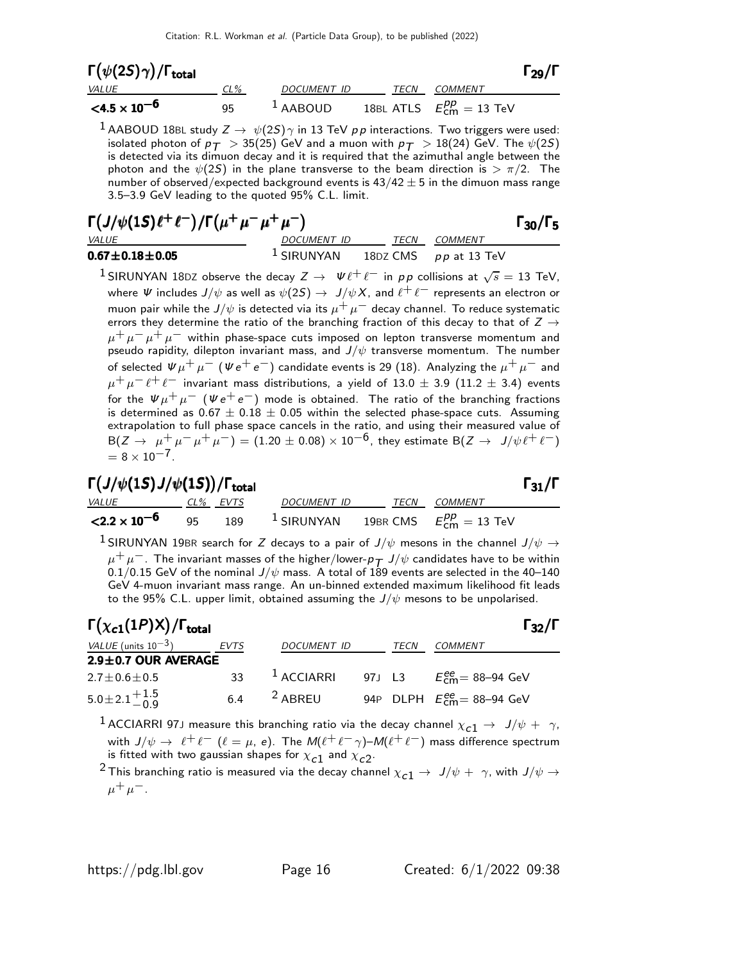| $\Gamma(\psi(2S)\gamma)/\Gamma_{\rm total}$ |     |             |             |                                                 | $\Gamma_{29}/\Gamma$ |
|---------------------------------------------|-----|-------------|-------------|-------------------------------------------------|----------------------|
| <i>VALUE</i>                                | CL% | DOCUMENT ID | <b>TECN</b> | <i>COMMENT</i>                                  |                      |
| $\leq 4.5 \times 10^{-6}$                   | 95  | $1$ AABOUD  |             | 18BL ATLS $E_{\text{cm}}^{pp} = 13 \text{ TeV}$ |                      |

 $^1$  AABOUD 18BL study  $Z \rightarrow \ \psi(2S) \gamma$  in 13 TeV  $\rho \rho$  interactions. Two triggers were used: isolated photon of  $p_T > 35(25)$  GeV and a muon with  $p_T > 18(24)$  GeV. The  $\psi(25)$ is detected via its dimuon decay and it is required that the azimuthal angle between the photon and the  $\psi(2S)$  in the plane transverse to the beam direction is  $> \pi/2$ . The number of observed/expected background events is  $43/42 \pm 5$  in the dimuon mass range 3.5–3.9 GeV leading to the quoted 95% C.L. limit.

## $\Gamma(J/\psi(1S)\ell^+\ell^-)/\Gamma\big(\mu^+\mu^-\mu^+\mu^-\big)$  Γ<sub>30</sub>/Γ<sub>5</sub> VALUE DOCUMENT ID TECN COMMENT

 $\Gamma_{30}/\Gamma$ **0.67** $\pm$ **0.18** $\pm$ **0.05** 1 SIRUNYAN 18DZ CMS pp at 13 TeV

<sup>1</sup> SIRUNYAN 18DZ observe the decay <sup>Z</sup> <sup>→</sup> <sup>Ψ</sup> <sup>ℓ</sup><sup>+</sup> <sup>ℓ</sup><sup>−</sup> in p p collisions at <sup>√</sup> s = 13 TeV, where  $\Psi$  includes  $J/\psi$  as well as  $\psi(2S) \to J/\psi X$ , and  $\ell^+ \ell^-$  represents an electron or muon pair while the J/ $\psi$  is detected via its  $\mu^+ \mu^-$  decay channel. To reduce systematic errors they determine the ratio of the branching fraction of this decay to that of  $Z \rightarrow$  $\mu^+ \, \mu^- \, \mu^+ \, \mu^-$  within phase-space cuts imposed on lepton transverse momentum and pseudo rapidity, dilepton invariant mass, and  $J/\psi$  transverse momentum. The number of selected  $\Psi \mu^+ \mu^-$  ( $\Psi e^+ e^-$ ) candidate events is 29 (18). Analyzing the  $\mu^+ \mu^-$  and  $\mu^+ \mu^- \ell^+ \ell^-$  invariant mass distributions, a yield of 13.0  $\pm$  3.9 (11.2  $\pm$  3.4) events for the  $\overline{\psi}\mu^+\mu^ (\psi\,e^+\,e^-)$  mode is obtained. The ratio of the branching fractions is determined as  $0.67\pm0.18\pm0.05$  within the selected phase-space cuts. Assuming extrapolation to full phase space cancels in the ratio, and using their measured value of  $B(Z \to \mu^+ \mu^- \mu^+ \mu^-) = (1.20 \pm 0.08) \times 10^{-6}$ , they estimate  $B(Z \to J/\psi \ell^+ \ell^-)$  $= 8 \times 10^{-7}$ .

| $\Gamma\big(J/\psi(1S)\,J/\psi(1S)\big)/\Gamma_{\rm total}$ | $\Gamma_{31}/\Gamma$ |  |
|-------------------------------------------------------------|----------------------|--|
|                                                             |                      |  |

| $\frac{1}{2}$ $\frac{1}{2}$ $\frac{1}{2}$ $\frac{1}{2}$ $\frac{1}{2}$ $\frac{1}{2}$ $\frac{1}{2}$ $\frac{1}{2}$ $\frac{1}{2}$ $\frac{1}{2}$ $\frac{1}{2}$ $\frac{1}{2}$ $\frac{1}{2}$ $\frac{1}{2}$ $\frac{1}{2}$ $\frac{1}{2}$ $\frac{1}{2}$ $\frac{1}{2}$ $\frac{1}{2}$ $\frac{1}{2}$ $\frac{1}{2}$ $\frac{1}{2}$ |  |             |                     | - 917 - |
|---------------------------------------------------------------------------------------------------------------------------------------------------------------------------------------------------------------------------------------------------------------------------------------------------------------------|--|-------------|---------------------|---------|
| VALUE CL% EVTS                                                                                                                                                                                                                                                                                                      |  | DOCUMENT ID | <i>TECN COMMENT</i> |         |
| $\leq$ 2.2 $\times$ 10 <sup>-6</sup> 95 189 <sup>1</sup> SIRUNYAN 19BR CMS $E_{\text{cm}}^{pp} = 13 \text{ TeV}$                                                                                                                                                                                                    |  |             |                     |         |

<sup>1</sup> SIRUNYAN 19BR search for Z decays to a pair of  $J/\psi$  mesons in the channel  $J/\psi \rightarrow$  $\mu^+ \mu^-$ . The invariant masses of the higher/lower- $p_\mathcal{T}$  J/ $\psi$  candidates have to be within<br>0.1/0.15 GeV of the nominal J/ $\psi$  mass. A total of 189 events are selected in the 40−140 GeV 4-muon invariant mass range. An un-binned extended maximum likelihood fit leads to the 95% C.L. upper limit, obtained assuming the  $J/\psi$  mesons to be unpolarised.

| $\Gamma(\chi_{c1}(1P)X)/\Gamma_{\rm total}$ |      |                    |      | $\Gamma_{32}/\Gamma$               |
|---------------------------------------------|------|--------------------|------|------------------------------------|
| VALUE (units $10^{-3}$ )                    | EVTS | <b>DOCUMENT ID</b> | TECN | COMMENT                            |
| $2.9 \pm 0.7$ OUR AVERAGE                   |      |                    |      |                                    |
| $2.7 \pm 0.6 \pm 0.5$                       | 33   | $1$ ACCIARRI       |      | 97J L3 $E_{cm}^{ee} = 88 - 94$ GeV |
| $5.0 \pm 2.1 \stackrel{+ 1.5}{_{- 0.9}}$    | 6.4  | <sup>2</sup> ABREU |      | 94P DLPH $E_{cm}^{ee}$ = 88-94 GeV |

<sup>1</sup> ACCIARRI 97J measure this branching ratio via the decay channel  $\chi_{c1} \rightarrow J/\psi + \gamma$ , with  $J/\psi \to \ell^+ \ell^ (\ell = \mu, e)$ . The  $M(\ell^+ \ell^- \gamma)$ – $M(\ell^+ \ell^-)$  mass difference spectrum is fitted with two gaussian shapes for  $\chi_{\mathcal{C}}$  and  $\chi_{\mathcal{C}}$ 2.

<sup>2</sup> This branching ratio is measured via the decay channel  $\chi_{c1} \rightarrow J/\psi + \gamma$ , with  $J/\psi \rightarrow$  $\mu^+ \mu^-$ .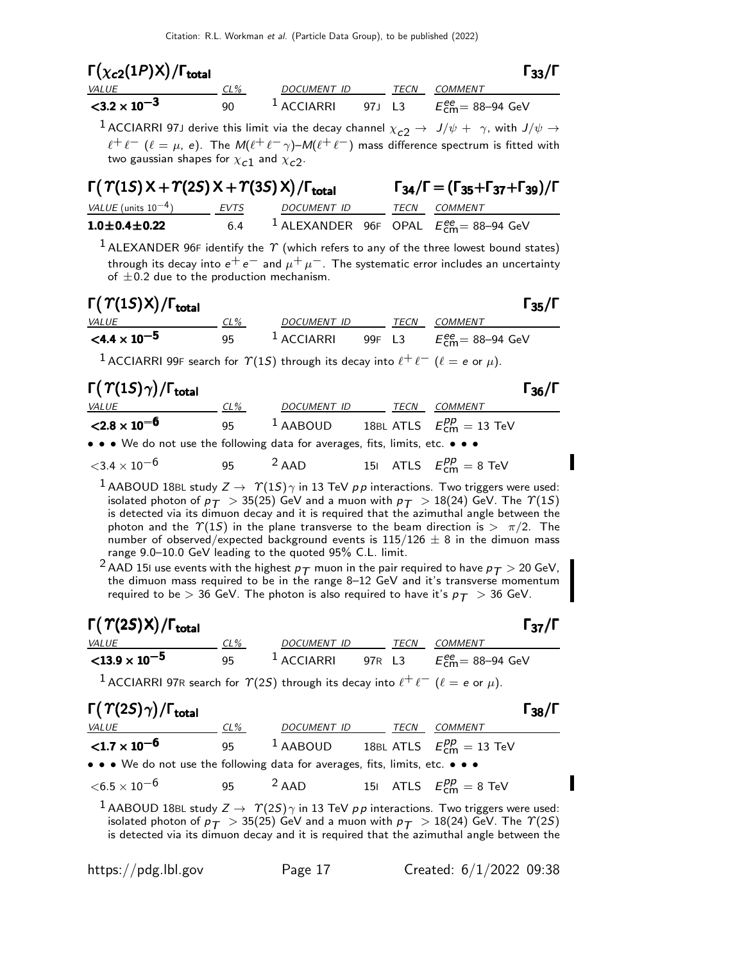| $\Gamma(\chi_{c2}(1P)X)/\Gamma_{\rm total}$ |     |                        |         |             | $\Gamma_{33}/\Gamma$              |
|---------------------------------------------|-----|------------------------|---------|-------------|-----------------------------------|
| <i>VALUE</i>                                | CL% | DOCUMENT ID            |         | <b>TECN</b> | COMMENT                           |
| $<$ 3.2 $\times$ 10 <sup>-3</sup>           | 90  | $\frac{1}{2}$ ACCIARRI | 97.J L3 |             | $E^{\rm ee}_{\rm cm}$ = 88–94 GeV |

<sup>1</sup> ACCIARRI 97J derive this limit via the decay channel  $\chi_{c2} \rightarrow J/\psi + \gamma$ , with  $J/\psi \rightarrow$  $\ell^+ \ell^-$  ( $\ell = \mu$ , e). The  $M(\ell^+ \ell^- \gamma)$ – $M(\ell^+ \ell^-)$  mass difference spectrum is fitted with two gaussian shapes for  $\chi_{\bm{c} \bm{1}}$  and  $\chi_{\bm{c} \bm{2}}.$ 

| $\Gamma(\Upsilon(1S)X + \Upsilon(2S)X + \Upsilon(3S)X)/\Gamma_{\text{total}}$ |      |             |  | $\Gamma_{34}/\Gamma = (\Gamma_{35} + \Gamma_{37} + \Gamma_{39})/\Gamma$ |                                                                  |  |
|-------------------------------------------------------------------------------|------|-------------|--|-------------------------------------------------------------------------|------------------------------------------------------------------|--|
| $VALUE$ (units $10^{-4}$ )                                                    | EVTS | DOCUMENT ID |  |                                                                         | <i>TECN COMMENT</i>                                              |  |
| $1.0 \pm 0.4 \pm 0.22$                                                        | 6.4  |             |  |                                                                         | <sup>1</sup> ALEXANDER 96F OPAL $E_{\text{cm}}^{ee}$ = 88-94 GeV |  |

 $^1$  ALEXANDER 96F identify the  $\gamma$  (which refers to any of the three lowest bound states) through its decay into  $e^+e^-$  and  $\mu^+\mu^-$ . The systematic error includes an uncertainty of  $\pm$ 0.2 due to the production mechanism.

| $\Gamma(\Upsilon(1S)X)/\Gamma_{\rm total}$ |     |             |      |                | $\Gamma_{35}/\Gamma$ |
|--------------------------------------------|-----|-------------|------|----------------|----------------------|
| <i>VALUE</i>                               | CL% | DOCUMENT ID | TFCN | <i>COMMENT</i> |                      |
|                                            |     |             |      |                |                      |

| VALUE                                                                                                                                                                                                                          | $CL\%$ | <i>DOCUMENT ID</i> | TECN | COMMENT                                        |
|--------------------------------------------------------------------------------------------------------------------------------------------------------------------------------------------------------------------------------|--------|--------------------|------|------------------------------------------------|
| $\leq 4.4 \times 10^{-5}$                                                                                                                                                                                                      | 95     |                    |      | $^1$ ACCIARRI 99F L3 $E_{cm}^{ee}$ = 88–94 GeV |
| $1.6611001005$ $1.62110$ $1.1$ $1.1$ $1.1$ $1.1$ $1.1$ $1.1$ $1.1$ $1.1$ $1.1$ $1.1$ $1.1$ $1.1$ $1.1$ $1.1$ $1.1$ $1.1$ $1.1$ $1.1$ $1.1$ $1.1$ $1.1$ $1.1$ $1.1$ $1.1$ $1.1$ $1.1$ $1.1$ $1.1$ $1.1$ $1.1$ $1.1$ $1.1$ $1.1$ |        |                    |      |                                                |

ACCIARRI 99F search for  $\Upsilon(1S)$  through its decay into  $\ell^+ \ell^-$  ( $\ell = e$  or  $\mu$ ).

| $\Gamma(\Upsilon(1S)\gamma)/\Gamma_{\rm total}$                                                                       |        |                                                      |      |                                | $\Gamma_{36}/\Gamma$ |
|-----------------------------------------------------------------------------------------------------------------------|--------|------------------------------------------------------|------|--------------------------------|----------------------|
| <i>VALUE</i>                                                                                                          | $CL\%$ | DOCUMENT ID                                          | TECN | COMMENT                        |                      |
| $<$ 2.8 $\times$ 10 <sup>-6</sup>                                                                                     | 95     | <sup>1</sup> AABOUD 18BL ATLS $E_{cm}^{pp} = 13$ TeV |      |                                |                      |
| $\bullet \bullet \bullet$ We do not use the following data for averages, fits, limits, etc. $\bullet \bullet \bullet$ |        |                                                      |      |                                |                      |
| ${<}3.4\times10^{-6}$                                                                                                 | 95.    | $2$ AAD                                              |      | 151 ATLS $E_{cm}^{pp} = 8$ TeV |                      |

 $^1$  AABOUD 18BL study  $Z\rightarrow~\varUpsilon(1S)\gamma$  in 13 TeV  $\rho\,p$  interactions. Two triggers were used: isolated photon of  $p_T > 35(25)$  GeV and a muon with  $p_T > 18(24)$  GeV. The  $\Upsilon(1S)$ is detected via its dimuon decay and it is required that the azimuthal angle between the photon and the  $\Upsilon(1S)$  in the plane transverse to the beam direction is  $> \pi/2$ . The number of observed/expected background events is  $115/126 \pm 8$  in the dimuon mass range 9.0–10.0 GeV leading to the quoted 95% C.L. limit.

 $^2$  AAD 15I use events with the highest  $p_T^+$  muon in the pair required to have  $p_T^+>$  20 GeV, the dimuon mass required to be in the range 8–12 GeV and it's transverse momentum required to be  $> 36$  GeV. The photon is also required to have it's  $p_T > 36$  GeV.

| $\Gamma(\varUpsilon(2S)\mathsf{X})/\Gamma_\mathsf{total}$ |     |                       |        |             | $\Gamma_{37}/\Gamma$      |
|-----------------------------------------------------------|-----|-----------------------|--------|-------------|---------------------------|
| <i>VALUE</i>                                              | CL% | DOCUMENT ID           |        | <i>TFCN</i> | COMMENT                   |
| ${<}13.9\times10^{-5}$                                    | 95  | <sup>1</sup> ACCIARRI | 97R L3 |             | $E_{cm}^{ee}$ = 88–94 GeV |

<sup>1</sup> ACCIARRI 97R search for  $\Upsilon(25)$  through its decay into  $\ell^+ \ell^-$  ( $\ell = e$  or  $\mu$ ).

### $\Gamma(\Upsilon(2S)\gamma)/\Gamma_{\text{total}}$  Γ<sub>38</sub>/Γ VALUE CL% DOCUMENT ID TECN COMMENT  ${<}1.7\times10^{-6}$ 95  $1$  AABOUD 18BL ATLS  $E_{\textsf{cm}}^{pp} = 13 \text{ TeV}$ • • • We do not use the following data for averages, fits, limits, etc. • • •  $<$ 6.5 × 10<sup>-6</sup> 95 <sup>2</sup> AAD 15I ATLS  $E_{\text{cm}}^{pp} = 8$  TeV

<sup>1</sup> AABOUD 18BL study  $Z \rightarrow \gamma(2S)\gamma$  in 13 TeV pp interactions. Two triggers were used: isolated photon of  $p_T > 35(25)$  GeV and a muon with  $p_T > 18(24)$  GeV. The  $\Upsilon(25)$ is detected via its dimuon decay and it is required that the azimuthal angle between the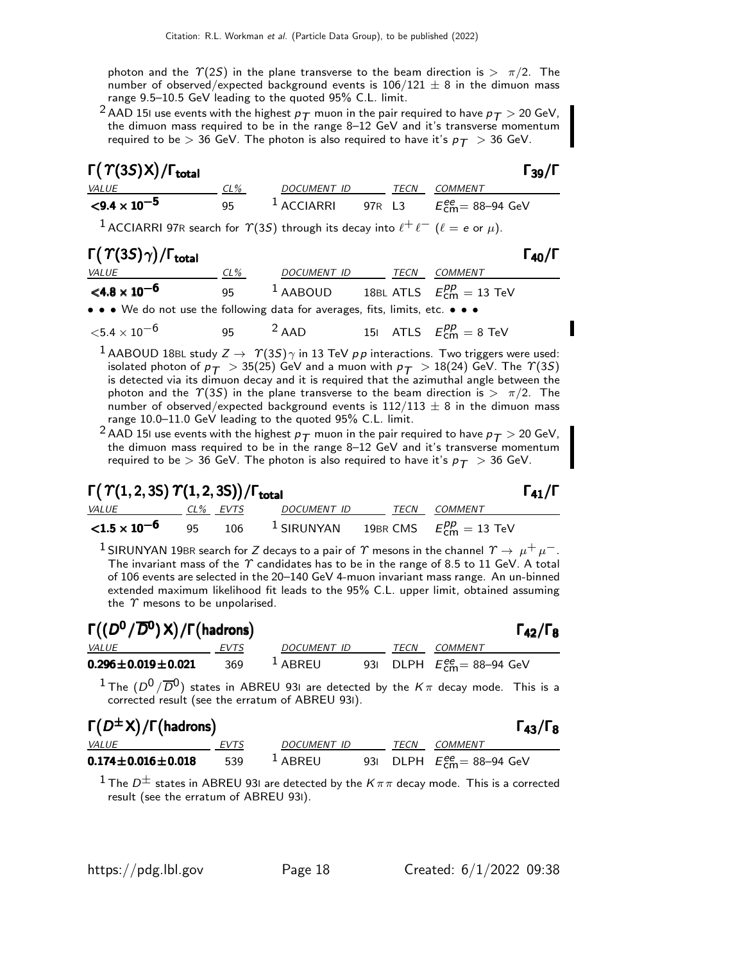photon and the  $\Upsilon(2S)$  in the plane transverse to the beam direction is  $> \pi/2$ . The number of observed/expected background events is  $106/121 \pm 8$  in the dimuon mass range 9.5–10.5 GeV leading to the quoted 95% C.L. limit.

<sup>2</sup> AAD 15I use events with the highest  $p_T$  muon in the pair required to have  $p_T > 20$  GeV, the dimuon mass required to be in the range 8–12 GeV and it's transverse momentum required to be  $> 36$  GeV. The photon is also required to have it's  $p_T > 36$  GeV.

| $\Gamma(\Upsilon(3S)X)/\Gamma_{\text{total}}$ |     |                        |        |      | $\Gamma_{39}/\Gamma$                              |
|-----------------------------------------------|-----|------------------------|--------|------|---------------------------------------------------|
| <i>VALUE</i>                                  | CL% | DOCUMENT ID            |        | TECN | <i>COMMENT</i>                                    |
| $\leq$ 9.4 $\times$ 10 <sup>-5</sup>          | 95  | $\frac{1}{2}$ ACCIARRI | 97R 13 |      | $E_{\text{cm}}^{\text{ee}} = 88 - 94 \text{ GeV}$ |

<sup>1</sup> ACCIARRI 97R search for  $\Upsilon(35)$  through its decay into  $\ell^+ \ell^-$  ( $\ell = e$  or  $\mu$ ).

# $\Gamma(\Upsilon(3S)\gamma)/\Gamma_{\rm total}$

| <i>VALUE</i>                                                                  | $CL\%$ | <i>DOCUMENT ID</i> | TECN | <i>COMMENT</i>                   |
|-------------------------------------------------------------------------------|--------|--------------------|------|----------------------------------|
| $<$ 4.8 $\times$ 10 <sup>-6</sup>                                             | 95.    | $1$ AABOUD         |      | 18BL ATLS $E_{cm}^{pp} = 13$ TeV |
| • • • We do not use the following data for averages, fits, limits, etc. • • • |        |                    |      |                                  |

 $\langle 5.4 \times 10^{-6}$  95  $^2$  AAD 15I ATLS  $E_{\text{cm}}^{pp} = 8$  TeV

 $^1$  AABOUD 18BL study  $Z\to$   $\varUpsilon(3S)\gamma$  in 13 TeV  $\rho\,p$  interactions. Two triggers were used: isolated photon of  $p_T > 35(25)$  GeV and a muon with  $p_T > 18(24)$  GeV. The  $\Upsilon(35)$ is detected via its dimuon decay and it is required that the azimuthal angle between the photon and the  $\Upsilon(3S)$  in the plane transverse to the beam direction is  $> \pi/2$ . The number of observed/expected background events is  $112/113 \pm 8$  in the dimuon mass range 10.0–11.0 GeV leading to the quoted 95% C.L. limit.

<sup>2</sup> AAD 15I use events with the highest  $p_T$  muon in the pair required to have  $p_T >$  20 GeV, the dimuon mass required to be in the range 8–12 GeV and it's transverse momentum required to be  $> 36$  GeV. The photon is also required to have it's  $p_T > 36$  GeV.

# $\Gamma(\Upsilon(1,2,3S)\Upsilon(1,2,3S)) / \Gamma_{\text{total}}$  Γ<sub>41</sub>/Γ

CL% EVTS DOCUMENT ID TECN COMMENT  ${<}1.5\times10^{-6}$ 95 106 <sup>1</sup> SIRUNYAN 19BR CMS  $_{\text{cm}}^{pp} = 13 \text{ TeV}$  $^1$  SIRUNYAN 19BR search for Z decays to a pair of  $\varUpsilon$  mesons in the channel  $\varUpsilon\to\,\mu^+\,\mu^-$  .

The invariant mass of the  $\gamma$  candidates has to be in the range of 8.5 to 11 GeV. A total of 106 events are selected in the 20–140 GeV 4-muon invariant mass range. An un-binned extended maximum likelihood fit leads to the 95% C.L. upper limit, obtained assuming the  $\gamma$  mesons to be unpolarised.

| $\Gamma((D^0/\overline{D}^0)\,X)/\Gamma(\text{hadrons})$ |      |                      |  |      |                                           |  |
|----------------------------------------------------------|------|----------------------|--|------|-------------------------------------------|--|
| <i>VALUE</i>                                             | EVTS | DOCUMENT ID          |  | TECN | COMMENT                                   |  |
| $0.296 \pm 0.019 \pm 0.021$                              | 369  | $\overline{1}$ ABREU |  |      | 931 DLPH $E_{\text{cm}}^{ee}$ = 88–94 GeV |  |

 $1$  The  $(D^0/\overline{D}{}^0)$  states in ABREU 931 are detected by the  $K\pi$  decay mode. This is a corrected result (see the erratum of ABREU 93I).

| $\Gamma(D^{\pm}X)/\Gamma$ (hadrons) |      |                     |      | $\Gamma_{43}/\Gamma_8$                                   |
|-------------------------------------|------|---------------------|------|----------------------------------------------------------|
| <i>VALUE</i>                        | EVTS | DOCUMENT ID         | TECN | <i>COMMENT</i>                                           |
| $0.174 \pm 0.016 \pm 0.018$         | 539  | $\frac{1}{2}$ ABRFU |      | 931 DLPH $E_{\text{cm}}^{\text{ee}} = 88-94 \text{ GeV}$ |

<sup>1</sup> The  $D^{\pm}$  states in ABREU 93I are detected by the  $K\pi\pi$  decay mode. This is a corrected result (see the erratum of ABREU 93I).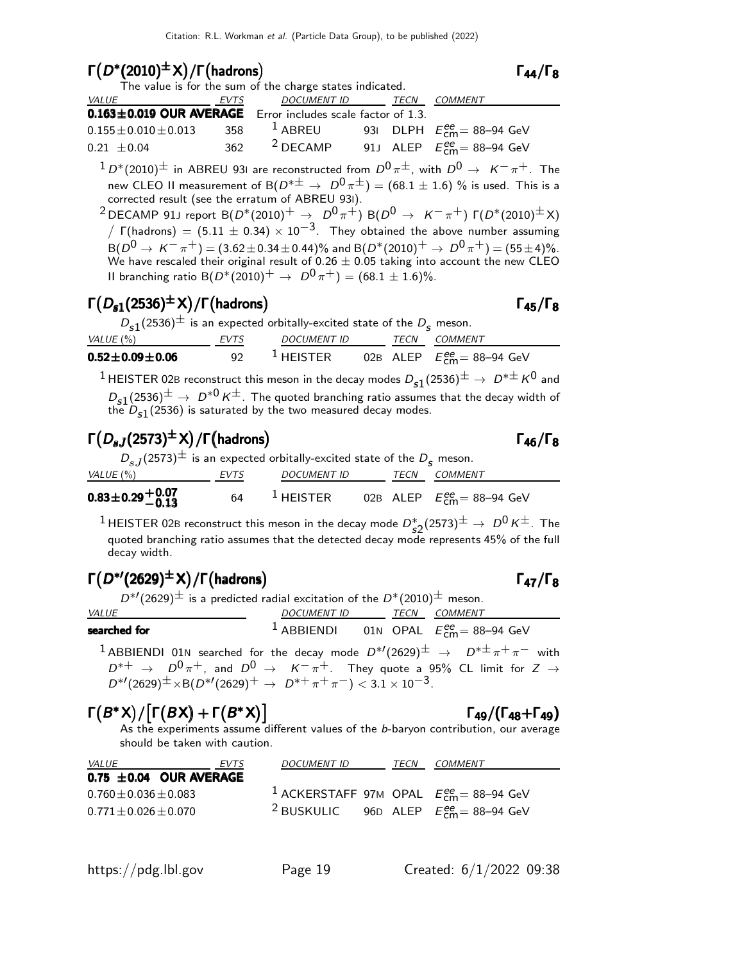$\Gamma(D^*(2010)^{\pm}X)/\Gamma(\text{hadrons})$ <br>The value is for the sum of the charge states indicated.  $\Gamma_{44}/\Gamma_8$ 

| The value is for the sum or the charge states indicated.                                               |  |                          |  |  |                                                     |  |
|--------------------------------------------------------------------------------------------------------|--|--------------------------|--|--|-----------------------------------------------------|--|
|                                                                                                        |  | DOCUMENT ID TECN COMMENT |  |  |                                                     |  |
| $0.163 \pm 0.019$ OUR AVERAGE Error includes scale factor of 1.3.                                      |  |                          |  |  |                                                     |  |
| $0.155 \pm 0.010 \pm 0.013$ 358 <sup>1</sup> ABREU 93I DLPH $E_{\text{cm}}^{ee} = 88 - 94 \text{ GeV}$ |  |                          |  |  |                                                     |  |
| $0.21 \pm 0.04$                                                                                        |  | $362$ $2$ DECAMP         |  |  | 91J ALEP $E_{\text{cm}}^{ee} = 88 - 94 \text{ GeV}$ |  |
|                                                                                                        |  |                          |  |  |                                                     |  |

 $1 \, D^*(2010)^\pm$  in ABREU 931 are reconstructed from  $D^0 \, \pi^\pm$ , with  $D^0 \, \rightarrow \, \, K^- \, \pi^+$ . The new CLEO II measurement of B( $D^{*\pm} \rightarrow D^0 \pi^{\pm}$ ) = (68.1  $\pm$  1.6) % is used. This is a corrected result (see the erratum of ABREU 93I).

<sup>2</sup> DECAMP 91J report B( $D^*(2010)^+$   $\rightarrow$   $D^0 \pi^+$ ) B( $D^0 \rightarrow$   $K^- \pi^+$ )  $\Gamma(D^*(2010)^{\pm}X)$  $\sqrt{\Gamma(\text{hadrons})} = (5.11 \pm 0.34) \times 10^{-3}$ . They obtained the above number assuming  $B(D^0 \to K^-\pi^+) = (3.62 \pm 0.34 \pm 0.44)\%$  and  $B(D^*(2010)^+ \to D^0\pi^+) = (55 \pm 4)\%$ . We have rescaled their original result of 0.26  $\pm$  0.05 taking into account the new CLEO II branching ratio B( $D^*(2010)^+$   $\rightarrow$   $D^0 \pi^+$ ) = (68.1  $\pm$  1.6)%.

# $\Gamma(D_{s1}(2536)^{\pm}X)/\Gamma(\text{hadrons})$  Γ<sub>45</sub>/Γ<sub>8</sub>

| $D_{s1}(2536)^{\pm}$ is an expected orbitally-excited state of the $D_s$ meson. |      |                 |  |                                           |
|---------------------------------------------------------------------------------|------|-----------------|--|-------------------------------------------|
| VALUE (%)                                                                       | EVTS | DOCUMENT ID     |  | <i>TECN COMMENT</i>                       |
| $0.52 \pm 0.09 \pm 0.06$                                                        | -92  | $^{-1}$ HEISTER |  | 02B ALEP $E_{\text{cm}}^{ee}$ = 88-94 GeV |

 $^1$ HEISTER 02B reconstruct this meson in the decay modes  $D_{\bf s1}(2536)^\pm\to\ D^{*\pm}\,K^0$  and  $D_{s1}(2536)^{\pm}$  →  $D^{*0}$  K<sup> $\pm$ </sup>. The quoted branching ratio assumes that the decay width of the  $D_{\mathtt{s}1}(2536)$  is saturated by the two measured decay modes.

# $\Gamma(D_{sJ}(2573)^{\pm}X)/\Gamma(\hbox{\rm hadrons})$  Γ<sub>46</sub>/Γ<sub>8</sub>

| $D_{s,I}(2573)^{\pm}$ is an expected orbitally-excited state of the $D_{s,I}$ meson. |      |                 |  |  |                                           |  |
|--------------------------------------------------------------------------------------|------|-----------------|--|--|-------------------------------------------|--|
| VALUE (%)                                                                            | EVTS | DOCUMENT ID     |  |  | TECN COMMENT                              |  |
| $0.83\pm0.29\begin{array}{l} +0.07\ -0.13 \end{array}$                               | 64   | $^{-1}$ HEISTER |  |  | 02B ALEP $E_{\text{cm}}^{ee}$ = 88-94 GeV |  |

 $^1$ HEISTER 02B reconstruct this meson in the decay mode  $D_{s2}^*(2573)^\pm \rightarrow D^0 \, K^\pm$ . The quoted branching ratio assumes that the detected decay mode represents 45% of the full decay width.

# $\Gamma(D^{*\prime}(2629)^{\pm}X)/\Gamma(\text{hadrons})$  Γ<sub>47</sub>/Γ<sub>8</sub>

 $D^{*/}(2629)^{\pm}$  is a predicted radial excitation of the  $D^{*}(2010)^{\pm}$  meson.

| <b>VALUE</b>                                                                                                                                                                                                                                                                                                                                    | DOCUMENT ID TECN COMMENT |  |                                                          |  |
|-------------------------------------------------------------------------------------------------------------------------------------------------------------------------------------------------------------------------------------------------------------------------------------------------------------------------------------------------|--------------------------|--|----------------------------------------------------------|--|
| searched for                                                                                                                                                                                                                                                                                                                                    |                          |  | <sup>1</sup> ABBIENDI 01N OPAL $E_{cm}^{ee}$ = 88-94 GeV |  |
| <sup>1</sup> ABBIENDI 01N searched for the decay mode $D^{*/}(2629)^{\pm} \rightarrow D^{*\pm} \pi^+ \pi^-$ with<br>$D^{*+} \rightarrow D^0 \pi^+$ , and $D^0 \rightarrow K^- \pi^+$ . They quote a 95% CL limit for $Z \rightarrow$<br>$D^{*/}(2629)^{\pm} \times B(D^{*/}(2629)^{+} \rightarrow D^{*+}\pi^{+}\pi^{-}) < 3.1 \times 10^{-3}$ . |                          |  |                                                          |  |

# $\Gamma(B^*X)/[\Gamma(BX) + \Gamma(B^*X)]$   $\Gamma_{49}/(\Gamma_{48} + \Gamma_{49})$

 $\Gamma$ <sub>49</sub>/(Γ<sub>48</sub>+Γ<sub>49</sub>) As the experiments assume different values of the b-baryon contribution, our average should be taken with caution.

| <i>VALUE</i>                | EVTS | <b>DOCUMENT ID</b> | TECN | <i>COMMENT</i>                                             |
|-----------------------------|------|--------------------|------|------------------------------------------------------------|
| $0.75 \pm 0.04$ OUR AVERAGE |      |                    |      |                                                            |
| $0.760 \pm 0.036 \pm 0.083$ |      |                    |      | <sup>1</sup> ACKERSTAFF 97M OPAL $E_{cm}^{ee}$ = 88-94 GeV |
| $0.771 \pm 0.026 \pm 0.070$ |      |                    |      | <sup>2</sup> BUSKULIC 96D ALEP $E_{cm}^{ee}$ = 88–94 GeV   |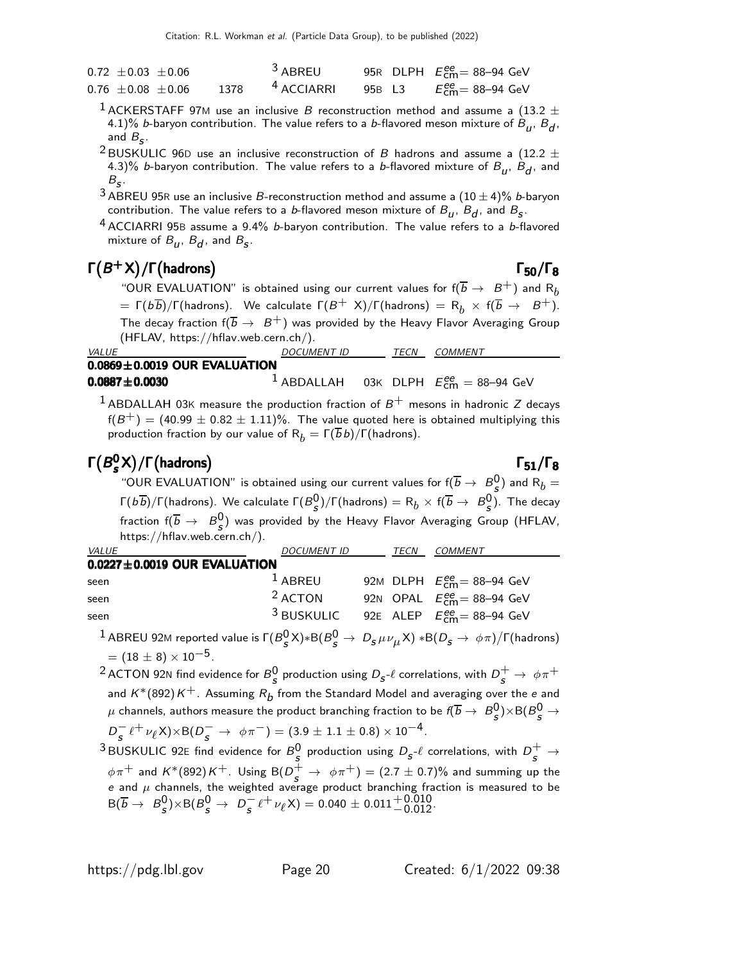| $0.72 \pm 0.03 \pm 0.06$ |      | <sup>3</sup> ABREU    |        | 95R DLPH $E_{\text{cm}}^{\text{ee}}$ = 88-94 GeV |
|--------------------------|------|-----------------------|--------|--------------------------------------------------|
| $0.76 \pm 0.08 \pm 0.06$ | 1378 | <sup>4</sup> ACCIARRI | 95B L3 | $E_{\text{cm}}^{\text{ee}}$ = 88–94 GeV          |

- $^1$  ACKERSTAFF 97M use an inclusive  $B$  reconstruction method and assume a (13.2  $\pm$ 4.1)% *b*-baryon contribution. The value refers to a *b*-flavored meson mixture of  $B_u$ ,  $B_d$ , and  $B_{\mathcal{S}}$ .
- <sup>2</sup> BUSKULIC 96D use an inclusive reconstruction of B hadrons and assume a (12.2  $\pm$ 4.3)% *b*-baryon contribution. The value refers to a *b*-flavored mixture of  $B_u$ ,  $B_d$ , and  $B_{\sf s}$ .
- $^3$  ABREU 95R use an inclusive B-reconstruction method and assume a  $(10\pm 4)\%$  b-baryon contribution. The value refers to a *b*-flavored meson mixture of  $B_{\bm{u}},\,B_{\bm{d}},$  and  $B_{\bm{\mathsf{S}}}.$
- $4$  ACCIARRI 95B assume a 9.4% *b*-baryon contribution. The value refers to a *b*-flavored mixture of  $B_u$ ,  $B_d$ , and  $B_s$ .

# $\Gamma(B^{+}X)/\Gamma(\text{hadrons})$  Γ<sub>50</sub>/Γ<sub>8</sub>

 $\mathsf{f}(\mathsf{K})\mathsf{S}(\mathsf{K})$   $\mathsf{F}(\mathsf{K})$   $\mathsf{S}(\mathsf{S})$   $\mathsf{S}(\mathsf{S})$   $\mathsf{S}(\mathsf{S})$   $\mathsf{S}(\mathsf{S})$   $\mathsf{S}(\mathsf{S})$   $\mathsf{S}(\mathsf{S})$   $\mathsf{S}(\mathsf{S})$   $\mathsf{S}(\mathsf{S})$   $\mathsf{S}(\mathsf{S})$   $\mathsf{S}(\mathsf{S})$   $\mathsf{S}(\mathsf{S})$   $\mathsf{S}(\mathsf{S})$ =  $\Gamma(b\overline{b})/\Gamma(\text{hadrons})$ . We calculate  $\Gamma(B^+ \times)/\Gamma(\text{hadrons}) = R_b \times f(\overline{b} \to B^+).$ The decay fraction  $f(\overline{b} \to B^+)$  was provided by the Heavy Flavor Averaging Group (HFLAV, https://hflav.web.cern.ch/).

| <i>VALUE</i>                       | <i>DOCUMENT ID</i> | TFCN | COMMENT                                                     |
|------------------------------------|--------------------|------|-------------------------------------------------------------|
| $0.0869 \pm 0.0019$ OUR EVALUATION |                    |      |                                                             |
| $0.0887 \pm 0.0030$                |                    |      | $^{-1}$ ABDALLAH 03K DLPH $E_{\rm cm}^{\rm ee} =$ 88–94 GeV |

<sup>1</sup> ABDALLAH 03K measure the production fraction of  $B^+$  mesons in hadronic Z decays  $f(B^+) = (40.99 \pm 0.82 \pm 1.11)\%$ . The value quoted here is obtained multiplying this production fraction by our value of  $R_b = \Gamma(\overline{b}b)/\Gamma(\text{hadrons}).$ 

### $\Gamma(B_s^0)$ Γ $(B_s^0 X)/\Gamma$ (hadrons) Γ<sub>51</sub>/Γ<sub>8</sub>

Х)/І (nadrons)<br>"OUR EVALUATION" is obtained using our current values for f( $\overline{b} \rightarrow \ B^0_S$ ) and F  $\binom{0}{5}$  and  $\mathsf{R}_b =$ Γ(b $\overline{b}$ )/Γ(hadrons). We calculate Γ( $B_S^0$ )/Γ(hadrons)  $=$  R $_b \times$  f( $\overline{b}$   $\to$   $\ B_S^0$ ). The decay fraction  $f(\overline{b} \rightarrow B^0_s)$  was provided by the Heavy Flavor Averaging Group (HFLAV, https://hflav.web.cern.ch/).

| <b>VALUE</b>                       | <b>DOCUMENT ID</b> | TECN | <b>COMMENT</b>                       |
|------------------------------------|--------------------|------|--------------------------------------|
| $0.0227 \pm 0.0019$ OUR EVALUATION |                    |      |                                      |
| seen                               | $1$ ABREU          |      | 92M DLPH $E_{cm}^{ee} = 88 - 94$ GeV |
| seen                               | $2$ ACTON          |      | 92N OPAL $E_{cm}^{ee} = 88-94$ GeV   |
| seen                               | $^3$ BUSKULIC      |      | 92E ALEP $E_{cm}^{ee} = 88-94$ GeV   |

 $^1$  ABREU 92M reported value is  $\Gamma(B^0_{\cal S} \times) \ast {\sf B}(B^0_{\cal S} \to \ D_{\cal S} \, \mu \nu_{\mu} \times) \ast {\sf B}(D_{\cal S} \to \, \phi \, \pi) / \Gamma($ hadrons)  $= (18 \pm 8) \times 10^{-5}$ .

 $^2$ ACTON 92N find evidence for  ${\cal B}^0_{\cal S}$  production using  $D_{\cal S}$ - $\ell$  correlations, with  $D_{\cal S}^+\to\ \phi\pi^+$ and  $\mathcal{K}^*(892) \mathcal{K}^+$ . Assuming  $R_{\bm b}$  from the Standard Model and averaging over the  $e$  and  $\mu$  channels, authors measure the product branching fraction to be  $\bar{\ell}(\overline{b}\rightarrow~B_S^0)\times$ B $(B_S^0\rightarrow$  $D_s^- t^+ \nu_\ell X$ )×B( $D_s^- \rightarrow \phi \pi^-$ ) = (3.9 ± 1.1 ± 0.8) × 10<sup>-4</sup>.

 $^3$ BUSKULIC 92E find evidence for  $B_S^0$  production using  $D_{\sf s}$ - $\ell$  correlations, with  $D_{\sf s}^+ \to$  $\phi \pi^+$  and K\*(892)K<sup>+</sup>. Using B( $D^+_s \to \phi \pi^+) = (2.7 \pm 0.7)\%$  and summing up the<br>e and  $\mu$  channels, the weighted average product branching fraction is measured to be  $B(\overline{b} \rightarrow B_{\overline{s}}^0$  $S_{\mathcal{S}}^{0}\times B(B_{\mathcal{S}}^{0}\to D_{\mathcal{S}}^{-}\ell^{+}\nu_{\ell}X)=0.040\pm0.011^{+0.010}_{-0.012}.$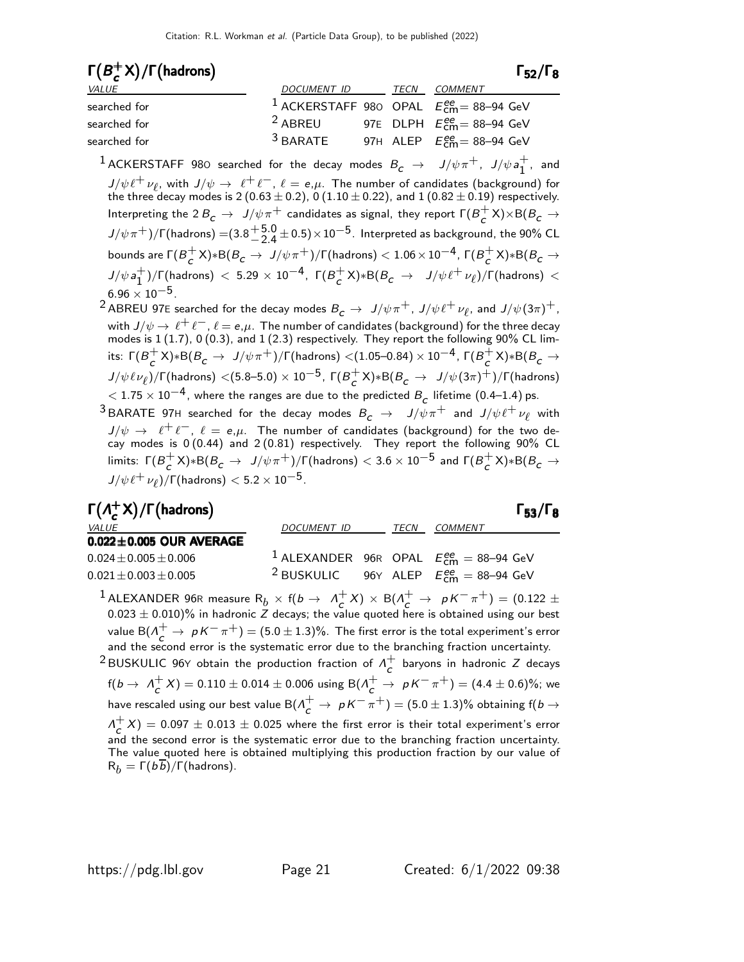| $\Gamma(B^+_{\sim}X)/\Gamma$ (hadrons) |                                                            |      |                                                  | $\Gamma_{52}/\Gamma_8$ |
|----------------------------------------|------------------------------------------------------------|------|--------------------------------------------------|------------------------|
| <i>VALUE</i>                           | DOCUMENT ID                                                | TECN | <i>COMMENT</i>                                   |                        |
| searched for                           | <sup>1</sup> ACKERSTAFF 980 OPAL $E_{cm}^{ee}$ = 88-94 GeV |      |                                                  |                        |
| searched for                           | <sup>2</sup> ABREU                                         |      | 97E DLPH $E_{\text{cm}}^{\text{ee}}$ = 88–94 GeV |                        |
| searched for                           | $3$ BARATE                                                 |      | 97H ALEP $E_{\text{cm}}^{ee}$ = 88-94 GeV        |                        |

 $^1$  ACKERSTAFF 980 searched for the decay modes  $B_c$   $\;\rightarrow$   $\;\;$   $J/\psi \pi^+$ ,  $\;\;$   $J/\psi \, a_1^+$  $\begin{bmatrix} 1 \\ 1 \end{bmatrix}$ , and  $J/\psi \ell^+ \nu_\ell$ , with  $J/\psi \to \ell^+ \ell^-$ ,  $\ell = e, \mu$ . The number of candidates (background) for the three decay modes is 2  $(0.63 \pm 0.2)$ , 0  $(1.10 \pm 0.22)$ , and 1  $(0.82 \pm 0.19)$  respectively. Interpreting the 2  $B_{\cal{C}}\,\rightarrow\,\,{\it J/\psi\pi}^+$  candidates as signal, they report  $\Gamma(B_{\cal{C}}^+)$  $_{c}^{+}$ X)×B( $B_{c}$   $\rightarrow$  $J/\psi \pi^+)/\Gamma$ (hadrons) =(3.8  $^{+5.0}_{-2.4}$  $+5.0$   $\pm$  0.5) $\times$ 10 $^{-5}$ . Interpreted as background, the 90% CL bounds are  $\Gamma(B^+_\mathcal{L})$  $_c^+$ X)∗B( $B_{\cal{C}}\rightarrow~$  J/ $\psi\pi^+$ )/Γ(hadrons)  $< 1.06\times 10^{-4}$ , Γ( $B_{\cal{C}}^+$  $_{c}^{+}$ X)\*B( $B_{c}$   $\rightarrow$  $J/\psi a_1^+$  $^{+}_{1}$ )/Γ(hadrons)  $< 5.29 \times 10^{-4}$ , Γ( $B_c^+$  $_c^+$ X)∗B( $\emph{B}_{c}$   $\rightarrow$   $\emph{J/\psi}\ell^+\nu_{\ell}$ )/Г(hadrons)  $<$  $6.96 \times 10^{-5}$ .

 $^2$ ABREU 97E searched for the decay modes  $B_{\cal C}\, \rightarrow \, \, J/\psi \pi^+$  ,  $J/\psi \ell^+ \, \nu_{\ell}$ , and  $J/\psi (3\pi)^+$  , with  $J/\psi \to \ell^+ \ell^-$ ,  $\ell = e, \mu$ . The number of candidates (background) for the three decay<br>modes is 1 (1.7), 0 (0.3), and 1 (2.3) respectively. They report the following 90% CL limits:  $\Gamma(B_c^+)$  $_c^+$ X)∗B( $B_{\cal C} \rightarrow \;$  J/ $\psi \pi^+$ )/Γ(hadrons)  $<(1.05\text{--}0.84)\times 10^{-4}$ , Γ( $B_{\cal C}^+$  $_{c}^{+}$ X)\*B( $B_{c}$   $\rightarrow$  $J/\psi\ell\nu_{\ell})/\Gamma$ (hadrons)  $<(5.8\text{--}5.0)\times10^{-5}$ , Γ( $B_{\mathcal{C}}^{+}$  $_c^+$ X) $*$ B $(B_c \to J/\psi(3\pi)^+)/$ Γ(hadrons)  $<$  1.75  $\times$  10 $^{-4}$ , where the ranges are due to the predicted  $B_{\cal C}$  lifetime (0.4–1.4) ps. <sup>3</sup> BARATE 97H searched for the decay modes  $B_c \rightarrow J/\psi \pi^+$  and  $J/\psi \ell^+ \nu_\ell$  with  $J/\psi \to \ell^+ \ell^-, \ell = e, \mu$ . The number of candidates (background) for the two decay modes is 0(0.44) and 2(0.81) respectively. They report the following 90% CL limits:  $Γ(B<sup>+</sup><sub>c</sub>)$  $_c^+$ X)∗B( $B_{\cal C} \rightarrow \;$  J/ $\psi \pi^+$ )/ $\Gamma$ (hadrons)  $< 3.6 \times 10^{-5}$  and  $\Gamma(B_{\cal C}^+)$  $_{c}^{+}$ X)\*B( $B_{c}$   $\rightarrow$  $J/\psi \, \ell^+ \, \nu_\ell) / \mathsf{\Gamma} \text{(hadrons)} < 5.2 \times 10^{-5} .$ 

| $\Gamma(\Lambda_c^+ X)/\Gamma$ (hadrons) |                                                                                                                                                                                                                                                                                                                                                                                      |  |         | $\Gamma_{53}/\Gamma_8$ |
|------------------------------------------|--------------------------------------------------------------------------------------------------------------------------------------------------------------------------------------------------------------------------------------------------------------------------------------------------------------------------------------------------------------------------------------|--|---------|------------------------|
| <i>VALUE</i>                             | DOCUMENT ID TECN                                                                                                                                                                                                                                                                                                                                                                     |  | COMMENT |                        |
| $0.022 \pm 0.005$ OUR AVERAGE            |                                                                                                                                                                                                                                                                                                                                                                                      |  |         |                        |
| $0.024 \pm 0.005 \pm 0.006$              | <sup>1</sup> ALEXANDER 96R OPAL $E_{cm}^{ee} = 88-94$ GeV                                                                                                                                                                                                                                                                                                                            |  |         |                        |
| $0.021 \pm 0.003 \pm 0.005$              | <sup>2</sup> BUSKULIC 96Y ALEP $E_{cm}^{ee} = 88-94$ GeV                                                                                                                                                                                                                                                                                                                             |  |         |                        |
| $\frac{1}{2}$ $\frac{1}{2}$              | $\overline{P}$ (1 $\overline{1} + \overline{1}$ ) $\overline{P}$ $\overline{1}$ $\overline{1}$ $\overline{1}$ $\overline{1}$ $\overline{1}$ $\overline{1}$ $\overline{1}$ $\overline{1}$ $\overline{1}$ $\overline{1}$ $\overline{1}$ $\overline{1}$ $\overline{1}$ $\overline{1}$ $\overline{1}$ $\overline{1}$ $\overline{1}$ $\overline{1}$ $\overline{1}$ $\overline{1}$ $\over$ |  |         |                        |

 $^1$  ALEXANDER 96R measure  $\mathsf R_b \times \mathsf f(b \to \;\Lambda_c^+)$  $C_{c}^{+}$ X) × B( $\Lambda_{c}^{+}$   $\rightarrow$   $pK^{-}\pi^{+}$ ) = (0.122  $\pm$  $0.023 \pm 0.010)\%$  in hadronic Z decays; the value quoted here is obtained using our best value B $(\Lambda_c^+ \to pK^-\pi^+)$  =  $(5.0 \pm 1.3)\%$ . The first error is the total experiment's error<br>and the second error is the systematic error due to the branching fraction uncertainty.

<sup>2</sup> BUSKULIC 96Y obtain the production fraction of  $\Lambda_c^+$  $\overline{c}$  baryons in hadronic Z decays  $f(b \to \Lambda_c^+$  $c^{+}_{c}$ X) = 0.110  $\pm$  0.014  $\pm$  0.006 using B( $\Lambda^{+}_{c}$   $\rightarrow$   $\,$   $p$  K  $^{-}$   $\pi^{+}$ ) = (4.4  $\pm$  0.6)%; we have rescaled using our best value B $(\varLambda_c^+\to\ pK^-\pi^+)=(5.0\pm1.3)\%$  obtaining f(  $b\to$  $\Lambda_c^+$  $\sigma_c^+ X$ ) = 0.097  $\pm$  0.013  $\pm$  0.025 where the first error is their total experiment's error and the second error is the systematic error due to the branching fraction uncertainty. The value quoted here is obtained multiplying this production fraction by our value of  $R_b = \Gamma(b b)/\Gamma(b$ adrons).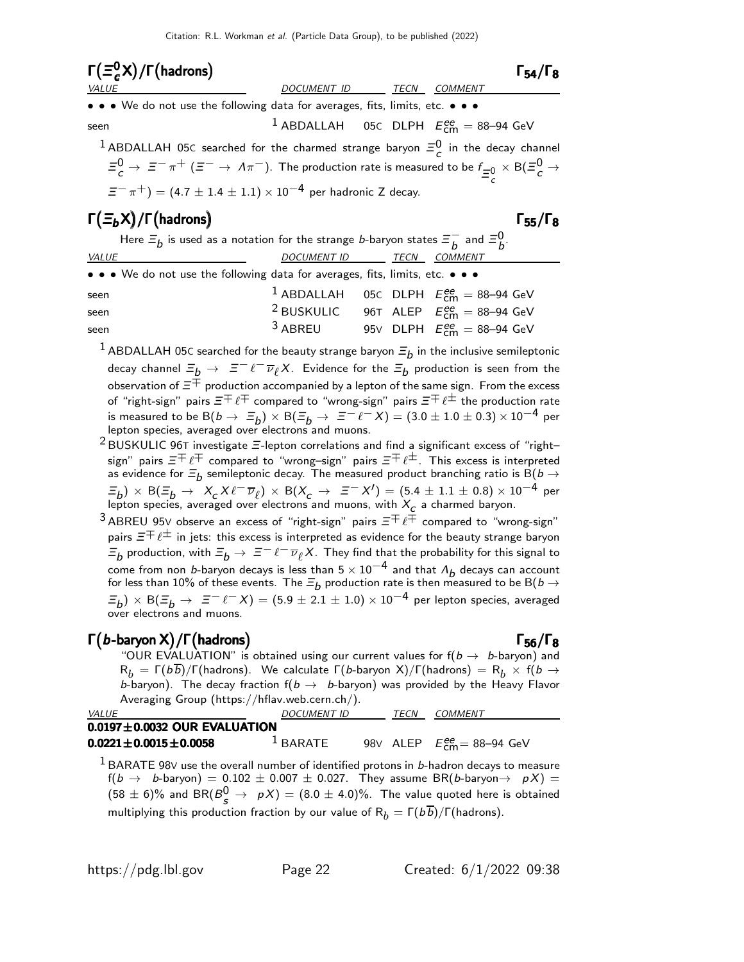| $\Gamma(\Xi_c^0X)/\Gamma(\text{hadrons})$                                                                                                                                                                                                        |                                                          |      |                | $\Gamma_{54}/\Gamma_8$ |
|--------------------------------------------------------------------------------------------------------------------------------------------------------------------------------------------------------------------------------------------------|----------------------------------------------------------|------|----------------|------------------------|
| <b>VALUE</b>                                                                                                                                                                                                                                     | DOCUMENT ID                                              | TECN | <b>COMMENT</b> |                        |
| • • • We do not use the following data for averages, fits, limits, etc. • • •                                                                                                                                                                    |                                                          |      |                |                        |
| seen                                                                                                                                                                                                                                             | <sup>1</sup> ABDALLAH 05C DLPH $E_{cm}^{ee} = 88-94$ GeV |      |                |                        |
| <sup>1</sup> ABDALLAH 05C searched for the charmed strange baryon $\Xi_c^0$ in the decay channel<br>$\Xi_c^0 \to \Xi^- \pi^+$ ( $\Xi^- \to \Lambda \pi^-$ ). The production rate is measured to be $f_{\pm 0} \times B(\Xi_c^0 \to \Xi^- \pi^+)$ |                                                          |      |                |                        |
| $\Xi^{-}$ $\pi^{+}$ ) = (4.7 ± 1.4 ± 1.1) × 10 <sup>-4</sup> per hadronic Z decay.                                                                                                                                                               |                                                          |      |                |                        |
| $\Gamma(\Xi_b X)/\Gamma$ (hadrons)                                                                                                                                                                                                               |                                                          |      |                | $\Gamma_{55}/\Gamma_8$ |

| Here $\Xi_b$ is used as a notation for the strange <i>b</i> -baryon states $\Xi_b^-$ and $\Xi_b^0$ . |                          |  |
|------------------------------------------------------------------------------------------------------|--------------------------|--|
| <i>VALUE</i>                                                                                         | DOCUMENT ID TECN COMMENT |  |
| • • • We do not use the following data for averages, fits, limits, etc. • • •                        |                          |  |

| seen |           | <sup>1</sup> ABDALLAH 05C DLPH $E_{\text{cm}}^{ee} = 88-94$ GeV |
|------|-----------|-----------------------------------------------------------------|
| seen |           | <sup>2</sup> BUSKULIC 96T ALEP $E_{cm}^{ee} = 88-94$ GeV        |
| seen | $3$ ABREU | 95V DLPH $E_{\text{cm}}^{\text{ee}} = 88-94 \text{ GeV}$        |

 $^1$  ABDALLAH 05C searched for the beauty strange baryon  $\bar{z}_b$  in the inclusive semileptonic decay channel  $\varXi_b \to \; \varXi^- \, \ell^- \overline{\nu}_\ell X$ . Evidence for the  $\varXi_b$  production is seen from the observation of  $\varXi^+$  production accompanied by a lepton of the same sign. From the excess of "right-sign" pairs  $\Xi^+\ell^+$  compared to "wrong-sign" pairs  $\Xi^+\ell^\pm$  the production rate is measured to be B $(b \to \ \Xi_b) \times$  B $(\Xi_b \to \ \Xi^- \ell^- X) = (3.0 \pm 1.0 \pm 0.3) \times 10^{-4}$  per lepton species, averaged over electrons and muons.

- $2$  BUSKULIC 96T investigate  $\Xi$ -lepton correlations and find a significant excess of "rightsign" pairs  $\Xi^+\ell^+$  compared to "wrong–sign" pairs  $\Xi^+\ell^\pm$ . This excess is interpreted as evidence for  $\varXi_{b}$  semileptonic decay. The measured product branching ratio is  $\text{B}(b\to$  $(\Xi_b)\,\times\,\text{B}(\Xi_b\,\to\,\,\,X_c\,X\,\ell^-\,\overline{\nu}_\ell)\,\times\,\text{B}(X_c\,\to\,\,\,\Xi^-\,X')=(5.4\,\pm\,1.1\,\pm\,0.8)\times 10^{-4}$  per lepton species, averaged over electrons and muons, with  $X^{\vphantom{\dagger}}_{\mathcal{C}}$  a charmed baryon.
- 3 ABREU 95V observe an excess of "right-sign" pairs  $\Xi^{\mp}\ell^{\mp}$  compared to "wrong-sign" pairs  $\bar{z} \bar{+} \ell^{\pm}$  in jets: this excess is interpreted as evidence for the beauty strange baryon  $\varXi_b$  production, with  $\varXi_b\to~\varXi^-\ell^-\overline{\nu}_\ell X$ . They find that the probability for this signal to come from non b-baryon decays is less than  $5 \times 10^{-4}$  and that  $\Lambda_b$  decays can account for less than 10% of these events. The  $\Xi_b$  production rate is then measured to be B(  $b\to$  $(\Xi_b)\times$  B $(\Xi_b\to$   $\Xi^ \ell^ X)=(5.9\pm2.1\pm1.0)\times10^{-4}$  per lepton species, averaged over electrons and muons.

# $\Gamma(b$ -baryon X)/Γ $(h$ adrons) Γ56/Γ8

"OUR EVALUATION" is obtained using our current values for  $f(b \rightarrow b$ -baryon) and  $R_b = \Gamma(b\overline{b})/\Gamma(b$ adrons). We calculate  $\Gamma(b$ -baryon X)/ $\Gamma(b$ adrons) =  $R_b \times f(b \rightarrow b)$ b-baryon). The decay fraction  $f(b \rightarrow b$ -baryon) was provided by the Heavy Flavor Averaging Group (https://hflav.web.cern.ch/).

| <i>VALUE</i>                       | <b>DOCUMENT ID</b> | TFCN | COMMENT                                                  |
|------------------------------------|--------------------|------|----------------------------------------------------------|
| $0.0197 \pm 0.0032$ OUR EVALUATION |                    |      |                                                          |
| $0.0221 \pm 0.0015 \pm 0.0058$     | $1$ BARATE         |      | 98V ALEP $E_{\text{cm}}^{\text{ee}} = 88-94 \text{ GeV}$ |

 $<sup>1</sup>$  BARATE 98V use the overall number of identified protons in *b*-hadron decays to measure</sup>  $f(b \rightarrow b$ -baryon) =  $0.102 \pm 0.007 \pm 0.027$ . They assume BR(b-baryon $\rightarrow pX$ ) =  $(58 \pm 6)\%$  and BR $(B^0_s \rightarrow pX) = (8.0 \pm 4.0)\%$ . The value quoted here is obtained multiplying this production fraction by our value of  $R_b = \Gamma(b\overline{b})/\Gamma(hadrons)$ .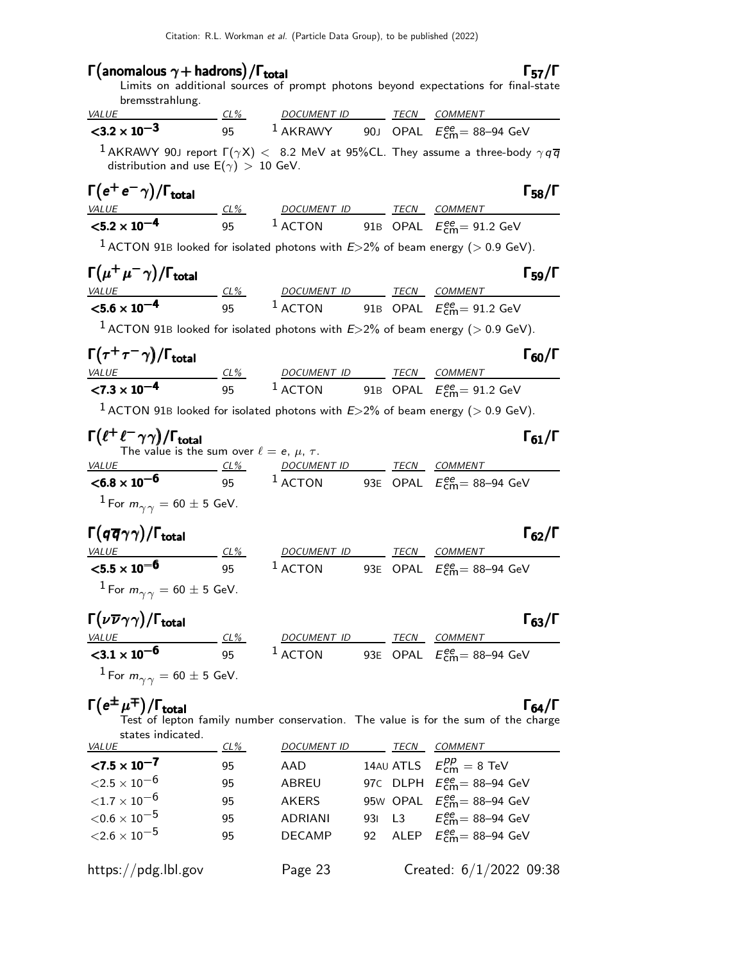# Γ(anomalous  $\gamma$  + hadrons) / Γ<sub>total</sub> 57/Γ

### Limits on additional sources of prompt photons beyond expectations for final-state bremsstrahlung.

| <b>VALUE</b>                      | $CL\%$ | <i>DOCUMENT ID</i> |  | TECN COMMENT                                                                                                      |
|-----------------------------------|--------|--------------------|--|-------------------------------------------------------------------------------------------------------------------|
| $<$ 3.2 $\times$ 10 <sup>-3</sup> | 95     | $1$ AKRAWY         |  | 90J OPAL $E_{cm}^{ee}$ = 88-94 GeV                                                                                |
|                                   |        |                    |  | $^{-1}$ AKRAWY 90J report $\Gamma(\gamma X)<~$ 8.2 MeV at 95%CL. They assume a three-body $\gamma q \overline{q}$ |

distribution and use  $\mathsf{E}(\gamma) \, > \, 10$  GeV.

| $\Gamma(e^+e^-\gamma)/\Gamma_{\rm total}$ |     |             |      |                                                 | $\Gamma_{58}/\Gamma$ |
|-------------------------------------------|-----|-------------|------|-------------------------------------------------|----------------------|
| <i>VALUE</i>                              | CL% | DOCUMENT ID | TECN | COMMENT                                         |                      |
| $<$ 5.2 $\times$ 10 <sup>-4</sup>         | 95  | $^1$ ACTON  |      | 91B OPAL $E_{\text{cm}}^{\text{ee}}$ = 91.2 GeV |                      |

<sup>1</sup> ACTON 91B looked for isolated photons with  $E > 2\%$  of beam energy ( $> 0.9$  GeV).

| $\Gamma(\mu^+\mu^-\gamma)/\Gamma_{\rm total}$ |     |                     |             |                                   | $\Gamma_{59}/\Gamma$ |
|-----------------------------------------------|-----|---------------------|-------------|-----------------------------------|----------------------|
| <i>VALUE</i>                                  | CL% | DOCUMENT ID         | <b>TECN</b> | <i>COMMENT</i>                    |                      |
| $<$ 5.6 $\times$ 10 <sup>-4</sup>             | 95  | $\frac{1}{2}$ ACTON |             | 91B OPAL $E_{cm}^{ee} = 91.2$ GeV |                      |

<sup>1</sup> ACTON 91B looked for isolated photons with  $E > 2\%$  of beam energy ( $> 0.9$  GeV).

| $\Gamma(\tau^+\tau^-\gamma)/\Gamma_{\rm total}$ |        |             |      |                                          | $\Gamma_{60}/\Gamma$ |
|-------------------------------------------------|--------|-------------|------|------------------------------------------|----------------------|
| <i>VALUE</i>                                    | $CL\%$ | DOCUMENT ID | TECN | COMMENT                                  |                      |
| $\langle 7.3 \times 10^{-4} \rangle$            | 95     | $^1$ ACTON  |      | 91B OPAL $E_{\text{cm}}^{ee}$ = 91.2 GeV |                      |

<sup>1</sup> ACTON 91B looked for isolated photons with  $E > 2\%$  of beam energy ( $> 0.9$  GeV).

| $\Gamma(\ell^+\ell^-\gamma\gamma)/\Gamma_{\rm total}$<br>The value is the sum over $\ell = e, \mu, \tau$ . |     |                    |      | $\Gamma_{61}/\Gamma$               |
|------------------------------------------------------------------------------------------------------------|-----|--------------------|------|------------------------------------|
| <i>VALUE</i>                                                                                               | CL% | <b>DOCUMENT ID</b> | TECN | <i>COMMENT</i>                     |
| $<$ 6.8 $\times$ 10 <sup>-6</sup>                                                                          | 95  | $1$ ACTON          |      | 93E OPAL $E_{cm}^{ee}$ = 88-94 GeV |
| <sup>1</sup> For $m_{\gamma\gamma} = 60 \pm 5$ GeV.                                                        |     |                    |      |                                    |

# $\Gamma(q\overline{q}\gamma\gamma)/\Gamma_{\rm total}$  Γ<sub>62</sub>/Γ

| <i>VALUE</i>                                                  | $CL\%$ | <i>DOCUMENT ID</i> | TECN | <i>COMMENT</i>                            |  |
|---------------------------------------------------------------|--------|--------------------|------|-------------------------------------------|--|
| ${<}5.5\times10^{-6}$                                         | 95     | $1$ ACTON          |      | 93E OPAL $E_{\text{cm}}^{ee}$ = 88-94 GeV |  |
| <sup>1</sup> For $m_{\gamma\gamma} = 60 \pm 5$ GeV.           |        |                    |      |                                           |  |
| $\Gamma(\nu \overline{\nu} \gamma \gamma)/\Gamma_{\rm total}$ |        |                    |      | $\Gamma_{63}/\Gamma$                      |  |

| <i>VALUE</i>            | CL% | DOCUMENT ID         | TECN | COMMENT                                   |  |
|-------------------------|-----|---------------------|------|-------------------------------------------|--|
| ${<}3.1 \times 10^{-6}$ | 95  | $\frac{1}{2}$ ACTON |      | 93E OPAL $E_{\text{cm}}^{ee}$ = 88–94 GeV |  |
|                         |     |                     |      |                                           |  |

<sup>1</sup> For  $m_{\gamma\gamma} = 60 \pm 5$  GeV.

 $\Gamma(e^{\pm}\mu^{\mp})/\Gamma_{\rm total}$ Γ  $_{64}/\Gamma$ Test of lepton family number conservation. The value is for the sum of the charge states indicated.

| <b>VALUE</b>           | $CL\%$ | <b>DOCUMENT ID</b> | TECN | COMMENT                                        |
|------------------------|--------|--------------------|------|------------------------------------------------|
| $< 7.5 \times 10^{-7}$ | 95     | AAD                |      | 14AU ATLS $E_{\text{cm}}^{pp} = 8 \text{ TeV}$ |
| ${<}2.5\times10^{-6}$  | 95     | ABREU              |      | 97C DLPH $E_{\text{cm}}^{ee}$ = 88-94 GeV      |
| ${<}1.7\times10^{-6}$  | 95     | <b>AKERS</b>       |      | 95W OPAL $E_{cm}^{ee}$ = 88-94 GeV             |
| ${<}0.6\times10^{-5}$  | 95     | <b>ADRIANI</b>     |      | 931 L3 $E_{cm}^{ee} = 88 - 94$ GeV             |
| ${<}2.6\times10^{-5}$  | 95     | <b>DECAMP</b>      |      | 92 ALEP $E_{cm}^{ee} = 88 - 94$ GeV            |
|                        |        |                    |      |                                                |
| https://pdg.lbl.gov    |        | Page 23            |      | Created: $6/1/2022$ 09:38                      |

### $\Gamma_{57}/\Gamma$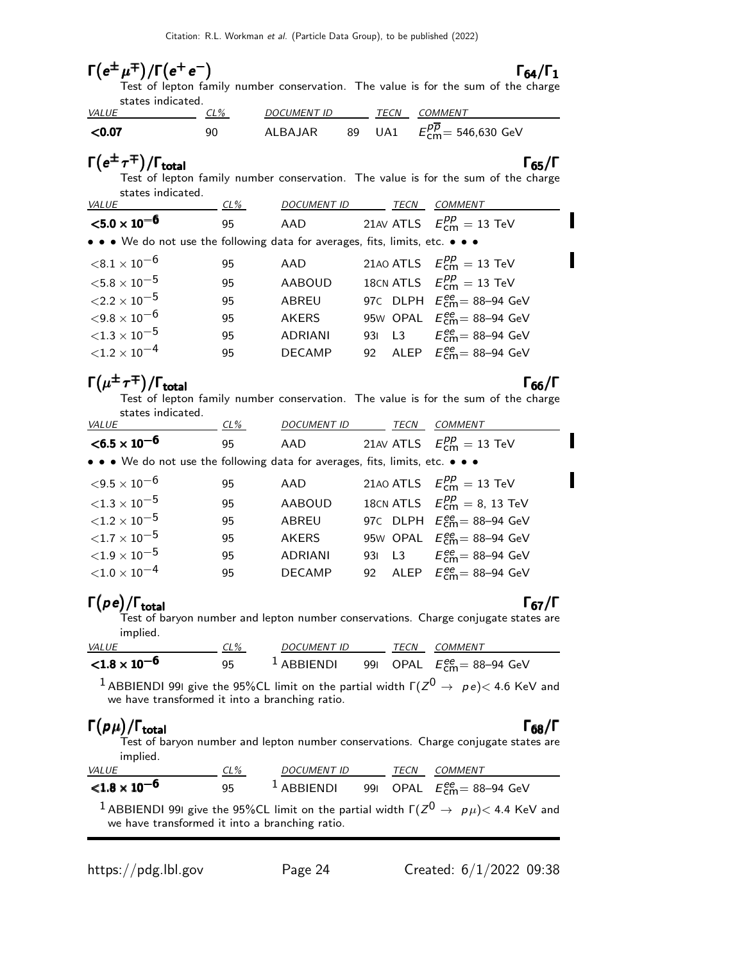# $\Gamma(e^{\pm} \mu^{\mp})/\Gamma(e^+ e^-)$  Γ<sub>64</sub>/Γ<sub>1</sub>

 $(\mu^{\mp})/\Gamma(e^+e^-)$ <br>Test of lepton family number conservation. The value is for the sum of the charge states indicated.

| <b>VALUE</b> | $CL\%$ | <i>DOCUMENT ID</i> |    | TECN | COMMENT                                                     |
|--------------|--------|--------------------|----|------|-------------------------------------------------------------|
| $<$ 0.07     | 90     | ALBAJAR            | 89 | UA1  | $E_{\rm cm}^{\overline{\rho}\overline{\rho}}$ = 546,630 GeV |

 $\Gamma(e^{\pm} \tau^{\mp})/\Gamma_{\rm total}$  Γ<sub>65</sub>/Γ Test of lepton family number conservation. The value is for the sum of the charge states indicated.

| <b>VALUE</b>                                                                  | $CL\%$ | <b>DOCUMENT ID</b> | TECN | <b>COMMENT</b>                                  |
|-------------------------------------------------------------------------------|--------|--------------------|------|-------------------------------------------------|
| ${<}5.0 \times 10^{-6}$                                                       | 95     | AAD                |      | 21AV ATLS $E_{cm}^{pp} = 13$ TeV                |
| • • • We do not use the following data for averages, fits, limits, etc. • • • |        |                    |      |                                                 |
| ${<}8.1\times10^{-6}$                                                         | 95     | AAD                |      | 21AO ATLS $E_{\text{cm}}^{pp} = 13 \text{ TeV}$ |
| ${<}5.8\times10^{-5}$                                                         | 95     | AABOUD             |      | 18CN ATLS $E_{cm}^{pp} = 13$ TeV                |
| ${<}2.2\times10^{-5}$                                                         | 95     | ABREU              |      | 97C DLPH $E_{cm}^{ee}$ = 88-94 GeV              |
| ${<}9.8\times10^{-6}$                                                         | 95     | <b>AKERS</b>       |      | 95W OPAL $E_{\text{cm}}^{ee}$ = 88-94 GeV       |
| ${<}1.3\times10^{-5}$                                                         | 95     | <b>ADRIANI</b>     |      | 931 L3 $E_{cm}^{ee} = 88-94$ GeV                |
| ${<}1.2\times10^{-4}$                                                         | 95     | <b>DECAMP</b>      |      | 92 ALEP $E_{\text{cm}}^{ee}$ = 88-94 GeV        |
|                                                                               |        |                    |      |                                                 |

# $\Gamma(\mu^{\pm}\tau^{\mp})/\Gamma_{\rm total}$  Γ<sub>66</sub>

I

 $(\mu^{\pm} \tau^{\mp})/\Gamma_{\text{total}}$  Γ<sub>66</sub>/Γ Test of lepton family number conservation. The value is for the sum of the charge states indicated.

| <b>VALUE</b>                                                                  | CL% | DOCUMENT ID    | TECN | <b>COMMENT</b>                           |
|-------------------------------------------------------------------------------|-----|----------------|------|------------------------------------------|
| $<$ 6.5 $\times$ 10 <sup>-6</sup>                                             | 95  | AAD            |      | 21AV ATLS $E_{cm}^{pp} = 13$ TeV         |
| • • • We do not use the following data for averages, fits, limits, etc. • • • |     |                |      |                                          |
| $<$ 9.5 $\times$ 10 $^{-6}$                                                   | 95  | AAD            |      | 21AO ATLS $E_{cm}^{pp} = 13$ TeV         |
| ${<}1.3\times10^{-5}$                                                         | 95  | <b>AABOUD</b>  |      | 18CN ATLS $E_{cm}^{pp} = 8$ , 13 TeV     |
| ${<}1.2 \times 10^{-5}$                                                       | 95  | ABREU          |      | 97C DLPH $E_{cm}^{ee}$ = 88-94 GeV       |
| ${<}1.7\times10^{-5}$                                                         | 95  | <b>AKERS</b>   |      | 95W OPAL $E_{cm}^{ee}$ = 88-94 GeV       |
| ${<}1.9\times10^{-5}$                                                         | 95  | <b>ADRIANI</b> |      | 931 L3 $E_{cm}^{ee} = 88-94$ GeV         |
| ${<}1.0\times10^{-4}$                                                         | 95  | <b>DECAMP</b>  |      | 92 ALEP $E_{\text{cm}}^{ee}$ = 88-94 GeV |
|                                                                               |     |                |      |                                          |

### $\Gamma(\rho e)/\Gamma_{\rm total}$  Γ<sub>67</sub>  $(p e)/\Gamma_{\text{total}}$  Γ<sub>67</sub>/Γ

 $\Gamma_{67}/\Gamma$ 

Test of baryon number and lepton number conservations. Charge conjugate states are implied.

| <i>VALUE</i>          | CL% | <i>DOCUMENT ID</i> | TECN | <i>COMMENT</i>                                                     |
|-----------------------|-----|--------------------|------|--------------------------------------------------------------------|
| ${<}1.8\times10^{-6}$ | 95  |                    |      | $^1$ ABBIENDI        991    OPAL $E_\mathsf{cm}^{ee}$ = 88–94  GeV |

 $^1$  ABBIENDI 991 give the 95%CL limit on the partial width  $\Gamma(Z^0\rightarrow~\rho\,e)\!<$  4.6 KeV and we have transformed it into a branching ratio.

### $Γ(pμ)$ Γ $(\rho \mu)/\Gamma_{\text{total}}$  Γ<sub>68</sub>/Γ

Test of baryon number and lepton number conservations. Charge conjugate states are implied.

| <i>VALUE</i>                                                                                                                                                        | $CL\%$ | <b>DOCUMENT ID</b> |  | <b>TECN</b> | COMMENT                                   |  |
|---------------------------------------------------------------------------------------------------------------------------------------------------------------------|--------|--------------------|--|-------------|-------------------------------------------|--|
| ${<}1.8\times10^{-6}$                                                                                                                                               | 95.    | $1$ ABBIENDI       |  |             | 991 OPAL $E_{\text{cm}}^{ee}$ = 88–94 GeV |  |
| <sup>1</sup> ABBIENDI 991 give the 95%CL limit on the partial width $\Gamma(Z^0 \rightarrow p \mu)$ < 4.4 KeV and<br>we have transformed it into a branching ratio. |        |                    |  |             |                                           |  |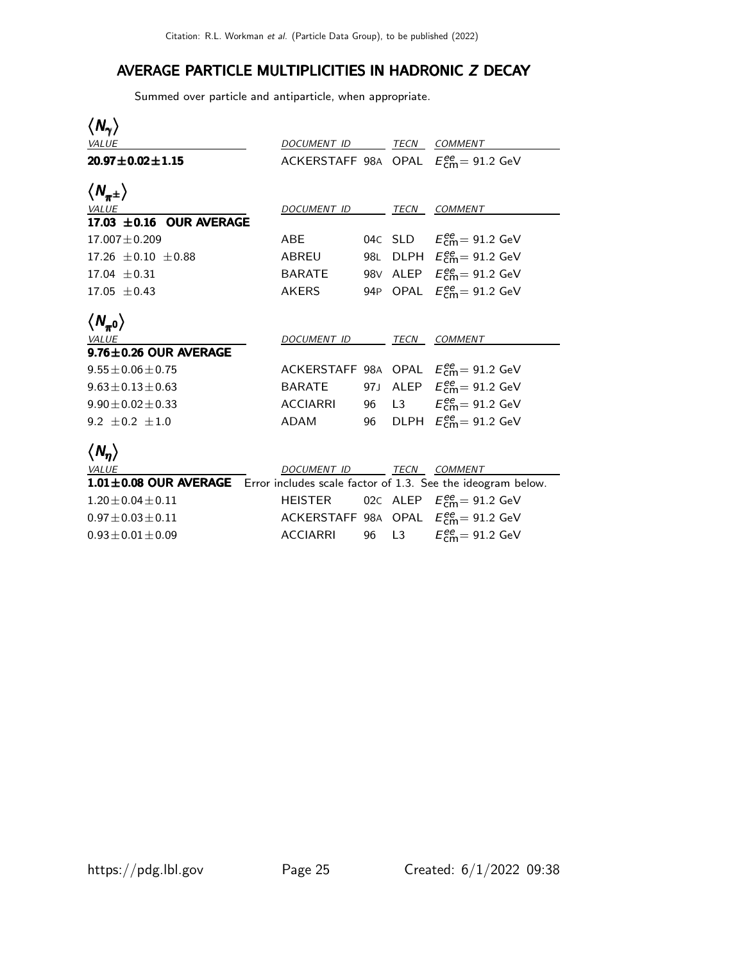## AVERAGE PARTICLE MULTIPLICITIES IN HADRONIC Z DECAY

Summed over particle and antiparticle, when appropriate.

| $\langle N_\gamma\rangle$                                                         |                 |      |             |                                                                    |
|-----------------------------------------------------------------------------------|-----------------|------|-------------|--------------------------------------------------------------------|
| <b>VALUE</b>                                                                      | DOCUMENT ID     |      |             | TECN COMMENT                                                       |
| $20.97 \pm 0.02 \pm 1.15$                                                         |                 |      |             | ACKERSTAFF 98A OPAL $E_{\text{cm}}^{ee}$ = 91.2 GeV                |
| $\langle N_{\pi^{\pm}}\rangle$                                                    |                 |      |             |                                                                    |
| <b>VALUE</b>                                                                      | DOCUMENT ID     |      | <u>TECN</u> | COMMENT                                                            |
| 17.03 $\pm$ 0.16 OUR AVERAGE                                                      |                 |      |             |                                                                    |
| $17.007 \pm 0.209$                                                                | <b>ABE</b>      |      |             | 04C SLD $E_{cm}^{ee} = 91.2$ GeV                                   |
| 17.26 $\pm$ 0.10 $\pm$ 0.88                                                       | ABREU           | 98L  |             | DLPH $E_{cm}^{ee}$ = 91.2 GeV                                      |
| $17.04 + 0.31$                                                                    | <b>BARATE</b>   |      |             | 98V ALEP $E_{\text{cm}}^{\text{ee}} = 91.2 \text{ GeV}$            |
| $17.05 + 0.43$                                                                    | <b>AKERS</b>    |      |             | 94P OPAL $E_{cm}^{ee} = 91.2$ GeV                                  |
| $\langle N_{\pi^0} \rangle$                                                       |                 |      |             |                                                                    |
| <b>VALUE</b>                                                                      | DOCUMENT ID     |      | TECN        | <b>COMMENT</b>                                                     |
| $9.76 \pm 0.26$ OUR AVERAGE                                                       |                 |      |             |                                                                    |
| $9.55 \pm 0.06 \pm 0.75$                                                          |                 |      |             | ACKERSTAFF 98A OPAL $E_{\text{cm}}^{\text{ee}} = 91.2 \text{ GeV}$ |
| $9.63 \pm 0.13 \pm 0.63$                                                          | <b>BARATE</b>   | 97 J |             | ALEP $E_{\text{cm}}^{\text{ee}} = 91.2 \text{ GeV}$                |
| $9.90 \pm 0.02 \pm 0.33$                                                          | <b>ACCIARRI</b> | 96   |             | L3 $E_{\text{cm}}^{\text{ee}} = 91.2 \text{ GeV}$                  |
| 9.2 $\pm$ 0.2 $\pm$ 1.0                                                           | <b>ADAM</b>     | 96   |             | DLPH $E_{\text{cm}}^{\text{ee}} = 91.2 \text{ GeV}$                |
| $\langle N_n \rangle$                                                             |                 |      |             |                                                                    |
| VALUE                                                                             | DOCUMENT ID     |      |             | TECN COMMENT                                                       |
| 1.01±0.08 OUR AVERAGE Error includes scale factor of 1.3. See the ideogram below. |                 |      |             |                                                                    |
| $1.20 \pm 0.04 \pm 0.11$                                                          | <b>HEISTER</b>  |      |             | 02C ALEP $E_{\text{cm}}^{\text{ee}} = 91.2 \text{ GeV}$            |
| $0.97 \pm 0.03 \pm 0.11$                                                          |                 |      |             | ACKERSTAFF 98A OPAL $E_{\text{cm}}^{ee} = 91.2 \text{ GeV}$        |
| $0.93 \pm 0.01 \pm 0.09$                                                          | <b>ACCIARRI</b> | 96   | L3          | $E_{\text{cm}}^{\text{ee}}$ = 91.2 GeV                             |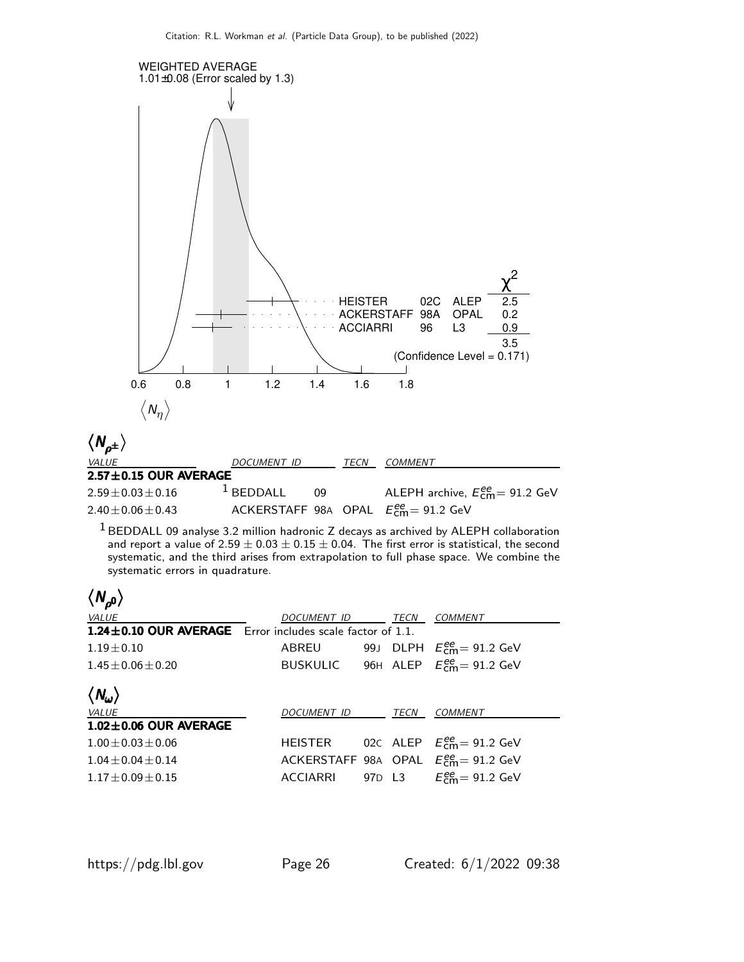

 $1$  BEDDALL 09 analyse 3.2 million hadronic Z decays as archived by ALEPH collaboration and report a value of  $2.59 \pm 0.03 \pm 0.15 \pm 0.04$ . The first error is statistical, the second systematic, and the third arises from extrapolation to full phase space. We combine the systematic errors in quadrature.

| $\langle N_{\rho^0} \rangle$                                |                 |                                |                                                         |
|-------------------------------------------------------------|-----------------|--------------------------------|---------------------------------------------------------|
| VALUE                                                       | DOCUMENT ID     | TECN                           | COMMENT                                                 |
| 1.24 ± 0.10 OUR AVERAGE Error includes scale factor of 1.1. |                 |                                |                                                         |
| $1.19 + 0.10$                                               | ABREU           |                                | 99J DLPH $E_{\text{cm}}^{\text{ee}}$ = 91.2 GeV         |
| $1.45 + 0.06 + 0.20$                                        |                 |                                | BUSKULIC 96H ALEP $E_{cm}^{ee} = 91.2$ GeV              |
| $\langle N_\omega \rangle$                                  |                 |                                |                                                         |
| VALUE                                                       | DOCUMENT ID     | TECN                           | <b>COMMENT</b>                                          |
| $1.02 \pm 0.06$ OUR AVERAGE                                 |                 |                                |                                                         |
| $1.00 + 0.03 + 0.06$                                        | HEISTER         |                                | 02C ALEP $E_{\text{cm}}^{\text{ee}} = 91.2 \text{ GeV}$ |
| $1.04 + 0.04 + 0.14$                                        |                 |                                | ACKERSTAFF 98A OPAL $E_{cm}^{ee} = 91.2$ GeV            |
| $1.17 + 0.09 + 0.15$                                        | <b>ACCIARRI</b> | 97 <sub>D</sub> L <sub>3</sub> | $E_{\text{cm}}^{\text{ee}}$ = 91.2 GeV                  |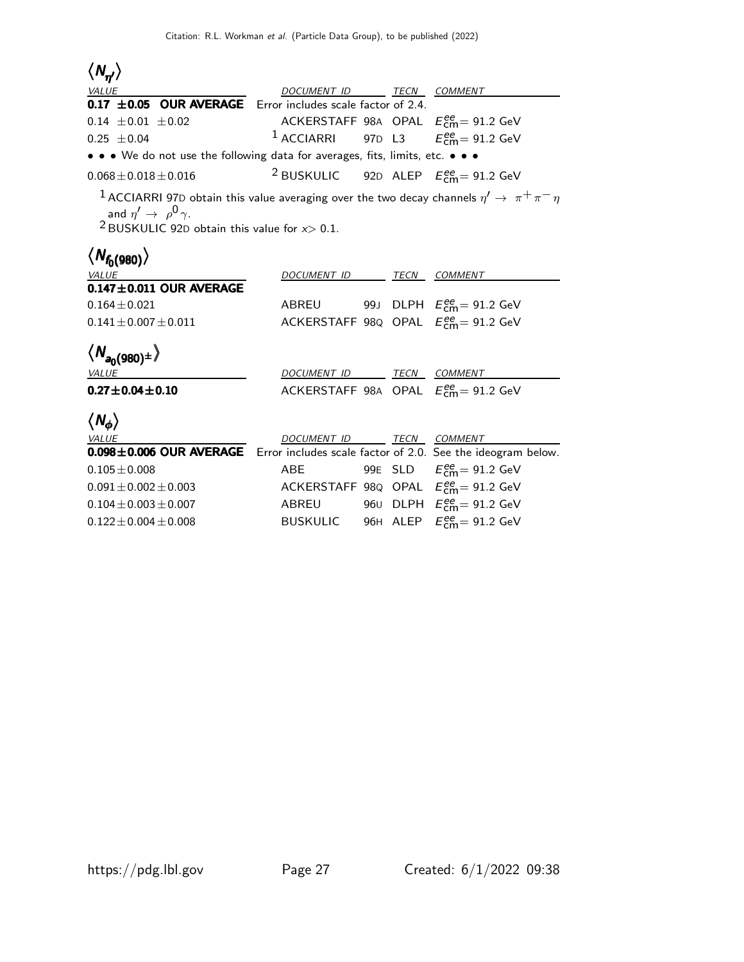| $\langle N_{\eta\prime}\rangle$                                                                                                                                                                                           |                          |      |                                                                |
|---------------------------------------------------------------------------------------------------------------------------------------------------------------------------------------------------------------------------|--------------------------|------|----------------------------------------------------------------|
| <b>VALUE</b>                                                                                                                                                                                                              | DOCUMENT ID TECN COMMENT |      |                                                                |
| 0.17 $\pm$ 0.05 OUR AVERAGE Error includes scale factor of 2.4.                                                                                                                                                           |                          |      |                                                                |
| $0.14 \pm 0.01 \pm 0.02$                                                                                                                                                                                                  |                          |      | ACKERSTAFF 98A OPAL $E_{\text{cm}}^{ee} = 91.2 \text{ GeV}$    |
| $0.25 \pm 0.04$                                                                                                                                                                                                           | $1$ ACCIARRI             |      | 97D L3 $E_{\text{cm}}^{\text{ee}} = 91.2 \text{ GeV}$          |
| • • • We do not use the following data for averages, fits, limits, etc. • • •                                                                                                                                             |                          |      |                                                                |
| $0.068 \pm 0.018 \pm 0.016$                                                                                                                                                                                               |                          |      | <sup>2</sup> BUSKULIC 92D ALEP $E_{\text{cm}}^{ee}$ = 91.2 GeV |
| $^{-1}$ ACCIARRI 97D obtain this value averaging over the two decay channels $\eta' \rightarrow~\pi^+\pi^-\eta$<br>and $\eta' \rightarrow \rho^0 \gamma$ .<br><sup>2</sup> BUSKULIC 92D obtain this value for $x > 0.1$ . |                          |      |                                                                |
| $\langle N_{f_0(980)} \rangle$                                                                                                                                                                                            |                          |      |                                                                |
| <b>VALUE</b>                                                                                                                                                                                                              | DOCUMENT ID              | TECN | <b>COMMENT</b>                                                 |
| $0.147 \pm 0.011$ OUR AVERAGE                                                                                                                                                                                             |                          |      |                                                                |
| $0.164 \pm 0.021$                                                                                                                                                                                                         | ABREU                    |      | 99J DLPH $E_{\text{cm}}^{\text{ee}} = 91.2 \text{ GeV}$        |
| $0.141 \pm 0.007 \pm 0.011$                                                                                                                                                                                               |                          |      | ACKERSTAFF 98Q OPAL $E_{\text{cm}}^{ee} = 91.2 \text{ GeV}$    |
| $\langle N_{a_0(980)^\pm} \rangle$                                                                                                                                                                                        |                          |      |                                                                |
| <b>VALUE</b>                                                                                                                                                                                                              | DOCUMENT ID TECN COMMENT |      |                                                                |
| $0.27 \pm 0.04 \pm 0.10$                                                                                                                                                                                                  |                          |      | ACKERSTAFF 98A OPAL $E_{cm}^{ee} = 91.2$ GeV                   |
| $\langle N_{\phi} \rangle$                                                                                                                                                                                                |                          |      |                                                                |
| <b>VALUE</b><br>$0.098 \pm 0.006$ OUR AVERAGE                                                                                                                                                                             | DOCUMENT ID              | TECN | COMMENT                                                        |
|                                                                                                                                                                                                                           |                          |      | Error includes scale factor of 2.0. See the ideogram below.    |
| $0.105 \pm 0.008$                                                                                                                                                                                                         | <b>ABE</b>               |      | 99E SLD $E_{\text{cm}}^{ee} = 91.2 \text{ GeV}$                |
| $0.091 \pm 0.002 \pm 0.003$                                                                                                                                                                                               |                          |      | ACKERSTAFF 98Q OPAL $E_{\text{cm}}^{ee} = 91.2 \text{ GeV}$    |
| $0.104 \pm 0.003 \pm 0.007$                                                                                                                                                                                               | <b>ABREU</b>             |      | 960 DLPH $E_{\text{cm}}^{\text{ee}} = 91.2 \text{ GeV}$        |
| $0.122 \pm 0.004 \pm 0.008$                                                                                                                                                                                               | <b>BUSKULIC</b>          |      | 96H ALEP $E_{\text{cm}}^{ee} = 91.2 \text{ GeV}$               |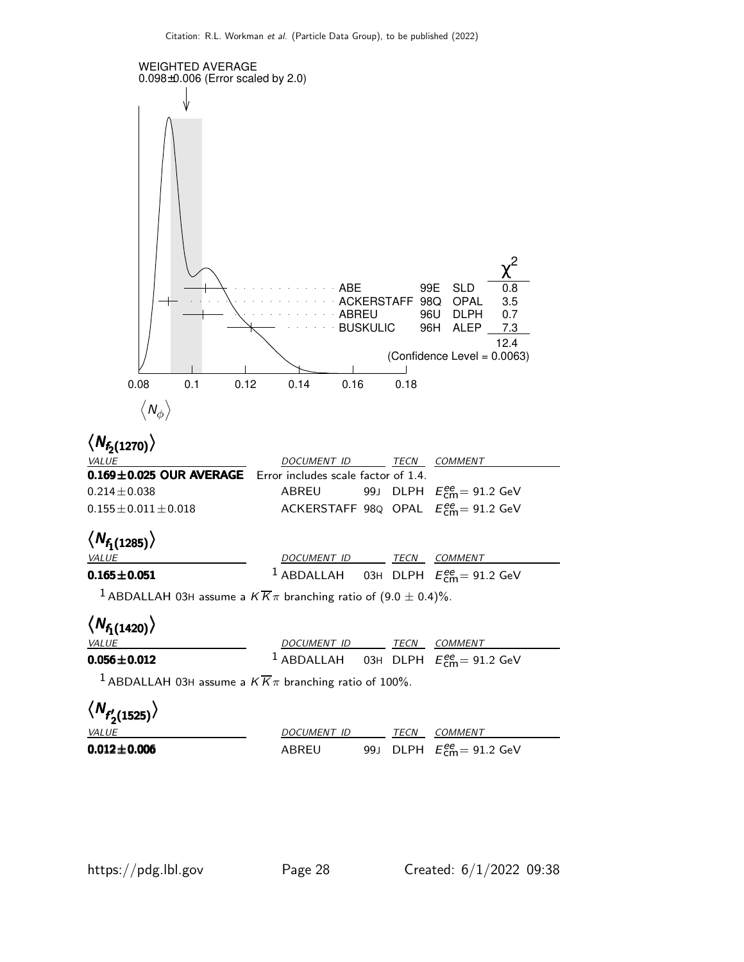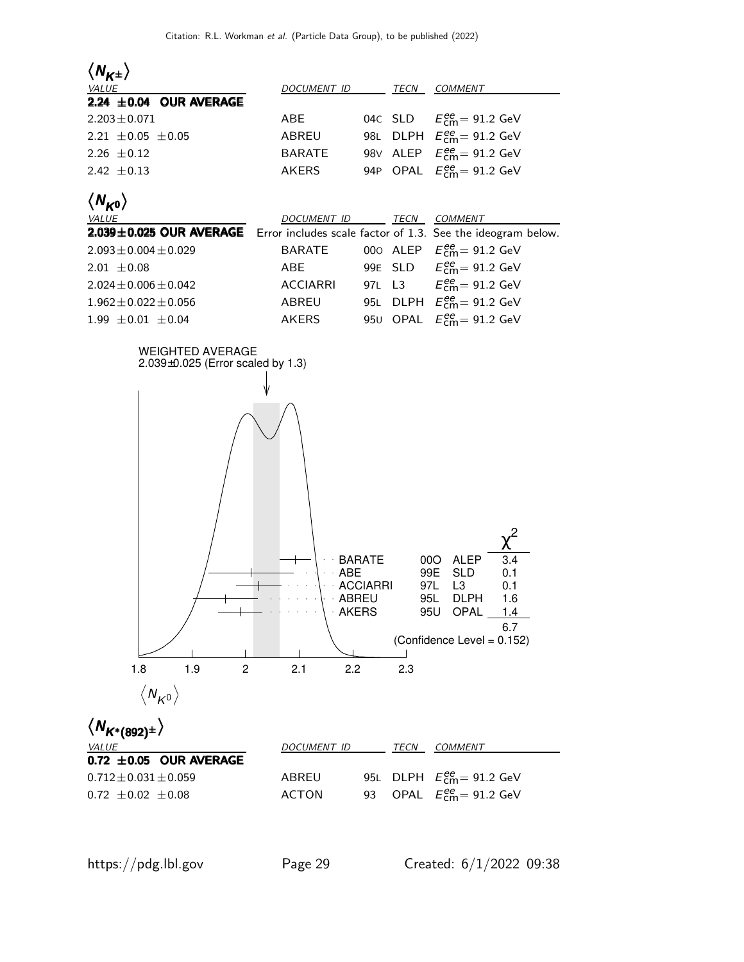



| VALUE                           | DOCUMENT ID | TECN | <i>COMMENT</i>                    |
|---------------------------------|-------------|------|-----------------------------------|
| $0.72 \pm 0.05$ OUR AVERAGE     |             |      |                                   |
| $0.712\!\pm\!0.031\!\pm\!0.059$ | ABREU       |      | 95L DLPH $E_{cm}^{ee} = 91.2$ GeV |
| $0.72 + 0.02 + 0.08$            | ACTON       |      | 93 OPAL $E_{cm}^{ee}$ = 91.2 GeV  |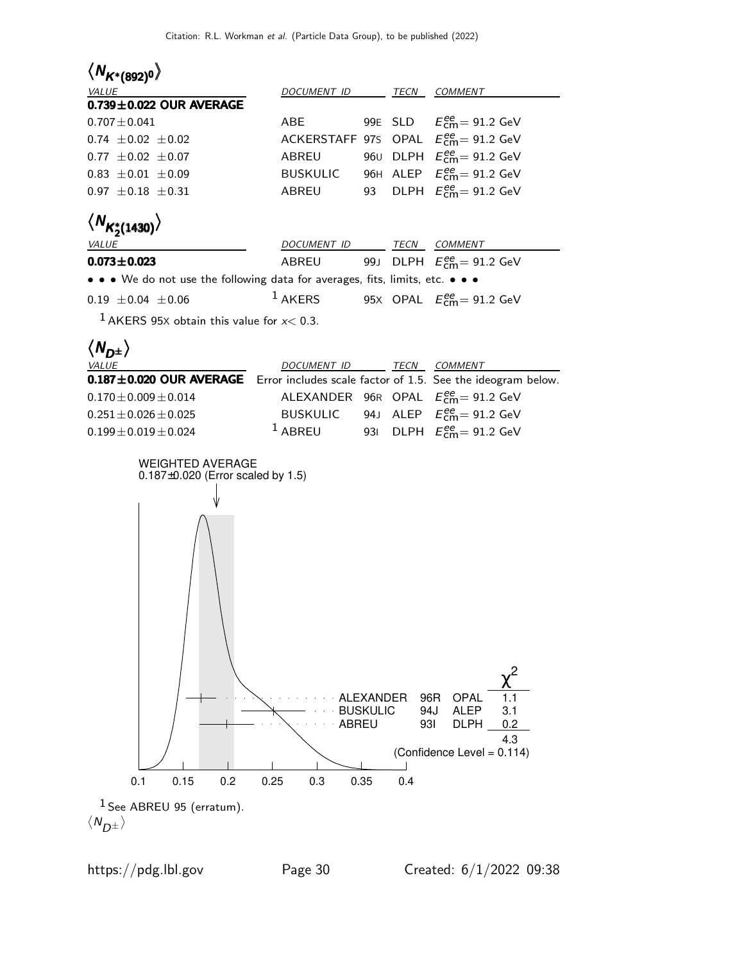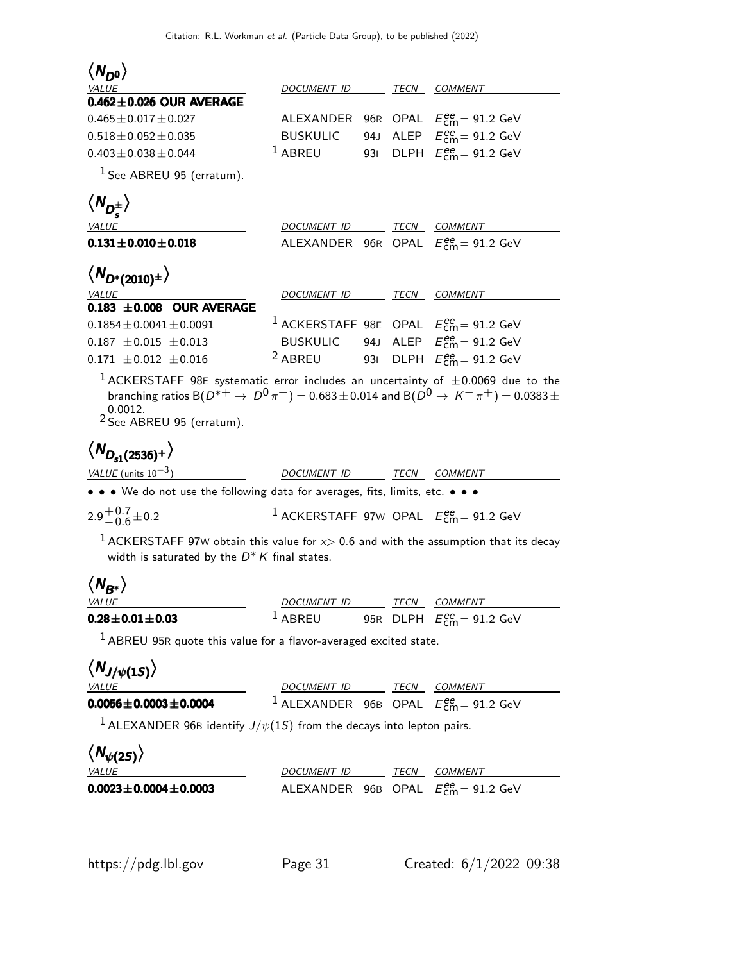| $\langle N_{D^0} \rangle$                                                                                                                                                                                                                                                                                              |                          |      |                                                                     |
|------------------------------------------------------------------------------------------------------------------------------------------------------------------------------------------------------------------------------------------------------------------------------------------------------------------------|--------------------------|------|---------------------------------------------------------------------|
| <i>VALUE</i><br>$0.462 \pm 0.026$ OUR AVERAGE                                                                                                                                                                                                                                                                          | DOCUMENT ID              |      | TECN COMMENT                                                        |
| $0.465 \pm 0.017 \pm 0.027$                                                                                                                                                                                                                                                                                            | ALEXANDER                |      | 96R OPAL $E_{\text{cm}}^{ee} = 91.2 \text{ GeV}$                    |
| $0.518 \pm 0.052 \pm 0.035$                                                                                                                                                                                                                                                                                            | <b>BUSKULIC</b>          | 94 J | ALEP $E_{\text{cm}}^{\text{ee}} = 91.2 \text{ GeV}$                 |
| $0.403 \pm 0.038 \pm 0.044$                                                                                                                                                                                                                                                                                            | <sup>1</sup> ABREU       | 931  | DLPH $E_{\text{cm}}^{ee} = 91.2 \text{ GeV}$                        |
| $1$ See ABREU 95 (erratum).                                                                                                                                                                                                                                                                                            |                          |      |                                                                     |
| $\langle N_{D_z^{\pm}}\rangle$                                                                                                                                                                                                                                                                                         |                          |      |                                                                     |
| VALUE                                                                                                                                                                                                                                                                                                                  | DOCUMENT ID TECN COMMENT |      |                                                                     |
| $0.131 \pm 0.010 \pm 0.018$                                                                                                                                                                                                                                                                                            |                          |      | ALEXANDER 96R OPAL $E_{\text{cm}}^{ee} = 91.2 \text{ GeV}$          |
| $\langle N_{D^*(2010)^{\pm}} \rangle$                                                                                                                                                                                                                                                                                  |                          |      |                                                                     |
| <i>VALUE</i><br>$0.183 \pm 0.008$ OUR AVERAGE                                                                                                                                                                                                                                                                          | DOCUMENT ID TECN         |      | <i>COMMENT</i>                                                      |
| $0.1854 \pm 0.0041 \pm 0.0091$                                                                                                                                                                                                                                                                                         |                          |      | <sup>1</sup> ACKERSTAFF 98E OPAL $E_{cm}^{ee}$ = 91.2 GeV           |
| $0.187 \pm 0.015 \pm 0.013$                                                                                                                                                                                                                                                                                            | BUSKULIC                 |      | 94J ALEP $E_{cm}^{ee} = 91.2$ GeV                                   |
| $0.171 \pm 0.012 \pm 0.016$                                                                                                                                                                                                                                                                                            | <sup>2</sup> ABREU       |      | 931 DLPH $E_{\text{cm}}^{ee}$ = 91.2 GeV                            |
| branching ratios B( $D^{*+} \to D^0 \pi^+$ ) = 0.683 ± 0.014 and B( $D^0 \to K^- \pi^+$ ) = 0.0383 ±                                                                                                                                                                                                                   |                          |      |                                                                     |
| 0.0012.<br><sup>2</sup> See ABREU 95 (erratum).                                                                                                                                                                                                                                                                        |                          |      |                                                                     |
|                                                                                                                                                                                                                                                                                                                        |                          |      |                                                                     |
|                                                                                                                                                                                                                                                                                                                        | DOCUMENT ID TECN COMMENT |      |                                                                     |
|                                                                                                                                                                                                                                                                                                                        |                          |      |                                                                     |
|                                                                                                                                                                                                                                                                                                                        |                          |      | <sup>1</sup> ACKERSTAFF 97W OPAL $E_{\text{cm}}^{ee}$ = 91.2 GeV    |
| <sup>1</sup> ACKERSTAFF 97W obtain this value for $x>0.6$ and with the assumption that its decay<br>width is saturated by the $D^* K$ final states.                                                                                                                                                                    |                          |      |                                                                     |
|                                                                                                                                                                                                                                                                                                                        |                          |      |                                                                     |
|                                                                                                                                                                                                                                                                                                                        | DOCUMENT ID TECN COMMENT |      |                                                                     |
|                                                                                                                                                                                                                                                                                                                        |                          |      | <sup>1</sup> ABREU 95R DLPH $E_{\text{cm}}^{ee} = 91.2 \text{ GeV}$ |
| $\langle N_{D_{s1}(2536)^+} \rangle$<br>VALUE (units $10^{-3}$ )<br>• • • We do not use the following data for averages, fits, limits, etc. • • •<br>$2.9^{+0.7}_{-0.6}$ ± 0.2<br>$\langle N_{B^*}\rangle$<br>VALUE<br>$0.28 \pm 0.01 \pm 0.03$<br>$1$ ABREU 95R quote this value for a flavor-averaged excited state. |                          |      |                                                                     |
|                                                                                                                                                                                                                                                                                                                        |                          |      |                                                                     |
|                                                                                                                                                                                                                                                                                                                        |                          |      | DOCUMENT ID _______ TECN COMMENT                                    |
|                                                                                                                                                                                                                                                                                                                        |                          |      | <sup>1</sup> ALEXANDER 96B OPAL $E_{\text{cm}}^{ee}$ = 91.2 GeV     |
| <sup>1</sup> ALEXANDER 96B identify $J/\psi(1S)$ from the decays into lepton pairs.                                                                                                                                                                                                                                    |                          |      |                                                                     |
| $\langle N_{J/\psi(1S)}\rangle$<br><b>VALUE</b><br>$0.0056 \pm 0.0003 \pm 0.0004$<br>$\langle N_{\psi(25)} \rangle$<br><i>VALUE</i>                                                                                                                                                                                    | DOCUMENT ID TECN COMMENT |      |                                                                     |

https://pdg.lbl.gov Page 31 Created: 6/1/2022 09:38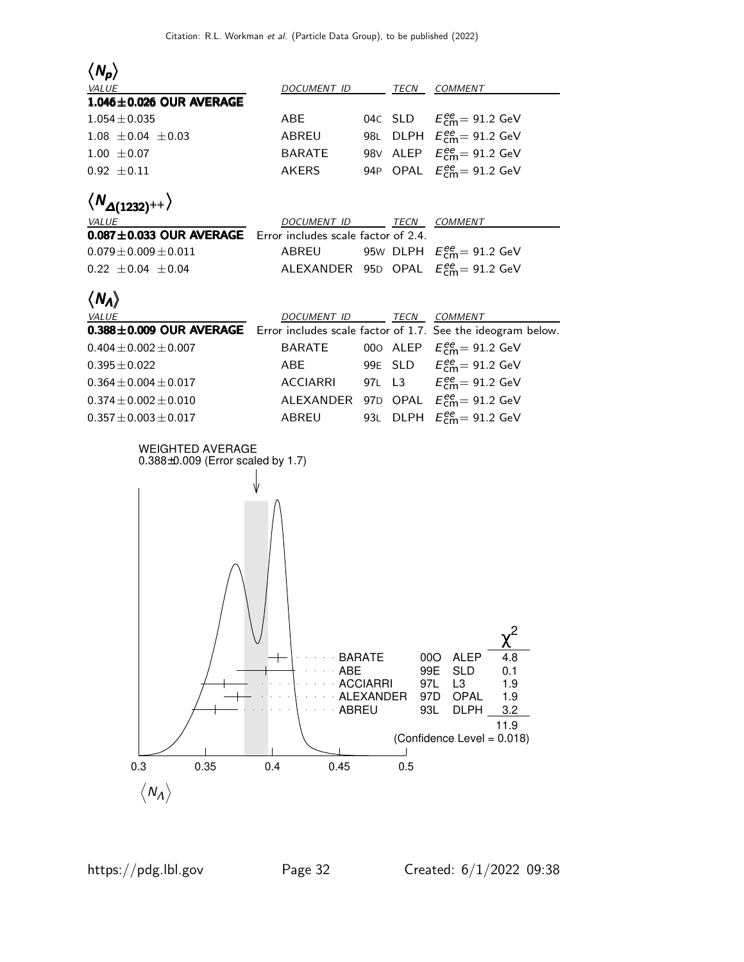| $\langle N_p \rangle$                                                               |                                     |                                               |                                        |                                                                                                                                                    |
|-------------------------------------------------------------------------------------|-------------------------------------|-----------------------------------------------|----------------------------------------|----------------------------------------------------------------------------------------------------------------------------------------------------|
| <i>VALUE</i>                                                                        | DOCUMENT ID                         |                                               | TECN                                   | <b>COMMENT</b>                                                                                                                                     |
| 1.046±0.026 OUR AVERAGE                                                             |                                     |                                               |                                        |                                                                                                                                                    |
| $1.054 \pm 0.035$                                                                   | <b>ABE</b>                          |                                               |                                        | 04c SLD $E_{\text{cm}}^{ee} = 91.2 \text{ GeV}$                                                                                                    |
| $1.08 \pm 0.04 \pm 0.03$                                                            | ABREU                               | 98L                                           |                                        | DLPH $E_{\text{cm}}^{\text{ee}} = 91.2 \text{ GeV}$                                                                                                |
| $1.00 \pm 0.07$                                                                     | <b>BARATE</b>                       |                                               |                                        | 98V ALEP $E_{\text{cm}}^{ee} = 91.2 \text{ GeV}$                                                                                                   |
| $0.92 \pm 0.11$                                                                     | <b>AKERS</b>                        |                                               |                                        | 94P OPAL $E_{\text{cm}}^{ee} = 91.2 \text{ GeV}$                                                                                                   |
| $\langle N_{\Delta(1232)^{++}}\rangle$<br><i>VALUE</i>                              | DOCUMENT ID TECN COMMENT            |                                               |                                        |                                                                                                                                                    |
| $0.087 \pm 0.033$ OUR AVERAGE                                                       | Error includes scale factor of 2.4. |                                               |                                        |                                                                                                                                                    |
| $0.079 \pm 0.009 \pm 0.011$                                                         | ABREU                               |                                               |                                        | 95W DLPH $E_{\text{cm}}^{ee}$ = 91.2 GeV                                                                                                           |
| $0.22 \pm 0.04 \pm 0.04$                                                            |                                     |                                               |                                        | ALEXANDER 95D OPAL $E_{\text{cm}}^{ee}$ = 91.2 GeV                                                                                                 |
| $\langle N_A \rangle$                                                               |                                     |                                               |                                        |                                                                                                                                                    |
| <i>VALUE</i>                                                                        | DOCUMENT ID TECN COMMENT            |                                               |                                        |                                                                                                                                                    |
| 0.388±0.009 OUR AVERAGE Error includes scale factor of 1.7. See the ideogram below. |                                     |                                               |                                        |                                                                                                                                                    |
| $0.404 \pm 0.002 \pm 0.007$                                                         | <b>BARATE</b>                       |                                               |                                        | 000 ALEP $E_{\text{cm}}^{\text{ee}} = 91.2 \text{ GeV}$                                                                                            |
| $0.395 \pm 0.022$                                                                   | ABE                                 |                                               |                                        | 99E SLD $E_{\text{cm}}^{ee} = 91.2 \text{ GeV}$                                                                                                    |
| $0.364 \pm 0.004 \pm 0.017$                                                         | <b>ACCIARRI</b>                     |                                               |                                        | 97L L3 $E_{\text{cm}}^{ee} = 91.2 \text{ GeV}$                                                                                                     |
| $0.374 \pm 0.002 \pm 0.010$                                                         |                                     |                                               |                                        | ALEXANDER 97D OPAL $E_{\text{cm}}^{ee} = 91.2 \text{ GeV}$                                                                                         |
| $0.357 \pm 0.003 \pm 0.017$                                                         | ABREU                               |                                               |                                        | 93L DLPH $E_{\text{cm}}^{ee}$ = 91.2 GeV                                                                                                           |
| <b>WEIGHTED AVERAGE</b><br>$0.388\pm0.009$ (Error scaled by 1.7)<br>0.3<br>0.35     | ABE<br>ABREU<br>0.4<br>0.45         | <b>BARATE</b><br><b>ACCIARRI</b><br>ALEXANDER | 000<br>99E<br>97L<br>97D<br>93L<br>0.5 | <b>ALEP</b><br>4.8<br><b>SLD</b><br>0.1<br>L <sub>3</sub><br>1.9<br><b>OPAL</b><br>1.9<br><b>DLPH</b><br>3.2<br>11.9<br>(Confidence Level = 0.018) |
| $\langle N_A \rangle$                                                               |                                     |                                               |                                        |                                                                                                                                                    |
|                                                                                     |                                     |                                               |                                        |                                                                                                                                                    |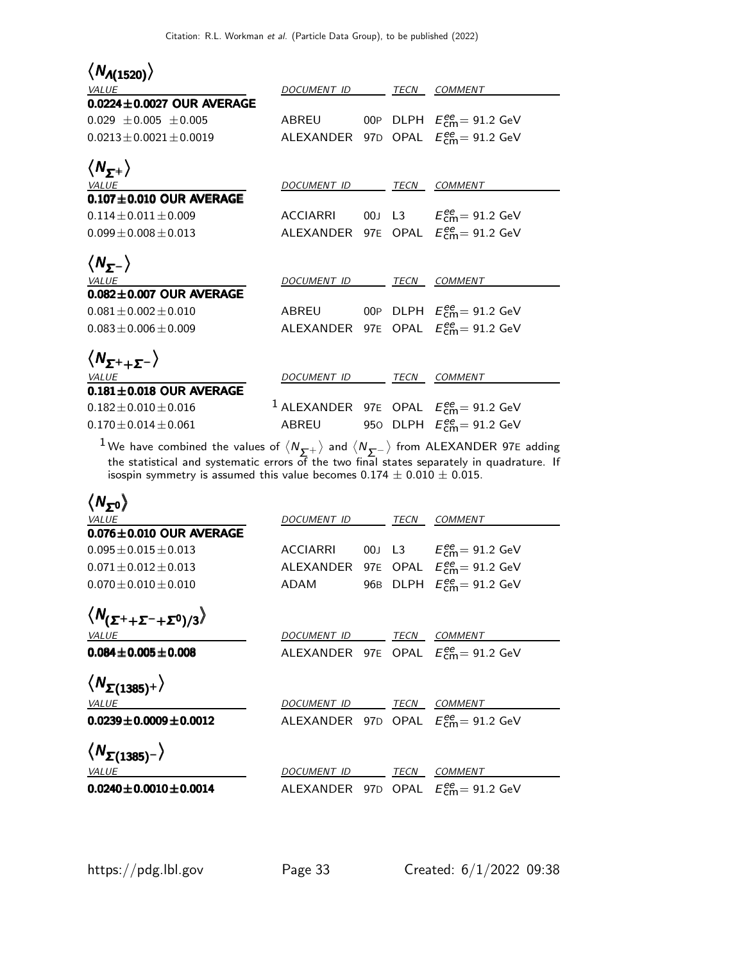| $\langle N_{A(1520)} \rangle$                       |                          |             |                                                                   |
|-----------------------------------------------------|--------------------------|-------------|-------------------------------------------------------------------|
| <b>VALUE</b>                                        | <i>DOCUMENT ID</i>       | TECN        | COMMENT                                                           |
| $0.0224 \pm 0.0027$ OUR AVERAGE                     |                          |             |                                                                   |
| $0.029 \pm 0.005 \pm 0.005$                         | ABREU                    |             | 00P DLPH $E_{\text{cm}}^{\text{ee}} = 91.2 \text{ GeV}$           |
| $0.0213 + 0.0021 + 0.0019$                          |                          |             | ALEXANDER 97D OPAL $E_{\text{cm}}^{ee} = 91.2 \text{ GeV}$        |
| $\langle N_{\mathcal{F}^+} \rangle$                 |                          |             |                                                                   |
| VALUE                                               | DOCUMENT ID              | <b>TECN</b> | COMMENT                                                           |
| $0.107 \pm 0.010$ OUR AVERAGE                       |                          |             |                                                                   |
| $0.114 + 0.011 + 0.009$                             | ACCIARRI                 |             | 00J L3 $E_{\text{cm}}^{ee} = 91.2 \text{ GeV}$                    |
| $0.099 + 0.008 + 0.013$                             |                          |             | ALEXANDER 97E OPAL $E_{\text{cm}}^{\text{ee}} = 91.2 \text{ GeV}$ |
| $\langle N_{\mathbf{y}^-} \rangle$                  |                          |             |                                                                   |
| <b>VALUE</b>                                        | DOCUMENT ID              | TECN        | <b>COMMENT</b>                                                    |
| $0.082 \pm 0.007$ OUR AVERAGE                       |                          |             |                                                                   |
| $0.081 \pm 0.002 \pm 0.010$                         | ABREU                    |             | 00P DLPH $E_{\text{cm}}^{ee} = 91.2 \text{ GeV}$                  |
| $0.083 + 0.006 + 0.009$                             |                          |             | ALEXANDER 97E OPAL $E_{\text{cm}}^{ee} = 91.2 \text{ GeV}$        |
| $\langle N_{\mathcal{F}^+ + \mathcal{F}^-} \rangle$ |                          |             |                                                                   |
| VALUE                                               | DOCUMENT ID TECN COMMENT |             |                                                                   |
| $0.181 \pm 0.018$ OUR AVERAGE                       |                          |             |                                                                   |
| $0.182 \pm 0.010 \pm 0.016$                         |                          |             | <sup>1</sup> ALEXANDER 97E OPAL $E_{\text{cm}}^{ee}$ = 91.2 GeV   |
| $0.170 + 0.014 + 0.061$                             | ABREU                    |             | 950 DLPH $E_{\text{cm}}^{\text{ee}} = 91.2 \text{ GeV}$           |

 $1$  We have combined the values of  $\langle N_{\Sigma^+}\rangle$  and  $\langle N_{\Sigma^-}\rangle$  from ALEXANDER 97E adding the statistical and systematic errors of the two final states separately in quadrature. If isospin symmetry is assumed this value becomes  $0.174\pm0.010\pm0.015.$ 

| $\langle N_{50} \rangle$                                 |                    |     |      |                                                            |
|----------------------------------------------------------|--------------------|-----|------|------------------------------------------------------------|
| <b>VALUE</b>                                             | DOCUMENT ID        |     | TECN | <b>COMMENT</b>                                             |
| $0.076 \pm 0.010$ OUR AVERAGE                            |                    |     |      |                                                            |
| $0.095 + 0.015 + 0.013$                                  | <b>ACCIARRI</b>    |     |      | 00J L3 $E_{cm}^{ee} = 91.2$ GeV                            |
| $0.071 + 0.012 + 0.013$                                  | ALEXANDER          |     |      | 97E OPAL $E_{cm}^{ee} = 91.2$ GeV                          |
| $0.070 \pm 0.010 \pm 0.010$                              | ADAM               | 96B |      | DLPH $E_{\text{cm}}^{\text{ee}} = 91.2 \text{ GeV}$        |
| $\langle N_{(\Sigma^+ + \Sigma^- + \Sigma^0)/3} \rangle$ |                    |     |      |                                                            |
| <b>VALUE</b>                                             | <i>DOCUMENT ID</i> |     | TECN | <b>COMMENT</b>                                             |
| $0.084 \pm 0.005 \pm 0.008$                              |                    |     |      | ALEXANDER 97E OPAL $E_{\text{cm}}^{ee} = 91.2 \text{ GeV}$ |
| $\langle N_{\Sigma(1385)^+} \rangle$                     |                    |     |      |                                                            |
| <b>VALUE</b>                                             | DOCUMENT ID        |     | TECN | <i>COMMENT</i>                                             |
| $0.0239 \pm 0.0009 \pm 0.0012$                           |                    |     |      | ALEXANDER 97D OPAL $E_{cm}^{ee} = 91.2$ GeV                |
| $\langle N_{\Sigma(1385)^{-}}\rangle$                    |                    |     |      |                                                            |
| <b>VALUE</b>                                             | <i>DOCUMENT ID</i> |     | TECN | <b>COMMENT</b>                                             |
| $0.0240 \pm 0.0010 \pm 0.0014$                           | ALEXANDER          |     |      | 97D OPAL $E_{\text{cm}}^{\text{ee}} = 91.2 \text{ GeV}$    |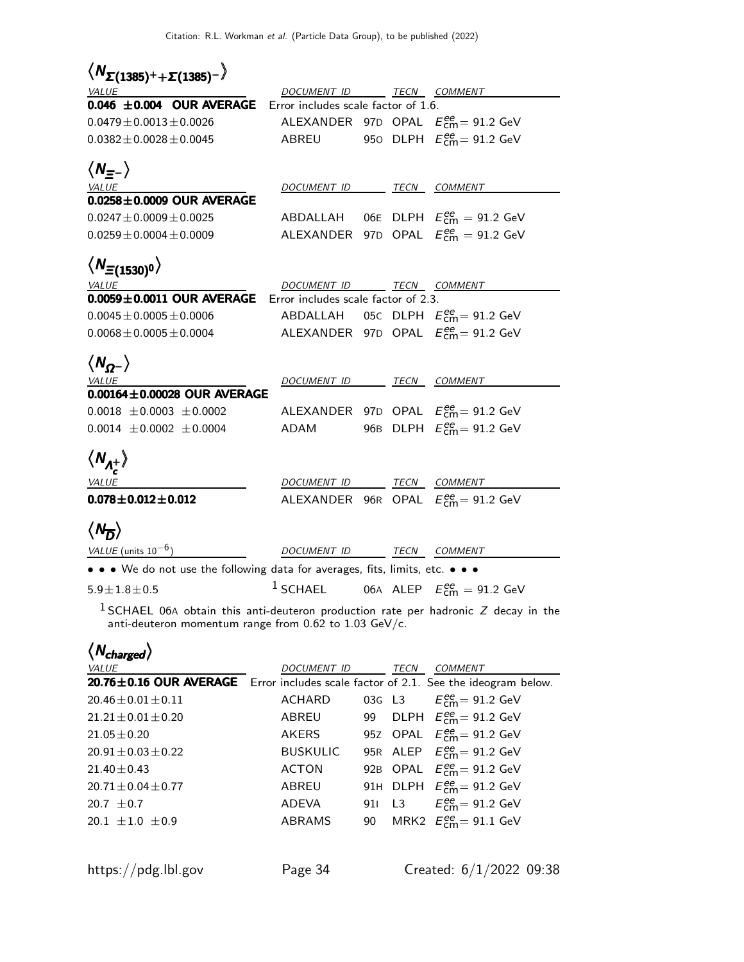| $\langle N_{\Sigma(1385)^++\Sigma(1385)^-}\rangle$                                    |                                     |  |                                                                      |
|---------------------------------------------------------------------------------------|-------------------------------------|--|----------------------------------------------------------------------|
|                                                                                       | DOCUMENT ID TECN COMMENT            |  |                                                                      |
| $\frac{VALUE}{0.046}$ $\pm 0.004$ OUR AVERAGE                                         | Error includes scale factor of 1.6. |  |                                                                      |
| $0.0479 \pm 0.0013 \pm 0.0026$                                                        |                                     |  | ALEXANDER 97D OPAL $E_{\text{cm}}^{ee} = 91.2 \text{ GeV}$           |
| $0.0382 \pm 0.0028 \pm 0.0045$                                                        |                                     |  | ABREU 950 DLPH $E_{\text{cm}}^{ee} = 91.2 \text{ GeV}$               |
| $\langle N_{\equiv -} \rangle$                                                        |                                     |  |                                                                      |
| VALUE                                                                                 | DOCUMENT ID TECN COMMENT            |  |                                                                      |
| 0.0258±0.0009 OUR AVERAGE                                                             |                                     |  |                                                                      |
| $0.0247 \pm 0.0009 \pm 0.0025$                                                        |                                     |  | ABDALLAH 06E DLPH $E_{\text{cm}}^{\text{ee}} = 91.2 \text{ GeV}$     |
| $0.0259 \pm 0.0004 \pm 0.0009$                                                        |                                     |  | ALEXANDER 97D OPAL $E_{\text{cm}}^{ee} = 91.2 \text{ GeV}$           |
|                                                                                       |                                     |  |                                                                      |
| $\langle N_{\Xi(1530)^0} \rangle$                                                     |                                     |  |                                                                      |
| <i>VALUE</i>                                                                          | DOCUMENT ID TECN COMMENT            |  |                                                                      |
| $0.0059 \pm 0.0011$ OUR AVERAGE                                                       | Error includes scale factor of 2.3. |  |                                                                      |
| $0.0045 \pm 0.0005 \pm 0.0006$                                                        |                                     |  | ABDALLAH 05C DLPH $E_{\text{cm}}^{\text{ee}} = 91.2 \text{ GeV}$     |
| $0.0068 \pm 0.0005 \pm 0.0004$                                                        |                                     |  | ALEXANDER 97D OPAL $E_{\text{cm}}^{ee}$ = 91.2 GeV                   |
| $\langle N_{Q^{-}}\rangle$                                                            |                                     |  |                                                                      |
| <b>VALUE</b>                                                                          | DOCUMENT ID TECN COMMENT            |  |                                                                      |
| $0.00164 \pm 0.00028$ OUR AVERAGE                                                     |                                     |  |                                                                      |
| $0.0018 \pm 0.0003 \pm 0.0002$                                                        |                                     |  | ALEXANDER 97D OPAL $E_{\text{cm}}^{ee}$ = 91.2 GeV                   |
| $0.0014 \pm 0.0002 \pm 0.0004$                                                        |                                     |  | ADAM 96B DLPH $E_{\text{cm}}^{ee} = 91.2 \text{ GeV}$                |
|                                                                                       |                                     |  |                                                                      |
| $\langle N_{\Lambda_{-}^{+}}\rangle$                                                  |                                     |  |                                                                      |
| <b>VALUE</b>                                                                          | DOCUMENT ID TECN COMMENT            |  |                                                                      |
| $0.078 \pm 0.012 \pm 0.012$                                                           |                                     |  | ALEXANDER 96R OPAL $E_{cm}^{ee} = 91.2$ GeV                          |
| $\langle N_{\overline{D}}\rangle$                                                     |                                     |  |                                                                      |
|                                                                                       |                                     |  |                                                                      |
| $VALUE$ (units $10^{-6}$ )                                                            | DOCUMENT ID TECN COMMENT            |  |                                                                      |
| • • • We do not use the following data for averages, fits, limits, etc. • • •         |                                     |  |                                                                      |
| $5.9 \pm 1.8 \pm 0.5$                                                                 |                                     |  | <sup>1</sup> SCHAEL 06A ALEP $E_{\text{cm}}^{ee} = 91.2 \text{ GeV}$ |
| $^1$ SCHAEL 06A obtain this anti-deuteron production rate per hadronic Z decay in the |                                     |  |                                                                      |

anti-deuteron momentum range from 0.62 to 1.03 GeV/c.

| $\langle N_{charged} \rangle$                                                      |                 |      |                                                         |
|------------------------------------------------------------------------------------|-----------------|------|---------------------------------------------------------|
| VALUE                                                                              | DOCUMENT ID     | TECN | COMMENT                                                 |
| 20.76±0.16 OUR AVERAGE Error includes scale factor of 2.1. See the ideogram below. |                 |      |                                                         |
| $20.46 \pm 0.01 \pm 0.11$                                                          | ACHARD          |      | 03G L3 $E_{cm}^{ee} = 91.2$ GeV                         |
| $21.21 + 0.01 + 0.20$                                                              | ABREU           |      | 99 DLPH $E_{\text{cm}}^{ee}$ = 91.2 GeV                 |
| $21.05 \pm 0.20$                                                                   | <b>AKERS</b>    |      | 95Z OPAL $E_{cm}^{ee} = 91.2$ GeV                       |
| $20.91 + 0.03 + 0.22$                                                              | <b>BUSKULIC</b> |      | 95R ALEP $E_{\text{cm}}^{\text{ee}} = 91.2 \text{ GeV}$ |
| $21.40 + 0.43$                                                                     | <b>ACTON</b>    |      | 92B OPAL $E_{\text{cm}}^{ee} = 91.2 \text{ GeV}$        |
| $20.71 + 0.04 + 0.77$                                                              | ABREU           |      | 91H DLPH $E_{\text{cm}}^{\text{ee}} = 91.2 \text{ GeV}$ |
| $20.7 + 0.7$                                                                       | ADEVA           |      | 91 L3 $E_{cm}^{ee} = 91.2$ GeV                          |
| $20.1 + 1.0 + 0.9$                                                                 | <b>ABRAMS</b>   |      | 90 MRK2 $E_{\text{cm}}^{ee} = 91.1 \text{ GeV}$         |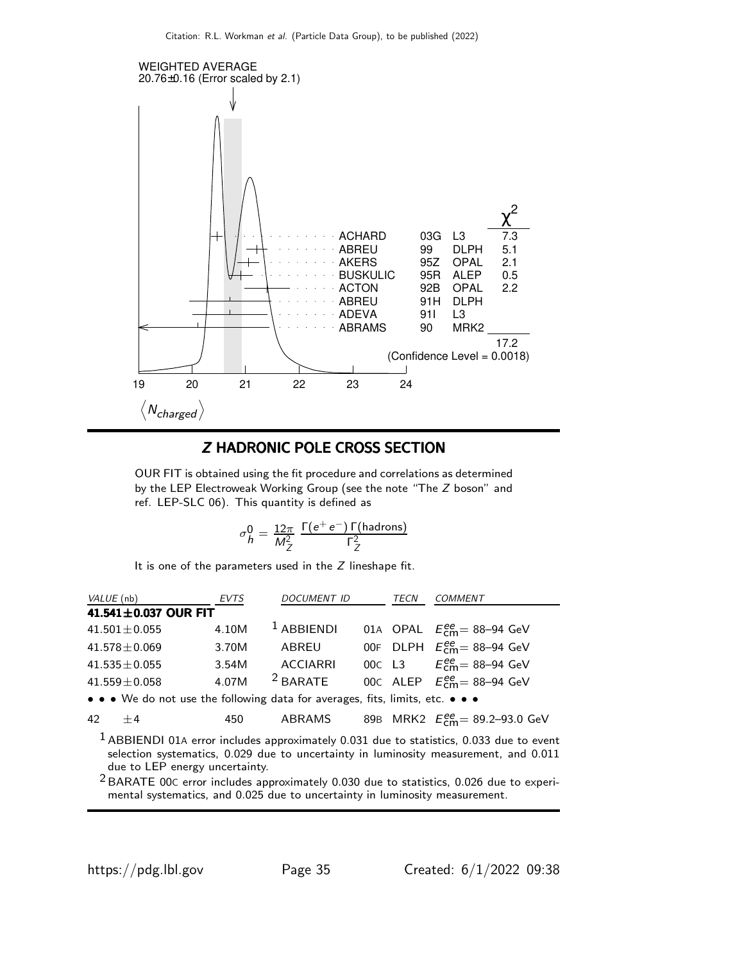

### Z HADRONIC POLE CROSS SECTION

OUR FIT is obtained using the fit procedure and correlations as determined by the LEP Electroweak Working Group (see the note "The Z boson" and ref. LEP-SLC 06). This quantity is defined as

$$
\sigma_h^0 = \frac{12\pi}{M_Z^2} \; \frac{\Gamma(e^+e^-) \, \Gamma(\text{hadrons})}{\Gamma_Z^2}
$$

It is one of the parameters used in the  $Z$  lineshape fit.

| VALUE (nb) |                                                                               | <b>EVTS</b> | <b>DOCUMENT ID</b> | TECN | <b>COMMENT</b>                                                                            |
|------------|-------------------------------------------------------------------------------|-------------|--------------------|------|-------------------------------------------------------------------------------------------|
|            | 41.541±0.037 OUR FIT                                                          |             |                    |      |                                                                                           |
|            | $41.501 \pm 0.055$                                                            | 4.10M       | $1$ ABBIENDI       |      | 01A OPAL $E_{\text{cm}}^{ee}$ = 88-94 GeV                                                 |
|            | $41.578 \pm 0.069$                                                            | 3.70M       | ABREU              |      | 00F DLPH $E_{cm}^{ee}$ = 88-94 GeV                                                        |
|            | $41.535 \pm 0.055$                                                            | 3.54M       | <b>ACCIARRI</b>    |      | 00c L3 $E_{cm}^{ee} = 88 - 94$ GeV                                                        |
|            | $41.559 \pm 0.058$                                                            | 4.07M       | $2$ BARATE         |      | 00C ALEP $E_{cm}^{ee}$ = 88-94 GeV                                                        |
|            | • • • We do not use the following data for averages, fits, limits, etc. • • • |             |                    |      |                                                                                           |
| $42 + 4$   |                                                                               | 450         | ABRAMS             |      | 89B MRK2 $E_{\text{cm}}^{\text{ee}} = 89.2 - 93.0 \text{ GeV}$                            |
|            |                                                                               |             |                    |      | $1$ ABBIENDI 01A error includes approximately 0.031 due to statistics, 0.033 due to event |

selection systematics, 0.029 due to uncertainty in luminosity measurement, and 0.011 due to LEP energy uncertainty.

2 BARATE 00<sup>C</sup> error includes approximately 0.030 due to statistics, 0.026 due to experimental systematics, and 0.025 due to uncertainty in luminosity measurement.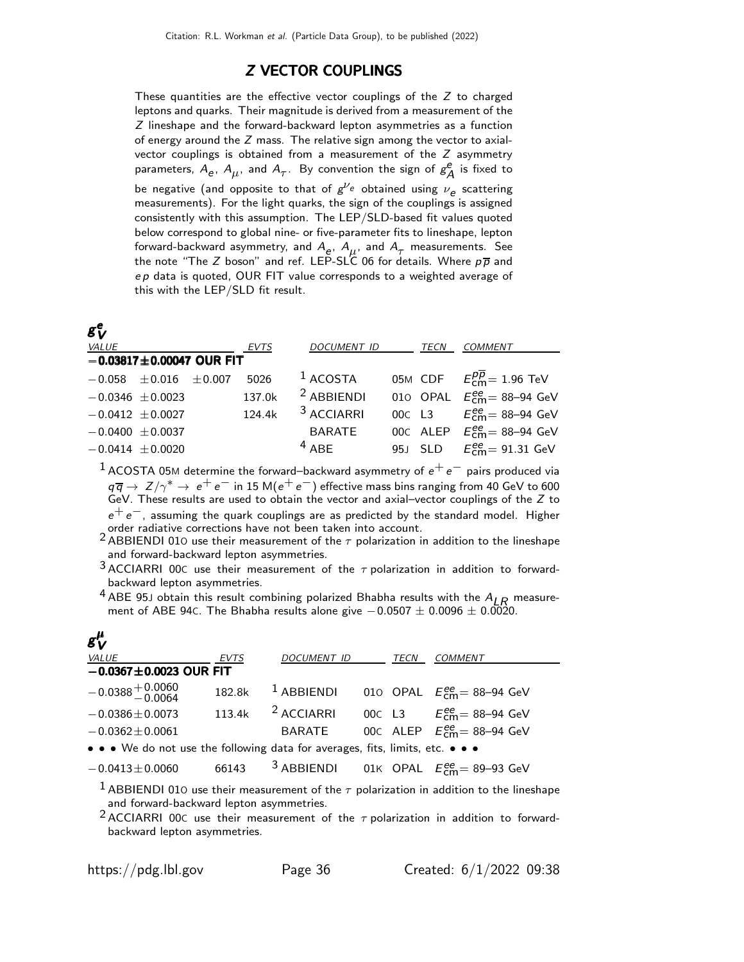### Z VECTOR COUPLINGS

These quantities are the effective vector couplings of the Z to charged leptons and quarks. Their magnitude is derived from a measurement of the Z lineshape and the forward-backward lepton asymmetries as a function of energy around the  $Z$  mass. The relative sign among the vector to axialvector couplings is obtained from a measurement of the Z asymmetry parameters,  $A_e$ ,  $A_\mu$ , and  $A_\tau$ . By convention the sign of  $g_\lambda^e$  $_A^e$  is fixed to be negative (and opposite to that of  $g^{\nu_e}$  obtained using  $\nu_e$  scattering measurements). For the light quarks, the sign of the couplings is assigned consistently with this assumption. The LEP/SLD-based fit values quoted below correspond to global nine- or five-parameter fits to lineshape, lepton forward-backward asymmetry, and  $A_e$ ,  $A_\mu$ , and  $A_\tau$  measurements. See the note "The Z boson" and ref. LEP-SLC 06 for details. Where  $p\overline{p}$  and  $ep$  data is quoted, OUR FIT value corresponds to a weighted average of this with the LEP/SLD fit result.

| $\boldsymbol{g}^{\boldsymbol{e}}_{\boldsymbol{V}}$ |        |                       |      |                                                            |
|----------------------------------------------------|--------|-----------------------|------|------------------------------------------------------------|
| <b>VALUE</b>                                       | EVTS   | DOCUMENT ID           | TECN | <b>COMMENT</b>                                             |
| $-0.03817 \pm 0.00047$ OUR FIT                     |        |                       |      |                                                            |
| $-0.058 \pm 0.016 \pm 0.007$                       | 5026   | $^1$ ACOSTA           |      | 05M CDF $E_{\text{cm}}^{p\overline{p}} = 1.96 \text{ TeV}$ |
| $-0.0346 \pm 0.0023$                               | 137.0k | $2$ ABBIENDI          |      | 010 OPAL $E_{\text{cm}}^{ee}$ = 88-94 GeV                  |
| $-0.0412 \pm 0.0027$                               | 124.4k | <sup>3</sup> ACCIARRI |      | 00c L3 $E_{cm}^{ee} = 88 - 94$ GeV                         |
| $-0.0400 \pm 0.0037$                               |        | BARATE                |      | 00C ALEP $E_{cm}^{ee}$ = 88-94 GeV                         |
| $-0.0414 \pm 0.0020$                               |        | $4$ ABF               |      | 95J SLD $E_{cm}^{ee} = 91.31$ GeV                          |

 $1$  ACOSTA 05M determine the forward–backward asymmetry of  $e^+e^-$  pairs produced via  $q \overline{q} \to Z/\gamma^* \to e^+e^-$  in 15 M $(e^+e^-)$  effective mass bins ranging from 40 GeV to 600 GeV. These results are used to obtain the vector and axial–vector couplings of the Z to  $e^+e^-$ , assuming the quark couplings are as predicted by the standard model. Higher order radiative corrections have not been taken into account.

<sup>2</sup> ABBIENDI 010 use their measurement of the  $\tau$  polarization in addition to the lineshape and forward-backward lepton asymmetries.

 $3$  ACCIARRI 00C use their measurement of the  $\tau$  polarization in addition to forwardbackward lepton asymmetries.

<sup>4</sup> ABE 95J obtain this result combining polarized Bhabha results with the  $A_{LR}$  measurement of ABE 94C. The Bhabha results alone give  $-0.0507 \pm 0.0096 \pm 0.0020$ .

| $g_V^{\mu}$                                                                   |        |                       |  |      |                                                                 |  |  |  |
|-------------------------------------------------------------------------------|--------|-----------------------|--|------|-----------------------------------------------------------------|--|--|--|
| VALUE                                                                         | EVTS   | DOCUMENT ID           |  | TECN | COMMENT                                                         |  |  |  |
| $-0.0367 \pm 0.0023$ OUR FIT                                                  |        |                       |  |      |                                                                 |  |  |  |
| $-0.0388 + 0.0060$                                                            | 182.8k | $1$ ABBIENDI          |  |      | 010 OPAL $E_{\text{cm}}^{ee}$ = 88-94 GeV                       |  |  |  |
| $-0.0386 \pm 0.0073$                                                          | 113.4k | <sup>2</sup> ACCIARRI |  |      | 00c L3 $E_{cm}^{ee} = 88 - 94$ GeV                              |  |  |  |
| $-0.0362 \pm 0.0061$                                                          |        | BARATE                |  |      | 00C ALEP $E_{cm}^{ee}$ = 88-94 GeV                              |  |  |  |
| • • • We do not use the following data for averages, fits, limits, etc. • • • |        |                       |  |      |                                                                 |  |  |  |
| $-0.0413 \pm 0.0060$                                                          | 66143  |                       |  |      | <sup>3</sup> ABBIENDI 01K OPAL $E_{\text{cm}}^{ee}$ = 89-93 GeV |  |  |  |

<sup>1</sup> ABBIENDI 010 use their measurement of the  $\tau$  polarization in addition to the lineshape and forward-backward lepton asymmetries.

<sup>2</sup> ACCIARRI 00C use their measurement of the  $\tau$  polarization in addition to forwardbackward lepton asymmetries.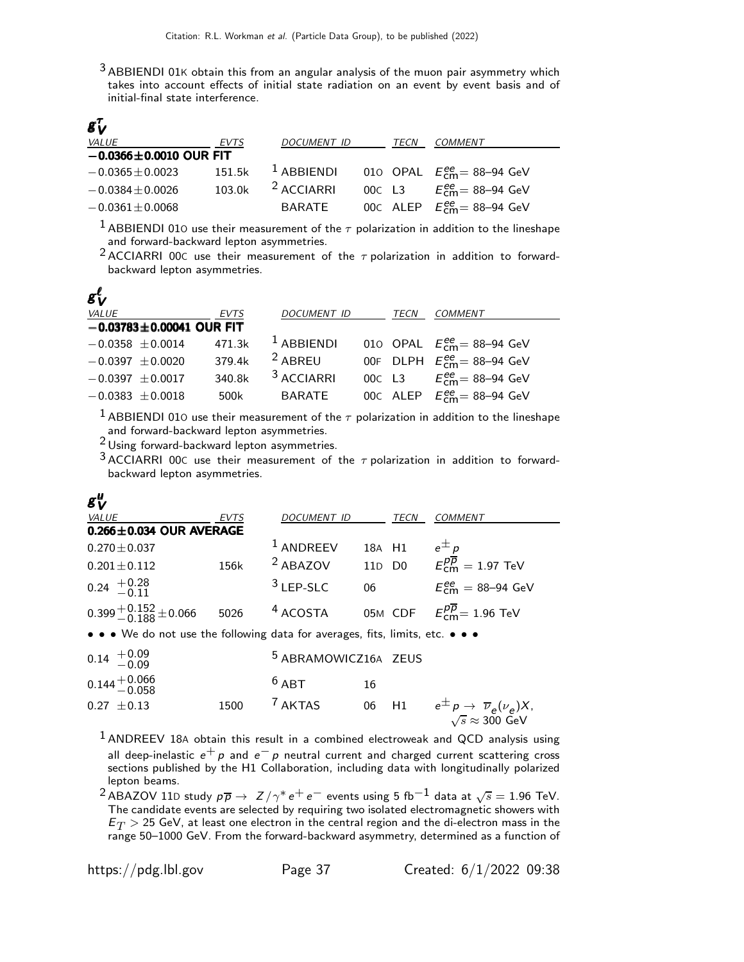$3$  ABBIENDI 01K obtain this from an angular analysis of the muon pair asymmetry which takes into account effects of initial state radiation on an event by event basis and of initial-final state interference.

| $\boldsymbol{s}_{\boldsymbol{V}}^{\tau}$ |             |                       |      |                                      |
|------------------------------------------|-------------|-----------------------|------|--------------------------------------|
| <b>VALUE</b>                             | <b>EVTS</b> | <b>DOCUMENT ID</b>    | TECN | COMMENT                              |
| $-0.0366 \pm 0.0010$ OUR FIT             |             |                       |      |                                      |
| $-0.0365 \pm 0.0023$                     | 151.5k      | $1$ ABBIENDI          |      | 010 OPAL $E_{cm}^{ee} = 88 - 94$ GeV |
| $-0.0384 \pm 0.0026$                     | 103.0k      | <sup>2</sup> ACCIARRI |      | 00C L3 $E_{cm}^{ee} = 88 - 94$ GeV   |
| $-0.0361 \pm 0.0068$                     |             | BARATE                |      | 00C ALEP $E_{cm}^{ee}$ = 88-94 GeV   |

<sup>1</sup> ABBIENDI 010 use their measurement of the  $\tau$  polarization in addition to the lineshape and forward-backward lepton asymmetries.

<sup>2</sup> ACCIARRI 00C use their measurement of the  $\tau$  polarization in addition to forwardbackward lepton asymmetries.

| $g_V^{\ell}$         |                                |             |                       |      |                                                          |
|----------------------|--------------------------------|-------------|-----------------------|------|----------------------------------------------------------|
| VALUE                |                                | <b>EVTS</b> | <b>DOCUMENT ID</b>    | TECN | <b>COMMENT</b>                                           |
|                      | $-0.03783 \pm 0.00041$ OUR FIT |             |                       |      |                                                          |
| $-0.0358 \pm 0.0014$ |                                | 471.3k      | $1$ ABBIENDI          |      | 010 OPAL $E_{\text{cm}}^{ee}$ = 88-94 GeV                |
| $-0.0397 \pm 0.0020$ |                                | 379.4k      | <sup>2</sup> ABREU    |      | 00F DLPH $E_{\text{cm}}^{ee}$ = 88-94 GeV                |
| $-0.0397 \pm 0.0017$ |                                | 340.8k      | <sup>3</sup> ACCIARRI |      | 00C L3 $E_{cm}^{ee} = 88 - 94$ GeV                       |
| $-0.0383 \pm 0.0018$ |                                | 500k        | <b>BARATE</b>         |      | 00C ALEP $E_{\text{cm}}^{\text{ee}} = 88-94 \text{ GeV}$ |

<sup>1</sup> ABBIENDI 010 use their measurement of the  $\tau$  polarization in addition to the lineshape and forward-backward lepton asymmetries.

2 Using forward-backward lepton asymmetries.

<sup>3</sup> ACCIARRI 00C use their measurement of the  $\tau$  polarization in addition to forwardbackward lepton asymmetries.

### $g^{\mu}_{\ \nu}$ V

| <b>VALUE</b>                                                                  | EVTS | <b>DOCUMENT ID</b>              |        | TECN | COMMENT                                                                                 |  |  |  |
|-------------------------------------------------------------------------------|------|---------------------------------|--------|------|-----------------------------------------------------------------------------------------|--|--|--|
| $0.266 \pm 0.034$ OUR AVERAGE                                                 |      |                                 |        |      |                                                                                         |  |  |  |
| $0.270 \pm 0.037$                                                             |      | $1$ ANDREEV                     | 18A H1 |      | $e^{\pm}p$                                                                              |  |  |  |
| $0.201 \pm 0.112$                                                             | 156k | <sup>2</sup> ABAZOV             |        |      | 110 D0 $E_{\text{cm}}^{p\overline{p}} = 1.97 \text{ TeV}$                               |  |  |  |
| $0.24 \begin{array}{c} +0.28 \\ -0.11 \end{array}$                            |      | $3$ LEP-SLC                     | 06     |      | $E_{cm}^{ee} = 88 - 94$ GeV                                                             |  |  |  |
| $0.399 + 0.152 + 0.066$                                                       | 5026 | <sup>4</sup> ACOSTA             |        |      | 05M CDF $E_{\text{cm}}^{p\overline{p}} = 1.96 \text{ TeV}$                              |  |  |  |
| • • • We do not use the following data for averages, fits, limits, etc. • • • |      |                                 |        |      |                                                                                         |  |  |  |
| $0.14 \begin{array}{c} +0.09 \\ -0.09 \end{array}$                            |      | <sup>5</sup> ABRAMOWICZ16A ZEUS |        |      |                                                                                         |  |  |  |
| $0.144 + 0.066$<br>$-0.058$                                                   |      | $6$ ABT                         | 16     |      |                                                                                         |  |  |  |
| $0.27 \pm 0.13$                                                               | 1500 | <sup>7</sup> AKTAS              | 06     | H1   | $e^{\pm} p \rightarrow \overline{\nu}_e(\nu_e) X$<br>$\sqrt{s} \approx 300 \text{ GeV}$ |  |  |  |

 $<sup>1</sup>$  ANDREEV 18A obtain this result in a combined electroweak and QCD analysis using</sup> all deep-inelastic  $e^+ p$  and  $e^- p$  neutral current and charged current scattering cross sections published by the H1 Collaboration, including data with longitudinally polarized lepton beams.

 $^2$ ABAZOV 11D study  $p\overline{p} \to Z/\gamma^* e^+e^-$  events using 5 fb<sup>-1</sup> data at  $\sqrt{s} = 1.96$  TeV. The candidate events are selected by requiring two isolated electromagnetic showers with  $E_T > 25$  GeV, at least one electron in the central region and the di-electron mass in the range 50–1000 GeV. From the forward-backward asymmetry, determined as a function of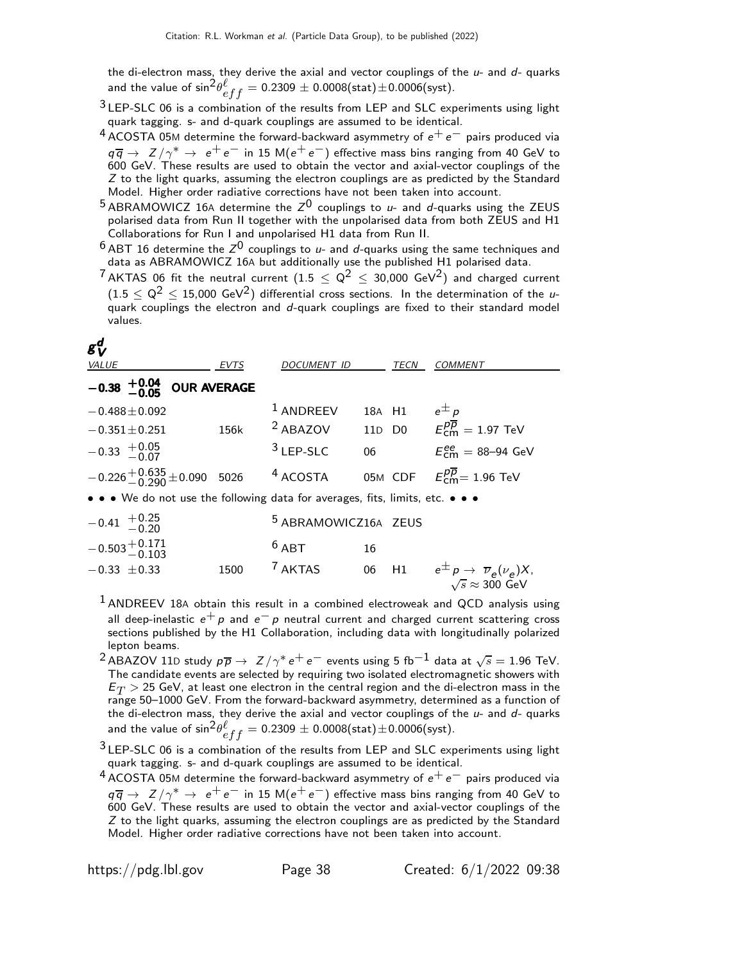the di-electron mass, they derive the axial and vector couplings of the  $u$ - and  $d$ - quarks and the value of  ${\rm sin}^2\theta^{\ell}_{eff}=0.2309\pm0.0008({\rm stat})\pm0.0006({\rm syst}).$ 

- $3$  LEP-SLC 06 is a combination of the results from LEP and SLC experiments using light quark tagging. s- and d-quark couplings are assumed to be identical.
- $4$  ACOSTA 05M determine the forward-backward asymmetry of  $e^+e^-$  pairs produced via  $q\overline{q} \rightarrow Z/\gamma^* \rightarrow e^+e^-$  in 15 M( $e^+e^-$ ) effective mass bins ranging from 40 GeV to 600 GeV. These results are used to obtain the vector and axial-vector couplings of the  $Z$  to the light quarks, assuming the electron couplings are as predicted by the Standard Model. Higher order radiative corrections have not been taken into account.
- $^5$  ABRAMOWICZ 16A determine the  $Z^0$  couplings to u- and d-quarks using the ZEUS polarised data from Run II together with the unpolarised data from both ZEUS and H1 Collaborations for Run I and unpolarised H1 data from Run II.
- $^6$  ABT 16 determine the  $Z^0$  couplings to  $u$  and  $d$ -quarks using the same techniques and data as ABRAMOWICZ 16A but additionally use the published H1 polarised data.
- <sup>7</sup> AKTAS 06 fit the neutral current (1.5  $< Q^2 <$  30,000 GeV<sup>2</sup>) and charged current  $(1.5 \leq Q^2 \leq 15,000 \text{ GeV}^2)$  differential cross sections. In the determination of the uquark couplings the electron and d-quark couplings are fixed to their standard model values.

| $g_V^d$<br>VALUE                                                              | EVTS | DOCUMENT ID                     |        | TECN | <b>COMMENT</b>                                                 |
|-------------------------------------------------------------------------------|------|---------------------------------|--------|------|----------------------------------------------------------------|
| $-0.38$ $+0.04$ OUR AVERAGE                                                   |      |                                 |        |      |                                                                |
| $-0.488 \pm 0.092$                                                            |      | $1$ ANDREEV                     | 18A H1 |      | $e^{\pm} p$                                                    |
| $-0.351 \pm 0.251$                                                            | 156k |                                 |        |      | <sup>2</sup> ABAZOV 11D D0 $E_{cm}^{p\overline{p}} = 1.97$ TeV |
| $-0.33 + 0.05$                                                                |      | $3$ LEP-SLC                     | 06     |      | $E_{cm}^{ee} = 88 - 94$ GeV                                    |
| $-0.226 + 0.635 + 0.090$ 5026                                                 |      | $4$ ACOSTA                      |        |      | 05M CDF $E_{\text{cm}}^{p\overline{p}} = 1.96 \text{ TeV}$     |
| • • • We do not use the following data for averages, fits, limits, etc. • • • |      |                                 |        |      |                                                                |
| $-0.41$ $+0.25$<br>-0.20                                                      |      | <sup>5</sup> ABRAMOWICZ16A ZEUS |        |      |                                                                |
| $-0.503 + 0.171$<br>0.103                                                     |      | $6$ ABT                         | 16     |      |                                                                |

- $-0.33 \pm 0.33$  1500 <sup>7</sup> AKTAS 06 H1  $e^{\pm}p \rightarrow \overline{\nu}_e(\nu_e)X$ ,  $\sqrt{s} \approx 300$  GeV  $1$  ANDREEV 18A obtain this result in a combined electroweak and QCD analysis using all deep-inelastic  $e^+ p$  and  $e^- p$  neutral current and charged current scattering cross sections published by the H1 Collaboration, including data with longitudinally polarized
	- lepton beams.
	- $^2$ ABAZOV 11D study  $p\overline{p} \rightarrow Z/\gamma^* e^+e^-$  events using 5 fb $^{-1}$  data at  $\sqrt{s} = 1.96$  TeV. The candidate events are selected by requiring two isolated electromagnetic showers with  $E_T > 25$  GeV, at least one electron in the central region and the di-electron mass in the range 50–1000 GeV. From the forward-backward asymmetry, determined as a function of the di-electron mass, they derive the axial and vector couplings of the  $u$ - and  $d$ - quarks and the value of  ${\rm sin}^2\theta^{\ell}_{eff}=0.2309\pm0.0008({\rm stat})\pm0.0006({\rm syst}).$

 $3$  LEP-SLC 06 is a combination of the results from LEP and SLC experiments using light quark tagging. s- and d-quark couplings are assumed to be identical.

 $4$  ACOSTA 05M determine the forward-backward asymmetry of  $e^+e^-$  pairs produced via  $q\overline{q}$   $\rightarrow$   $Z/\gamma^*$   $\rightarrow$   $e^+e^-$  in 15 M( $e^+e^-$ ) effective mass bins ranging from 40 GeV to 600 GeV. These results are used to obtain the vector and axial-vector couplings of the  $Z$  to the light quarks, assuming the electron couplings are as predicted by the Standard Model. Higher order radiative corrections have not been taken into account.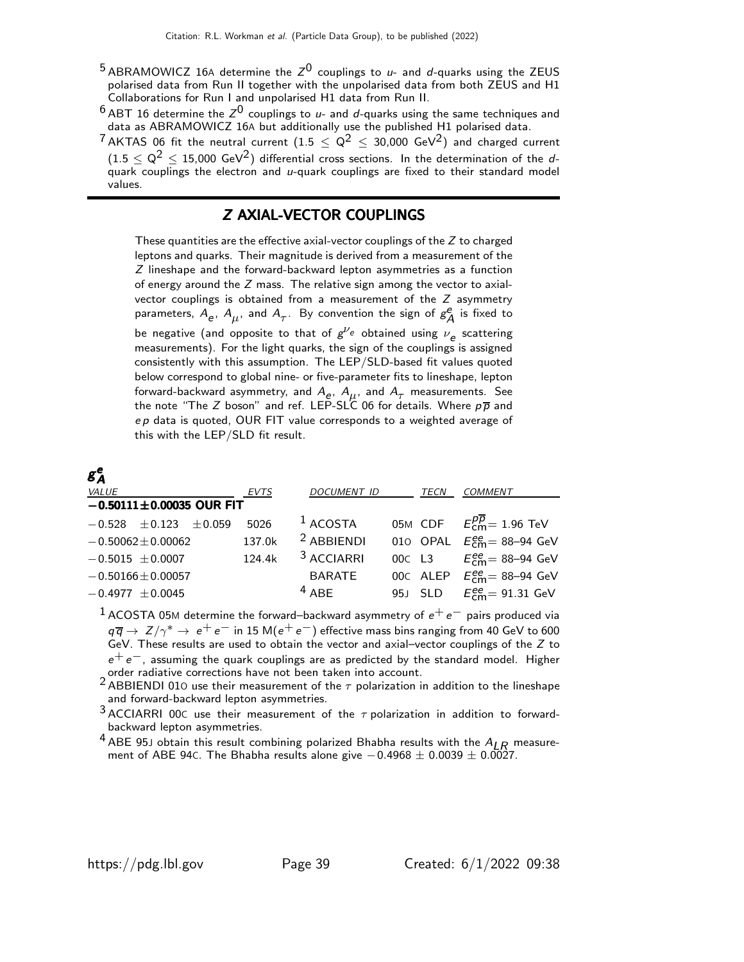- $^5$  ABRAMOWICZ 16A determine the  $Z^0$  couplings to u- and d-quarks using the ZEUS polarised data from Run II together with the unpolarised data from both ZEUS and H1 Collaborations for Run I and unpolarised H1 data from Run II.
- $^6$  ABT 16 determine the  $Z^{\rm 0}$  couplings to  $\mu$  and  $d$ -quarks using the same techniques and data as ABRAMOWICZ 16A but additionally use the published H1 polarised data.
- <sup>7</sup> AKTAS 06 fit the neutral current  $(1.5 < Q^2 < 30,000 \text{ GeV}^2)$  and charged current  $(1.5 \leq Q^2 \leq 15,000 \text{ GeV}^2)$  differential cross sections. In the determination of the dquark couplings the electron and u-quark couplings are fixed to their standard model values.

### Z AXIAL-VECTOR COUPLINGS

These quantities are the effective axial-vector couplings of the  $Z$  to charged leptons and quarks. Their magnitude is derived from a measurement of the Z lineshape and the forward-backward lepton asymmetries as a function of energy around the  $Z$  mass. The relative sign among the vector to axialvector couplings is obtained from a measurement of the Z asymmetry parameters,  $A_e$ ,  $A_\mu$ , and  $A_\tau$ . By convention the sign of  $g_\lambda^e$  $_A^e$  is fixed to be negative (and opposite to that of  $g^{\nu_e}$  obtained using  $\nu_e$  scattering measurements). For the light quarks, the sign of the couplings is assigned consistently with this assumption. The LEP/SLD-based fit values quoted below correspond to global nine- or five-parameter fits to lineshape, lepton forward-backward asymmetry, and  $A_e$ ,  $A_\mu$ , and  $A_\tau$  measurements. See the note "The Z boson" and ref. LEP-SLC 06 for details. Where  $p\overline{p}$  and  $ep$  data is quoted, OUR FIT value corresponds to a weighted average of this with the LEP/SLD fit result.

### $g^{\bm{\epsilon}}_A$ A

| <i>VALUE</i>                   | EVTS   | <b>DOCUMENT ID</b>    | TECN | <b>COMMENT</b>                                   |  |
|--------------------------------|--------|-----------------------|------|--------------------------------------------------|--|
| $-0.50111 \pm 0.00035$ OUR FIT |        |                       |      |                                                  |  |
| $-0.528 \pm 0.123 \pm 0.059$   | 5026   | $1$ ACOSTA            |      | 05M CDF $E_{cm}^{pp} = 1.96$ TeV                 |  |
| $-0.50062 \pm 0.00062$         | 137.0k | $2$ ABBIENDI          |      | 010 OPAL $E_{cm}^{ee}$ = 88-94 GeV               |  |
| $-0.5015 \pm 0.0007$           | 124.4k | <sup>3</sup> ACCIARRI |      | 00c L3 $E_{cm}^{ee} = 88 - 94$ GeV               |  |
| $-0.50166 \pm 0.00057$         |        | <b>BARATE</b>         |      | 00C ALEP $E_{\text{cm}}^{ee}$ = 88-94 GeV        |  |
| $-0.4977 \pm 0.0045$           |        | $4$ ABF               |      | 95J SLD $E_{\text{cm}}^{ee} = 91.31 \text{ GeV}$ |  |
|                                |        |                       |      |                                                  |  |

 $1$  ACOSTA 05M determine the forward–backward asymmetry of  $e^+e^-$  pairs produced via  $q\overline{q} \to Z/\gamma^* \to e^+e^-$  in 15 M $(e^+e^-)$  effective mass bins ranging from 40 GeV to 600<br>GeV. These results are used to obtain the vector and axial–vector couplings of the Z to  $e^+e^-,$  assuming the quark couplings are as predicted by the standard model. Higher

order radiative corrections have not been taken into account.<br><sup>2</sup> ABBIENDI 010 use their measurement of the  $\tau$  polarization in addition to the lineshape and forward-backward lepton asymmetries.

 $3$  ACCIARRI 00C use their measurement of the  $\tau$  polarization in addition to forwardbackward lepton asymmetries.

<sup>4</sup> ABE 95J obtain this result combining polarized Bhabha results with the  $A_{LR}$  measurement of ABE 94C. The Bhabha results alone give  $-0.4968 \pm 0.0039 \pm 0.0027$ .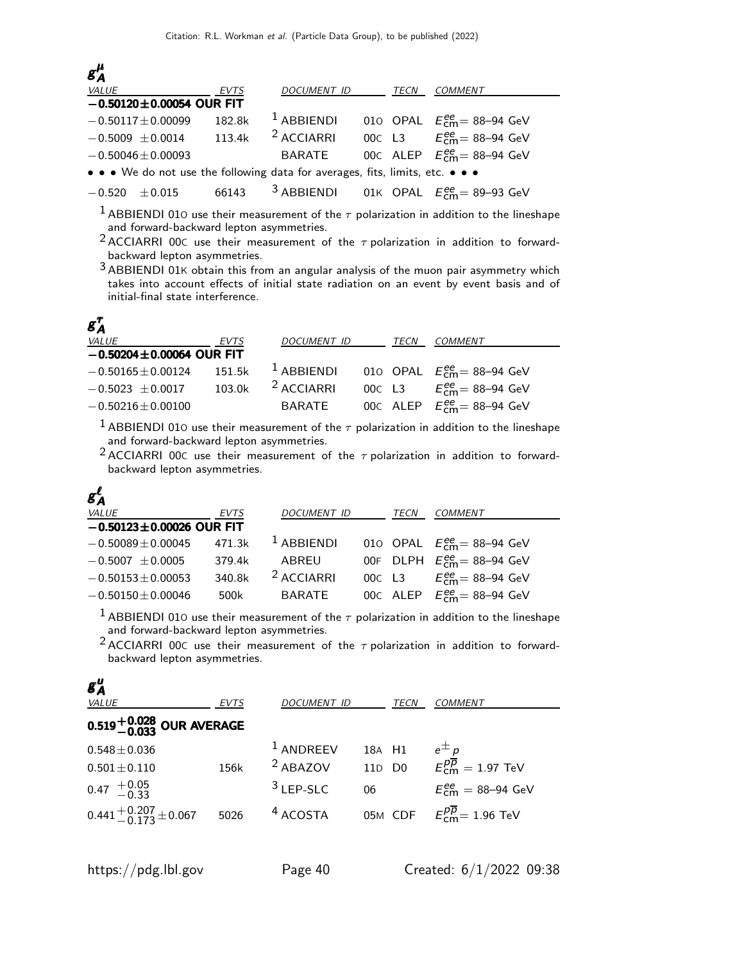| $g_A^{\mu}$                                                                   |        |              |  |      |                                           |  |  |
|-------------------------------------------------------------------------------|--------|--------------|--|------|-------------------------------------------|--|--|
| <i>VALUE</i>                                                                  | EVTS   | DOCUMENT ID  |  | TECN | <b>COMMENT</b>                            |  |  |
| $-0.50120 \pm 0.00054$ OUR FIT                                                |        |              |  |      |                                           |  |  |
| $-0.50117 \pm 0.00099$                                                        | 182.8k | $1$ ABBIENDI |  |      | 010 OPAL $E_{\text{cm}}^{ee}$ = 88-94 GeV |  |  |
| $-0.5009 \pm 0.0014$                                                          | 113.4k | $2$ ACCIARRI |  |      | 00c L3 $E_{cm}^{ee} = 88 - 94$ GeV        |  |  |
| $-0.50046 \pm 0.00093$                                                        |        | BARATE       |  |      | 00C ALEP $E_{cm}^{ee}$ = 88-94 GeV        |  |  |
| • • • We do not use the following data for averages, fits, limits, etc. • • • |        |              |  |      |                                           |  |  |
|                                                                               |        |              |  |      |                                           |  |  |

 $-0.520 \pm 0.015$  66143 <sup>3</sup> ABBIENDI 01K OPAL  $E_{\text{cm}}^{ee} = 89 - 93 \text{ GeV}$ 

<sup>1</sup> ABBIENDI 010 use their measurement of the  $\tau$  polarization in addition to the lineshape and forward-backward lepton asymmetries.

<sup>2</sup> ACCIARRI 00C use their measurement of the  $\tau$  polarization in addition to forwardbackward lepton asymmetries.

3 ABBIENDI 01<sup>K</sup> obtain this from an angular analysis of the muon pair asymmetry which takes into account effects of initial state radiation on an event by event basis and of initial-final state interference.

### g τ A

µ

| <i>VALUE</i>                   | EVTS   | <i>DOCUMENT ID</i>    | <i>TECN</i> | <b>COMMENT</b>                                           |
|--------------------------------|--------|-----------------------|-------------|----------------------------------------------------------|
| $-0.50204 \pm 0.00064$ OUR FIT |        |                       |             |                                                          |
| $-0.50165 \pm 0.00124$         | 151.5k | $1$ ABBIENDI          |             | 010 OPAL $E_{cm}^{ee}$ = 88-94 GeV                       |
| $-0.5023 + 0.0017$             | 103.0k | <sup>2</sup> ACCIARRI |             | 00C L3 $E_{cm}^{ee} = 88 - 94$ GeV                       |
| $-0.50216 \pm 0.00100$         |        | BARATE                |             | 00C ALEP $E_{\text{cm}}^{\text{ee}} = 88-94 \text{ GeV}$ |

<sup>1</sup> ABBIENDI 010 use their measurement of the  $\tau$  polarization in addition to the lineshape and forward-backward lepton asymmetries.

2 ACCIARRI 00<sup>C</sup> use their measurement of the τ polarization in addition to forwardbackward lepton asymmetries.

| $g_A^{\ell}$                   |        |                       |             |                                    |
|--------------------------------|--------|-----------------------|-------------|------------------------------------|
| <i>VALUE</i>                   | EVTS   | <b>DOCUMENT ID</b>    | <b>TECN</b> | <b>COMMENT</b>                     |
| $-0.50123 \pm 0.00026$ OUR FIT |        |                       |             |                                    |
| $-0.50089 + 0.00045$           | 471.3k | $1$ ABBIENDI          |             | 010 OPAL $E_{cm}^{ee}$ = 88-94 GeV |
| $-0.5007 + 0.0005$             | 379.4k | ABREU                 |             | 00F DLPH $E_{cm}^{ee}$ = 88-94 GeV |
| $-0.50153 + 0.00053$           | 340.8k | <sup>2</sup> ACCIARRI |             | 00C L3 $E_{cm}^{ee} = 88 - 94$ GeV |
| $-0.50150 \pm 0.00046$         | 500k   | <b>BARATE</b>         |             | 00C ALEP $E_{cm}^{ee}$ = 88-94 GeV |

<sup>1</sup> ABBIENDI 010 use their measurement of the  $\tau$  polarization in addition to the lineshape and forward-backward lepton asymmetries.

2 ACCIARRI 00<sup>C</sup> use their measurement of the τ polarization in addition to forwardbackward lepton asymmetries.

| $g_A^{\mu}$<br>VALUE                               | EVTS | <i>DOCUMENT ID</i>  | TECN   | <i>COMMENT</i>                                             |
|----------------------------------------------------|------|---------------------|--------|------------------------------------------------------------|
| $0.519^{+0.028}_{-0.033}$ OUR AVERAGE              |      |                     |        |                                                            |
| $0.548 \pm 0.036$                                  |      | $1$ ANDREEV         | 18A H1 | $e^{\pm}p$                                                 |
| $0.501 \pm 0.110$                                  | 156k | <sup>2</sup> ABAZOV |        | 110 D0 $E_{cm}^{p\overline{p}} = 1.97 \text{ TeV}$         |
| $0.47 \begin{array}{c} +0.05 \\ -0.33 \end{array}$ |      | $3$ LEP-SLC         | 06     | $E_{\text{cm}}^{\text{ee}} = 88 - 94 \text{ GeV}$          |
| $0.441 + 0.207 + 0.067$                            | 5026 | <sup>4</sup> ACOSTA |        | 05M CDF $E_{\text{cm}}^{p\overline{p}} = 1.96 \text{ TeV}$ |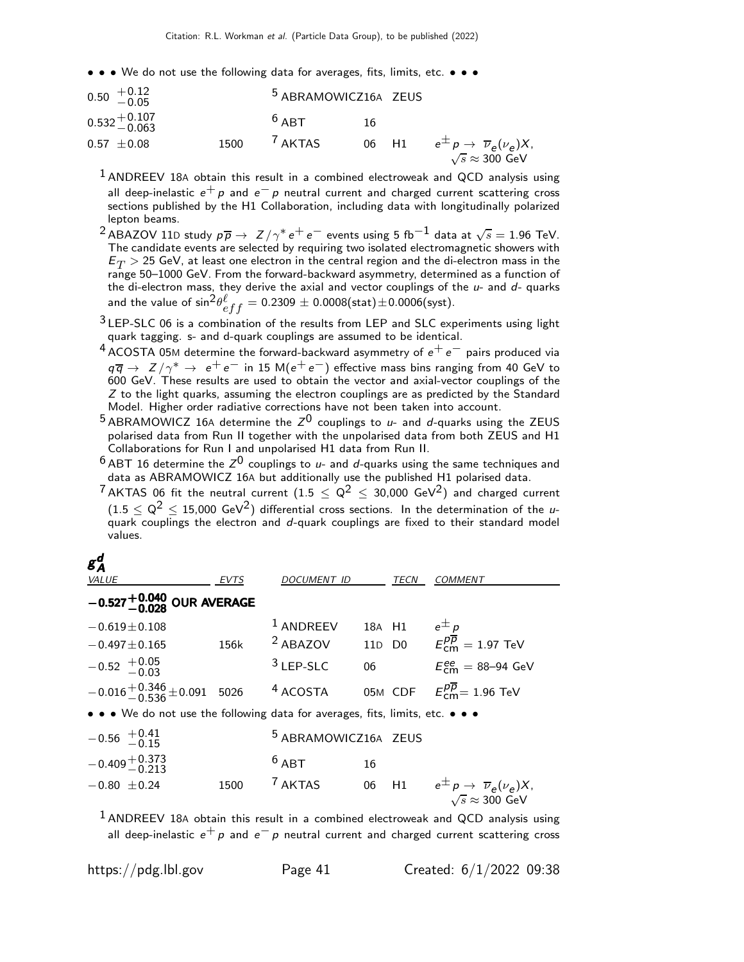• • • We do not use the following data for averages, fits, limits, etc. • • •

| $0.50 \begin{array}{c} +0.12 \\ -0.05 \end{array}$ |      | <sup>5</sup> ABRAMOWICZ16A ZEUS |     |                                                                                                 |
|----------------------------------------------------|------|---------------------------------|-----|-------------------------------------------------------------------------------------------------|
| $0.532 + 0.107$<br>-0.063                          |      | $6$ ART                         | -16 |                                                                                                 |
| $0.57 \pm 0.08$                                    | 1500 | <sup>7</sup> AKTAS              |     | 06 H1 $e^{\pm} p \rightarrow \overline{\nu}_e(\nu_e) X$ ,<br>$\sqrt{s} \approx 300 \text{ GeV}$ |

 $1$  ANDREEV 18A obtain this result in a combined electroweak and QCD analysis using all deep-inelastic  $e^+ p$  and  $e^- p$  neutral current and charged current scattering cross sections published by the H1 Collaboration, including data with longitudinally polarized lepton beams.

- $^2$ ABAZOV 11D study  $p\overline{p} \to Z/\gamma^* e^+e^-$  events using 5 fb $^{-1}$  data at  $\sqrt{s} = 1.96$  TeV. The candidate events are selected by requiring two isolated electromagnetic showers with  $E_T > 25$  GeV, at least one electron in the central region and the di-electron mass in the range 50–1000 GeV. From the forward-backward asymmetry, determined as a function of the di-electron mass, they derive the axial and vector couplings of the  $u$ - and  $d$ - quarks and the value of  ${\rm sin}^2\theta^{\ell}_{eff}=0.2309\pm0.0008({\rm stat})\pm0.0006({\rm syst}).$
- 3 LEP-SLC 06 is a combination of the results from LEP and SLC experiments using light quark tagging. s- and d-quark couplings are assumed to be identical.
- 4 ACOSTA 05M determine the forward-backward asymmetry of  $e^+e^-$  pairs produced via  $q\overline{q} \rightarrow Z/\gamma^* \rightarrow e^+e^-$  in 15 M( $e^+e^-$ ) effective mass bins ranging from 40 GeV to 600 GeV. These results are used to obtain the vector and axial-vector couplings of the Z to the light quarks, assuming the electron couplings are as predicted by the Standard Model. Higher order radiative corrections have not been taken into account.
- $^5$  ABRAMOWICZ 16A determine the  $Z^0$  couplings to  $u$  and  $d$ -quarks using the ZEUS polarised data from Run II together with the unpolarised data from both ZEUS and H1 Collaborations for Run I and unpolarised H1 data from Run II.
- $^6$  ABT 16 determine the  $Z^{\rm 0}$  couplings to  $\mu$  and  $d$ -quarks using the same techniques and data as ABRAMOWICZ 16A but additionally use the published H1 polarised data.
- <sup>7</sup> AKTAS 06 fit the neutral current (1.5  $< Q^2 < 30,000$  GeV<sup>2</sup>) and charged current  $(1.5 \le Q^2 \le 15,000 \text{ GeV}^2)$  differential cross sections. In the determination of the uquark couplings the electron and d-quark couplings are fixed to their standard model values.

| $g_A^d$<br><b>VALUE</b>                                                       | EVTS | DOCUMENT ID                     |    | TECN   | <b>COMMENT</b>                                                                               |
|-------------------------------------------------------------------------------|------|---------------------------------|----|--------|----------------------------------------------------------------------------------------------|
| $-0.527^{+0.040}_{-0.028}$ OUR AVERAGE                                        |      |                                 |    |        |                                                                                              |
| $-0.619 \pm 0.108$                                                            |      | $1$ ANDREEV                     |    | 18A H1 | $e^{\pm}p$                                                                                   |
| $-0.497 \pm 0.165$                                                            | 156k |                                 |    |        | <sup>2</sup> ABAZOV 11D D0 $E_{cm}^{p\overline{p}} = 1.97$ TeV                               |
| $-0.52$ $+0.05$<br>$-0.03$                                                    |      | $3$ LEP-SLC                     | 06 |        | $E_{cm}^{ee}$ = 88–94 GeV                                                                    |
| $-0.016 + 0.346 + 0.091$ 5026                                                 |      | <sup>4</sup> ACOSTA             |    |        | 05M CDF $E_{\text{cm}}^{p\overline{p}} = 1.96 \text{ TeV}$                                   |
| • • • We do not use the following data for averages, fits, limits, etc. • • • |      |                                 |    |        |                                                                                              |
| $-0.56$ $+0.41$<br>-0.15                                                      |      | <sup>5</sup> ABRAMOWICZ16A ZEUS |    |        |                                                                                              |
| $-0.409 + 0.373$<br>$-0.213$                                                  |      | $6$ ABT                         | 16 |        |                                                                                              |
| $-0.80 \pm 0.24$                                                              | 1500 | <sup>7</sup> AKTAS              | 06 |        | H1 $e^{\pm} p \rightarrow \overline{\nu}_e(\nu_e) X$ ,<br>$\sqrt{s} \approx 300 \text{ GeV}$ |

 $<sup>1</sup>$  ANDREEV 18A obtain this result in a combined electroweak and QCD analysis using</sup> all deep-inelastic  $e^+ p$  and  $e^- p$  neutral current and charged current scattering cross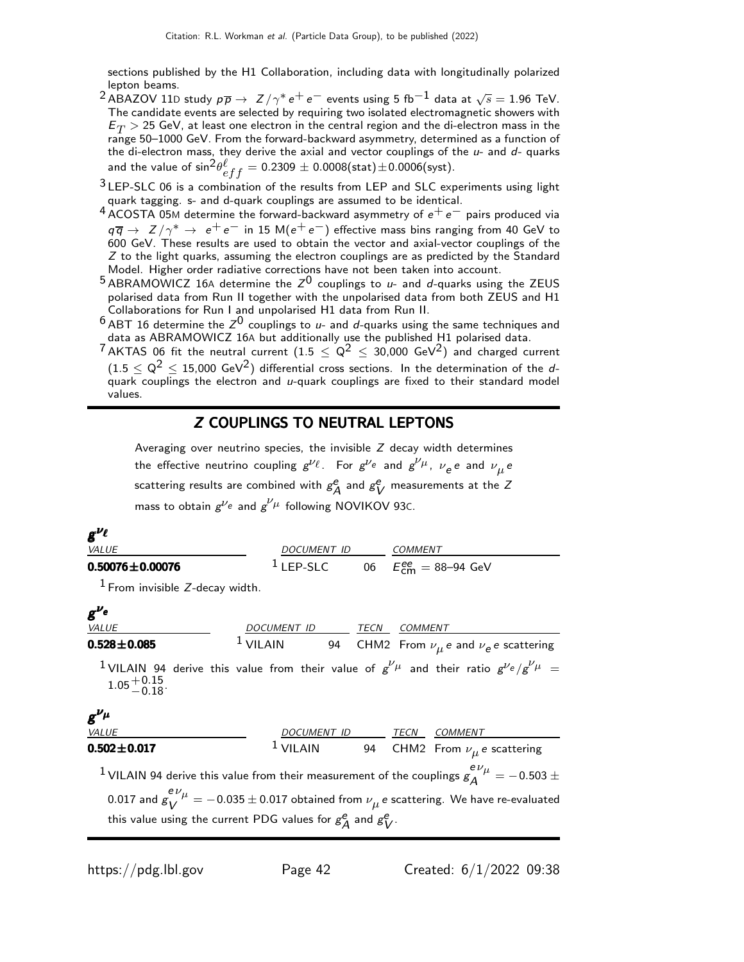sections published by the H1 Collaboration, including data with longitudinally polarized lepton beams.

- $^2$ ABAZOV 11D study  $p\overline{p} \to Z/\gamma^* e^+e^-$  events using 5 fb $^{-1}$  data at  $\sqrt{s} = 1.96$  TeV. The candidate events are selected by requiring two isolated electromagnetic showers with  $E_T > 25$  GeV, at least one electron in the central region and the di-electron mass in the range 50–1000 GeV. From the forward-backward asymmetry, determined as a function of the di-electron mass, they derive the axial and vector couplings of the  $u$ - and  $d$ - quarks and the value of  ${\rm sin}^2\theta^{\ell}_{eff}=0.2309\pm0.0008({\rm stat})\pm0.0006({\rm syst}).$
- $3$  LEP-SLC 06 is a combination of the results from LEP and SLC experiments using light quark tagging. s- and d-quark couplings are assumed to be identical.
- 4 ACOSTA 05M determine the forward-backward asymmetry of  $e^+e^-$  pairs produced via  $q\overline{q}$   $\rightarrow$   $Z/\gamma^*$   $\rightarrow$   $e^+e^-$  in 15 M( $e^+e^-$ ) effective mass bins ranging from 40 GeV to 600 GeV. These results are used to obtain the vector and axial-vector couplings of the  $Z$  to the light quarks, assuming the electron couplings are as predicted by the Standard Model. Higher order radiative corrections have not been taken into account.
- $^5$  ABRAMOWICZ 16A determine the  $Z^0$  couplings to u- and d-quarks using the ZEUS polarised data from Run II together with the unpolarised data from both ZEUS and H1 Collaborations for Run I and unpolarised H1 data from Run II.
- $^6$  ABT 16 determine the  $Z^0$  couplings to  $u$  and  $d$ -quarks using the same techniques and data as ABRAMOWICZ 16A but additionally use the published H1 polarised data.
- 7 AKTAS 06 fit the neutral current  $(1.5 \leq Q^2 \leq 30,000 \text{ GeV}^2)$  and charged current  $(1.5 < Q^2 < 15,000 \text{ GeV}^2)$  differential cross sections. In the determination of the dquark couplings the electron and  $u$ -quark couplings are fixed to their standard model values.

### Z COUPLINGS TO NEUTRAL LEPTONS

Averaging over neutrino species, the invisible Z decay width determines the effective neutrino coupling  $g^{\nu_{\ell}}$ . For  $g^{\nu_e}$  and  $g^{\nu_{\mu}}$ ,  $\nu_e$ e and  $\nu_{\mu}$ e scattering results are combined with  $g^e/$  $_A^e$  and  $g_{\mathfrak{b}}^e$  $^e_V$  measurements at the Z mass to obtain  $g^{\nu_e}$  and  $g^{\nu_\mu}$  following NOVIKOV 93C.

| $g^{\nu_{\ell}}$                          |                                                                   |                |                                                                                                                                                                                                |
|-------------------------------------------|-------------------------------------------------------------------|----------------|------------------------------------------------------------------------------------------------------------------------------------------------------------------------------------------------|
| VALUE                                     | DOCUMENT ID COMMENT                                               |                |                                                                                                                                                                                                |
| $0.50076 \pm 0.00076$                     | <sup>1</sup> LEP-SLC 06 $E_{cm}^{ee} = 88 - 94$ GeV               |                |                                                                                                                                                                                                |
| $1$ From invisible Z-decay width.         |                                                                   |                |                                                                                                                                                                                                |
| $g^{\nu_e}$                               |                                                                   |                |                                                                                                                                                                                                |
| <b>VALUE</b>                              | DOCUMENT ID TECN                                                  | <b>COMMENT</b> |                                                                                                                                                                                                |
| $0.528 \pm 0.085$                         |                                                                   |                | 1 VILAIN 94 CHM2 From $\nu_{\mu} e$ and $\nu_{e} e$ scattering                                                                                                                                 |
| $1.05 + 0.15$<br>-0.18<br>$g^{\nu_{\mu}}$ |                                                                   |                | <sup>1</sup> VILAIN 94 derive this value from their value of $g^{\nu\mu}$ and their ratio $g^{\nu}e/g^{\nu}\mu$ =                                                                              |
| VALUE                                     |                                                                   |                |                                                                                                                                                                                                |
| $0.502 \pm 0.017$                         |                                                                   |                | $\begin{tabular}{ c c c c} \hline \textit{DCCUMENT ID} & \textit{TECN} & \textit{COMMENT} \\ \hline 1 \textit{VILAIN} & 94 & \textit{CHM2 From} \ \nu_\mu \textit{e scattering} \end{tabular}$ |
|                                           |                                                                   |                | <sup>1</sup> VILAIN 94 derive this value from their measurement of the couplings $g_A^{e\nu_\mu} = -0.503 \pm$                                                                                 |
|                                           | this value using the current PDG values for $g_A^e$ and $g_V^e$ . |                | 0.017 and $g_V^{e\nu_\mu} = -0.035 \pm 0.017$ obtained from $\nu_\mu$ e scattering. We have re-evaluated                                                                                       |
|                                           |                                                                   |                |                                                                                                                                                                                                |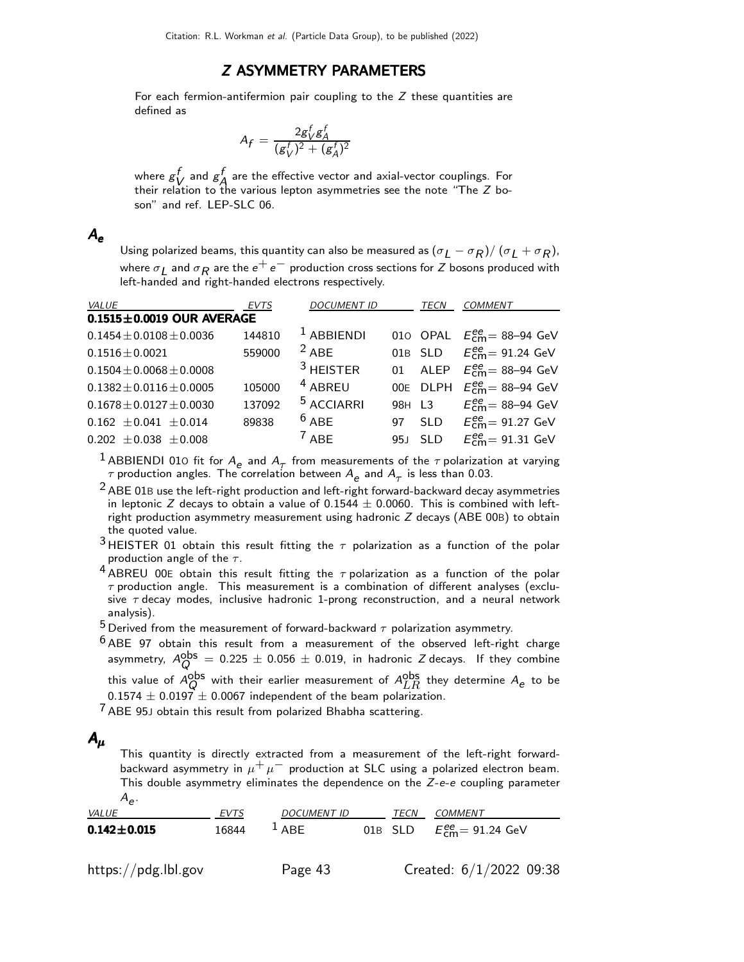### Z ASYMMETRY PARAMETERS

For each fermion-antifermion pair coupling to the Z these quantities are defined as

$$
A_f = \frac{2g_V^f g_A^f}{(g_V^f)^2 + (g_A^f)^2}
$$

where  $g_1^f$  $\stackrel{f}{V}$  and  $\stackrel{f}{\cancel{S}}$  $\overline{A}$  are the effective vector and axial-vector couplings. For their relation to the various lepton asymmetries see the note "The Z boson" and ref. LEP-SLC 06.

### $A_{\sim}$

Using polarized beams, this quantity can also be measured as  $(\sigma_L-\sigma_R)/\,(\sigma_L+\sigma_R)$ , where  $\sigma_{\small{\textrm{{\bf L}}}}$  and  $\sigma_{\small{\textrm{{\bf R}}}}$  are the  $e^+e^-$  production cross sections for  $Z$  bosons produced with left-handed and right-handed electrons respectively.

| <i>VALUE</i>                    | <b>EVTS</b> | <b>DOCUMENT ID</b>    |        | TECN       | <b>COMMENT</b>                          |
|---------------------------------|-------------|-----------------------|--------|------------|-----------------------------------------|
| $0.1515 \pm 0.0019$ OUR AVERAGE |             |                       |        |            |                                         |
| $0.1454 \pm 0.0108 \pm 0.0036$  | 144810      | $1$ ABBIENDI          |        |            | 010 OPAL $E_{cm}^{ee}$ = 88-94 GeV      |
| $0.1516 \pm 0.0021$             | 559000      | $2$ ABF               |        | 01B SLD    | $E_{\text{cm}}^{\text{ee}}$ = 91.24 GeV |
| $0.1504 \pm 0.0068 \pm 0.0008$  |             | $3$ HEISTER           |        |            | 01 ALEP $E_{cm}^{ee} = 88 - 94$ GeV     |
| $0.1382 \pm 0.0116 \pm 0.0005$  | 105000      | <sup>4</sup> ABREU    |        |            | 00E DLPH $E_{cm}^{ee}$ = 88-94 GeV      |
| $0.1678 \pm 0.0127 \pm 0.0030$  | 137092      | <sup>5</sup> ACCIARRI | 98H L3 |            | $E_{cm}^{ee}$ = 88–94 GeV               |
| $0.162 \pm 0.041 \pm 0.014$     | 89838       | $6$ ABE               | 97     | <b>SLD</b> | $E_{cm}^{ee}$ = 91.27 GeV               |
| $0.202 \pm 0.038 \pm 0.008$     |             | $7$ ABF               |        | 95J SLD    | $E_{cm}^{ee}$ = 91.31 GeV               |

<sup>1</sup> ABBIENDI 010 fit for  $A_e$  and  $A_\tau$  from measurements of the  $\tau$  polarization at varying  $\tau$  production angles. The correlation between  $A_{\bm{\varrho}}$  and  $A_{\bm{\tau}}$  is less than 0.03.

 $2$  ABE 01B use the left-right production and left-right forward-backward decay asymmetries in leptonic Z decays to obtain a value of 0.1544  $\pm$  0.0060. This is combined with leftright production asymmetry measurement using hadronic  $Z$  decays (ABE 00B) to obtain the quoted value.

- 3 HEISTER 01 obtain this result fitting the  $\tau$  polarization as a function of the polar production angle of the  $\tau$ .
- $4$  ABREU 00E obtain this result fitting the  $\tau$  polarization as a function of the polar  $\tau$  production angle. This measurement is a combination of different analyses (exclusive  $\tau$  decay modes, inclusive hadronic 1-prong reconstruction, and a neural network analysis).
- $^5$  Derived from the measurement of forward-backward  $\tau$  polarization asymmetry.
- $6$  ABE 97 obtain this result from a measurement of the observed left-right charge asymmetry,  $A_Q^{\rm obs} \, = \, 0.225 \, \pm \, 0.056 \, \pm \, 0.019$ , in hadronic Z decays. If they combine this value of  $A_Q^{\sf obs}$  with their earlier measurement of  $A_{LR}^{\sf obs}$  they determine  $A_{\bm{e}}$  to be  $0.1574 \pm 0.0197 \pm 0.0067$  independent of the beam polarization.

 $7$  ABE 95J obtain this result from polarized Bhabha scattering.

## $A_{\mu}$

This quantity is directly extracted from a measurement of the left-right forwardbackward asymmetry in  $\mu^+ \mu^-$  production at SLC using a polarized electron beam. This double asymmetry eliminates the dependence on the Z-e-e coupling parameter  $A_{e}$ .

| VALUE                 | <b>EVTS</b> | <b>DOCUMENT ID</b> | TECN | COMMENT                                                 |
|-----------------------|-------------|--------------------|------|---------------------------------------------------------|
| $0.142 \!\pm\! 0.015$ | 16844       | $^{\perp}$ ABE     |      | 01B SLD $E_{\text{cm}}^{\text{ee}} = 91.24 \text{ GeV}$ |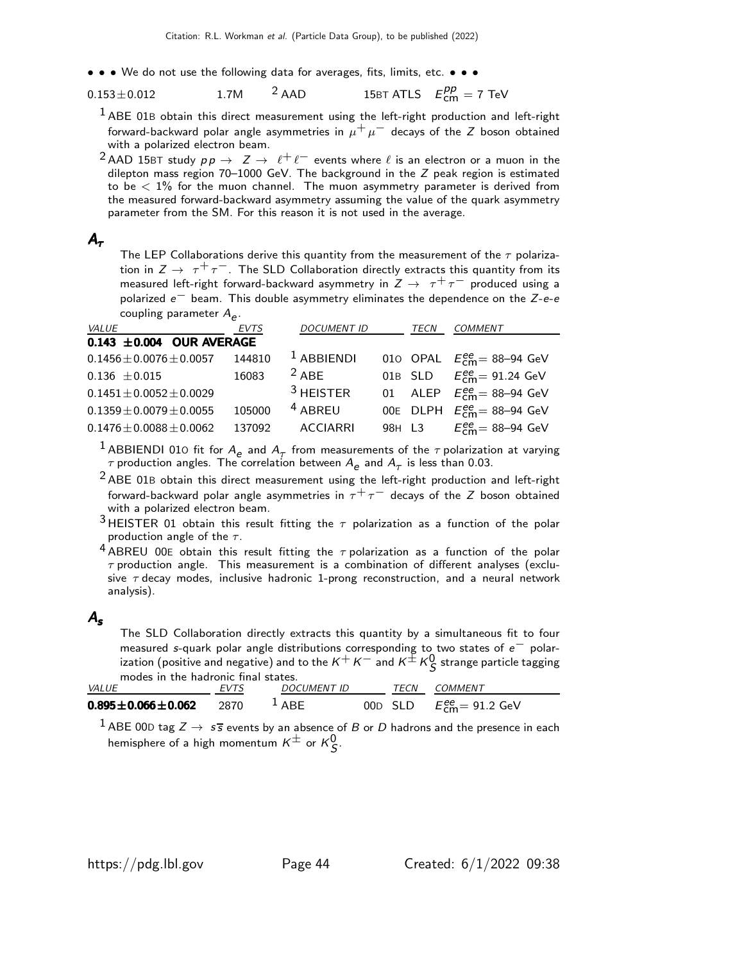• • • We do not use the following data for averages, fits, limits, etc. • • •

$$
0.153 \pm 0.012
$$
 1.7M <sup>2</sup> AAD 15BT ATLS  $E_{cm}^{pp} = 7$  TeV

 $<sup>1</sup>$  ABE 01B obtain this direct measurement using the left-right production and left-right</sup> forward-backward polar angle asymmetries in  $\mu^+ \mu^-$  decays of the Z boson obtained with a polarized electron beam.

<sup>2</sup> AAD 15BT study  $pp \rightarrow Z \rightarrow \ell^+ \ell^-$  events where  $\ell$  is an electron or a muon in the dilepton mass region 70–1000 GeV. The background in the Z peak region is estimated to be  $< 1\%$  for the muon channel. The muon asymmetry parameter is derived from the measured forward-backward asymmetry assuming the value of the quark asymmetry parameter from the SM. For this reason it is not used in the average.

### $A_{\tau}$

The LEP Collaborations derive this quantity from the measurement of the  $\tau$  polarization in  $Z \rightarrow \tau^+ \tau^-$ . The SLD Collaboration directly extracts this quantity from its measured left-right forward-backward asymmetry in  $Z \rightarrow \tau^+ \tau^-$  produced using a polarized e<sup>−</sup> beam. This double asymmetry eliminates the dependence on the Z-e-e coupling parameter  $A_{\bm{\varrho}}.$ 

| VALUE                          | <b>EVTS</b> | <b>DOCUMENT ID</b> | <b>TECN</b> | <b>COMMENT</b>                                      |
|--------------------------------|-------------|--------------------|-------------|-----------------------------------------------------|
| 0.143 $\pm$ 0.004 OUR AVERAGE  |             |                    |             |                                                     |
| $0.1456 \pm 0.0076 \pm 0.0057$ | 144810      | $1$ ABBIENDI       |             | 010 OPAL $E_{\text{cm}}^{ee} = 88 - 94 \text{ GeV}$ |
| $0.136 \pm 0.015$              | 16083       | $2$ ABF            |             | 01B SLD $E_{cm}^{ee} = 91.24 \text{ GeV}$           |
| $0.1451 \pm 0.0052 \pm 0.0029$ |             | $3$ HEISTER        |             | 01 ALEP $E_{cm}^{ee}$ = 88-94 GeV                   |
| $0.1359 \pm 0.0079 \pm 0.0055$ | 105000      | $4$ ABREU          |             | 00E DLPH $E_{\text{cm}}^{ee}$ = 88-94 GeV           |
| $0.1476 \pm 0.0088 \pm 0.0062$ | 137092      | <b>ACCIARRI</b>    |             | 98H L3 $E_{cm}^{ee} = 88 - 94$ GeV                  |

<sup>1</sup> ABBIENDI 010 fit for  $A_e$  and  $A_\tau$  from measurements of the  $\tau$  polarization at varying  $\tau$  production angles. The correlation between  $A_{\bm{\mathcal{e}}}$  and  $A_{\bm{\mathcal{T}}}$  is less than 0.03.

 $2$  ABE 01B obtain this direct measurement using the left-right production and left-right forward-backward polar angle asymmetries in  $\tau^+\tau^-$  decays of the Z boson obtained with a polarized electron beam.

3 HEISTER 01 obtain this result fitting the  $\tau$  polarization as a function of the polar production angle of the  $\tau$ .

4 ABREU 00E obtain this result fitting the  $\tau$  polarization as a function of the polar  $\tau$  production angle. This measurement is a combination of different analyses (exclusive  $\tau$  decay modes, inclusive hadronic 1-prong reconstruction, and a neural network analysis).

### $A_{\rm s}$

The SLD Collaboration directly extracts this quantity by a simultaneous fit to four measured s-quark polar angle distributions corresponding to two states of e<sup>−</sup> polarization (positive and negative) and to the  $\kappa^+ \, \kappa^-$  and  $\kappa^\pm \, \kappa_\mathcal{S}^0$  strange particle tagging modes in the hadronic final states.

| <i>VALUE</i>                | <b>FVTS</b> | <b>DOCUMENT ID</b> | TECN | COMMENT                          |
|-----------------------------|-------------|--------------------|------|----------------------------------|
| $0.895 \pm 0.066 \pm 0.062$ | 2870        | $^{\perp}$ ABE     |      | 00D SLD $E_{cm}^{ee} = 91.2$ GeV |

 $^1$  ABE 00D tag  $Z\rightarrow\;s\bar{s}$  events by an absence of  $B$  or  $D$  hadrons and the presence in each hemisphere of a high momentum  $\mathsf{K}^{\pm}$  or  $\mathsf{K}^0_\mathsf{S}.$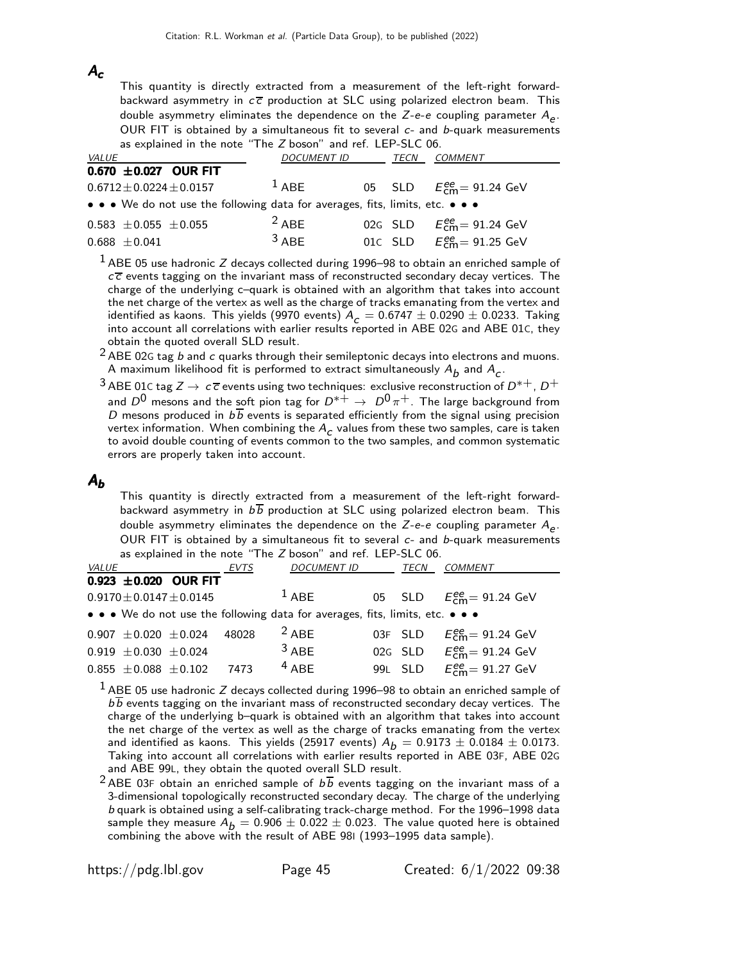### $A_c$

This quantity is directly extracted from a measurement of the left-right forwardbackward asymmetry in  $c\bar{c}$  production at SLC using polarized electron beam. This double asymmetry eliminates the dependence on the Z-*e*-*e* coupling parameter  $A_{e}$ . OUR FIT is obtained by a simultaneous fit to several  $c$ - and  $b$ -quark measurements as explained in the note "The Z boson" and ref. LEP-SLC 06.

| <i>VALUE</i>                                                                  | <b>DOCUMENT ID</b> | <b>TECN</b> | <b>COMMENT</b>                           |
|-------------------------------------------------------------------------------|--------------------|-------------|------------------------------------------|
| $0.670 \pm 0.027$ OUR FIT                                                     |                    |             |                                          |
| $0.6712 \pm 0.0224 \pm 0.0157$                                                | $1$ ABF            |             | 05 SLD $E_{cm}^{ee} = 91.24 \text{ GeV}$ |
| • • • We do not use the following data for averages, fits, limits, etc. • • • |                    |             |                                          |
| $0.583 \pm 0.055 \pm 0.055$                                                   | $2$ ABF            |             | 02G SLD $E_{cm}^{ee} = 91.24$ GeV        |
| $0.688 \pm 0.041$                                                             | $3$ ABF            |             | 01C SLD $E_{cm}^{ee} = 91.25$ GeV        |

 $1$  ABE 05 use hadronic Z decays collected during 1996–98 to obtain an enriched sample of  $c\bar{c}$  events tagging on the invariant mass of reconstructed secondary decay vertices. The charge of the underlying c–quark is obtained with an algorithm that takes into account the net charge of the vertex as well as the charge of tracks emanating from the vertex and identified as kaons. This yields (9970 events)  $A_c = 0.6747 \pm 0.0290 \pm 0.0233$ . Taking into account all correlations with earlier results reported in ABE 02G and ABE 01C, they obtain the quoted overall SLD result.

 $2$  ABE 02G tag b and c quarks through their semileptonic decays into electrons and muons. A maximum likelihood fit is performed to extract simultaneously  $A_{\pmb{b}}$  and  $A_{\pmb{c}}.$ 

3 ABE 01C tag  $Z \to c\overline{c}$  events using two techniques: exclusive reconstruction of  $D^{*+}$ ,  $D^+$ and  $D^0$  mesons and the soft pion tag for  $D^{*+} \rightarrow D^0 \pi^+$ . The large background from D mesons produced in  $b\overline{b}$  events is separated efficiently from the signal using precision vertex information. When combining the  $A_c$  values from these two samples, care is taken to avoid double counting of events common to the two samples, and common systematic errors are properly taken into account.

### $A_{b}$

This quantity is directly extracted from a measurement of the left-right forwardbackward asymmetry in  $b\overline{b}$  production at SLC using polarized electron beam. This double asymmetry eliminates the dependence on the Z-*e*-*e* coupling parameter  $A_{e}$ . OUR FIT is obtained by a simultaneous fit to several  $c$ - and  $b$ -quark measurements as explained in the note "The Z boson" and ref. LEP-SLC 06.

| <i>VALUE</i>                                                                  | <b>EVTS</b> | <b>DOCUMENT ID</b> | TECN    | COMMENT                                          |
|-------------------------------------------------------------------------------|-------------|--------------------|---------|--------------------------------------------------|
| 0.923 $\pm$ 0.020 OUR FIT                                                     |             |                    |         |                                                  |
| $0.9170 \pm 0.0147 \pm 0.0145$                                                |             | $1$ ABF            |         | 05 SLD $E_{cm}^{ee} = 91.24$ GeV                 |
| • • • We do not use the following data for averages, fits, limits, etc. • • • |             |                    |         |                                                  |
| $0.907 \pm 0.020 \pm 0.024$                                                   | 48028       | $2$ ABE            |         | 03F SLD $E_{\text{cm}}^{ee} = 91.24 \text{ GeV}$ |
| $0.919 \pm 0.030 \pm 0.024$                                                   |             | $3$ ABF            | 02G SLD | $E_{\text{cm}}^{\text{ee}}$ = 91.24 GeV          |
| $0.855 \pm 0.088 \pm 0.102$                                                   | 7473        | $4$ ABF            | 99L SLD | $E_{\text{cm}}^{\text{ee}}$ = 91.27 GeV          |

 $1$  ABE 05 use hadronic Z decays collected during 1996–98 to obtain an enriched sample of  $b\overline{b}$  events tagging on the invariant mass of reconstructed secondary decay vertices. The charge of the underlying b–quark is obtained with an algorithm that takes into account the net charge of the vertex as well as the charge of tracks emanating from the vertex and identified as kaons. This yields (25917 events)  $A_b = 0.9173 \pm 0.0184 \pm 0.0173$ . Taking into account all correlations with earlier results reported in ABE 03F, ABE 02G and ABE 99L, they obtain the quoted overall SLD result.

<sup>2</sup> ABE 03F obtain an enriched sample of  $b\overline{b}$  events tagging on the invariant mass of a 3-dimensional topologically reconstructed secondary decay. The charge of the underlying b quark is obtained using a self-calibrating track-charge method. For the 1996–1998 data sample they measure  $\widetilde{A}_b = 0.906 \pm 0.022 \pm 0.023$ . The value quoted here is obtained combining the above with the result of ABE 98I (1993–1995 data sample).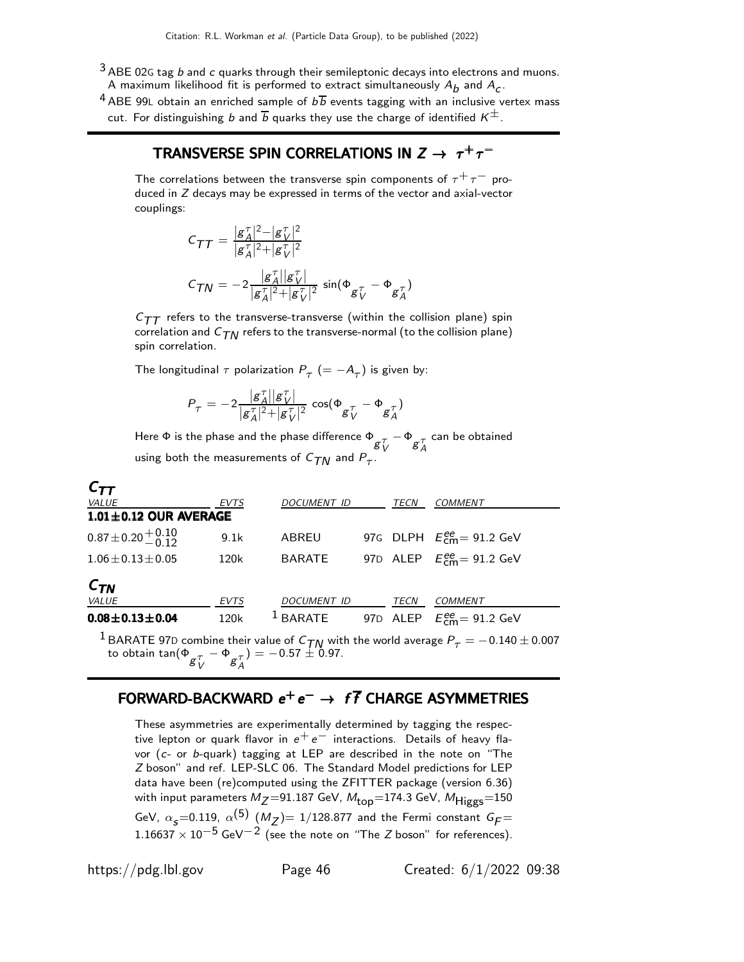- $3$  ABE 02G tag  $b$  and  $c$  quarks through their semileptonic decays into electrons and muons. A maximum likelihood fit is performed to extract simultaneously  $A_{\pmb{b}}$  and  $A_{\pmb{c}}.$
- <sup>4</sup> ABE 99L obtain an enriched sample of  $b\overline{b}$  events tagging with an inclusive vertex mass cut. For distinguishing b and  $\overline{b}$  quarks they use the charge of identified  $K^{\pm}$ .

# TRANSVERSE SPIN CORRELATIONS IN  $Z \rightarrow \tau^+\tau^-$

The correlations between the transverse spin components of  $\tau^+ \tau^-$  produced in Z decays may be expressed in terms of the vector and axial-vector couplings:

$$
C_{TT} = \frac{g_A^{\tau}|^2 - |g_V^{\tau}|^2}{|g_A^{\tau}|^2 + |g_V^{\tau}|^2}
$$

$$
C_{TN} = -2 \frac{|g_A^{\tau}| |g_V^{\tau}|}{|g_A^{\tau}|^2 + |g_V^{\tau}|^2} \sin(\Phi_{g_V^{\tau}} - \Phi_{g_A^{\tau}})
$$

 $C_{TT}$  refers to the transverse-transverse (within the collision plane) spin correlation and  $C_{TN}$  refers to the transverse-normal (to the collision plane) spin correlation.

The longitudinal  $\tau$  polarization  $P^{\phantom{\dagger}}_{\tau}~(=-A^{\phantom{\dagger}}_{\tau})$  is given by:

$$
P_\tau = -2 \frac{|\mathcal{g}^\tau_A||\mathcal{g}^\tau_V|}{|\mathcal{g}^\tau_A|^2 {+} |\mathcal{g}^\tau_V|^2} \, \cos(\Phi_{\mathcal{g}^\tau_V} - \Phi_{\mathcal{g}^\tau_A})
$$

Here  $\Phi$  is the phase and the phase difference  $\Phi_{\substack{\sigma \ \tau \\ \sigma A}} - \Phi_{\substack{\sigma \ \tau \\ \sigma A}}$ can be obtained using both the measurements of  $C_{\mathcal{T}N}$  and  $P_{\mathcal{T}}.$ 

| <u>.</u>                     |      |               |      |                                                         |
|------------------------------|------|---------------|------|---------------------------------------------------------|
| <i>VALUE</i>                 | EVTS | DOCUMENT ID   | TECN | COMMENT                                                 |
| $1.01 \pm 0.12$ OUR AVERAGE  |      |               |      |                                                         |
| $0.87 \pm 0.20 \pm 0.10$     | 9.1k | ABREU         |      | 97G DLPH $E_{cm}^{ee}$ = 91.2 GeV                       |
| $1.06 \pm 0.13 \pm 0.05$     | 120k | <b>BARATE</b> |      | 97D ALEP $E_{cm}^{ee} = 91.2$ GeV                       |
| $C_{\mathcal{T}\mathcal{N}}$ |      |               |      |                                                         |
| <i>VALUE</i>                 | EVTS | DOCUMENT ID   | TECN | COMMENT                                                 |
| $0.08 \pm 0.13 \pm 0.04$     | 120k | $^1$ BARATE   |      | 97D ALEP $E_{\text{cm}}^{\text{ee}} = 91.2 \text{ GeV}$ |
|                              |      |               |      |                                                         |

<sup>1</sup> BARATE 97D combine their value of  $C_{\text{TN}}$  with the world average  $P_{\tau} = -0.140 \pm 0.007$  to obtain tan( $\Phi_{\text{g}\tau}^{\tau} - \Phi_{\text{g}\tau}^{\tau}$ ) =  $-0.57 \pm 0.97$ .

# FORWARD-BACKWARD  $e^+e^- \rightarrow f\overline{f}$  CHARGE ASYMMETRIES

These asymmetries are experimentally determined by tagging the respective lepton or quark flavor in  $e^+e^-$  interactions. Details of heavy flavor (c- or b-quark) tagging at LEP are described in the note on "The Z boson" and ref. LEP-SLC 06. The Standard Model predictions for LEP data have been (re)computed using the ZFITTER package (version 6.36) with input parameters  $M_Z = 91.187$  GeV,  $M_{top} = 174.3$  GeV,  $M_{Higgs} = 150$ GeV,  $\alpha_{\sf s}$ =0.119,  $\alpha^{(\sf 5)}$   $(M_Z)$ = 1/128.877 and the Fermi constant  $G_{\sf F}$ =  $1.16637 \times 10^{-5}$  GeV<sup>-2</sup> (see the note on "The Z boson" for references).

 $\mathcal{C}_{-}$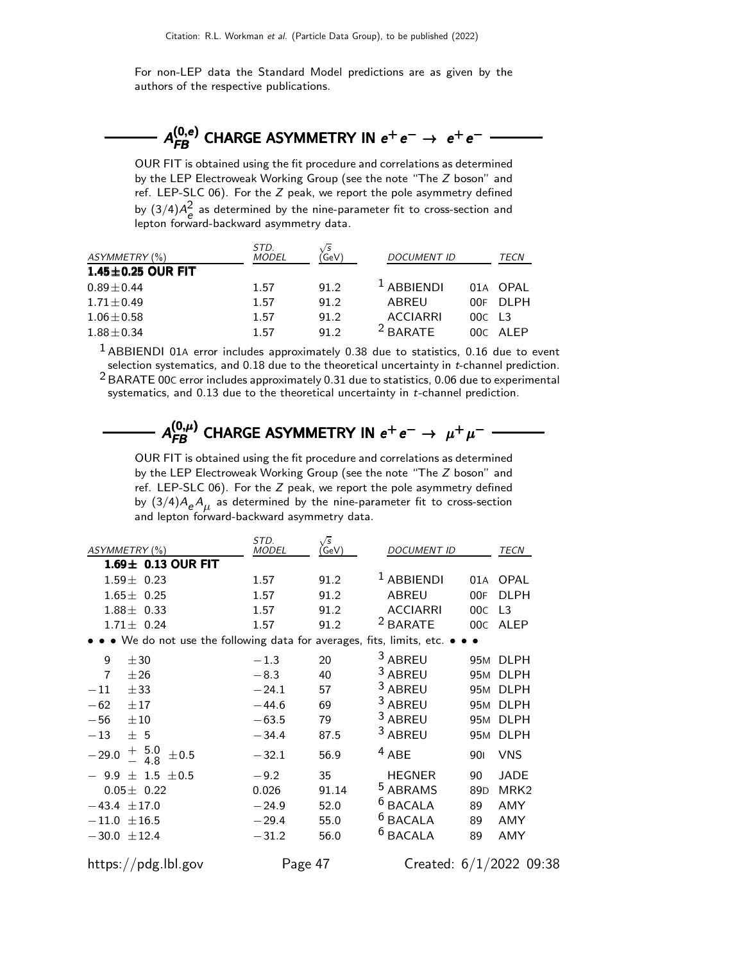For non-LEP data the Standard Model predictions are as given by the authors of the respective publications.



OUR FIT is obtained using the fit procedure and correlations as determined by the LEP Electroweak Working Group (see the note "The Z boson" and ref. LEP-SLC 06). For the Z peak, we report the pole asymmetry defined by  $(3/4)A_e^2$  as determined by the nine-parameter fit to cross-section and lepton forward-backward asymmetry data.

| ASYMMETRY (%)           | STD.<br><b>MODEL</b> | GeV) | <b>DOCUMENT ID</b> |                      | TECN       |
|-------------------------|----------------------|------|--------------------|----------------------|------------|
| $1.45 \pm 0.25$ OUR FIT |                      |      |                    |                      |            |
| $0.89 + 0.44$           | 1.57                 | 91.2 | $1$ ABBIENDI       |                      | 01A OPAL   |
| $1.71 \pm 0.49$         | 1.57                 | 91.2 | ABREU              | 00E.                 | DI PH      |
| $1.06 \pm 0.58$         | 1.57                 | 91.2 | <b>ACCIARRI</b>    | $00C$ L <sub>3</sub> |            |
| $1.88 \pm 0.34$         | 1.57                 | 912  | $2$ RARATE         |                      | $00C$ AIFP |

 $1$  ABBIENDI 01A error includes approximately 0.38 due to statistics, 0.16 due to event selection systematics, and 0.18 due to the theoretical uncertainty in t-channel prediction.  $2$  BARATE 00C error includes approximately 0.31 due to statistics, 0.06 due to experimental systematics, and 0.13 due to the theoretical uncertainty in *t*-channel prediction.

→  $A_{FB}^{(0,\mu)}$  CHARGE ASYMMETRY IN  $e^+e^-\rightarrow \mu^+\mu^-\rightarrow$ <br>OUR FIT is obtained using the fit procedure and correlations as determined

by the LEP Electroweak Working Group (see the note "The Z boson" and ref. LEP-SLC 06). For the  $Z$  peak, we report the pole asymmetry defined by  $(3/4)A_{\rm e}A_{\rm \mu}$  as determined by the nine-parameter fit to cross-section and lepton forward-backward asymmetry data.

| ASYMMETRY (%)                                                                 | STD.<br><b>MODEL</b> | $\sqrt{s}$<br>GeV) | <b>DOCUMENT ID</b>    |                 | TECN                    |
|-------------------------------------------------------------------------------|----------------------|--------------------|-----------------------|-----------------|-------------------------|
| $1.69\pm$ 0.13 OUR FIT                                                        |                      |                    |                       |                 |                         |
| $1.59 \pm 0.23$                                                               | 1.57                 | 91.2               | <sup>1</sup> ABBIENDI | 01A             | <b>OPAL</b>             |
| $1.65 \pm 0.25$                                                               | 1.57                 | 91.2               | <b>ABREU</b>          | 00F             | <b>DLPH</b>             |
| $1.88 \pm 0.33$                                                               | 1.57                 | 91.2               | <b>ACCIARRI</b>       | 00C             | L <sub>3</sub>          |
| $1.71 \pm 0.24$                                                               | 1.57                 | 91.2               | <sup>2</sup> BARATE   | 00C             | ALEP                    |
| • • • We do not use the following data for averages, fits, limits, etc. • • • |                      |                    |                       |                 |                         |
| 9<br>±30                                                                      | $-1.3$               | 20                 | <sup>3</sup> ABREU    |                 | 95M DLPH                |
| $\overline{7}$<br>±26                                                         | $-8.3$               | 40                 | <sup>3</sup> ABREU    |                 | 95M DLPH                |
| $-11$<br>± 33                                                                 | $-24.1$              | 57                 | <sup>3</sup> ABREU    | 95 <sub>M</sub> | <b>DLPH</b>             |
| $-62$<br>±17                                                                  | $-44.6$              | 69                 | <sup>3</sup> ABREU    |                 | 95M DLPH                |
| $\pm 10$<br>$-56$                                                             | $-63.5$              | 79                 | 3 ABREU               |                 | 95M DLPH                |
| $-13$<br>± 5                                                                  | $-34.4$              | 87.5               | 3 ABREU               | 95 <sub>M</sub> | <b>DLPH</b>             |
| $+$ 5.0<br>- 4.8<br>$-\,29.0$<br>±0.5                                         | $-32.1$              | 56.9               | $4$ ABE               | 901             | <b>VNS</b>              |
| $-9.9 \pm 1.5 \pm 0.5$                                                        | $-9.2$               | 35                 | <b>HEGNER</b>         | 90              | <b>JADE</b>             |
| $0.05 \pm 0.22$                                                               | 0.026                | 91.14              | <sup>5</sup> ABRAMS   | 89 <sub>D</sub> | MRK <sub>2</sub>        |
| $-43.4 \pm 17.0$                                                              | $-24.9$              | 52.0               | $6$ BACALA            | 89              | <b>AMY</b>              |
| $-11.0 \pm 16.5$                                                              | $-29.4$              | 55.0               | <sup>6</sup> BACALA   | 89              | AMY                     |
| $-30.0 \pm 12.4$                                                              | $-31.2$              | 56.0               | <sup>6</sup> BACALA   | 89              | AMY                     |
| https://pdg.lbl.gov                                                           | Page 47              |                    |                       |                 | Created: 6/1/2022 09:38 |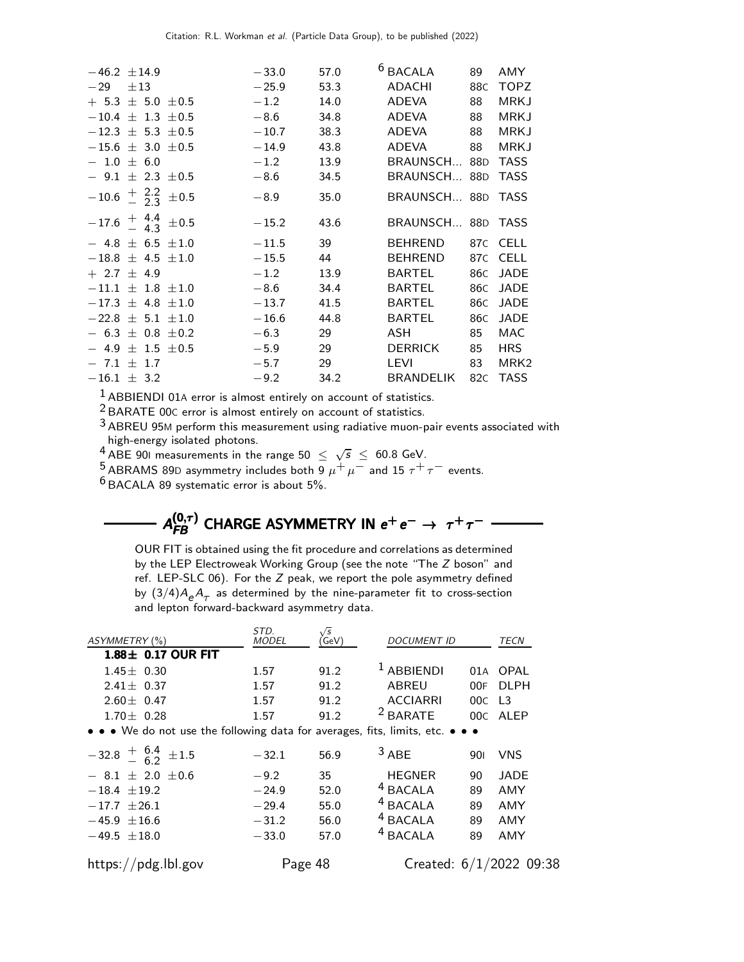| $-46.2 \pm 14.9$                          | $-33.0$ | 57.0 | <sup>6</sup> BACALA | 89  | AMY              |
|-------------------------------------------|---------|------|---------------------|-----|------------------|
| $-29 \pm 13$                              | $-25.9$ | 53.3 | ADACHI              | 88C | <b>TOPZ</b>      |
| $+$ 5.3 $\pm$ 5.0 $\pm$ 0.5               | $-1.2$  | 14.0 | ADEVA               | 88  | <b>MRKJ</b>      |
| $-10.4 \pm 1.3 \pm 0.5$                   | $-8.6$  | 34.8 | <b>ADEVA</b>        | 88  | <b>MRKJ</b>      |
| $-12.3 \pm 5.3 \pm 0.5$                   | $-10.7$ | 38.3 | ADEVA               | 88  | <b>MRKJ</b>      |
| $-15.6 \pm 3.0 \pm 0.5$                   | $-14.9$ | 43.8 | ADEVA               | 88  | <b>MRKJ</b>      |
| $-1.0 \pm 6.0$                            | $-1.2$  | 13.9 | BRAUNSCH 88D        |     | <b>TASS</b>      |
| $-9.1 \pm 2.3 \pm 0.5$                    | $-8.6$  | 34.5 | BRAUNSCH 88D        |     | <b>TASS</b>      |
| $-10.6 \frac{+}{-} 2.2 \over 2.3 \pm 0.5$ | $-8.9$  | 35.0 | BRAUNSCH 88D        |     | <b>TASS</b>      |
| $-17.6 \frac{+}{-} 4.4 \frac{+}{0.5}$     | $-15.2$ | 43.6 | BRAUNSCH 88D TASS   |     |                  |
| $-4.8 \pm 6.5 \pm 1.0$                    | $-11.5$ | 39   | BEHREND             |     | 87C CELL         |
| $-18.8 \pm 4.5 \pm 1.0$                   | $-15.5$ | 44   | <b>BEHREND</b>      | 87C | <b>CELL</b>      |
| $+ 2.7 \pm 4.9$                           | $-1.2$  | 13.9 | <b>BARTEL</b>       | 86C | <b>JADE</b>      |
| $-11.1 \pm 1.8 \pm 1.0$                   | $-8.6$  | 34.4 | <b>BARTEL</b>       | 86C | <b>JADE</b>      |
| $-17.3 \pm 4.8 \pm 1.0$                   | $-13.7$ | 41.5 | BARTEL              | 86C | <b>JADE</b>      |
| $-22.8 \pm 5.1 \pm 1.0$                   | $-16.6$ | 44.8 | <b>BARTEL</b>       | 86C | <b>JADE</b>      |
| $-6.3 \pm 0.8 \pm 0.2$                    | $-6.3$  | 29   | <b>ASH</b>          | 85  | MAC              |
| $-4.9 \pm 1.5 \pm 0.5$                    | $-5.9$  | 29   | <b>DERRICK</b>      | 85  | <b>HRS</b>       |
| $-7.1 \pm 1.7$                            | $-5.7$  | 29   | <b>LEVI</b>         | 83  | MRK <sub>2</sub> |
| $-16.1 \pm 3.2$                           | $-9.2$  | 34.2 | BRANDELIK           | 82C | <b>TASS</b>      |
|                                           |         |      |                     |     |                  |

 $<sup>1</sup>$  ABBIENDI 01A error is almost entirely on account of statistics.</sup>

<sup>2</sup> BARATE 00C error is almost entirely on account of statistics.

3 ABREU 95<sup>M</sup> perform this measurement using radiative muon-pair events associated with high-energy isolated photons.

 $^{4}$  ABE 901 measurements in the range 50  $\leq \sqrt{s} \leq 60.8$  GeV.

<sup>5</sup> ABRAMS 89D asymmetry includes both  $\frac{0}{9} \mu^+ \mu^-$  and 15  $\tau^+ \tau^-$  events.

6 BACALA 89 systematic error is about 5%.

# $A_{FB}^{(0,\tau)}$  CHARGE ASYMMETRY IN  $e^+e^-\rightarrow \tau^+\tau^-$

OUR FIT is obtained using the fit procedure and correlations as determined by the LEP Electroweak Working Group (see the note "The Z boson" and ref. LEP-SLC 06). For the Z peak, we report the pole asymmetry defined by  $(3/4)A_{\rm e}A_{\tau}$  as determined by the nine-parameter fit to cross-section and lepton forward-backward asymmetry data.

| ASYMMETRY (%)                                                                 | STD.<br><b>MODEL</b> | /s<br>GeV) | <b>DOCUMENT ID</b>  |     | TECN                    |
|-------------------------------------------------------------------------------|----------------------|------------|---------------------|-----|-------------------------|
| $1.88 \pm 0.17$ OUR FIT                                                       |                      |            |                     |     |                         |
| $1.45 \pm 0.30$                                                               | 1.57                 | 91.2       | $1$ ABBIENDI        | 01A | OPAL                    |
| $2.41 \pm 0.37$                                                               | 1.57                 | 91.2       | <b>ABREU</b>        | 00F | <b>DLPH</b>             |
| $2.60 \pm 0.47$                                                               | 1.57                 | 91.2       | <b>ACCIARRI</b>     | 00C | L <sub>3</sub>          |
| $1.70 \pm 0.28$                                                               | 1.57                 | 91.2       | <sup>2</sup> BARATE | 00C | ALEP                    |
| • • • We do not use the following data for averages, fits, limits, etc. • • • |                      |            |                     |     |                         |
| $-32.8 \frac{+}{-} 6.4 + 1.5$                                                 | $-32.1$              | 56.9       | $3$ ABE             | 90I | VNS                     |
| $-8.1 \pm 2.0 \pm 0.6$                                                        | $-9.2$               | 35         | <b>HEGNER</b>       | 90  | <b>JADE</b>             |
| $-18.4 \pm 19.2$                                                              | $-24.9$              | 52.0       | <sup>4</sup> BACALA | 89  | AMY                     |
| $-17.7 + 26.1$                                                                | $-29.4$              | 55.0       | <sup>4</sup> BACALA | 89  | AMY                     |
| $-45.9 \pm 16.6$                                                              | $-31.2$              | 56.0       | <sup>4</sup> BACALA | 89  | AMY                     |
| $-49.5 \pm 18.0$                                                              | $-33.0$              | 57.0       | <sup>4</sup> BACALA | 89  | AMY                     |
| https://pdg.lbl.gov                                                           | Page 48              |            |                     |     | Created: 6/1/2022 09:38 |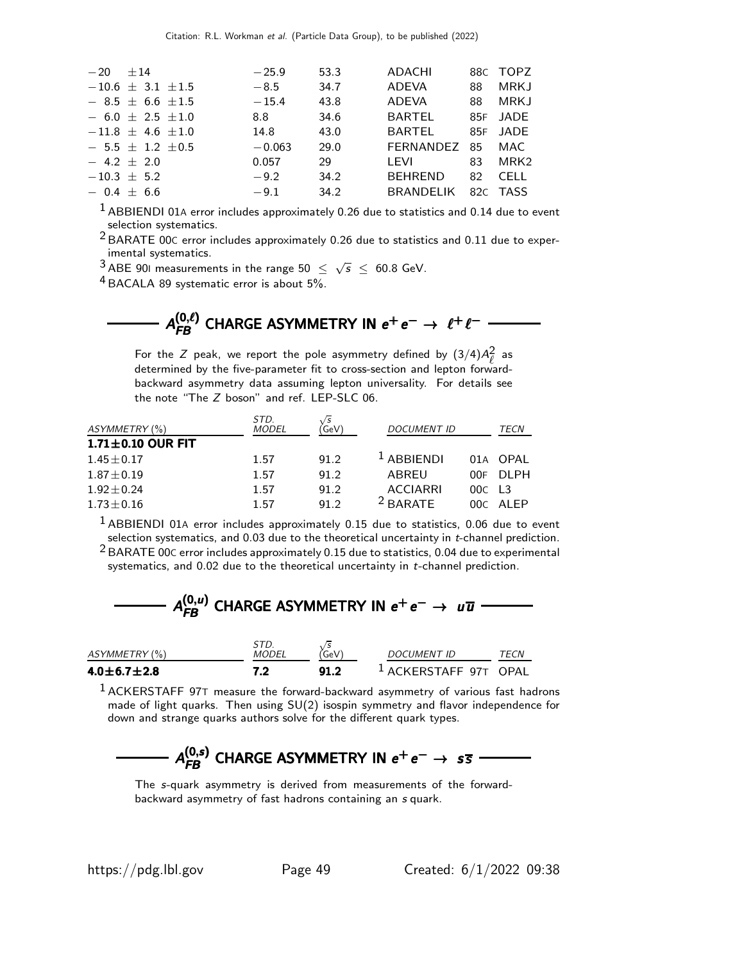| $-20 + 14$ |                             | $-25.9$  | 53.3 | ADACHI           |    | 88C TOPZ         |
|------------|-----------------------------|----------|------|------------------|----|------------------|
|            | $-10.6 \pm 3.1 \pm 1.5$     | $-8.5$   | 34.7 | ADEVA            | 88 | MRKJ             |
|            | $-$ 8.5 $\pm$ 6.6 $\pm$ 1.5 | $-15.4$  | 43.8 | ADEVA            | 88 | <b>MRKJ</b>      |
|            | $-6.0 \pm 2.5 \pm 1.0$      | 8.8      | 34.6 | BARTEL           |    | 85F JADE         |
|            | $-11.8 \pm 4.6 \pm 1.0$     | 14.8     | 43.0 | <b>BARTEL</b>    |    | 85F JADE         |
|            | $-5.5 \pm 1.2 \pm 0.5$      | $-0.063$ | 29.0 | <b>FERNANDEZ</b> | 85 | MAC              |
|            | $-4.2 + 2.0$                | 0.057    | 29   | LEVI             | 83 | MRK <sub>2</sub> |
|            | $-10.3 + 5.2$               | $-9.2$   | 34.2 | <b>BEHREND</b>   | 82 | CELL.            |
|            | $-0.4 + 6.6$                | $-9.1$   | 34.2 | <b>BRANDELIK</b> |    | 82C TASS         |
|            |                             |          |      |                  |    |                  |

 $1$  ABBIENDI 01A error includes approximately 0.26 due to statistics and 0.14 due to event selection systematics.

- 2 BARATE 00<sup>C</sup> error includes approximately 0.26 due to statistics and 0.11 due to experimental systematics.
- $\frac{3}{4}$ ABE 901 measurements in the range 50  $\leq \sqrt{s} \leq 60.8$  GeV.

4 BACALA 89 systematic error is about 5%.

# $A_{FB}^{(0,\ell)}$  CHARGE ASYMMETRY IN  $e^+e^-\rightarrow~\ell^+\ell^-$

For the Z peak, we report the pole asymmetry defined by  $(3/4)A_{\ell}^2$  as determined by the five-parameter fit to cross-section and lepton forwardbackward asymmetry data assuming lepton universality. For details see the note "The Z boson" and ref. LEP-SLC 06.

| ASYMMETRY (%)           | STD.<br><b>MODEL</b> | <b>GeV</b> | <b>DOCUMENT ID</b>  |                      | TECN       |
|-------------------------|----------------------|------------|---------------------|----------------------|------------|
| $1.71 \pm 0.10$ OUR FIT |                      |            |                     |                      |            |
| $1.45 \pm 0.17$         | 1.57                 | 91.2       | $L$ ABBIFNDI        |                      | 01A OPAL   |
| $1.87 \pm 0.19$         | 1.57                 | 91.2       | ABREU               | 00E.                 | DI PH      |
| $1.92 + 0.24$           | 1.57                 | 91.2       | <b>ACCIARRI</b>     | $00C$ L <sub>3</sub> |            |
| $1.73 \pm 0.16$         | 1.57                 | 91.2       | <sup>2</sup> BARATE |                      | $00C$ AIFP |

 $<sup>1</sup>$  ABBIENDI 01A error includes approximately 0.15 due to statistics, 0.06 due to event</sup> selection systematics, and 0.03 due to the theoretical uncertainty in t-channel prediction.

 $^2$  BARATE 00C error includes approximately 0.15 due to statistics, 0.04 due to experimental systematics, and 0.02 due to the theoretical uncertainty in t-channel prediction.

| $A_{FB}^{(0,u)}$ CHARGE ASYMMETRY IN $e^+e^- \rightarrow u\overline{u}$ |  |
|-------------------------------------------------------------------------|--|
|                                                                         |  |

| ASYMMETRY (%)       | <i>MODEL</i> | GeV) | <b>DOCUMENT ID</b>               | <i><b>TFCN</b></i> |
|---------------------|--------------|------|----------------------------------|--------------------|
| $4.0\pm 6.7\pm 2.8$ | 7.2          | 91.2 | <sup>1</sup> ACKERSTAFF 97T OPAL |                    |

 $<sup>1</sup>$  ACKERSTAFF 97T measure the forward-backward asymmetry of various fast hadrons</sup> made of light quarks. Then using SU(2) isospin symmetry and flavor independence for down and strange quarks authors solve for the different quark types.

# $A_{FB}^{(0,s)}$  CHARGE ASYMMETRY IN  $e^+e^-\rightarrow\ s\bar s$

The s-quark asymmetry is derived from measurements of the forwardbackward asymmetry of fast hadrons containing an s quark.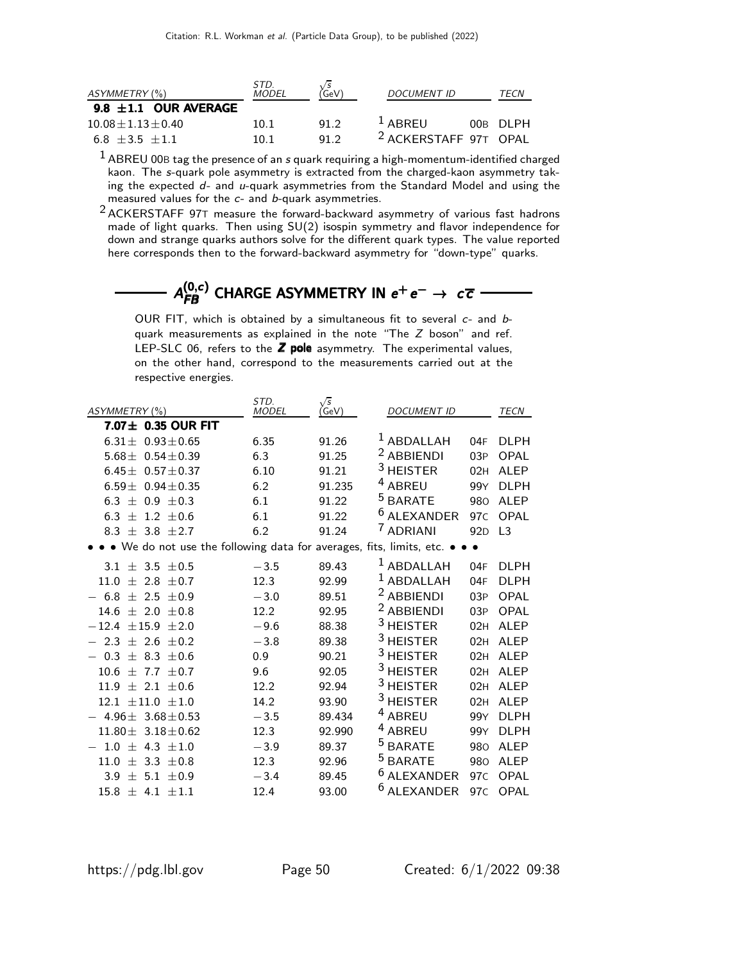| ASYMMETRY (%)             | STD.<br><b>MODEL</b> | `GeV | <b>DOCUMENT ID</b>               | TECN       |
|---------------------------|----------------------|------|----------------------------------|------------|
| 9.8 $\pm 1.1$ OUR AVERAGE |                      |      |                                  |            |
| $10.08 + 1.13 + 0.40$     | 10.1                 | 91.2 | $\frac{1}{2}$ ABREU              | $00B$ DIPH |
| $6.8 + 3.5 + 1.1$         | 10 1                 | 91.2 | <sup>2</sup> ACKERSTAFF 97T OPAL |            |

 $1$  ABREU 00B tag the presence of an s quark requiring a high-momentum-identified charged kaon. The s-quark pole asymmetry is extracted from the charged-kaon asymmetry taking the expected d- and u-quark asymmetries from the Standard Model and using the measured values for the c- and b-quark asymmetries.

2 ACKERSTAFF 97<sup>T</sup> measure the forward-backward asymmetry of various fast hadrons made of light quarks. Then using SU(2) isospin symmetry and flavor independence for down and strange quarks authors solve for the different quark types. The value reported here corresponds then to the forward-backward asymmetry for "down-type" quarks.

 ${\cal A}_{FB}^{(0,c)}$  CHARGE ASYMMETRY IN  $e^+e^-\rightarrow~c\,\overline{c}$ 

OUR FIT, which is obtained by a simultaneous fit to several  $c$ - and  $b$ quark measurements as explained in the note "The Z boson" and ref. LEP-SLC 06, refers to the  $Z$  pole asymmetry. The experimental values, on the other hand, correspond to the measurements carried out at the respective energies.

| ASYMMETRY (%)                                                           | STD.<br><b>MODEL</b> | $\sqrt{s}$<br>(GeV) | <b>DOCUMENT ID</b>     |                 | TECN           |
|-------------------------------------------------------------------------|----------------------|---------------------|------------------------|-----------------|----------------|
| 7.07 ± 0.35 OUR FIT                                                     |                      |                     |                        |                 |                |
| $6.31 \pm 0.93 \pm 0.65$                                                | 6.35                 | 91.26               | $^1$ ABDALLAH          | 04F             | <b>DLPH</b>    |
| 5.68 $\pm$ 0.54 $\pm$ 0.39                                              | 6.3                  | 91.25               | <sup>2</sup> ABBIENDI  | 03P             | OPAL           |
| $6.45 \pm 0.57 \pm 0.37$                                                | 6.10                 | 91.21               | <sup>3</sup> HEISTER   | 02H             | <b>ALEP</b>    |
| 6.59 $\pm$ 0.94 $\pm$ 0.35                                              | 6.2                  | 91.235              | <sup>4</sup> ABREU     | 99Y             | DI PH          |
| 6.3 $\pm$ 0.9 $\pm$ 0.3                                                 | 6.1                  | 91.22               | <sup>5</sup> BARATE    | 980             | <b>ALEP</b>    |
| 1.2 $\pm$ 0.6<br>6.3 $\pm$                                              | 6.1                  | 91.22               | <sup>6</sup> ALEXANDER | 97 <sub>C</sub> | OPAL           |
| 8.3 $\pm$ 3.8 $\pm$ 2.7                                                 | 6.2                  | 91.24               | <sup>7</sup> ADRIANI   | 92 <sub>D</sub> | L <sub>3</sub> |
| • • We do not use the following data for averages, fits, limits, etc. • |                      |                     |                        |                 |                |
| $3.1 \pm 3.5 \pm 0.5$                                                   | $-3.5$               | 89.43               | $1$ ABDALLAH           | 04F             | <b>DLPH</b>    |
| $2.8 + 0.7$<br>11.0<br>$+$                                              | 12.3                 | 92.99               | $^1$ ABDALLAH          | 04F             | <b>DLPH</b>    |
| $-6.8$<br>$+$<br>2.5<br>$+0.9$                                          | $-3.0$               | 89.51               | <sup>2</sup> ABBIENDI  | 03P             | OPAL           |
| $14.6 + 2.0 + 0.8$                                                      | 12.2                 | 92.95               | <sup>2</sup> ABBIENDI  | 03P             | OPAL           |
| ±15.9 ±2.0<br>$-12.4$                                                   | $-9.6$               | 88.38               | <sup>3</sup> HEISTER   | 02H             | <b>ALEP</b>    |
| 2.3<br>$\pm$ 2.6<br>$+0.2$                                              | $-3.8$               | 89.38               | <sup>3</sup> HEISTER   | 02H             | <b>ALEP</b>    |
| 0.3<br>$+$<br>8.3 $\pm$ 0.6                                             | 0.9                  | 90.21               | $3$ HEISTER            | 02H             | <b>ALEP</b>    |
| 10.6<br>$7.7 + 0.7$<br>$+$                                              | 9.6                  | 92.05               | <sup>3</sup> HEISTER   | 02H             | <b>ALEP</b>    |
| 11.9<br>$+2.1 + 0.6$                                                    | 12.2                 | 92.94               | <sup>3</sup> HEISTER   | 02H             | <b>ALEP</b>    |
| 12.1<br>±11.0 ±1.0                                                      | 14.2                 | 93.90               | <sup>3</sup> HEISTER   | 02H             | <b>ALEP</b>    |
| 4.96 $\pm$ 3.68 $\pm$ 0.53                                              | $-3.5$               | 89.434              | <sup>4</sup> ABREU     | 99Y             | <b>DLPH</b>    |
| $11.80 \pm 3.18 \pm 0.62$                                               | 12.3                 | 92.990              | <sup>4</sup> ABREU     | 99Y             | DI PH          |
| 4.3 $\pm 1.0$<br>1.0<br>$\pm$                                           | $-3.9$               | 89.37               | <sup>5</sup> BARATE    | 980             | <b>ALEP</b>    |
| 11.0<br>3.3 $\pm$ 0.8<br>士                                              | 12.3                 | 92.96               | <sup>5</sup> BARATE    | 980             | <b>ALEP</b>    |
| $+$<br>5.1 $\pm$ 0.9<br>3.9                                             | $-3.4$               | 89.45               | <sup>6</sup> ALEXANDER | 97 <sub>C</sub> | OPAL           |
| 15.8<br>$\pm$ 4.1 $\pm$ 1.1                                             | 12.4                 | 93.00               | <sup>6</sup> ALEXANDER | 97 <sub>C</sub> | OPAL           |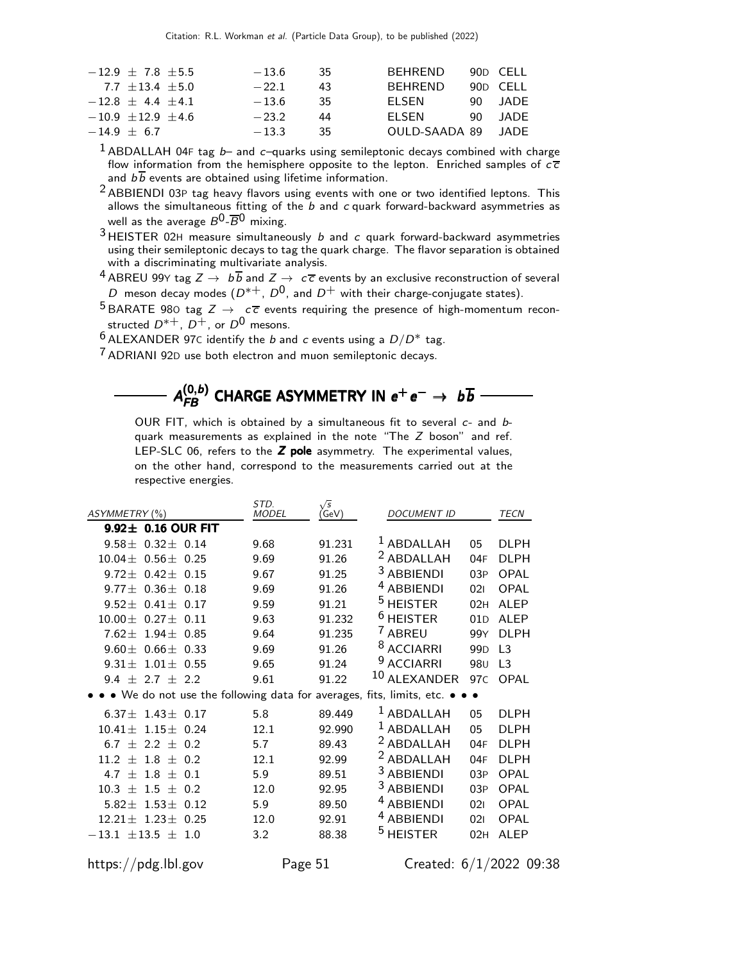| $-12.9 \pm 7.8 \pm 5.5$ | $-13.6$ | -35. | <b>REHREND</b>     | 90D CELL  |
|-------------------------|---------|------|--------------------|-----------|
| $7.7 + 13.4 + 5.0$      | $-22.1$ | 43   | <b>REHREND</b>     | 90D CELL  |
| $-12.8 + 4.4 + 4.1$     | $-13.6$ | -35  | <b>FI SEN</b>      | 90 JADE   |
| $-10.9 + 12.9 + 4.6$    | $-232$  | 44   | <b>FI SEN</b>      | $90$ JADE |
| $-14.9 + 6.7$           | $-13.3$ | 35   | OULD-SAADA 89 JADE |           |
|                         |         |      |                    |           |

 $1$  ABDALLAH 04F tag  $b-$  and c-quarks using semileptonic decays combined with charge flow information from the hemisphere opposite to the lepton. Enriched samples of  $c\bar{c}$ and  $b\overline{b}$  events are obtained using lifetime information.

<sup>2</sup> ABBIENDI 03P tag heavy flavors using events with one or two identified leptons. This allows the simultaneous fitting of the  $b$  and  $c$  quark forward-backward asymmetries as well as the average  $B^0$ - $\overline{B}^0$  mixing.

 $3$  HEISTER 02H measure simultaneously  $b$  and  $c$  quark forward-backward asymmetries using their semileptonic decays to tag the quark charge. The flavor separation is obtained with a discriminating multivariate analysis.

<sup>4</sup> ABREU 99Y tag  $Z \rightarrow b\overline{b}$  and  $Z \rightarrow c\overline{c}$  events by an exclusive reconstruction of several D meson decay modes  $(D^{*+}, D^0)$ , and  $D^+$  with their charge-conjugate states).

5 BARATE 980 tag  $Z \rightarrow c\bar{c}$  events requiring the presence of high-momentum reconstructed  $D^{*+}$ ,  $D^{+}$ , or  $D^{0}$  mesons.

 $6$  ALEXANDER 97C identify the *b* and *c* events using a  $D/D^*$  tag.

7 ADRIANI 92<sup>D</sup> use both electron and muon semileptonic decays.

 ${\cal A}_{FB}^{(0,b)}$  CHARGE ASYMMETRY IN  $e^+e^-\rightarrow~b\overline{b}$ 

OUR FIT, which is obtained by a simultaneous fit to several c- and bquark measurements as explained in the note "The Z boson" and ref. LEP-SLC 06, refers to the  $Z$  pole asymmetry. The experimental values, on the other hand, correspond to the measurements carried out at the respective energies.

| ASYMMETRY (%)            |                  |      | STD.<br><b>MODEL</b> | $\sqrt{s}$<br>(GeV) | <b>DOCUMENT ID</b>                                                          |                 | TECN             |
|--------------------------|------------------|------|----------------------|---------------------|-----------------------------------------------------------------------------|-----------------|------------------|
| $9.92 \pm 0.16$ OUR FIT  |                  |      |                      |                     |                                                                             |                 |                  |
| $9.58 +$                 | $0.32 \pm 0.14$  |      | 9.68                 | 91.231              | <sup>1</sup> ABDALLAH                                                       | 05              | <b>DLPH</b>      |
| $10.04 +$                | $0.56 \pm 0.25$  |      | 9.69                 | 91.26               | <sup>2</sup> ABDALLAH                                                       | 04F             | <b>DLPH</b>      |
| $9.72 +$                 | $0.42 \pm 0.15$  |      | 9.67                 | 91.25               | <sup>3</sup> ABBIENDI                                                       | 03P             | OPAL             |
| $9.77 +$                 | $0.36 \pm 0.18$  |      | 9.69                 | 91.26               | <sup>4</sup> ABBIENDI                                                       | 021             | <b>OPAL</b>      |
| $9.52 +$                 | $0.41 +$         | 0.17 | 9.59                 | 91.21               | <sup>5</sup> HEISTER                                                        | 02H             | AI FP            |
| $10.00 +$                | $0.27 + 0.11$    |      | 9.63                 | 91.232              | $6$ HEISTER                                                                 | 01D             | AI FP            |
| $7.62 \pm$               | $1.94 +$         | 0.85 | 9.64                 | 91.235              | 7 ABREU                                                                     | 99Y             | DI PH            |
| $9.60 +$                 | $0.66 \pm 0.33$  |      | 9.69                 | 91.26               | <sup>8</sup> ACCIARRI                                                       | 99 <sub>D</sub> | $\overline{1}$ 3 |
| $9.31 +$                 | $1.01 \pm$       | 0.55 | 9.65                 | 91.24               | <sup>9</sup> ACCIARRI                                                       | 98 <sub>U</sub> | L3               |
| 9.4<br>$^{+}$            | $2.7 +$          | 2.2  | 9.61                 | 91.22               | <sup>10</sup> ALEXANDER                                                     | 97 <sub>C</sub> | OPAL             |
|                          |                  |      |                      |                     | • • We do not use the following data for averages, fits, limits, etc. • • • |                 |                  |
| $6.37 \pm 1.43 \pm 0.17$ |                  |      | 5.8                  | 89.449              | <sup>1</sup> ABDALLAH                                                       | 05              | <b>DLPH</b>      |
| $10.41 +$                | $1.15 \pm$       | 0.24 | 12.1                 | 92.990              | $1$ ABDALLAH                                                                | 05              | <b>DLPH</b>      |
| 6.7<br>$+$               | $2.2 +$          | 0.2  | 5.7                  | 89.43               | <sup>2</sup> ABDALLAH                                                       | 04F             | DI PH            |
| 11.2<br>$^{+}$           | 1.8 $\pm$        | 0.2  | 12.1                 | 92.99               | <sup>2</sup> ABDALLAH                                                       | 04F             | <b>DLPH</b>      |
| 4.7<br>$^{+}$            | 1.8<br>$^{+}$    | 0.1  | 5.9                  | 89.51               | <sup>3</sup> ABBIENDI                                                       | 03P             | <b>OPAL</b>      |
| 10.3<br>$^{+}$           | $1.5 +$          | 0.2  | 12.0                 | 92.95               | <sup>3</sup> ABBIENDI                                                       | 03P             | <b>OPAL</b>      |
| $5.82+$                  | $1.53+$          | 0.12 | 5.9                  | 89.50               | <sup>4</sup> ABBIENDI                                                       | 021             | OPAL             |
| $12.21 +$                | $1.23 +$         | 0.25 | 12.0                 | 92.91               | <sup>4</sup> ABBIENDI                                                       | 021             | <b>OPAL</b>      |
| $-13.1$                  | $\pm$ 13.5 $\pm$ | 1.0  | 3.2                  | 88.38               | <sup>5</sup> HEISTER                                                        | 02H             | <b>ALEP</b>      |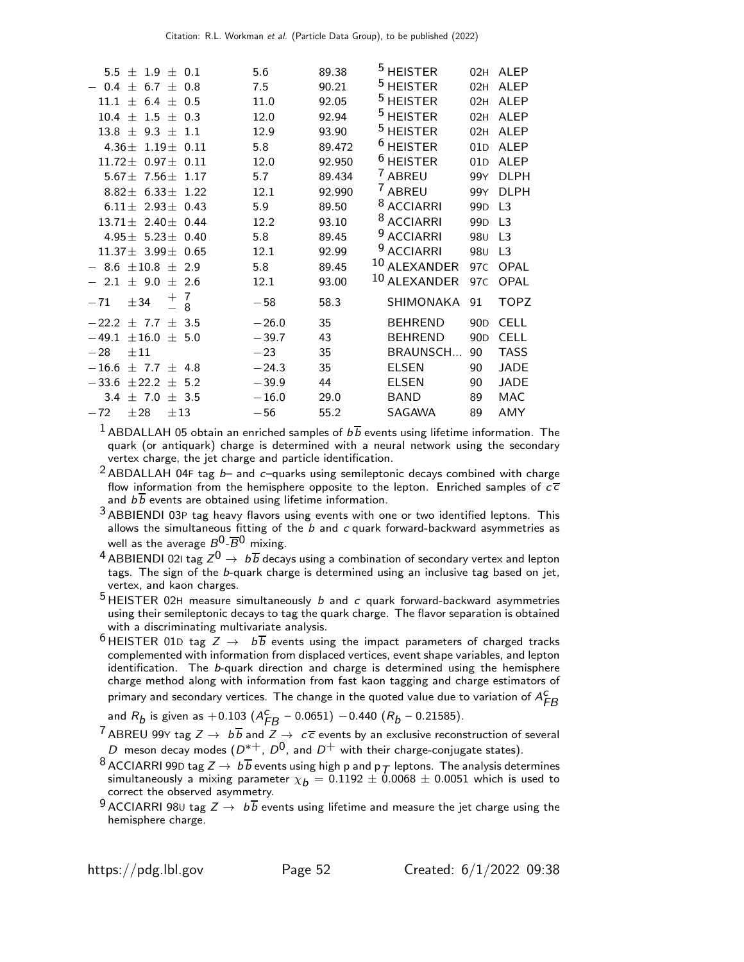| 5.5 $\pm$ 1.9 $\pm$ 0.1            | 5.6     | 89.38  | <sup>5</sup> HEISTER  |                 | 02H ALEP         |
|------------------------------------|---------|--------|-----------------------|-----------------|------------------|
| 6.7<br>$^{+}$<br>0.8<br>0.4<br>$+$ | 7.5     | 90.21  | <sup>5</sup> HEISTER  | 02H             | <b>ALEP</b>      |
| $\pm$ 6.4 $\pm$ 0.5<br>11.1        | 11.0    | 92.05  | <sup>5</sup> HEISTER  | 02H             | AI FP            |
| $1.5 + 0.3$<br>10.4<br>$+$         | 12.0    | 92.94  | <sup>5</sup> HEISTER  | 02H             | <b>ALEP</b>      |
| 9.3 $\pm$<br>$13.8 +$<br>1.1       | 12.9    | 93.90  | <sup>5</sup> HEISTER  | 02H             | <b>ALEP</b>      |
| $4.36 + 1.19 + 0.11$               | 5.8     | 89.472 | $6$ HEISTER           | 01D             | <b>ALEP</b>      |
| $11.72 +$<br>$0.97 + 0.11$         | 12.0    | 92.950 | $6$ HEISTER           | 01D             | <b>ALEP</b>      |
| 5.67 $\pm$ 7.56 $\pm$<br>1.17      | 5.7     | 89.434 | <sup>7</sup> ABREU    | 99Y             | DI PH            |
| 8.82 $\pm$ 6.33 $\pm$<br>1.22      | 12.1    | 92.990 | 7 ABREU               | 99Y             | <b>DLPH</b>      |
| $6.11 + 2.93 + 0.43$               | 5.9     | 89.50  | <sup>8</sup> ACCIARRI | 99 <sub>D</sub> | $\overline{1}$ 3 |
| $13.71 + 2.40 + 0.44$              | 12.2    | 93.10  | <sup>8</sup> ACCIARRI | 99 <sub>D</sub> | $\overline{1}$ 3 |
| $4.95 + 5.23 + 0.40$               | 5.8     | 89.45  | <sup>9</sup> ACCIARRI | 98 <sub>U</sub> | L <sub>3</sub>   |
| $11.37 \pm 3.99 \pm$<br>0.65       | 12.1    | 92.99  | <sup>9</sup> ACCIARRI | 98 <sub>U</sub> | L <sub>3</sub>   |
| 8.6 $\pm$ 10.8 $\pm$ 2.9           | 5.8     | 89.45  | 10 ALEXANDER          | 97 <sub>C</sub> | <b>OPAL</b>      |
| $-2.1$<br>$\pm$ 9.0<br>$\pm$ 2.6   | 12.1    | 93.00  | 10 ALEXANDER          | 97 <sub>C</sub> | OPAL             |
| 7<br>$^+$<br>± 34<br>$-71$<br>8    | $-58$   | 58.3   | SHIMONAKA             | 91              | <b>TOPZ</b>      |
| $-22.2$<br>$+7.7$<br>$+3.5$        | $-26.0$ | 35     | <b>BEHREND</b>        | 90 <sub>D</sub> | <b>CELL</b>      |
| $-49.1$<br>±16.0<br>$\pm$ 5.0      | $-39.7$ | 43     | <b>BEHREND</b>        | 90 <sub>D</sub> | <b>CELL</b>      |
| $\pm\,11$<br>$-28$                 | $-23$   | 35     | <b>BRAUNSCH</b>       | 90              | <b>TASS</b>      |
| $-16.6$<br>$+7.7$<br>$+ 4.8$       | $-24.3$ | 35     | <b>ELSEN</b>          | 90              | <b>JADE</b>      |
| $-33.6$<br>$+22.2$<br>$+$<br>5.2   | $-39.9$ | 44     | <b>ELSEN</b>          | 90              | <b>JADE</b>      |
| $\pm$ 7.0<br>3.4<br>$\pm$ 3.5      | $-16.0$ | 29.0   | <b>BAND</b>           | 89              | <b>MAC</b>       |
| ±28<br>±13<br>$-72$                | $-56$   | 55.2   | SAGAWA                | 89              | AMY              |
|                                    |         |        |                       |                 |                  |

<sup>1</sup> ABDALLAH 05 obtain an enriched samples of  $b\overline{b}$  events using lifetime information. The quark (or antiquark) charge is determined with a neural network using the secondary vertex charge, the jet charge and particle identification.

<sup>2</sup> ABDALLAH 04F tag  $b-$  and  $c-$ quarks using semileptonic decays combined with charge flow information from the hemisphere opposite to the lepton. Enriched samples of  $c\bar{c}$ and  $b\overline{b}$  events are obtained using lifetime information.

- 3 ABBIENDI 03<sup>P</sup> tag heavy flavors using events with one or two identified leptons. This allows the simultaneous fitting of the  $\overline{b}$  and c quark forward-backward asymmetries as well as the average  $B^0$ - $\overline{B}^0$  mixing.
- $^4$  ABBIENDI 021 tag  $Z^0 \rightarrow \ b \overline{b}$  decays using a combination of secondary vertex and lepton tags. The sign of the b-quark charge is determined using an inclusive tag based on jet, vertex, and kaon charges.

 $5$  HEISTER 02H measure simultaneously  $b$  and  $c$  quark forward-backward asymmetries using their semileptonic decays to tag the quark charge. The flavor separation is obtained with a discriminating multivariate analysis.

<sup>6</sup> HEISTER 01D tag  $Z \rightarrow b\overline{b}$  events using the impact parameters of charged tracks complemented with information from displaced vertices, event shape variables, and lepton identification. The b-quark direction and charge is determined using the hemisphere charge method along with information from fast kaon tagging and charge estimators of primary and secondary vertices. The change in the quoted value due to variation of  $A_f^C$ FB

and  $R_b$  is given as +0.103 ( $A_{FB}^c$  – 0.0651)  $-$ 0.440 ( $R_b$  – 0.21585).

- <sup>7</sup> ABREU 99Y tag  $Z \to b\overline{b}$  and  $Z \to c\overline{c}$  events by an exclusive reconstruction of several D meson decay modes  $(D^{*+}, D^0)$ , and  $D^+$  with their charge-conjugate states).
- 8 ACCIARRI 99D tag  $Z \rightarrow b\overline{b}$  events using high p and p $_{\mathcal{T}}$  leptons. The analysis determines simultaneously a mixing parameter  $\chi_b = 0.1192 \pm 0.0068 \pm 0.0051$  which is used to correct the observed asymmetry.
- $9$  ACCIARRI 980 tag  $Z \rightarrow b\overline{b}$  events using lifetime and measure the jet charge using the hemisphere charge.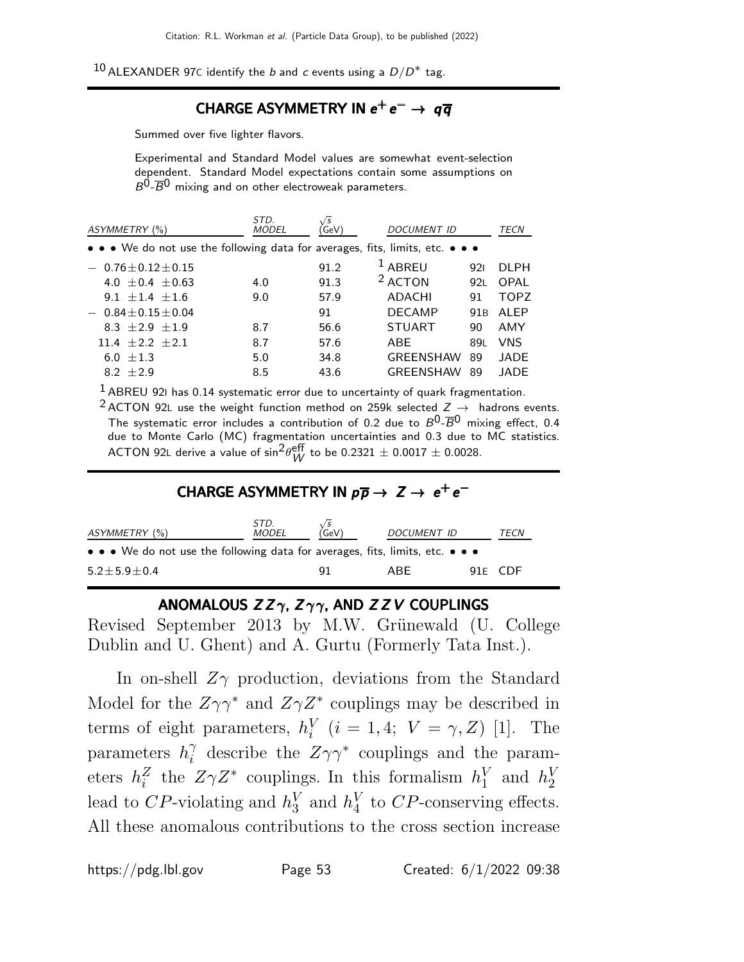10 ALEXANDER 97C identify the *b* and *c* events using a  $D/D^*$  tag.

# $\mathsf{CHARGE}\ \mathsf{ASYMMETRY}$  in  $e^+e^-\rightarrow\ q\overline{q}$

Summed over five lighter flavors.

Experimental and Standard Model values are somewhat event-selection dependent. Standard Model expectations contain some assumptions on  $B^0$ - $\overline{B}{}^0$  mixing and on other electroweak parameters.

| ASYMMETRY (%)                                                                 | STD.<br><b>MODEL</b> | <b>GeV</b> | <b>DOCUMENT ID</b> |                 | TECN        |
|-------------------------------------------------------------------------------|----------------------|------------|--------------------|-----------------|-------------|
| • • • We do not use the following data for averages, fits, limits, etc. • • • |                      |            |                    |                 |             |
| $0.76 + 0.12 + 0.15$                                                          |                      | 91.2       | $1$ ABREU          | 921             | DI PH       |
| 4.0 $\pm$ 0.4 $\pm$ 0.63                                                      | 4.0                  | 91.3       | <sup>2</sup> ACTON | 92L             | OPAL        |
| $9.1 + 1.4 + 1.6$                                                             | 9.0                  | 57.9       | ADACHI             | 91              | <b>TOPZ</b> |
| $-0.84 \pm 0.15 \pm 0.04$                                                     |                      | 91         | <b>DECAMP</b>      | 91 <sub>B</sub> | ALEP        |
| 8.3 $\pm 2.9 \pm 1.9$                                                         | 8.7                  | 56.6       | <b>STUART</b>      | 90              | AMY         |
| $11.4 + 2.2 + 2.1$                                                            | 8.7                  | 57.6       | ABE                | 89L             | <b>VNS</b>  |
| 6.0 $\pm 1.3$                                                                 | 5.0                  | 34.8       | <b>GREENSHAW</b>   | 89              | JADE        |
| 8.2 $\pm 2.9$                                                                 | 8.5                  | 43.6       | <b>GREENSHAW</b>   | 89              | JADE        |
|                                                                               |                      |            |                    |                 |             |

 $<sup>1</sup>$  ABREU 92I has 0.14 systematic error due to uncertainty of quark fragmentation.</sup>

<sup>2</sup> ACTON 92L use the weight function method on 259k selected  $Z \rightarrow$  hadrons events. The systematic error includes a contribution of 0.2 due to  $B^0\textrm{-}\overline{B}{}^0$  mixing effect, 0.4 due to Monte Carlo (MC) fragmentation uncertainties and 0.3 due to MC statistics. ACTON 92L derive a value of  $\sin^2\!\theta_W^{\sf eff}$  to be 0.2321  $\pm$  0.0017  $\pm$  0.0028.

# CHARGE ASYMMETRY IN  $p\overline{p} \rightarrow Z \rightarrow e^+e^-$

| ASYMMETRY (%)                                                                                                         | STD.<br>MODEL | $\chi^{\prime s}_{\text{GeV}}$ | DOCUMENT ID | TECN    |
|-----------------------------------------------------------------------------------------------------------------------|---------------|--------------------------------|-------------|---------|
| $\bullet \bullet \bullet$ We do not use the following data for averages, fits, limits, etc. $\bullet \bullet \bullet$ |               |                                |             |         |
| $5.2 + 5.9 + 0.4$                                                                                                     |               | 91                             | ARF         | 91F CDF |

## ANOMALOUS  $ZZ\gamma$ ,  $Z\gamma\gamma$ , AND  $ZZV$  COUPLINGS

Revised September 2013 by M.W. Grünewald (U. College Dublin and U. Ghent) and A. Gurtu (Formerly Tata Inst.).

In on-shell  $Z_{\gamma}$  production, deviations from the Standard Model for the  $Z\gamma\gamma^*$  and  $Z\gamma Z^*$  couplings may be described in terms of eight parameters,  $h_i^V$  $i_i^V$  (*i* = 1, 4;  $V = \gamma$ , Z) [1]. The parameters  $h_i^{\gamma}$  $\gamma_i^{\gamma}$  describe the  $Z\gamma\gamma^*$  couplings and the parameters  $h_i^Z$  $\bar{z}$  the  $Z\gamma Z^*$  couplings. In this formalism  $h_1^V$  $_1^V$  and  $h_2^V$ 2 lead to CP-violating and  $h_3^V$  $\frac{V}{3}$  and  $h_4^V$  $_{4}^{V}$  to  $CP$ -conserving effects. All these anomalous contributions to the cross section increase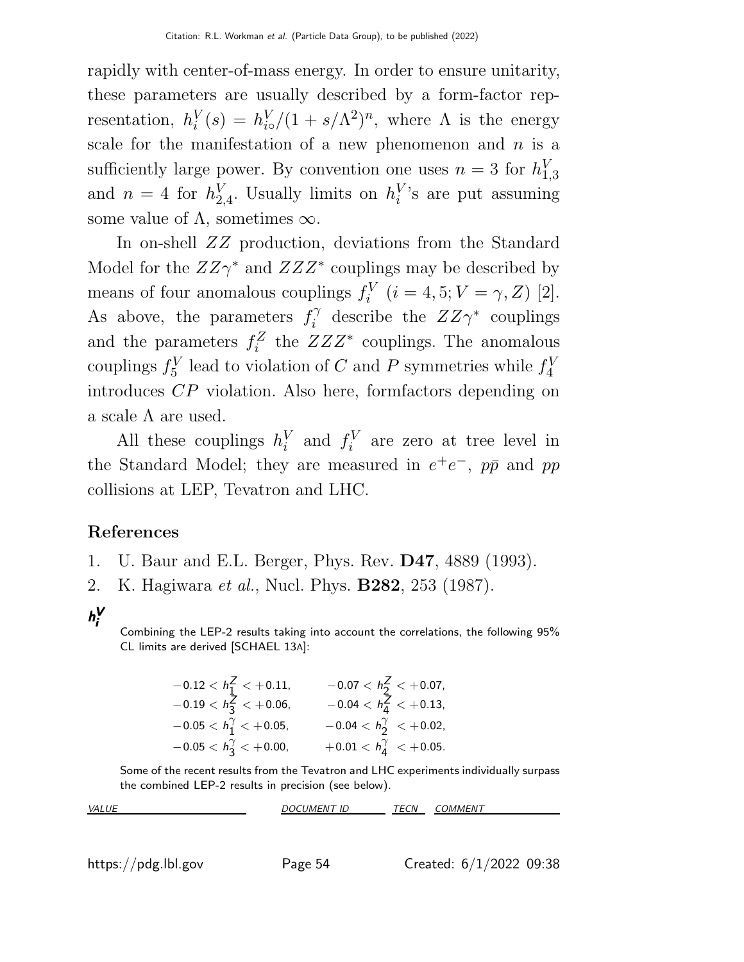rapidly with center-of-mass energy. In order to ensure unitarity, these parameters are usually described by a form-factor representation,  $h_i^V$  $i<sup>V</sup>(s) = h<sub>io</sub><sup>V</sup>/(1 + s/\Lambda<sup>2</sup>)<sup>n</sup>$ , where  $\Lambda$  is the energy scale for the manifestation of a new phenomenon and  $n$  is a sufficiently large power. By convention one uses  $n = 3$  for  $h_1^V$ 1,3 and  $n=4$  for  $h_2^V$  $_{2,4}^V$ . Usually limits on  $h_i^V$  $i$ 's are put assuming some value of  $\Lambda$ , sometimes  $\infty$ .

In on-shell ZZ production, deviations from the Standard Model for the  $ZZ\gamma^*$  and  $ZZZ^*$  couplings may be described by means of four anomalous couplings  $f_i^V$  $i_i^V$   $(i = 4, 5; V = \gamma, Z)$  [2]. As above, the parameters  $f_i^{\gamma}$  $i^{\gamma}$  describe the  $ZZ\gamma^*$  couplings and the parameters  $f_i^Z$  $Z^Z$  the  $ZZZ^*$  couplings. The anomalous couplings  $f_5^V$  $S<sub>5</sub><sup>V</sup>$  lead to violation of C and P symmetries while  $f_4^V$ 4 introduces CP violation. Also here, formfactors depending on a scale  $\Lambda$  are used.

All these couplings  $h_i^V$  $_i^V$  and  $f_i^V$  $i_i^V$  are zero at tree level in the Standard Model; they are measured in  $e^+e^-$ ,  $p\bar{p}$  and  $pp$ collisions at LEP, Tevatron and LHC.

### References

- 1. U. Baur and E.L. Berger, Phys. Rev. D47, 4889 (1993).
- 2. K. Hagiwara et al., Nucl. Phys. B282, 253 (1987).

### h V i

Combining the LEP-2 results taking into account the correlations, the following 95% CL limits are derived [SCHAEL 13A]:

| $-0.12 < h_1^2 < +0.11$ ,        | $-0.07 < h_2^Z < +0.07$ ,          |
|----------------------------------|------------------------------------|
| $-0.19 < h_3^Z < +0.06$ ,        | $-0.04 < h_{4}^{Z} < +0.13$ ,      |
| $-0.05 < h_1^{\gamma} < +0.05$ , | $-0.04 < h_2^{\gamma} < +0.02$ ,   |
| $-0.05 < h_3^{\gamma} < +0.00$ , | $+0.01 < h_{4}^{\gamma} < +0.05$ . |

Some of the recent results from the Tevatron and LHC experiments individually surpass the combined LEP-2 results in precision (see below).

| VAL | $\mathsf{I}\mathsf{r}$<br>11<br>IMEN<br>⊥ | FCN<br>$\overline{r}$<br>---<br>. | 1MMFN |
|-----|-------------------------------------------|-----------------------------------|-------|
|     |                                           |                                   |       |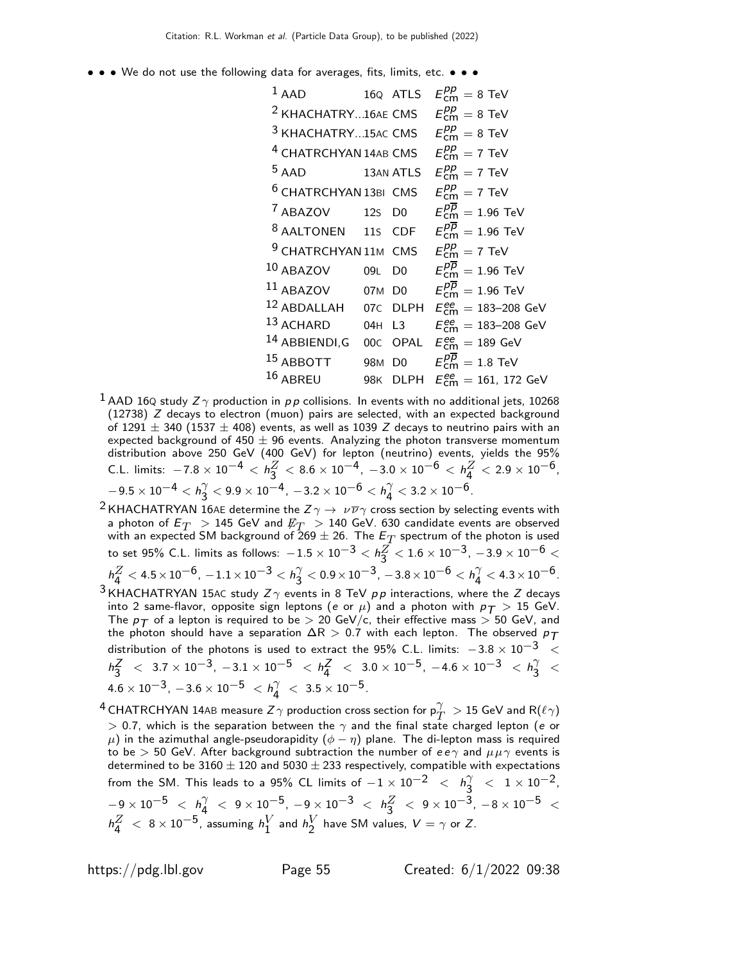• • • We do not use the following data for averages, fits, limits, etc. • • •

1 AAD 16Q ATLS 
$$
E_{cm}^{pp} = 8 \text{ TeV}
$$
  
\n2 KHACHATRY...16AE CMS  $E_{cm}^{pp} = 8 \text{ TeV}$   
\n3 KHACHATRY...15AC CMS  $E_{cm}^{pp} = 8 \text{ TeV}$   
\n4 CHATRCHYAN 14AB CMS  $E_{cm}^{pp} = 7 \text{ TeV}$   
\n5 AAD 13AN ATLS  $E_{cm}^{pp} = 7 \text{ TeV}$   
\n6 CHATRCHYAN 13BI CMS  $E_{cm}^{pp} = 7 \text{ TeV}$   
\n7 ABAZOV 12S DO  $E_{cm}^{pp} = 1.96 \text{ TeV}$   
\n8 AALTONEN 11S CDF  $E_{cm}^{pp} = 1.96 \text{ TeV}$   
\n9 CHATRCHYAN 11M CMS  $E_{cm}^{pp} = 1.96 \text{ TeV}$   
\n10 ABAZOV 09L DO  $E_{cm}^{pp} = 1.96 \text{ TeV}$   
\n11 ABAZOV 07M DO  $E_{cm}^{pp} = 1.96 \text{ TeV}$   
\n12 ABDALLAH 07C DLPH  $E_{cm}^{ee} = 183-208 \text{ GeV}$   
\n13 ACHARD 04H L3  $E_{cm}^{ee} = 183-208 \text{ GeV}$   
\n14 ABBIENDI,G 00C OPAL  $E_{cm}^{ee} = 189 \text{ GeV}$   
\n15 ABBOTT 98M DO  $E_{cm}^{pp} = 1.8 \text{ TeV}$   
\n16 ABREU 98K DLPH  $E_{cm}^{ee} = 161, 172 \text{ GeV}$ 

- $^1$  AAD 16Q study  $Z\gamma$  production in  $p\,p$  collisions. In events with no additional jets, 10268 (12738) Z decays to electron (muon) pairs are selected, with an expected background of  $1291 \pm 340$  (1537  $\pm$  408) events, as well as 1039 Z decays to neutrino pairs with an expected background of 450  $\pm$  96 events. Analyzing the photon transverse momentum distribution above 250 GeV (400 GeV) for lepton (neutrino) events, yields the 95% C.L. limits:  $-7.8 \times 10^{-4} < h_3^Z$  $\frac{Z}{3}< 8.6\times 10^{-4}$ ,  $-3.0\times 10^{-6} < h_4^Z$  $\frac{Z}{4}$  < 2.9  $\times$  10 $^{-6}$ ,  $-9.5\times10^{-4} < h_3^{\gamma}$  $\frac{\gamma}{3} < 9.9 \times 10^{-4}$  ,  $-3.2 \times 10^{-6} < h_4^{\gamma}$  $\gamma\over 4 < 3.2\times 10^{-6}.$
- <sup>2</sup> KHACHATRYAN 16AE determine the  $Z\gamma \to \nu \overline{\nu} \gamma$  cross section by selecting events with a photon of  $E_T > 145$  GeV and  $\not\!\! E_T > 140$  GeV. 630 candidate events are observed with an expected SM background of 269  $\pm$  26. The  $E_T^{\phantom{\dagger}}$  spectrum of the photon is used to set 95% C.L. limits as follows:  $-1.5\times 10^{-3} < h_3^Z$  $\frac{Z}{3} < 1.6 \times 10^{-3}$ ,  $-3.9 \times 10^{-6} <$  $h^Z_4 < 4.5 \times 10^{-6}$ ,  $-1.1 \times 10^{-3} < h^{\gamma}_3$  $\frac{\gamma}{3} < 0.9 \times 10^{-3}$ ,  $-3.8 \times 10^{-6} < h_4^{\gamma}$  $\frac{\gamma}{4} < 4.3 \times 10^{-6}$ . <sup>3</sup> KHACHATRYAN 15AC study  $Z\gamma$  events in 8 TeV  $pp$  interactions, where the Z decays
- into 2 same-flavor, opposite sign leptons (e or  $\mu$ ) and a photon with  $p_T > 15$  GeV. The  $p_T$  of a lepton is required to be  $> 20$  GeV/c, their effective mass  $> 50$  GeV, and the photon should have a separation  $\Delta R > 0.7$  with each lepton. The observed  $p_T$ distribution of the photons is used to extract the 95% C.L. limits:  $-3.8 \times 10^{-3}$  <  $h_2^Z$  $\frac{Z}{3}$  < 3.7 × 10<sup>-3</sup>, -3.1 × 10<sup>-5</sup> <  $h_4^2$  $\frac{Z}{4}$  < 3.0 × 10<sup>-5</sup>, -4.6 × 10<sup>-3</sup> < h<sub>3</sub><sup>2</sup>  $\frac{1}{3}$  <  $4.6 \times 10^{-3}$ ,  $-3.6 \times 10^{-5}$   $< h_4^{\gamma}$  $\begin{array}{c} \gamma \ 4 \end{array} < 3.5 \times 10^{-5}.$
- $^4$  CHATRCHYAN 14AB measure  $Z\gamma$  production cross section for  $\mathsf{p}_T^\gamma >$  15 GeV and R $(\ell \gamma)$  $>$  0.7, which is the separation between the  $\gamma$  and the final state charged lepton (*e* or  $\mu$ ) in the azimuthal angle-pseudorapidity  $(\phi - \eta)$  plane. The di-lepton mass is required to be > 50 GeV. After background subtraction the number of  $ee\gamma$  and  $\mu\mu\gamma$  events is determined to be 3160  $\pm$  120 and 5030  $\pm$  233 respectively, compatible with expectations from the SM. This leads to a 95% CL limits of  $-1\times 10^{-2}$   $<$   $h^\gamma_3$  $\begin{array}{rcl} \gamma & < & 1 \times 10^{-2}, \end{array}$  $-9 \times 10^{-5} \ < \ h^\gamma_4$  $\frac{\gamma}{4}$   $<$   $9\times10^{-5}$ ,  $-9\times10^{-3}$   $<$   $h_3^Z$   $<$   $9\times10^{-3}$ ,  $-8\times10^{-5}$   $<$  $\,h^Z_4\;<\;8\,{\times}\,10^{-5}$ , assuming  $h^V_1$  $_1^V$  and  $h_2^V$  $\frac{V}{2}$  have SM values,  $V = \gamma$  or Z.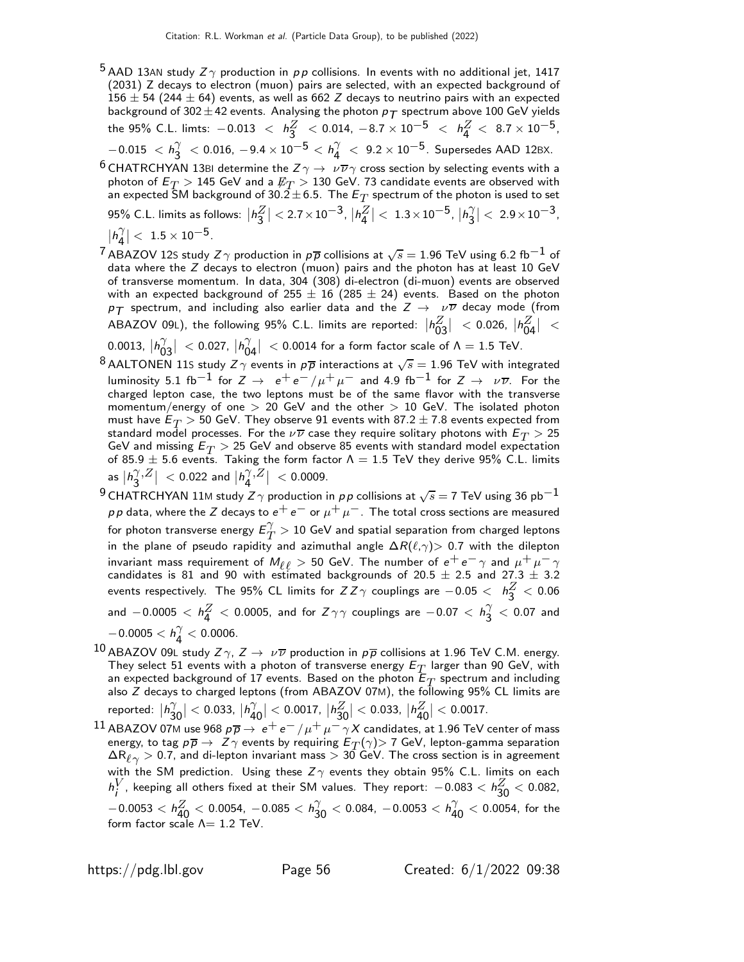- <sup>5</sup> AAD 13AN study  $Z\gamma$  production in pp collisions. In events with no additional jet, 1417 (2031) Z decays to electron (muon) pairs are selected, with an expected background of 156  $\pm$  54 (244  $\pm$  64) events, as well as 662 Z decays to neutrino pairs with an expected background of 302  $\pm$  42 events. Analysing the photon  $p_T$  spectrum above 100 GeV yields the 95% C.L. limts:  $-0.013 \; < \; h_3^Z \; < 0.014$ ,  $-8.7 \times 10^{-5} \; < \; h_4^Z \; < \; 8.7 \times 10^{-5}$ ,  $-0.015 < h_3^{\gamma}$  $\frac{\gamma}{3}$  < 0.016,  $-9.4 \times 10^{-5} < h_4^{\gamma}$  $\frac{\gamma}{4}$  < 9.2 × 10<sup>−5</sup>. Supersedes AAD 12BX.
- $^6$  CHATRCHYAN 13BI determine the  $Z\gamma\to~\nu\overline{\nu}\gamma$  cross section by selecting events with a photon of  $\mathsf{E}_T >$  145 GeV and a  $\mathit{\not\!\! E}_T >$  130 GeV. 73 candidate events are observed with an expected SM background of 30.2 $\pm$  6.5. The  $E_T$  spectrum of the photon is used to set 95% C.L. limits as follows:  $|h_3^Z$  $| < 2.7 \times 10^{-3}, |h^Z_4$  $\vert < 1.3 \times 10^{-5}$ ,  $\vert h_3^{\gamma}$ 3  $\vert < 2.9 \times 10^{-3}$ ,
- $|h_4^{\gamma}$ 4  $\vert <\ 1.5\times 10^{-5}.$
- $^7$ ABAZOV 12S study Z $\gamma$  production in  $p\overline{p}$  collisions at  $\sqrt{s}=$  1.96 TeV using 6.2 fb $^{-1}$  of data where the  $Z$  decays to electron (muon) pairs and the photon has at least 10 GeV of transverse momentum. In data, 304 (308) di-electron (di-muon) events are observed with an expected background of  $255 \pm 16$  (285  $\pm$  24) events. Based on the photon  $p_T$  spectrum, and including also earlier data and the  $Z \rightarrow \nu \overline{\nu}$  decay mode (from ABAZOV 09L), the following 95% C.L. limits are reported:  $|h^{Z}_{03}\>$  $\vert$  < 0.026,  $\vert h_{04}^{Z}$  $|<$ 0.0013,  $|h_0^{\gamma}$ 03  $\vert$  < 0.027,  $\vert h_0^{\gamma}$ 04  $|$  < 0.0014 for a form factor scale of  $\Lambda = 1.5$  TeV.
- $^8$  AALTONEN 11S study  $Z\gamma$  events in  $p\overline{p}$  interactions at  $\sqrt{s} = 1.96$  TeV with integrated luminosity 5.1 fb<sup>-1</sup> for  $Z \to e^+e^-/\mu^+\mu^-$  and 4.9 fb<sup>-1</sup> for  $Z \to \nu\overline{\nu}$ . For the charged lepton case, the two leptons must be of the same flavor with the transverse momentum/energy of one  $> 20$  GeV and the other  $> 10$  GeV. The isolated photon must have  $E_T > 50$  GeV. They observe 91 events with 87.2  $\pm$  7.8 events expected from standard model processes. For the  $\nu\overline{\nu}$  case they require solitary photons with  $E_T > 25$ GeV and missing  $E_T > 25$  GeV and observe 85 events with standard model expectation of 85.9  $\pm$  5.6 events. Taking the form factor  $\Lambda = 1.5$  TeV they derive 95% C.L. limits as  $|h_3^\gamma$ 3  $\left| \rho Z \right| \ <$  0.022 and  $\left| h_4^{\gamma} \right|$ 4  $\left. \frac{z}{z} \right| \, <$  0.0009.
- $^9$ CHATRCHYAN 11M study  $Z\gamma$  production in  $\rho\, \rho$  collisions at  $\sqrt{s}=$  7 TeV using 36 pb $^{-1}$  $p \, p$  data, where the Z decays to  $e^+ \, e^-$  or  $\mu^+ \, \mu^-$  . The total cross sections are measured for photon transverse energy  $E_T^{\gamma}$  $T^{'} > 10$  GeV and spatial separation from charged leptons in the plane of pseudo rapidity and azimuthal angle  $\Delta R(\ell,\gamma)$  0.7 with the dilepton invariant mass requirement of  $M_{\ell\ell} > 50$  GeV. The number of  $e^+e^-\gamma$  and  $\mu^+\mu^-\gamma$ candidates is 81 and 90 with estimated backgrounds of 20.5  $\pm$  2.5 and 27.3  $\pm$  3.2 events respectively. The 95% CL limits for  $ZZ\gamma$  couplings are  $-0.05<~$   $h^Z_3< 0.06$ and  $-0.0005 < h^Z_4 < 0.0005$ , and for  $Z\gamma\gamma$  couplings are  $-0.07 < h^{\gamma}_3$  $\frac{1}{3}$   $<$  0.07 and  $-0.0005 < h_4^{\gamma}$  $\frac{1}{4}$  < 0.0006.
- 10 ABAZOV 09L study  $Z\gamma$ ,  $Z\to\nu\overline{\nu}$  production in  $\rho\overline{\rho}$  collisions at 1.96 TeV C.M. energy. They select 51 events with a photon of transverse energy  $E_{\textit{T}}$  larger than 90 GeV, with an expected background of 17 events. Based on the photon  $E_T$  spectrum and including also Z decays to charged leptons (from ABAZOV 07M), the following 95% CL limits are reported:  $|h_3^\gamma$  $\vert <$  0.033,  $\vert h_4^{\gamma}$  $|<$  0.0017,  $|h_{30}^Z$  $|<$  0.033,  $|h^{Z}_{40}$  $| < 0.0017$ .
- 30 40  $^{11}$  ABAZOV 07M use 968  $p\overline{p}\to\,e^+e^-/\mu^+\mu^-\gamma X$  candidates, at 1.96 TeV center of mass energy, to tag  $p\overline{p} \to Z\gamma$  events by requiring  $E_T(\gamma) > 7$  GeV, lepton-gamma separation  $\Delta{\sf R}_{\ell\gamma}>$  0.7, and di-lepton invariant mass  $>$  30 GeV. The cross section is in agreement with the SM prediction. Using these  $Z\gamma$  events they obtain 95% C.L. limits on each h V  $_i^V$ , keeping all others fixed at their SM values. They report:  $-0.083 < h_{\bf 30}^Z < 0.082,$  $-0.0053 < h_{40}^Z < 0.0054$ ,  $-0.085 < h_{30}^{\gamma} < 0.084$ ,  $-0.0053 < h_{40}^{\gamma} < 0.0054$ , for the form factor scale  $\Lambda = 1.2$  TeV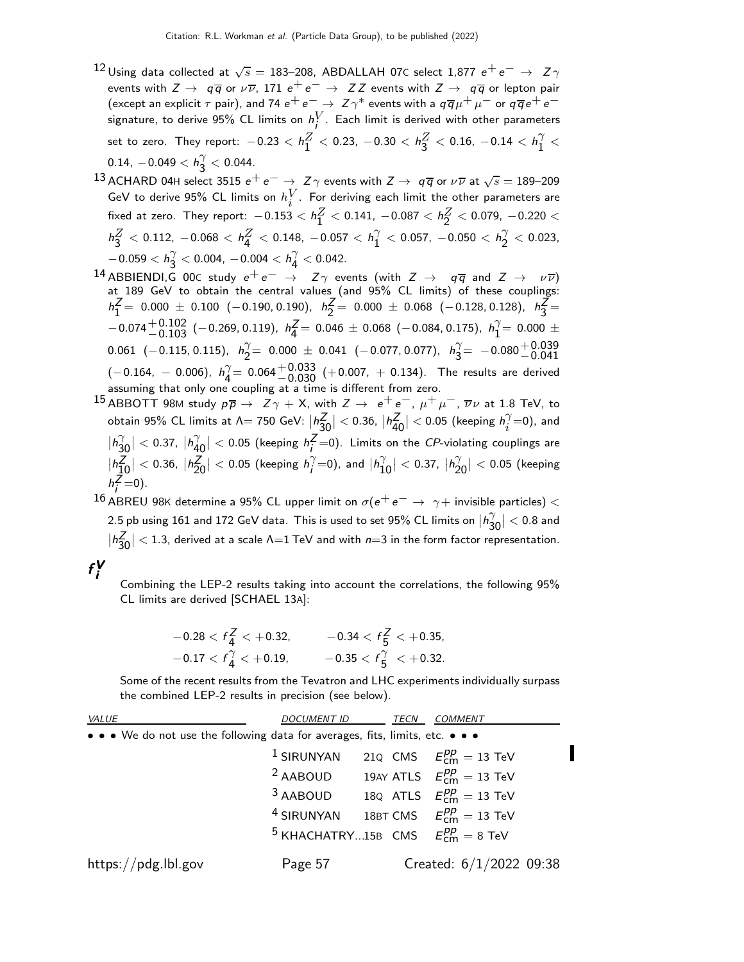- $^{12}$ Using data collected at  $\sqrt{s} =$  183–208, ABDALLAH 07C select 1,877  $e^+ \, e^- \, \rightarrow \, \, Z \, \gamma$ events with  $Z\to -q\overline{q}$  or  $\nu\overline{\nu}$ , 171  $e^+e^-\to -ZZ$  events with  $Z\to -q\overline{q}$  or lepton pair (except an explicit  $\tau$  pair), and 74  $e^+e^-\to Z\gamma^*$  events with a  $q\overline{q}\mu^+\mu^-$  or  $q\overline{q}e^+e^$ signature, to derive 95% CL limits on  $h^V_i$ . Each limit is derived with other parameters set to zero. They report:  $-0.23 < h_{1}^{Z}$  $\frac{Z}{1}$  < 0.23, -0.30 <  $h_3^Z$  $\frac{Z}{3}$  < 0.16, -0.14 <  $h_1^{\gamma}$  $\frac{1}{1}$  <  $0.14$ ,  $-0.049 < h_3^{\gamma}$  $\frac{1}{3}$  < 0.044.
- 13 ACHARD 04H select 3515  $e^+e^-\rightarrow Z\gamma$  events with  $Z\rightarrow q\overline{q}$  or  $\nu\overline{\nu}$  at  $\sqrt{s}=$  189–209 GeV to derive 95% CL limits on  $h_i^V$ . For deriving each limit the other parameters are fixed at zero. They report:  $-0.153 < h_{1}^{Z} < 0.141$ ,  $-0.087 < h_{2}^{Z} < 0.079$ ,  $-0.220 <$  $h_3^Z < 0.112$ ,  $-0.068 < h_4^Z < 0.148$ ,  $-0.057 < h_1^{\gamma}$  $\frac{\gamma}{1} <$  0.057,  $-$ 0.050  $< h_2^{\gamma}$  $\frac{1}{2}$  < 0.023,  $-0.059 < h_3^{\gamma}$  $\frac{\gamma}{3} <$  0.004,  $-$  0.004  $< h^{\gamma}_4$  $\frac{7}{4}$  < 0.042.
- <sup>14</sup> ABBIENDI,G 00C study  $e^+e^-$  →  $Z\gamma$  events (with  $Z$  →  $q\overline{q}$  and  $Z$  →  $\nu\overline{\nu}$ ) at 189 GeV to obtain the central values (and 95% CL limits) of these couplings:  $h_1^2$  $Z_1^Z$  = 0.000  $\pm$  0.100 (−0.190, 0.190),  $h_2^Z$  $Z_2^Z$  = 0.000  $\pm$  0.068 (-0.128, 0.128),  $h_3^Z$  $\frac{2}{3}$  $-0.074_{-0.103}^{+0.102}$  (-0.269, 0.119),  $h_4^2$  $Z_4^Z = 0.046 \pm 0.068$  (-0.084, 0.175),  $h_1^{\gamma}$  $i_1^{\prime}$  = 0.000  $\pm$  $0.061$  (-0.115, 0.115),  $h_2^{\gamma}$  $\begin{array}{rcl} \gamma = & 0.000 \ \pm \ 0.041 \ \ (-0.077, 0.077), \ \ h^{\gamma}_3 \end{array}$  $\begin{array}{rcl} \gamma = & -0.080 \, {\frac{+0.039}{-0.041}} \end{array}$  $(-0.164, -0.006), h_4^{\gamma}$  $(-0.164, -0.006)$ ,  $h_4^{\gamma} = 0.064 {+0.033 \atop -0.030} (+0.007, +0.134)$ . The results are derived assuming that only one coupling at a time is different from zero.
- $^{15}$  ABBOTT 98M study  $p \overline{p} \rightarrow Z \gamma + X$ , with  $Z \rightarrow e^+ e^-$ ,  $\mu^+ \mu^-$ ,  $\overline{\nu} \nu$  at 1.8 TeV, to obtain 95% CL limits at  $\Lambda = 750$  GeV:  $|h^Z_{30}|$ 30  $\vert <$  0.36,  $\vert h_{40}^Z$ 40  $| < 0.05$  (keeping  $h_i^{\gamma}$  $i$ <sup> $($ </sup>=0), and  $|h_3^{\gamma}$ 30  $\vert <$  0.37,  $\vert h_4^{\gamma}$ 40  $|$  < 0.05 (keeping  $h_i^Z$  $\frac{2}{i}$  =0). Limits on the *CP*-violating couplings are  $|h_1^Z$ 10  $|$  < 0.36,  $|h_{20}^2$ 20  $| < 0.05$  (keeping  $h_i^{\gamma}$  $\gamma = 0$ ), and  $|h_1^{\gamma}$ 10  $\vert < 0.37, \vert h_2^{\gamma} \vert$ 20  $| < 0.05$  (keeping h Z  $i = 0$ .

 $^{16}$  ABREU 98K determine a 95% CL upper limit on  $\sigma(e^+e^-\rightarrow\gamma+$  invisible particles)  $<$ 2.5 pb using 161 and 172 GeV data. This is used to set 95% CL limits on  $\ket{h_3^{\gamma}}$ 30  $| < 0.8$  and  $h_{3}^{Z}$ 30  $|$  < 1.3, derived at a scale  $\Lambda$ =1 TeV and with  $n=3$  in the form factor representation.

### f V i

Combining the LEP-2 results taking into account the correlations, the following 95% CL limits are derived [SCHAEL 13A]:

$$
-0.28 < f\frac{Z}{4} < +0.32, \qquad -0.34 < f\frac{Z}{5} < +0.35, \\
-0.17 < f\frac{\gamma}{4} < +0.19, \qquad -0.35 < f\frac{\gamma}{5} < +0.32.
$$

Some of the recent results from the Tevatron and LHC experiments individually surpass the combined LEP-2 results in precision (see below).

| <i>VALUE</i>                                                                  | <i>DOCUMENT ID</i>                                  | TECN | <b>COMMENT</b>                   |
|-------------------------------------------------------------------------------|-----------------------------------------------------|------|----------------------------------|
| • • • We do not use the following data for averages, fits, limits, etc. • • • |                                                     |      |                                  |
|                                                                               | $1$ SIRUNYAN                                        |      | 210 CMS $E_{cm}^{pp} = 13$ TeV   |
|                                                                               | $2$ AABOUD                                          |      | 19AY ATLS $E_{cm}^{pp} = 13$ TeV |
|                                                                               | <sup>3</sup> AABOUD 18Q ATLS $E_{cm}^{pp} = 13$ TeV |      |                                  |
|                                                                               | <sup>4</sup> SIRUNYAN                               |      | 18BT CMS $E_{cm}^{pp} = 13$ TeV  |
|                                                                               | <sup>5</sup> KHACHATRY15B CMS $E_{cm}^{pp} = 8$ TeV |      |                                  |
| https://pdg.lbl.gov                                                           | Page 57                                             |      | Created: $6/1/2022$ 09:38        |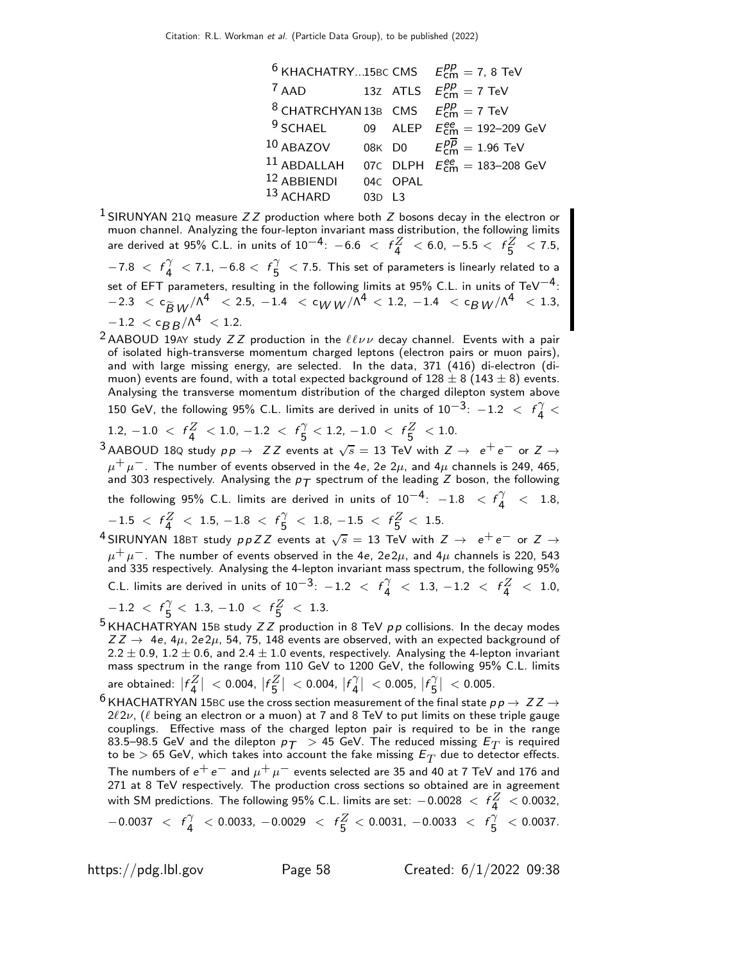|                                                       |        |          | <sup>6</sup> KHACHATRY15BC CMS $E_{\text{cm}}^{pp} = 7$ , 8 TeV     |
|-------------------------------------------------------|--------|----------|---------------------------------------------------------------------|
| $7$ AAD                                               |        |          | 13Z ATLS $E_{\text{cm}}^{pp} = 7 \text{ TeV}$                       |
| <sup>8</sup> CHATRCHYAN 13B CMS $E_{cm}^{pp} = 7$ TeV |        |          |                                                                     |
|                                                       |        |          | <sup>9</sup> SCHAEL 09 ALEP $E_{\text{cm}}^{ee} = 192-209$ GeV      |
|                                                       |        |          | 10 ABAZOV 08K D0 $E_{\text{cm}}^{p\overline{p}} = 1.96 \text{ TeV}$ |
| $11$ ABDALLAH                                         |        |          | 07C DLPH $E_{\text{cm}}^{ee} = 183 - 208 \text{ GeV}$               |
| 12 ABBIENDI                                           |        | 04C OPAL |                                                                     |
| $13$ ACHARD                                           | 03D L3 |          |                                                                     |

<sup>1</sup> SIRUNYAN 21Q measure  $ZZ$  production where both  $Z$  bosons decay in the electron or muon channel. Analyzing the four-lepton invariant mass distribution, the following limits are derived at 95% C.L. in units of  $10^{-4}$ :  $-6.6$   $\langle f_4^Z \rangle < 6.0$ ,  $-5.5 \langle f_5^Z \rangle < 7.5$ ,  $-7.8 < f_4^{\gamma}$  $\begin{array}{c} \gamma \\ 4 \end{array} < 7.1, -6.8 < f \frac{\gamma}{5}$  $\frac{1}{5}$   $<$  7.5. This set of parameters is linearly related to a set of EFT parameters, resulting in the following limits at 95% C.L. in units of TeV $^{-4}\text{:}$  $-2.3 < c_{\widetilde{B}W}/\Lambda^4 < 2.5$ ,  $-1.4 < c_{WW}/\Lambda^4 < 1.2$ ,  $-1.4 < c_{\widetilde{B}W}/\Lambda^4 < 1.3$ ,  $-1.2 < c_{BB}/\Lambda^4 < 1.2$ .

<sup>2</sup> AABOUD 19AY study  $ZZ$  production in the  $\ell\ell\nu\nu$  decay channel. Events with a pair of isolated high-transverse momentum charged leptons (electron pairs or muon pairs), and with large missing energy, are selected. In the data, 371 (416) di-electron (dimuon) events are found, with a total expected background of  $128 \pm 8$  ( $143 \pm 8$ ) events. Analysing the transverse momentum distribution of the charged dilepton system above

150 GeV, the following 95% C.L. limits are derived in units of  $10^{-3}$ :  $-1.2$   $<$   $f_{4}^{\gamma}$  $\frac{1}{4}$  <

1.2, 
$$
-1.0 < f_{4}^{Z} < 1.0, -1.2 < f_{5}^{Y} < 1.2, -1.0 < f_{5}^{Z} < 1.0
$$

 $3$  AABOUD 18Q study  $pp \rightarrow ZZ$  events at  $\sqrt{s} = 13$  TeV with  $Z \rightarrow e^+e^-$  or  $Z \rightarrow$  $\mu^+ \mu^-$ . The number of events observed in the 4e, 2e 2 $\mu$ , and 4 $\mu$  channels is 249, 465, and 303 respectively. Analysing the  $p_T$  spectrum of the leading Z boson, the following the following 95% C.L. limits are derived in units of  $10^{-4}$ :  $-1.8$   $<$   $f^{\gamma}_{4}$  $\frac{7}{4}$  < 1.8,

 $-1.5 \, <\, f_{4}^{Z} \, <\, 1.5,\, -1.8 \, <\, f_{5}^{\gamma}$  $\frac{\gamma}{5}$  < 1.8, -1.5 <  $f\frac{Z}{5}$  < 1.5.

 $^4$ SIRUNYAN 18BT study  $ppZZ$  events at  $\sqrt{s} = 13$  TeV with  $Z \rightarrow e^+e^-$  or  $Z \rightarrow$  $\mu^+ \mu^-$ . The number of events observed in the 4e, 2e2 $\mu$ , and 4 $\mu$  channels is 220, 543 and 335 respectively. Analysing the 4-lepton invariant mass spectrum, the following 95% C.L. limits are derived in units of  $10^{-3}$ :  $-1.2$  <  $f_{4}^{\gamma}$  $\begin{array}{c} \gamma \\ 4 \end{array} < \begin{array}{c} 1.3, \ -1.2 \end{array} < \begin{array}{c} f_4^Z \end{array}$  $\frac{2}{4}$  < 1.0,

 $-1.2$  <  $f_{\frac{5}{2}}^{\gamma}$  $\frac{\gamma}{5}$  < 1.3, -1.0 <  $f\frac{Z}{5}$  < 1.3.

- <sup>5</sup> KHACHATRYAN 15B study  $ZZ$  production in 8 TeV  $pp$  collisions. In the decay modes  $ZZ \rightarrow 4e$ ,  $4\mu$ ,  $2e2\mu$ , 54, 75, 148 events are observed, with an expected background of 2.2  $\pm$  0.9, 1.2  $\pm$  0.6, and 2.4  $\pm$  1.0 events, respectively. Analysing the 4-lepton invariant mass spectrum in the range from 110 GeV to 1200 GeV, the following 95% C.L. limits are obtained:  $|f_4^Z|$  $\vert < 0.004, \, \vert f^Z_5$  $\vert < 0.004, \vert f_4^{\gamma} \vert$ 4 |  $<$  0.005,  $|f_{\bf{5}}^{\gamma}|$ 5  $| < 0.005$ .
- $^6$  KHACHATRYAN 15BC use the cross section measurement of the final state  $p \, p \to \, Z \, Z \to$  $2\ell 2\nu$ , ( $\ell$  being an electron or a muon) at 7 and 8 TeV to put limits on these triple gauge couplings. Effective mass of the charged lepton pair is required to be in the range 83.5–98.5 GeV and the dilepton  $p_T > 45$  GeV. The reduced missing  $E_T$  is required to be  $>$  65 GeV, which takes into account the fake missing  $\mathsf{E}_T$  due to detector effects. The numbers of  $e^+e^-$  and  $\mu^+\mu^-$  events selected are 35 and 40 at 7 TeV and 176 and 271 at 8 TeV respectively. The production cross sections so obtained are in agreement with SM predictions. The following 95% C.L. limits are set:  $-0.0028 \, <\, f \frac{Z}{4} \, < 0.0032,$  $-0.0037 < f_4^{\gamma}$  $\begin{array}{rcl} \gamma & < 0.0033, \ -0.0029 & < & f \frac{Z}{5} < 0.0031, \ -0.0033 & < & f \frac{\gamma}{5} \end{array}$  $\frac{7}{5}$  < 0.0037.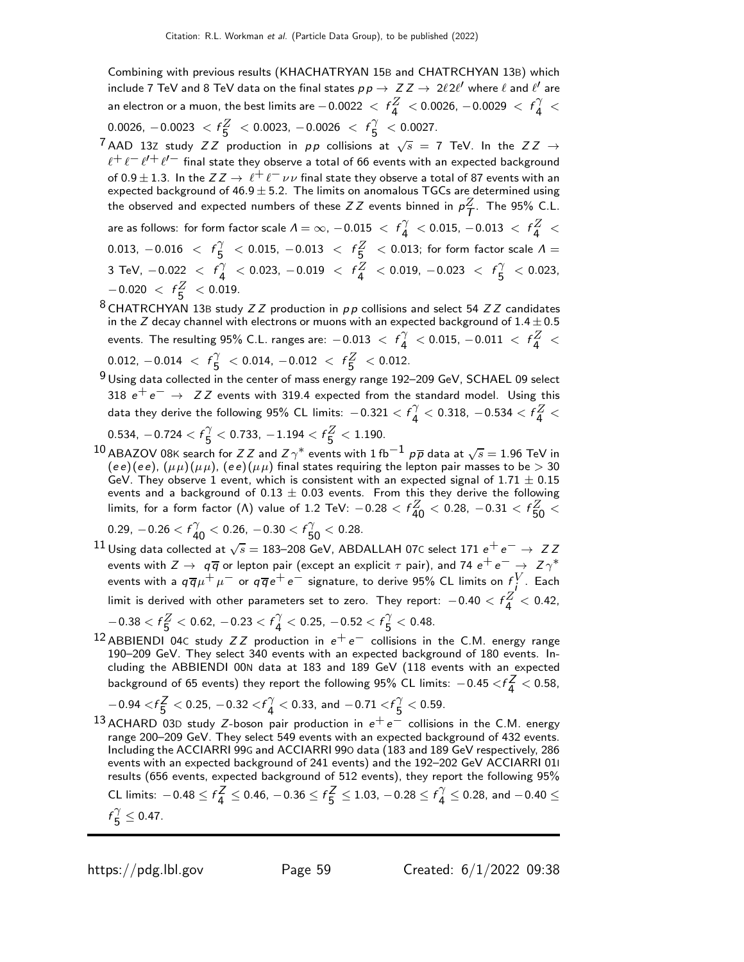Combining with previous results (KHACHATRYAN 15B and CHATRCHYAN 13B) which include 7 TeV and 8 TeV data on the final states  $p \, p \to \ Z Z \to \ 2 \ell \, 2 \ell'$  where  $\ell$  and  $\ell'$  are an electron or a muon, the best limits are  $-0.0022\ <\ f\frac{Z}{4}\ < 0.0026$ ,  $-0.0029\ <\ f\frac{\gamma}{4}$  $\frac{1}{4}$  <  $0.0026, -0.0023 < f\frac{Z}{5} < 0.0023, -0.0026 < f\frac{\gamma}{5}$  $\frac{1}{5}$  < 0.0027.

- <sup>7</sup> AAD 13Z study  $ZZ$  production in  $pp$  collisions at  $\sqrt{s} = 7$  TeV. In the  $ZZ \rightarrow$  $\ell^+\ell^-\ell^{\prime+}\ell^{\prime-}$  final state they observe a total of 66 events with an expected background of 0.9  $\pm$  1.3. In the  $ZZ \to \ell^+ \ell^- \nu \nu$  final state they observe a total of 87 events with an expected background of  $46.9 \pm 5.2$ . The limits on anomalous TGCs are determined using the observed and expected numbers of these  $ZZ$  events binned in  $\rho^Z_T$ . The 95% C.L. are as follows: for form factor scale  $\varLambda=\infty$ ,  $-0.015\ <\ f^{\gamma}_{\cal{4}}$  $\begin{array}{c} \gamma \ 4 \end{array} <$  0.015,  $-0.013 < f \frac{Z}{4} <$ 0.013,  $-0.016 < f_{5}^{\gamma}$  $\frac{\gamma}{5}$   $\,$   $<$  0.015,  $-0.013$   $\,$   $<$   $\,$   $f_{\bf 5}^Z$   $\,$   $<$  0.013; for form factor scale  $\Lambda$   $=$ 3 TeV,  $-0.022 < f_4^{\gamma}$  $\begin{array}{rcl} \gamma & < 0.023, \ -0.019 & < & f_A^Z & < 0.019, \ -0.023 & < & f_B^{\gamma} \end{array}$  $\frac{1}{5}$  < 0.023,  $-0.020 < f_{5}^{Z} < 0.019$ .
- $8$  CHATRCHYAN 13B study  $ZZ$  production in  $pp$  collisions and select 54  $ZZ$  candidates in the Z decay channel with electrons or muons with an expected background of  $1.4 \pm 0.5$ events. The resulting 95% C.L. ranges are:  $-0.013\ <\ f^{\gamma}_{\bf 4}$  $\gamma \over 4$  < 0.015, -0.011 <  $f_4^Z$  $\frac{2}{4}$  < 0.012,  $-0.014 < f_{5}^{\gamma}$  $\frac{\gamma}{5}$  < 0.014, -0.012 <  $f\frac{Z}{5}$  $\frac{2}{5}$  < 0.012.
- $9$  Using data collected in the center of mass energy range 192–209 GeV, SCHAEL 09 select 318  $e^+e^- \rightarrow ZZ$  events with 319.4 expected from the standard model. Using this data they derive the following 95% CL limits:  $-0.321 < f^{\gamma}_4$  $\frac{\gamma}{4} <$  0.318,  $-0.534 < f \frac{Z}{4} <$

0.534,  $-0.724 < f$  $\frac{\gamma}{5}$  $\frac{\gamma}{5}$   $<$  0.733,  $-1.194 < f\frac{Z}{5} < 1.190$ .

 $^{10}$  ABAZOV 08K search for Z Z and Z $\gamma^*$  events with 1 fb $^{-1}$  p $\overline{p}$  data at  $\sqrt{s} =$  1.96 TeV in (ee)(ee),  $(\mu \mu)(\mu \mu)$ , (ee)( $\mu \mu$ ) final states requiring the lepton pair masses to be  $> 30$ GeV. They observe 1 event, which is consistent with an expected signal of  $1.71 \pm 0.15$ events and a background of  $0.13 \pm 0.03$  events. From this they derive the following limits, for a form factor (Λ) value of 1.2 TeV:  $-0.28 < f_{40}^{Z} < 0.28$ ,  $-0.31 < f_{50}^{Z} <$ 

 $0.29, -0.26 < f_{40}^{\gamma} < 0.26, -0.30 < f_{50}^{\gamma} < 0.28.$ 

 $^{11}$ Using data collected at  $\sqrt{s}=$  183–208 GeV, ABDALLAH 07C select 171  $\rm e^+ \, e^- \rightarrow~$  Z Z events with  $Z\to -q\overline{q}$  or lepton pair (except an explicit  $\tau$  pair), and 74  $e^+e^-\to -Z\gamma^*$ events with a  $q\overline{q}\mu^+\mu^-$  or  $q\overline{q}\,e^+e^-$  signature, to derive 95% CL limits on  $f^V_\mu$ . Each limit is derived with other parameters set to zero. They report:  $-0.40 < f\frac{Z}{4} < 0.42$ ,

$$
-0.38 < f\frac{Z}{5} < 0.62, \ -0.23 < f\frac{\gamma}{4} < 0.25, \ -0.52 < f\frac{\gamma}{5} < 0.48.
$$

 $12$  ABBIENDI 04c study  $ZZ$  production in  $e^+e^-$  collisions in the C.M. energy range 190–209 GeV. They select 340 events with an expected background of 180 events. Including the ABBIENDI 00N data at 183 and 189 GeV (118 events with an expected background of 65 events) they report the following 95% CL limits:  $-0.45 < f\frac{Z}{4}$  $\frac{2}{4}$  < 0.58,

$$
-0.94 < f\frac{Z}{5} < 0.25, -0.32 < f\frac{\gamma}{4} < 0.33, \text{ and } -0.71 < f\frac{\gamma}{5} < 0.59.
$$

 $-6.94 \times 1.5$   $\times$  0.25,  $-6.92 \times 1.4$   $\times$  0.35, and  $-6.11 \times 1.5$   $\times$  0.35.<br>13 ACHARD 03D study Z-boson pair production in  $e^+e^-$  collisions in the C.M. energy range 200–209 GeV. They select 549 events with an expected background of 432 events. Including the ACCIARRI 99G and ACCIARRI 99O data (183 and 189 GeV respectively, 286 events with an expected background of 241 events) and the 192–202 GeV ACCIARRI 01I results (656 events, expected background of 512 events), they report the following 95% CL limits:  $-0.48 \le f<sub>4</sub><sup>Z</sup>$  $\frac{Z}{4} \leq 0.46, -0.36 \leq f\frac{Z}{5}$  $\frac{Z}{5} \le 1.03$ ,  $-0.28 \le f_{\frac{1}{4}}^{\gamma}$  $\frac{7}{4} \leq 0.28$ , and  $-0.40 \leq$  $f_{\kappa}^{\gamma}$  $\frac{7}{5} \leq 0.47.$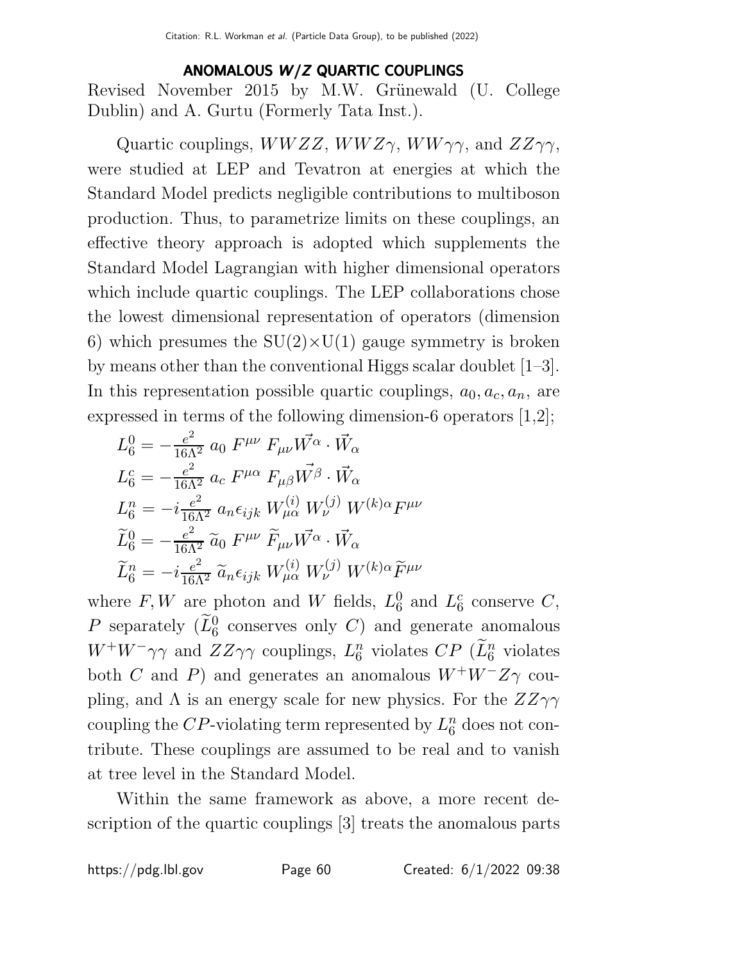## ANOMALOUS W /Z QUARTIC COUPLINGS

Revised November 2015 by M.W. Grünewald (U. College Dublin) and A. Gurtu (Formerly Tata Inst.).

Quartic couplings,  $WWZZ$ ,  $WWZ\gamma$ ,  $WW\gamma\gamma$ , and  $ZZ\gamma\gamma$ , were studied at LEP and Tevatron at energies at which the Standard Model predicts negligible contributions to multiboson production. Thus, to parametrize limits on these couplings, an effective theory approach is adopted which supplements the Standard Model Lagrangian with higher dimensional operators which include quartic couplings. The LEP collaborations chose the lowest dimensional representation of operators (dimension 6) which presumes the  $SU(2)\times U(1)$  gauge symmetry is broken by means other than the conventional Higgs scalar doublet [1–3]. In this representation possible quartic couplings,  $a_0, a_c, a_n$ , are expressed in terms of the following dimension-6 operators [1,2];

$$
L_6^0 = -\frac{e^2}{16\Lambda^2} a_0 F^{\mu\nu} F_{\mu\nu} \vec{W^{\alpha}} \cdot \vec{W_{\alpha}}
$$
  
\n
$$
L_6^c = -\frac{e^2}{16\Lambda^2} a_c F^{\mu\alpha} F_{\mu\beta} \vec{W^{\beta}} \cdot \vec{W_{\alpha}}
$$
  
\n
$$
L_6^n = -i \frac{e^2}{16\Lambda^2} a_n \epsilon_{ijk} W_{\mu\alpha}^{(i)} W_{\nu}^{(j)} W^{(k)\alpha} F^{\mu\nu}
$$
  
\n
$$
\widetilde{L}_6^0 = -\frac{e^2}{16\Lambda^2} \widetilde{a}_0 F^{\mu\nu} \widetilde{F}_{\mu\nu} \vec{W^{\alpha}} \cdot \vec{W_{\alpha}}
$$
  
\n
$$
\widetilde{L}_6^n = -i \frac{e^2}{16\Lambda^2} \widetilde{a}_n \epsilon_{ijk} W_{\mu\alpha}^{(i)} W_{\nu}^{(j)} W^{(k)\alpha} \widetilde{F}^{\mu\nu}
$$

where  $F, W$  are photon and W fields,  $L_6^0$  $_6^0$  and  $L_6^c$  $_6^c$  conserve  $C,$ P separately  $(\widetilde{L}_6^0$  conserves only C) and generate anomalous  $W^+W^-\gamma\gamma$  and  $ZZ\gamma\gamma$  couplings,  $L_6^n$  $\binom{n}{6}$  violates  $CP$  ( $\widetilde{L}_6^n$  violates both C and P) and generates an anomalous  $W^+W^-Z\gamma$  coupling, and  $\Lambda$  is an energy scale for new physics. For the  $ZZ\gamma\gamma$ coupling the CP-violating term represented by  $L_6^n$  $\frac{n}{6}$  does not contribute. These couplings are assumed to be real and to vanish at tree level in the Standard Model.

Within the same framework as above, a more recent description of the quartic couplings [3] treats the anomalous parts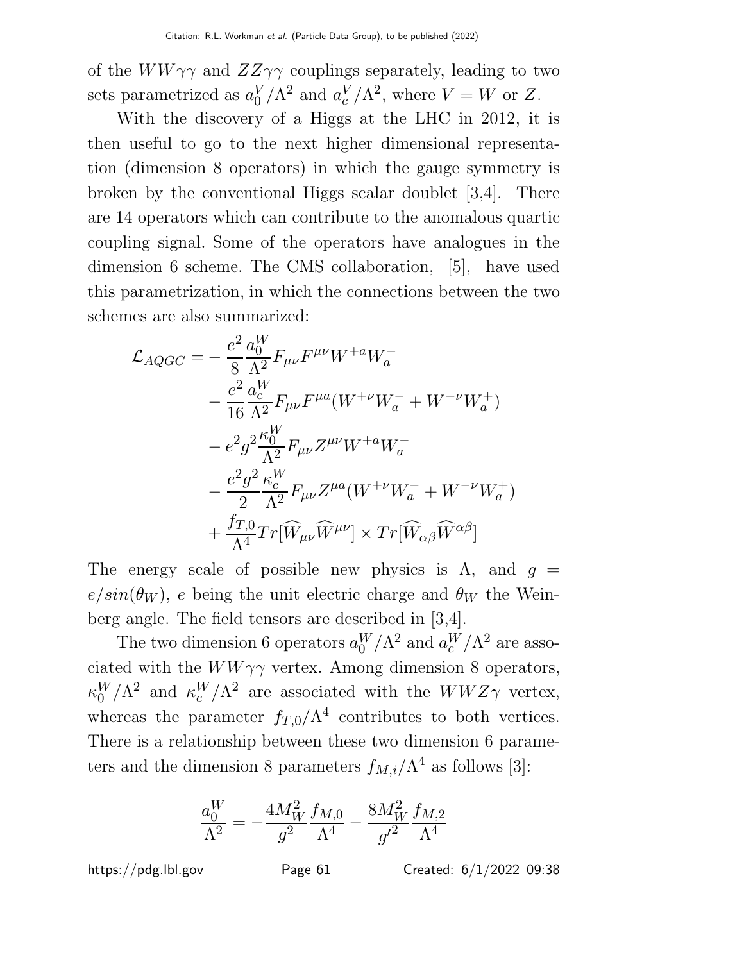of the  $WW\gamma\gamma$  and  $ZZ\gamma\gamma$  couplings separately, leading to two sets parametrized as  $a_0^V$  $_0^V/\Lambda^2$  and  $a_c^V$  $\binom{V}{c}/\Lambda^2$ , where  $V = W$  or Z.

With the discovery of a Higgs at the LHC in 2012, it is then useful to go to the next higher dimensional representation (dimension 8 operators) in which the gauge symmetry is broken by the conventional Higgs scalar doublet [3,4]. There are 14 operators which can contribute to the anomalous quartic coupling signal. Some of the operators have analogues in the dimension 6 scheme. The CMS collaboration, [5], have used this parametrization, in which the connections between the two schemes are also summarized:

$$
\mathcal{L}_{AQGC} = -\frac{e^2}{8} \frac{a_0^W}{\Lambda^2} F_{\mu\nu} F^{\mu\nu} W^{+a} W^-_a
$$
  
\n
$$
- \frac{e^2}{16} \frac{a_c^W}{\Lambda^2} F_{\mu\nu} F^{\mu a} (W^{+\nu} W^-_a + W^{-\nu} W^+_a)
$$
  
\n
$$
- e^2 g^2 \frac{\kappa_0^W}{\Lambda^2} F_{\mu\nu} Z^{\mu\nu} W^{+a} W^-_a
$$
  
\n
$$
- \frac{e^2 g^2}{2} \frac{\kappa_c^W}{\Lambda^2} F_{\mu\nu} Z^{\mu a} (W^{+\nu} W^-_a + W^{-\nu} W^+_a)
$$
  
\n
$$
+ \frac{f_{T,0}}{\Lambda^4} Tr[\widehat{W}_{\mu\nu} \widehat{W}^{\mu\nu}] \times Tr[\widehat{W}_{\alpha\beta} \widehat{W}^{\alpha\beta}]
$$

The energy scale of possible new physics is  $\Lambda$ , and  $g =$  $e/sin(\theta_W)$ , e being the unit electric charge and  $\theta_W$  the Weinberg angle. The field tensors are described in [3,4].

The two dimension 6 operators  $a_0^W/\Lambda^2$  and  $a_c^W/\Lambda^2$  are associated with the  $WW\gamma\gamma$  vertex. Among dimension 8 operators,  $\kappa_0^W$  $_{0}^{W}/\Lambda^{2}$  and  $\kappa_{c}^{W}/\Lambda^{2}$  are associated with the  $WWZ\gamma$  vertex, whereas the parameter  $f_{T,0}/\Lambda^4$  contributes to both vertices. There is a relationship between these two dimension 6 parameters and the dimension 8 parameters  $f_{M,i}/\Lambda^4$  as follows [3]:

$$
\frac{a_0^W}{\Lambda^2} = -\frac{4M_W^2}{g^2} \frac{f_{M,0}}{\Lambda^4} - \frac{8M_W^2}{g'^2} \frac{f_{M,2}}{\Lambda^4}
$$

https://pdg.lbl.gov Page 61 Created: 6/1/2022 09:38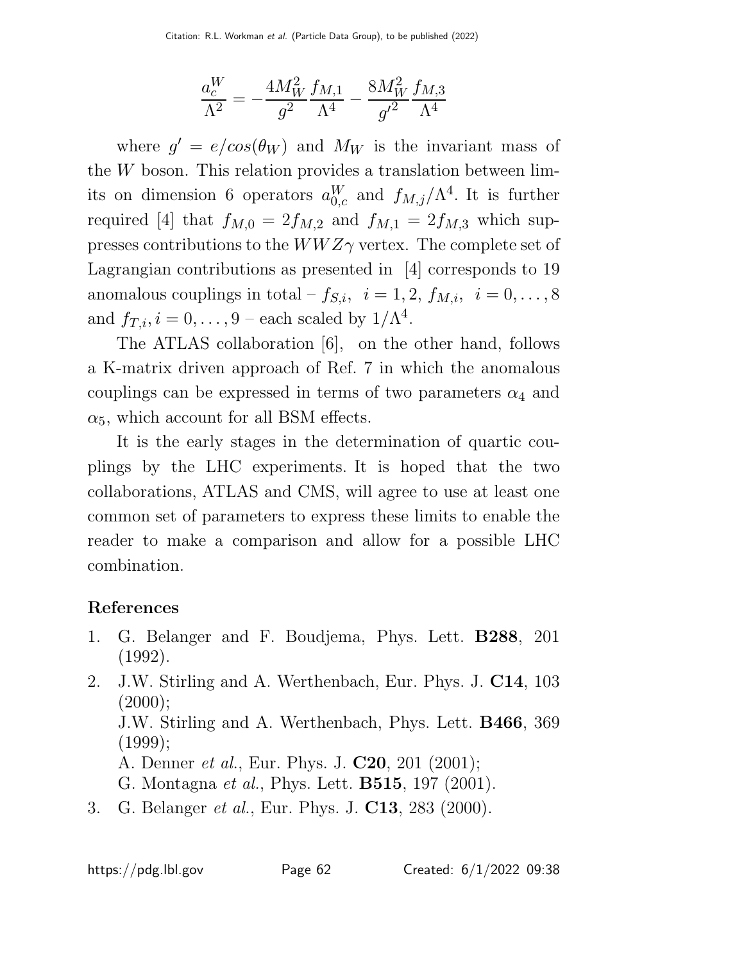$$
\frac{a_c^W}{\Lambda^2} = -\frac{4 M_W^2}{g^2} \frac{f_{M,1}}{\Lambda^4} - \frac{8 M_W^2}{g'^2} \frac{f_{M,3}}{\Lambda^4}
$$

where  $g' = e/cos(\theta_W)$  and  $M_W$  is the invariant mass of the W boson. This relation provides a translation between limits on dimension 6 operators  $a_{0,c}^W$  and  $f_{M,j}/\Lambda^4$ . It is further required [4] that  $f_{M,0} = 2f_{M,2}$  and  $f_{M,1} = 2f_{M,3}$  which suppresses contributions to the  $WWZ\gamma$  vertex. The complete set of Lagrangian contributions as presented in [4] corresponds to 19 anomalous couplings in total –  $f_{S,i}$ ,  $i = 1, 2, f_{M,i}$ ,  $i = 0, \ldots, 8$ and  $f_{T,i}, i = 0, \ldots, 9$  – each scaled by  $1/\Lambda^4$ .

The ATLAS collaboration [6], on the other hand, follows a K-matrix driven approach of Ref. 7 in which the anomalous couplings can be expressed in terms of two parameters  $\alpha_4$  and  $\alpha_5$ , which account for all BSM effects.

It is the early stages in the determination of quartic couplings by the LHC experiments. It is hoped that the two collaborations, ATLAS and CMS, will agree to use at least one common set of parameters to express these limits to enable the reader to make a comparison and allow for a possible LHC combination.

## References

- 1. G. Belanger and F. Boudjema, Phys. Lett. B288, 201 (1992).
- 2. J.W. Stirling and A. Werthenbach, Eur. Phys. J. C14, 103  $(2000);$

J.W. Stirling and A. Werthenbach, Phys. Lett. B466, 369  $(1999)$ ;

A. Denner et al., Eur. Phys. J. C20, 201 (2001);

G. Montagna et al., Phys. Lett. B515, 197 (2001).

3. G. Belanger et al., Eur. Phys. J. C13, 283 (2000).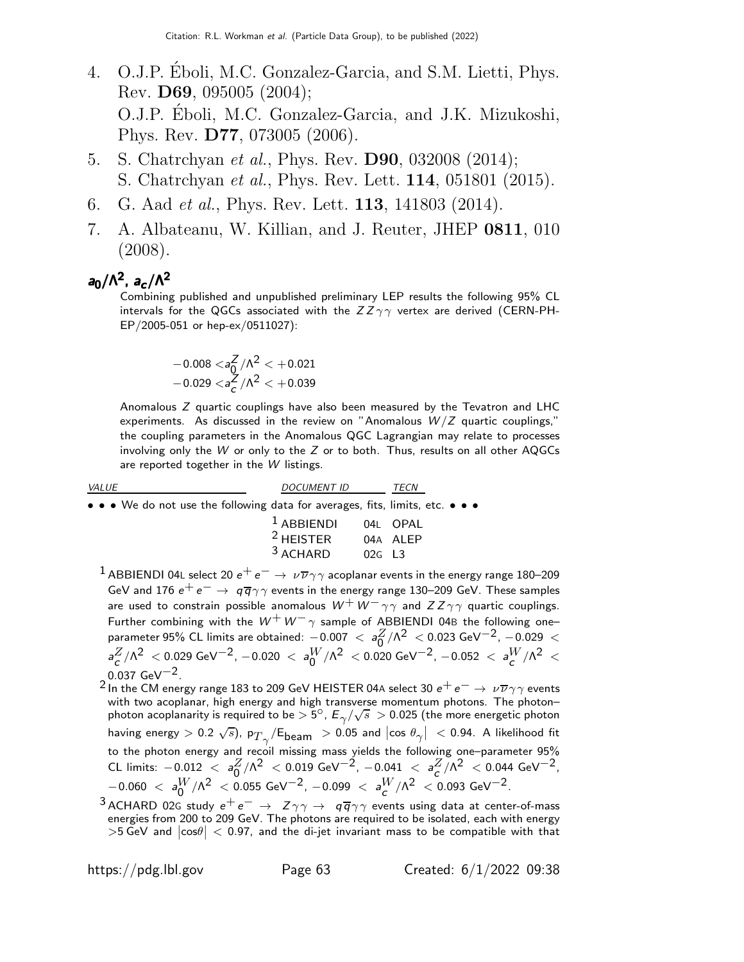- 4. O.J.P. Eboli, M.C. Gonzalez-Garcia, and S.M. Lietti, Phys. ´ Rev. D69, 095005 (2004); O.J.P. Eboli, M.C. Gonzalez-Garcia, and J.K. Mizukoshi, ´ Phys. Rev. D77, 073005 (2006).
- 5. S. Chatrchyan *et al.*, Phys. Rev. **D90**, 032008 (2014); S. Chatrchyan et al., Phys. Rev. Lett. 114, 051801 (2015).
- 6. G. Aad et al., Phys. Rev. Lett. 113, 141803 (2014).
- 7. A. Albateanu, W. Killian, and J. Reuter, JHEP 0811, 010 (2008).

## a $_0/\Lambda^2$ , a $_c/\Lambda^2$

Combining published and unpublished preliminary LEP results the following 95% CL intervals for the QGCs associated with the  $ZZ\gamma\gamma$  vertex are derived (CERN-PH-EP/2005-051 or hep-ex/0511027):

$$
-0.008 <_{a0}^{Z}/\Lambda^2 < +0.021
$$
  
-0.029  $<_{aC}^{Z}/\Lambda^2 < +0.039$ 

Anomalous Z quartic couplings have also been measured by the Tevatron and LHC experiments. As discussed in the review on "Anomalous  $W/Z$  quartic couplings," the coupling parameters in the Anomalous QGC Lagrangian may relate to processes involving only the W or only to the  $Z$  or to both. Thus, results on all other AQGCs are reported together in the W listings.

| <i>VALUE</i>                                                                                                    | <b>DOCUMENT ID</b>             |          | TECN     |
|-----------------------------------------------------------------------------------------------------------------|--------------------------------|----------|----------|
| • • • We do not use the following data for averages, fits, limits, etc. • • •                                   |                                |          |          |
|                                                                                                                 | <sup>1</sup> ABBIENDI 04L OPAL |          |          |
|                                                                                                                 | $2$ HEISTER                    |          | 04A ALEP |
|                                                                                                                 | $3$ ACHARD                     | $02G$ 13 |          |
| the contract of the contract of the contract of the contract of the contract of the contract of the contract of |                                |          |          |

- <sup>1</sup> ABBIENDI 04L select 20  $e^+e^-\rightarrow\nu\overline{\nu}\gamma\gamma$  acoplanar events in the energy range 180–209 GeV and 176  $e^+e^- \rightarrow q\overline{q}\gamma\gamma$  events in the energy range 130–209 GeV. These samples are used to constrain possible anomalous  $W^+ W^- \gamma \gamma$  and  $ZZ \gamma \gamma$  quartic couplings. Further combining with the  $W^+W^-\gamma$  sample of ABBIENDI 04B the following one– parameter 95% CL limits are obtained:  $-0.007 < a_0^Z/\Lambda^2 < 0.023$  GeV $^{-2}$ ,  $-0.029 < a_0^Z/\Lambda^2 < 0.023$  $a_{\texttt{C}}^{Z}/\Lambda^2~ <$  0.029 GeV $^{-2}$ ,  $-$  0.020  $<~$   $a_{\texttt{0}}^{W}/\Lambda^2~ <$  0.020 GeV $^{-2}$ ,  $-$  0.052  $<~$   $a_{\texttt{C}}^{W}/\Lambda^2~ <$  $0.037 \text{ GeV}^{-2}$ .
- <sup>2</sup> In the CM energy range 183 to 209 GeV HEISTER 04A select 30  $e^+e^-\rightarrow \nu\overline{\nu}\gamma\gamma$  events with two acoplanar, high energy and high transverse momentum photons. The photonphoton acoplanarity is required to be  $> 5^\circ$ ,  $E_\gamma/\sqrt{s} > 0.025$  (the more energetic photon having energy  $>$  0.2  $\sqrt{s}$ ), p $_{T\gamma}/$ E $_{\rm beam}$   $\;>$  0.05 and  $\left|\cos\,\theta_{\gamma}\right|\;$   $<$  0.94. A likelihood fit to the photon energy and recoil missing mass yields the following one–parameter 95% CL limits:  $-0.012 < a_0^Z/\Lambda^2 < 0.019 \text{ GeV}^{-2}$ ,  $-0.041 < a_C^Z/\Lambda^2 < 0.044 \text{ GeV}^{-2}$ ,  $-0.060 \; < \; a_0^W/\Lambda^2 \; < 0.055 \; {\rm GeV}^{-2}$ ,  $-0.099 \; < \; a_c^W/\Lambda^2 \; < 0.093 \; {\rm GeV}^{-2}$ .
- $^3$ ACHARD 02G study  $e^+e^-\rightarrow Z\gamma\gamma\rightarrow q\overline{q}\gamma\gamma$  events using data at center-of-mass energies from 200 to 209 GeV. The photons are required to be isolated, each with energy  $>$  5 GeV and  $|\cos\theta|$   $<$  0.97, and the di-jet invariant mass to be compatible with that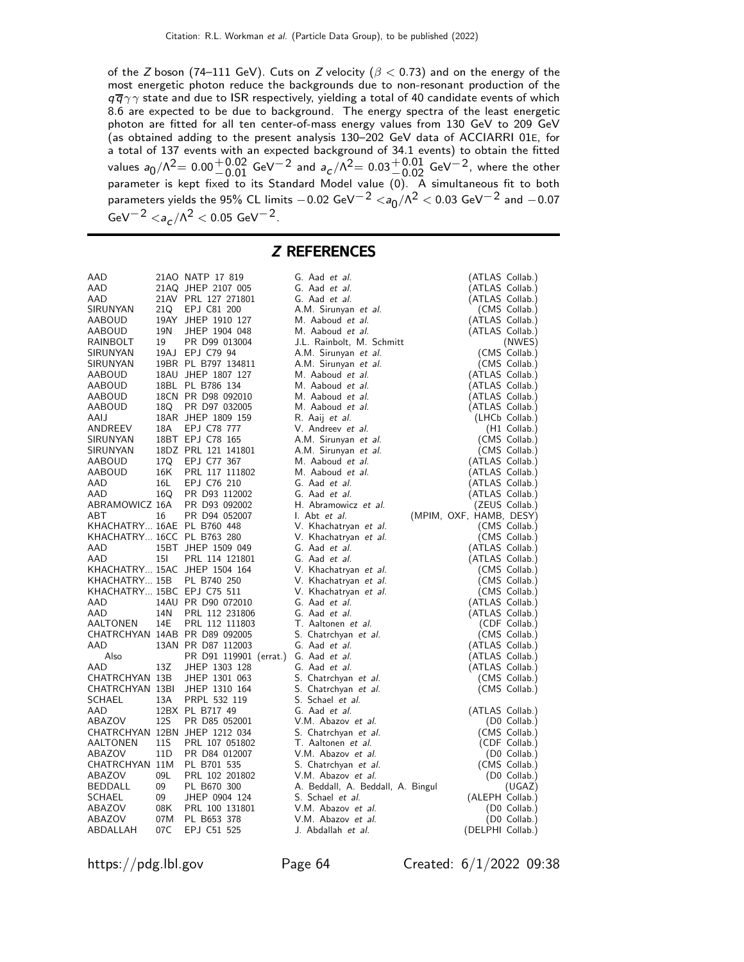of the Z boson (74–111 GeV). Cuts on Z velocity ( $\beta$  < 0.73) and on the energy of the most energetic photon reduce the backgrounds due to non-resonant production of the  $q\bar{q}\gamma\gamma$  state and due to ISR respectively, yielding a total of 40 candidate events of which 8.6 are expected to be due to background. The energy spectra of the least energetic photon are fitted for all ten center-of-mass energy values from 130 GeV to 209 GeV (as obtained adding to the present analysis 130–202 GeV data of ACCIARRI 01E, for a total of 137 events with an expected background of 34.1 events) to obtain the fitted values  $a_0/\Lambda^2{=0.00}^{+0.02}_{-0.01}$  GeV $^{-2}$  and  $a_c/\Lambda^2{=0.03}^{+0.01}_{-0.02}$  GeV $^{-2}$ , where the other<br>parameter is kept fixed to its Standard Model value (0). A simultaneous fit to both parameters yields the 95% CL limits  $-0.02$  GeV $^{-2}$   $<$ a $_0/\Lambda^2$   $<$  0.03 GeV $^{-2}$  and  $-0.07$  $GeV^{-2}$   $\langle a_{c}/\Lambda^{2}$   $<$  0.05  $GeV^{-2}$ .

### Z REFERENCES

| AAD                        |                 | 21AO NATP 17 819                     | G. Aad et al.                     | (ATLAS Collab.)         |
|----------------------------|-----------------|--------------------------------------|-----------------------------------|-------------------------|
| AAD                        |                 | 21AQ JHEP 2107 005                   | G. Aad et al.                     | (ATLAS Collab.)         |
| AAD                        |                 | 21AV PRL 127 271801                  | G. Aad et al.                     | (ATLAS Collab.)         |
| SIRUNYAN                   | 21Q             | EPJ C81 200                          | A.M. Sirunyan et al.              | (CMS Collab.)           |
|                            |                 |                                      |                                   |                         |
| AABOUD                     |                 | 19AY JHEP 1910 127                   | M. Aaboud et al.                  | (ATLAS Collab.)         |
| AABOUD                     | 19N             | JHEP 1904 048                        | M. Aaboud et al.                  | (ATLAS Collab.)         |
| RAINBOLT                   | 19              | PR D99 013004                        | J.L. Rainbolt, M. Schmitt         | (NWES)                  |
| SIRUNYAN                   |                 | 19AJ EPJ C79 94                      | A.M. Sirunyan et al.              | (CMS Collab.)           |
| SIRUNYAN                   |                 | 19BR PL B797 134811                  | A.M. Sirunyan et al.              | (CMS Collab.)           |
| AABOUD                     |                 | 18AU JHEP 1807 127                   | M. Aaboud et al.                  | (ATLAS Collab.)         |
| AABOUD                     |                 | 18BL PL B786 134                     | M. Aaboud et al.                  | (ATLAS Collab.)         |
| AABOUD                     |                 | 18CN PR D98 092010                   | M. Aaboud et al.                  | (ATLAS Collab.)         |
| AABOUD                     | 18Q             | PR D97 032005                        | M. Aaboud et al.                  | (ATLAS Collab.)         |
| AAIJ                       |                 | 18AR JHEP 1809 159                   |                                   |                         |
|                            |                 |                                      | R. Aaij et al.                    | (LHCb Collab.)          |
| ANDREEV                    | 18A             | EPJ C78 777                          | V. Andreev et al.                 | (H1 Collab.)            |
| SIRUNYAN                   |                 | 18BT EPJ C78 165                     | A.M. Sirunyan et al.              | (CMS Collab.)           |
| SIRUNYAN                   |                 | 18DZ PRL 121 141801                  | A.M. Sirunyan et al.              | (CMS Collab.)           |
| AABOUD                     |                 | 17Q EPJ C77 367                      | M. Aaboud et al.                  | (ATLAS Collab.)         |
| AABOUD                     | 16K             | PRL 117 111802                       | M. Aaboud et al.                  | (ATLAS Collab.)         |
| AAD                        | 16L             | EPJ C76 210                          | G. Aad et al.                     | (ATLAS Collab.)         |
| AAD                        | 16Q             | PR D93 112002                        | G. Aad et al.                     | (ATLAS Collab.)         |
| ABRAMOWICZ 16A             |                 | PR D93 092002                        | H. Abramowicz et al.              | (ZEUS Collab.)          |
| ABT                        | 16              | PR D94 052007                        | I. Abt <i>et al.</i>              | (MPIM, OXF, HAMB, DESY) |
|                            |                 |                                      |                                   |                         |
| KHACHATRY 16AE PL B760 448 |                 |                                      | V. Khachatryan et al.             | (CMS Collab.)           |
| KHACHATRY 16CC PL B763 280 |                 |                                      | V. Khachatryan et al.             | (CMS Collab.)           |
| AAD                        |                 | 15BT JHEP 1509 049                   | G. Aad et al.                     | (ATLAS Collab.)         |
| AAD                        | 15I             | PRL 114 121801                       | G. Aad et al.                     | (ATLAS Collab.)         |
|                            |                 | KHACHATRY 15AC JHEP 1504 164         | V. Khachatryan et al.             | (CMS Collab.)           |
| KHACHATRY 15B              |                 | PL B740 250                          | V. Khachatryan et al.             | (CMS Collab.)           |
| KHACHATRY 15BC EPJ C75 511 |                 |                                      | V. Khachatryan et al.             | (CMS Collab.)           |
| AAD                        |                 | 14AU PR D90 072010                   | G. Aad et al.                     | (ATLAS Collab.)         |
| AAD                        | 14N             | PRL 112 231806                       | G. Aad et al.                     | (ATLAS Collab.)         |
| AALTONEN                   | 14E             | PRL 112 111803                       | T. Aaltonen et al.                | (CDF Collab.)           |
|                            |                 |                                      |                                   |                         |
|                            |                 | CHATRCHYAN 14AB PR D89 092005        | S. Chatrchyan et al.              | (CMS Collab.)           |
| AAD                        |                 | 13AN PR D87 112003                   | G. Aad et al.                     | (ATLAS Collab.)         |
| Also                       |                 | PR D91 119901 (errat.) G. Aad et al. |                                   | (ATLAS Collab.)         |
| AAD                        | 13Z             | JHEP 1303 128                        | G. Aad et al.                     | (ATLAS Collab.)         |
| CHATRCHYAN 13B             |                 | JHEP 1301 063                        | S. Chatrchyan et al.              | (CMS Collab.)           |
| CHATRCHYAN 13BI            |                 | JHEP 1310 164                        | S. Chatrchyan et al.              | (CMS Collab.)           |
| SCHAEL                     | 13A             | PRPL 532 119                         | S. Schael et al.                  |                         |
| AAD                        |                 | 12BX PL B717 49                      | G. Aad et al.                     | (ATLAS Collab.)         |
| ABAZOV                     | <b>12S</b>      | PR D85 052001                        | V.M. Abazov et al.                | (D0 Collab.)            |
|                            |                 | CHATRCHYAN 12BN JHEP 1212 034        | S. Chatrchyan et al.              | (CMS Collab.)           |
| AALTONEN                   | 11S             | PRL 107 051802                       | T. Aaltonen et al.                | (CDF Collab.)           |
| ABAZOV                     | 11 <sub>D</sub> | PR D84 012007                        | V.M. Abazov et al.                |                         |
| CHATRCHYAN 11M             |                 |                                      |                                   | (D0 Collab.)            |
|                            |                 | PL B701 535                          | S. Chatrchyan et al.              | (CMS Collab.)           |
| ABAZOV                     | 09L             | PRL 102 201802                       | V.M. Abazov et al.                | (D0 Collab.)            |
| BEDDALL                    | 09              | PL B670 300                          | A. Beddall, A. Beddall, A. Bingul | (UGAZ)                  |
| SCHAEL                     | 09              | JHEP 0904 124                        | S. Schael et al.                  | (ALEPH Collab.)         |
| ABAZOV                     | 08K             | PRL 100 131801                       | V.M. Abazov et al.                | (D0 Collab.)            |
| ABAZOV                     | 07M             | PL B653 378                          | V.M. Abazov et al.                | $(D0$ Collab.)          |
| ABDALLAH                   | 07C             | EPJ C51 525                          | J. Abdallah et al.                | (DELPHI Collab.)        |

https://pdg.lbl.gov Page 64 Created: 6/1/2022 09:38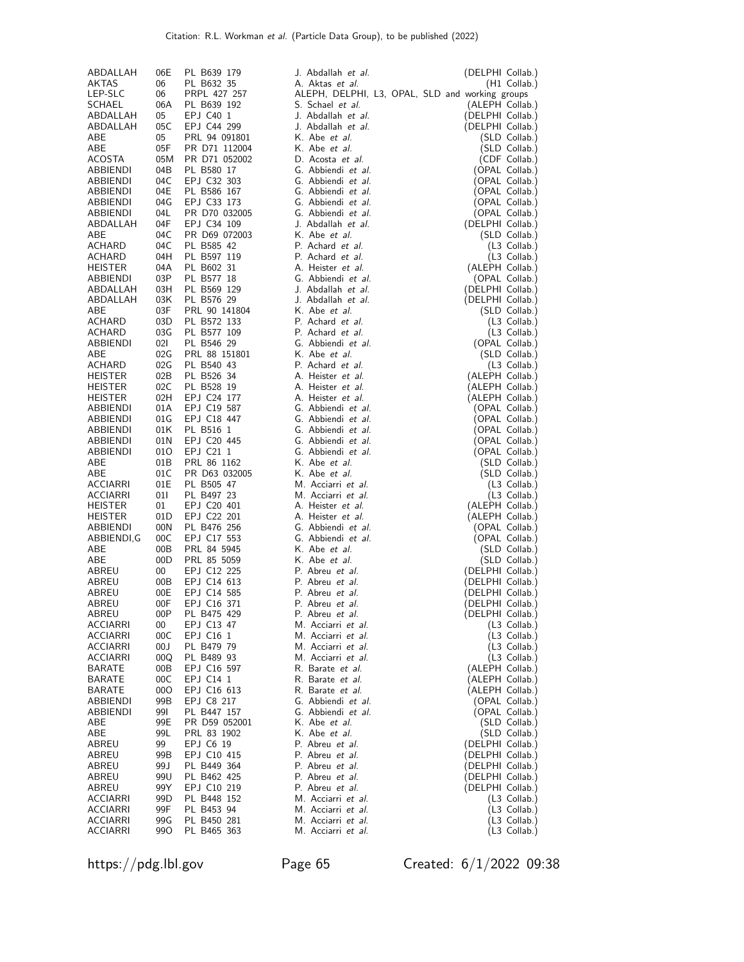| ABDALLAH<br>06E<br>PL B639 179<br>J. Abdallah <i>et al.</i><br>06<br>AKTAS<br>PL B632 35<br>A. Aktas et al.                  | (DELPHI Collab.)                |
|------------------------------------------------------------------------------------------------------------------------------|---------------------------------|
|                                                                                                                              | $(H1$ Collab.)                  |
|                                                                                                                              |                                 |
| 06<br>ALEPH, DELPHI, L3, OPAL, SLD and working groups<br>LEP-SLC<br>PRPL 427 257<br><b>SCHAEL</b><br>06A<br>S. Schael et al. |                                 |
| PL B639 192<br>05                                                                                                            | (ALEPH Collab.)                 |
| ABDALLAH<br>EPJ C40 1<br>J. Abdallah et al.                                                                                  | (DELPHI Collab.)                |
| 05C<br>EPJ C44 299<br>ABDALLAH<br>J. Abdallah et al.                                                                         | (DELPHI Collab.)                |
| ABE<br>05<br>PRL 94 091801<br>K. Abe et al.                                                                                  | (SLD Collab.)                   |
| ABE<br>05F<br>PR D71 112004<br>K. Abe et al.                                                                                 | (SLD Collab.)                   |
| D. Acosta et al.<br>ACOSTA<br>05M<br>PR D71 052002                                                                           | (CDF Collab.)                   |
| 04B<br>PL B580 17<br>G. Abbiendi et al.<br>ABBIENDI<br>04C<br>EPJ C32 303<br>G. Abbiendi et al.                              | (OPAL Collab.)                  |
| ABBIENDI<br>04E<br>PL B586 167<br>G. Abbiendi et al.<br>ABBIENDI                                                             | (OPAL Collab.)                  |
| G. Abbiendi et al.<br>04G<br>EPJ C33 173                                                                                     | (OPAL Collab.)                  |
| ABBIENDI<br>PR D70 032005<br>G. Abbiendi et al.                                                                              | (OPAL Collab.)                  |
| 04L<br>ABBIENDI<br>04F<br>J. Abdallah et al.<br>ABDALLAH<br>EPJ C34 109                                                      | (OPAL Collab.)                  |
| 04C<br>K. Abe et al.<br>ABE<br>PR D69 072003                                                                                 | (DELPHI Collab.)                |
| 04C<br>PL B585 42<br>P. Achard et al.<br>ACHARD                                                                              | (SLD Collab.)<br>$(L3$ Collab.) |
| 04H<br>PL B597 119<br>P. Achard et al.<br>ACHARD                                                                             | (L3 Collab.)                    |
| PL B602 31<br>A. Heister et al.<br><b>HEISTER</b><br>04A                                                                     | (ALEPH Collab.)                 |
| 03P<br>G. Abbiendi et al.<br>PL B577 18<br>ABBIENDI                                                                          | (OPAL Collab.)                  |
| J. Abdallah et al.<br>ABDALLAH<br>03H<br>PL B569 129                                                                         | (DELPHI Collab.)                |
| ABDALLAH<br>03K<br>PL B576 29<br>J. Abdallah et al.                                                                          | (DELPHI Collab.)                |
| 03F<br>K. Abe et al.<br>ABE<br>PRL 90 141804                                                                                 | (SLD Collab.)                   |
| ACHARD<br>03D<br>PL B572 133<br>P. Achard et al.                                                                             | (L3 Collab.)                    |
| 03G<br>PL B577 109<br>P. Achard et al.<br>ACHARD                                                                             | (L3 Collab.)                    |
| 021<br>PL B546 29<br>G. Abbiendi et al.<br>ABBIENDI                                                                          | (OPAL Collab.)                  |
| ABE<br>02G<br>PRL 88 151801<br>K. Abe et al.                                                                                 | (SLD Collab.)                   |
| 02G<br>PL B540 43<br>P. Achard et al.<br>ACHARD                                                                              | (L3 Collab.)                    |
| <b>HEISTER</b><br>02B<br>PL B526 34<br>A. Heister <i>et al.</i>                                                              | (ALEPH Collab.)                 |
| 02C<br>A. Heister et al.<br><b>HEISTER</b><br>PL B528 19                                                                     | (ALEPH Collab.)                 |
| 02H<br>EPJ C24 177<br>A. Heister et al.<br><b>HEISTER</b>                                                                    | (ALEPH Collab.)                 |
| 01A<br>EPJ C19 587<br>G. Abbiendi et al.<br>ABBIENDI                                                                         | (OPAL Collab.)                  |
| 01G<br>EPJ C18 447<br>G. Abbiendi et al.<br>ABBIENDI                                                                         | (OPAL Collab.)                  |
| ABBIENDI<br>01K<br>PL B516 1<br>G. Abbiendi et al.                                                                           | (OPAL Collab.)                  |
| EPJ C20 445<br>G. Abbiendi et al.<br>ABBIENDI<br>01N                                                                         | (OPAL Collab.)                  |
| G. Abbiendi et al.<br>ABBIENDI<br>010<br>EPJ C21 1                                                                           | (OPAL Collab.)                  |
| PRL 86 1162<br>K. Abe et al.<br>ABE<br>01B                                                                                   | (SLD Collab.)                   |
| K. Abe et al.<br>ABE<br>01C<br>PR D63 032005                                                                                 | (SLD Collab.)                   |
| 01E<br>M. Acciarri et al.<br>ACCIARRI<br>PL B505 47                                                                          | (L3 Collab.)                    |
| 011<br>PL B497 23<br>M. Acciarri et al.<br>ACCIARRI                                                                          | (L3 Collab.)                    |
| <b>HEISTER</b><br>01<br>EPJ C20 401<br>A. Heister et al.                                                                     | (ALEPH Collab.)                 |
| 01D<br>EPJ C22 201<br>A. Heister et al.<br><b>HEISTER</b>                                                                    | (ALEPH Collab.)                 |
| 00N<br>G. Abbiendi et al.<br>ABBIENDI<br>PL B476 256                                                                         | (OPAL Collab.)                  |
| 00C<br>EPJ C17 553<br>G. Abbiendi et al.<br>ABBIENDI,G                                                                       | (OPAL Collab.)                  |
| ABE<br>00B<br>PRL 84 5945<br>K. Abe et al.                                                                                   | (SLD Collab.)                   |
| ABE<br>00D<br>PRL 85 5059<br>K. Abe et al.                                                                                   | (SLD Collab.)                   |
| ABREU<br>$00\,$<br>EPJ C12 225<br>P. Abreu et al.                                                                            | (DELPHI Collab.)                |
| EPJ C14 613<br>P. Abreu et al.<br>ABREU<br>00B                                                                               | (DELPHI Collab.)                |
| 00E<br>EPJ C14 585<br>P. Abreu et al.<br>ABREU                                                                               | (DELPHI Collab.)                |
| 00F<br>EPJ C16 371<br>P. Abreu et al.<br>ABREU                                                                               | (DELPHI Collab.)                |
| 00P<br>PL B475 429<br>P. Abreu et al.<br>ABREU                                                                               | (DELPHI Collab.)                |
| 00<br>EPJ C13 47<br>M. Acciarri et al.<br><b>ACCIARRI</b>                                                                    | $(L3$ Collab.)                  |
| 00C<br>EPJ C16 1<br>M. Acciarri et al.<br>ACCIARRI                                                                           | (L3 Collab.)                    |
| ACCIARRI<br>00 J<br>PL B479 79<br>M. Acciarri et al.                                                                         | (L3 Collab.)                    |
| M. Acciarri et al.<br>ACCIARRI<br>00Q<br>PL B489 93                                                                          | (L3 Collab.)                    |
| R. Barate et al.<br>BARATE<br>00B<br>EPJ C16 597                                                                             | (ALEPH Collab.)                 |
| EPJ C14 1<br>R. Barate et al.<br>BARATE<br>00C                                                                               | (ALEPH Collab.)                 |
| EPJ C16 613<br>R. Barate et al.<br>BARATE<br>00O                                                                             | (ALEPH Collab.)                 |
| G. Abbiendi et al.<br>ABBIENDI<br>99B<br>EPJ C8 217                                                                          | (OPAL Collab.)                  |
|                                                                                                                              | (OPAL Collab.)                  |
| 991<br>G. Abbiendi et al.<br>ABBIENDI<br>PL B447 157                                                                         | (SLD Collab.)                   |
| K. Abe et al.<br>ABE<br>99E<br>PR D59 052001                                                                                 |                                 |
| K. Abe et al.<br>ABE<br>99L<br>PRL 83 1902                                                                                   | (SLD Collab.)                   |
| ABREU<br>99<br>EPJ C6 19<br>P. Abreu et al.                                                                                  | (DELPHI Collab.)                |
| 99B<br>P. Abreu et al.<br>ABREU<br>EPJ C10 415                                                                               | (DELPHI Collab.)                |
| P. Abreu et al.<br>ABREU<br>99 J<br>PL B449 364                                                                              | (DELPHI Collab.)                |
| ABREU<br>99U<br>PL B462 425<br>P. Abreu et al.                                                                               | (DELPHI Collab.)                |
| 99Y<br>EPJ C10 219<br>P. Abreu et al.<br>ABREU                                                                               | (DELPHI Collab.)                |
| ACCIARRI<br>99D<br>PL B448 152<br>M. Acciarri et al.                                                                         | $(L3$ Collab.)                  |
| M. Acciarri et al.<br>ACCIARRI<br>99F<br>PL B453 94<br>99G<br>M. Acciarri et al.<br>ACCIARRI<br>PL B450 281                  | (L3 Collab.)<br>(L3 Collab.)    |

https://pdg.lbl.gov Page 65 Created: 6/1/2022 09:38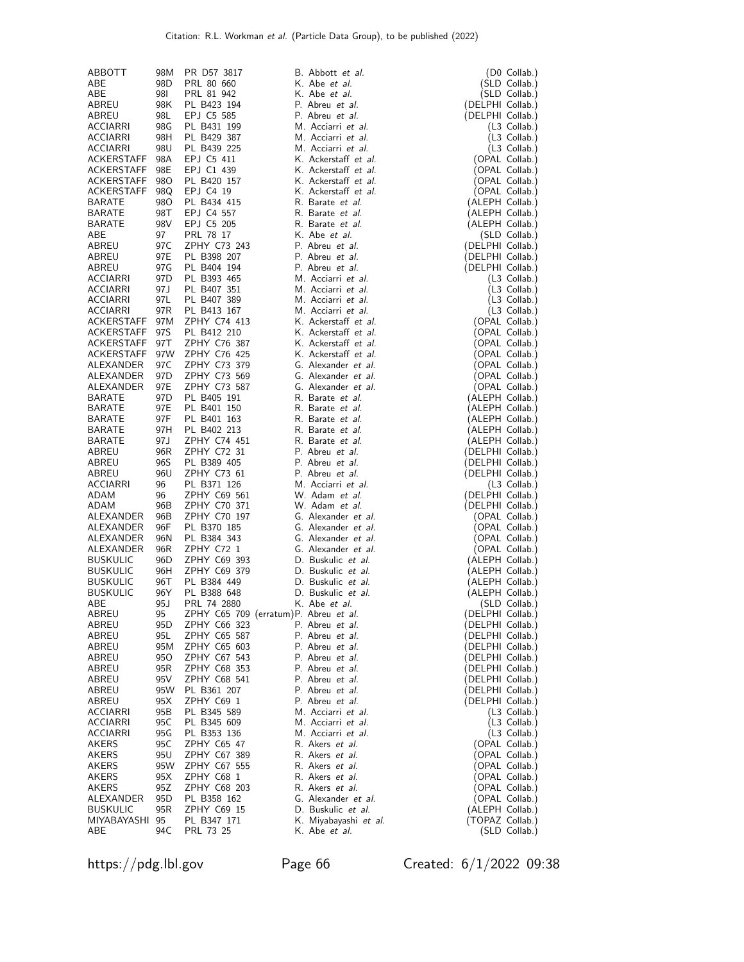| ABBOTT            | 98M             | PR D57 3817                           | B. Abbott et al.       | (D0 Collab.)                     |
|-------------------|-----------------|---------------------------------------|------------------------|----------------------------------|
| ABE               | 98D             | PRL 80 660                            | K. Abe <i>et al.</i>   | (SLD Collab.)                    |
| ABE               | 981             | PRL 81 942                            | K. Abe et al.          | (SLD Collab.)                    |
| ABREU             | 98K             | PL B423 194                           | P. Abreu et al.        | (DELPHI Collab.)                 |
| ABREU             | 98L             | EPJ C5 585                            | P. Abreu <i>et al.</i> | (DELPHI Collab.)                 |
| ACCIARRI          | 98G             | PL B431 199                           | M. Acciarri et al.     | (L3 Collab.)                     |
| ACCIARRI          | 98H             | PL B429 387                           | M. Acciarri et al.     | $(L3$ Collab.)                   |
| ACCIARRI          | 98U             | PL B439 225                           | M. Acciarri et al.     | $(L3$ Collab.)                   |
| ACKERSTAFF        | 98A             | EPJ C5 411                            | K. Ackerstaff et al.   | (OPAL Collab.)                   |
| <b>ACKERSTAFF</b> | 98E             | EPJ C1 439                            | K. Ackerstaff et al.   | (OPAL Collab.)                   |
| <b>ACKERSTAFF</b> | 98O             | PL B420 157                           | K. Ackerstaff et al.   | (OPAL Collab.)                   |
| <b>ACKERSTAFF</b> | 98Q             | EPJ C4 19                             | K. Ackerstaff et al.   | (OPAL Collab.)                   |
| <b>BARATE</b>     | 98O             | PL B434 415                           | R. Barate et al.       | (ALEPH Collab.)                  |
| <b>BARATE</b>     | 98T             | EPJ C4 557                            | R. Barate et al.       | (ALEPH Collab.)                  |
| <b>BARATE</b>     | 98V             |                                       | R. Barate et al.       |                                  |
| ABE               |                 | EPJ C5 205<br>PRL 78 17               | K. Abe et al.          | (ALEPH Collab.)<br>(SLD Collab.) |
|                   | 97<br>97C       | ZPHY C73 243                          | P. Abreu et al.        | (DELPHI Collab.)                 |
| ABREU             | 97E             | PL B398 207                           | P. Abreu et al.        |                                  |
| ABREU             |                 |                                       | P. Abreu et al.        | (DELPHI Collab.)                 |
| ABREU             | 97G             | PL B404 194                           |                        | (DELPHI Collab.)                 |
| ACCIARRI          | 97D             | PL B393 465                           | M. Acciarri et al.     | (L3 Collab.)                     |
| ACCIARRI          | 97 J            | PL B407 351                           | M. Acciarri et al.     | $(L3$ Collab.)                   |
| ACCIARRI          | 97L             | PL B407 389                           | M. Acciarri et al.     | $(L3$ Collab.)                   |
| ACCIARRI          | 97R             | PL B413 167                           | M. Acciarri et al.     | $(L3$ Collab.)                   |
| ACKERSTAFF        | 97M             | ZPHY C74 413                          | K. Ackerstaff et al.   | (OPAL Collab.)                   |
| ACKERSTAFF        | 97S             | PL B412 210                           | K. Ackerstaff et al.   | (OPAL Collab.)                   |
| ACKERSTAFF        | 97T             | ZPHY C76 387                          | K. Ackerstaff et al.   | (OPAL Collab.)                   |
| ACKERSTAFF        | 97W             | ZPHY C76 425                          | K. Ackerstaff et al.   | (OPAL Collab.)                   |
| <b>ALEXANDER</b>  | 97 C            | ZPHY C73 379                          | G. Alexander et al.    | (OPAL Collab.)                   |
| ALEXANDER         | 97 <sub>D</sub> | ZPHY C73 569                          | G. Alexander et al.    | (OPAL Collab.)                   |
| ALEXANDER         | 97E             | ZPHY C73 587                          | G. Alexander et al.    | (OPAL Collab.)                   |
| <b>BARATE</b>     | 97 <sub>D</sub> | PL B405 191                           | R. Barate et al.       | (ALEPH Collab.)                  |
| <b>BARATE</b>     | 97E             | PL B401 150                           | R. Barate et al.       | (ALEPH Collab.)                  |
| <b>BARATE</b>     | 97F             | PL B401 163                           | R. Barate et al.       | (ALEPH Collab.)                  |
| BARATE            | 97H             | PL B402 213                           | R. Barate et al.       | (ALEPH Collab.)                  |
| <b>BARATE</b>     | 97 J            | ZPHY C74 451                          | R. Barate et al.       | (ALEPH Collab.)                  |
| ABREU             | 96R             | ZPHY C72 31                           | P. Abreu et al.        | (DELPHI Collab.)                 |
| ABREU             | 96S             | PL B389 405                           | P. Abreu et al.        | (DELPHI Collab.)                 |
| ABREU             | 96U             | ZPHY C73 61                           | P. Abreu et al.        | (DELPHI Collab.)                 |
| ACCIARRI          | 96              | PL B371 126                           | M. Acciarri et al.     | $(L3$ Collab.)                   |
| ADAM              | 96              | ZPHY C69 561                          | W. Adam et al.         | (DELPHI Collab.)                 |
| ADAM              | 96B             | ZPHY C70 371                          | W. Adam et al.         | (DELPHI Collab.)                 |
| ALEXANDER         | 96B             | ZPHY C70 197                          | G. Alexander et al.    | (OPAL Collab.)                   |
| ALEXANDER         | 96F             | PL B370 185                           | G. Alexander et al.    | (OPAL Collab.)                   |
| ALEXANDER         | 96N             | PL B384 343                           | G. Alexander et al.    | (OPAL Collab.)                   |
| ALEXANDER         | 96R             | ZPHY C72 1                            | G. Alexander et al.    | (OPAL Collab.)                   |
| <b>BUSKULIC</b>   | 96D             | ZPHY C69 393                          | D. Buskulic et al.     | (ALEPH Collab.)                  |
| <b>BUSKULIC</b>   | 96H             | ZPHY C69 379                          | D. Buskulic et al.     | (ALEPH Collab.)                  |
| <b>BUSKULIC</b>   | 96T             | PL B384 449                           | D. Buskulic et al.     | (ALEPH Collab.)                  |
| <b>BUSKULIC</b>   | 96Y             | PL B388 648                           | D. Buskulic et al.     | (ALEPH Collab.)                  |
| ABE               | 95 J            | PRL 74 2880                           | K. Abe et al.          | (SLD Collab.)                    |
| ABREU             | 95              | ZPHY C65 709 (erratum)P. Abreu et al. |                        | (DELPHI Collab.)                 |
| ABREU             | 95D             | ZPHY C66 323                          | P. Abreu et al.        | (DELPHI Collab.)                 |
| ABREU             | 95L             | ZPHY C65 587                          | P. Abreu et al.        | (DELPHI Collab.)                 |
| ABREU             | 95M             | ZPHY C65 603                          | P. Abreu et al.        | (DELPHI Collab.)                 |
| ABREU             | 95O             | ZPHY C67 543                          | P. Abreu et al.        | (DELPHI Collab.)                 |
| ABREU             | 95R             | ZPHY C68 353                          | P. Abreu et al.        | (DELPHI Collab.)                 |
| ABREU             | 95 V            | ZPHY C68 541                          | P. Abreu et al.        | (DELPHI Collab.)                 |
| ABREU             | 95W             | PL B361 207                           | P. Abreu et al.        | (DELPHI Collab.)                 |
| ABREU             | 95X             | ZPHY C69 1                            | P. Abreu et al.        | (DELPHI Collab.)                 |
| ACCIARRI          | 95B             | PL B345 589                           | M. Acciarri et al.     | $(L3$ Collab.)                   |
| ACCIARRI          | 95C             | PL B345 609                           | M. Acciarri et al.     | $(L3$ Collab.)                   |
| ACCIARRI          | 95G             | PL B353 136                           | M. Acciarri et al.     | $(L3$ Collab.)                   |
| AKERS             | 95C             | ZPHY C65 47                           | R. Akers et al.        | (OPAL Collab.)                   |
| AKERS             | 95U             | ZPHY C67 389                          | R. Akers et al.        | (OPAL Collab.)                   |
| AKERS             | 95W             | ZPHY C67 555                          | R. Akers et al.        | (OPAL Collab.)                   |
| AKERS             | 95X             | ZPHY C68 1                            | R. Akers et al.        | (OPAL Collab.)                   |
| AKERS             | 95Z             | ZPHY C68 203                          | R. Akers et al.        | (OPAL Collab.)                   |
| ALEXANDER         | 95D             | PL B358 162                           | G. Alexander et al.    | (OPAL Collab.)                   |
| <b>BUSKULIC</b>   | 95R             | ZPHY C69 15                           | D. Buskulic et al.     | (ALEPH Collab.)                  |
| MIYABAYASHI       | 95              | PL B347 171                           | K. Miyabayashi et al.  | (TOPAZ Collab.)                  |
| ABE               | 94C             | PRL 73 25                             | K. Abe et al.          | (SLD Collab.)                    |

https://pdg.lbl.gov Page 66 Created: 6/1/2022 09:38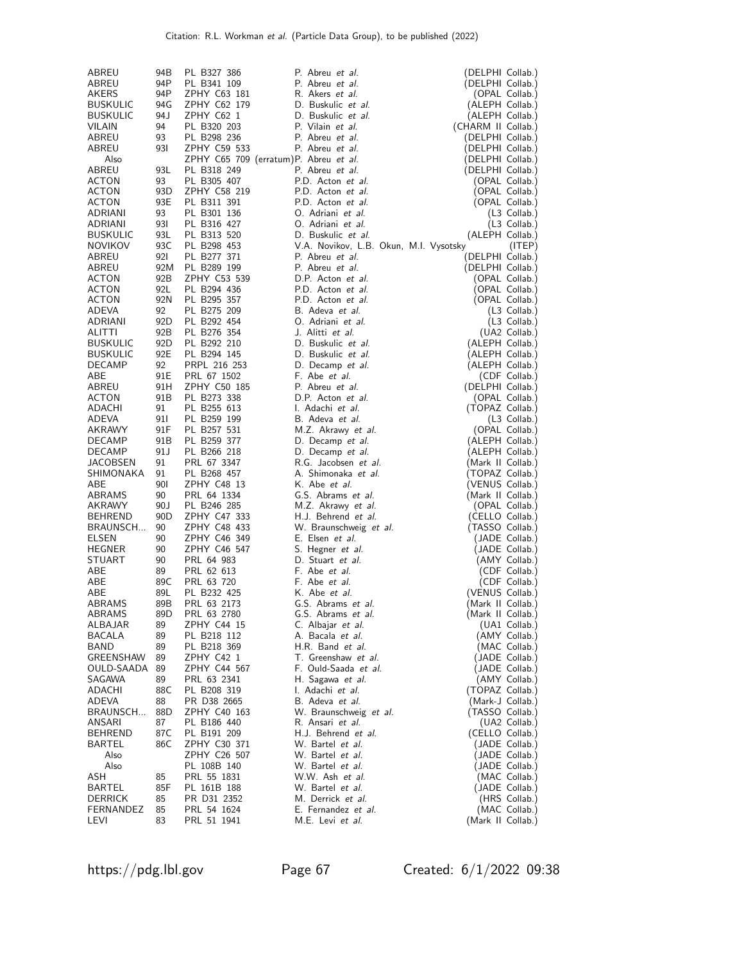| ABREU              | 94B             | PL B327 386                  | P. Abreu et al.                            | (DELPHI Collab.)                  |
|--------------------|-----------------|------------------------------|--------------------------------------------|-----------------------------------|
| ABREU              | 94P             | PL B341 109                  | P. Abreu et al.                            | (DELPHI Collab.)                  |
| AKERS              | 94P             | ZPHY C63 181                 | R. Akers et al.                            | (OPAL Collab.)                    |
| <b>BUSKULIC</b>    | 94G             | ZPHY C62 179                 | D. Buskulic et al.                         | (ALEPH Collab.)                   |
| <b>BUSKULIC</b>    | 94 J            | ZPHY C62 1                   | D. Buskulic et al.                         | (ALEPH Collab.)                   |
| VILAIN             | 94              | PL B320 203                  | P. Vilain et al.                           | (CHARM II Collab.)                |
| ABREU              | 93              | PL B298 236                  | P. Abreu et al.                            | (DELPHI Collab.)                  |
| ABREU              | 931             | ZPHY C59 533                 | P. Abreu et al.                            | (DELPHI Collab.)                  |
| Also               |                 |                              | ZPHY C65 709 (erratum)P. Abreu et al.      | (DELPHI Collab.)                  |
| ABREU              | 93L             | PL B318 249                  | P. Abreu et al.                            | (DELPHI Collab.)                  |
| ACTON              | 93              | PL B305 407                  | P.D. Acton et al.                          | (OPAL Collab.)                    |
| ACTON              | 93D             | ZPHY C58 219                 | P.D. Acton et al.                          | (OPAL Collab.)                    |
| ACTON              | 93E             | PL B311 391                  | P.D. Acton et al.                          | (OPAL Collab.)                    |
| <b>ADRIANI</b>     | 93              | PL B301 136                  | O. Adriani et al.                          | (L3 Collab.)                      |
| ADRIANI            | 931             | PL B316 427                  | O. Adriani et al.                          | (L3 Collab.)                      |
| <b>BUSKULIC</b>    | 93L             | PL B313 520                  | D. Buskulic et al.                         | (ALEPH Collab.)                   |
| <b>NOVIKOV</b>     | 93C             | PL B298 453                  | V.A. Novikov, L.B. Okun, M.I. Vysotsky     | (ITEP)                            |
| ABREU              | 921             | PL B277 371                  | P. Abreu et al.                            | (DELPHI Collab.)                  |
| ABREU              | 92M             | PL B289 199                  | P. Abreu et al.                            | (DELPHI Collab.)                  |
| ACTON              | 92B             | ZPHY C53 539                 | D.P. Acton et al.                          | (OPAL Collab.)                    |
| ACTON              | 92L             | PL B294 436                  | P.D. Acton et al.                          | (OPAL Collab.)                    |
| ACTON              | 92N             | PL B295 357                  | P.D. Acton et al.                          | (OPAL Collab.)                    |
| ADEVA              | 92              | PL B275 209                  | B. Adeva et al.                            | (L3 Collab.)                      |
| ADRIANI            | 92D             | PL B292 454                  | O. Adriani et al.                          | (L3 Collab.)                      |
| ALITTI             | 92B             | PL B276 354                  | J. Alitti et al.                           | (UA2 Collab.)                     |
| <b>BUSKULIC</b>    | 92D             | PL B292 210                  | D. Buskulic et al.                         | (ALEPH Collab.)                   |
| <b>BUSKULIC</b>    | 92E             | PL B294 145                  | D. Buskulic et al.                         | (ALEPH Collab.)                   |
| DECAMP             | 92<br>91E       | PRPL 216 253                 | D. Decamp et al.                           | (ALEPH Collab.)                   |
| ABE<br>ABREU       | 91H             | PRL 67 1502<br>ZPHY C50 185  | F. Abe et al.<br>P. Abreu et al.           | (CDF Collab.)<br>(DELPHI Collab.) |
| ACTON              | 91 <sub>B</sub> | PL B273 338                  | D.P. Acton et al.                          | (OPAL Collab.)                    |
| ADACHI             | 91              | PL B255 613                  | I. Adachi et al.                           | (TOPAZ Collab.)                   |
| ADEVA              | 911             | PL B259 199                  | B. Adeva et al.                            | (L3 Collab.)                      |
| AKRAWY             | 91F             | PL B257 531                  | M.Z. Akrawy et al.                         | (OPAL Collab.)                    |
| DECAMP             | 91 <sub>B</sub> | PL B259 377                  | D. Decamp et al.                           | (ALEPH Collab.)                   |
| DECAMP             | 91 J            | PL B266 218                  | D. Decamp et al.                           | (ALEPH Collab.)                   |
| JACOBSEN           | 91              | PRL 67 3347                  | R.G. Jacobsen et al.                       | (Mark II Collab.)                 |
| SHIMONAKA          | 91              | PL B268 457                  | A. Shimonaka et al.                        | (TOPAZ Collab.)                   |
| ABE                | <b>901</b>      | ZPHY C48 13                  | K. Abe et al.                              | (VENUS Collab.)                   |
| ABRAMS             | 90              | PRL 64 1334                  | G.S. Abrams et al.                         | (Mark II Collab.)                 |
| AKRAWY             | 90J             | PL B246 285                  | M.Z. Akrawy et al.                         | (OPAL Collab.)                    |
| BEHREND            | 90 <sub>D</sub> | ZPHY C47 333                 | H.J. Behrend et al.                        | (CELLO Collab.)                   |
| BRAUNSCH           | 90<br>90        | ZPHY C48 433<br>ZPHY C46 349 | W. Braunschweig <i>et al.</i>              | (TASSO Collab.)                   |
| ELSEN<br>HEGNER    | 90              | ZPHY C46 547                 | E. Elsen et al.<br>S. Hegner et al.        | (JADE Collab.)<br>(JADE Collab.)  |
| STUART             | 90              | PRL 64 983                   | D. Stuart et al.                           | (AMY Collab.)                     |
| ABE                | 89              | PRL 62 613                   | F. Abe et al.                              | (CDF Collab.)                     |
| ABE                | 89C             | PRL 63 720                   | F. Abe <i>et al.</i>                       | (CDF Collab.)                     |
| ABE                | 89L             | PL B232 425                  | K. Abe et al.                              | (VENUS Collab.)                   |
| ABRAMS             | 89B             | PRL 63 2173                  | G.S. Abrams et al.                         | (Mark II Collab.)                 |
| <b>ABRAMS</b>      | 89D             | PRL 63 2780                  | G.S. Abrams et al.                         | (Mark II Collab.)                 |
| ALBAJAR            | 89              | ZPHY C44 15                  | C. Albajar et al.                          | (UA1 Collab.)                     |
| BACALA             | 89              | PL B218 112                  | A. Bacala et al.                           | (AMY Collab.)                     |
| BAND               | 89              | PL B218 369                  | H.R. Band et al.                           | (MAC Collab.)                     |
| <b>GREENSHAW</b>   | 89              | ZPHY C42 1                   | T. Greenshaw et al.                        | (JADE Collab.)                    |
| OULD-SAADA         | 89              | ZPHY C44 567                 | F. Ould-Saada et al.                       | (JADE Collab.)                    |
| SAGAWA             | 89              | PRL 63 2341                  | H. Sagawa et al.                           | (AMY Collab.)                     |
| ADACHI             | 88C             | PL B208 319                  | I. Adachi et al.                           | (TOPAZ Collab.)                   |
| ADEVA              | 88              | PR D38 2665                  | B. Adeva et al.                            | (Mark-J Collab.)                  |
| BRAUNSCH<br>ANSARI | 88D<br>87       | ZPHY C40 163<br>PL B186 440  | W. Braunschweig et al.<br>R. Ansari et al. | (TASSO Collab.)<br>(UA2 Collab.)  |
| BEHREND            | 87C             | PL B191 209                  | H.J. Behrend et al.                        | (CELLO Collab.)                   |
| BARTEL             | 86C             | ZPHY C30 371                 | W. Bartel <i>et al.</i>                    | (JADE Collab.)                    |
| Also               |                 | ZPHY C26 507                 | W. Bartel <i>et al.</i>                    | (JADE Collab.)                    |
| Also               |                 | PL 108B 140                  | W. Bartel et al.                           | (JADE Collab.)                    |
| ASH                | 85              | PRL 55 1831                  | W.W. Ash et al.                            | (MAC Collab.)                     |
| BARTEL             | 85F             | PL 161B 188                  | W. Bartel et al.                           | (JADE Collab.)                    |
| <b>DERRICK</b>     | 85              | PR D31 2352                  | M. Derrick et al.                          | (HRS Collab.)                     |
| FERNANDEZ          | 85              | PRL 54 1624                  | E. Fernandez et al.                        | (MAC Collab.)                     |
| LEVI               | 83              | PRL 51 1941                  | M.E. Levi et al.                           | (Mark II Collab.)                 |

https://pdg.lbl.gov Page 67 Created: 6/1/2022 09:38